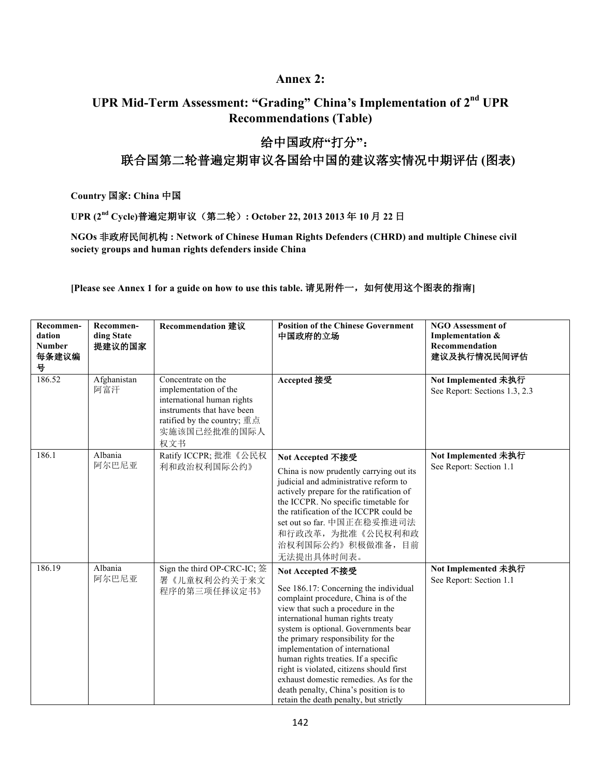## **Annex 2:**

## UPR Mid-Term Assessment: "Grading" China's Implementation of 2<sup>nd</sup> UPR **Recommendations (Table)**

## 给中国政府"打分": 联合国第二轮普遍定期审议各国给中国的建议落实情况中期评估(图表)

Country 国家: China 中国

UPR (2<sup>nd</sup> Cycle)普遍定期审议(第二轮): October 22, 2013 2013年10月22日

NGOs 非政府民间机构: Network of Chinese Human Rights Defenders (CHRD) and multiple Chinese civil society groups and human rights defenders inside China

[Please see Annex 1 for a guide on how to use this table. 请见附件一, 如何使用这个图表的指南]

| Recommen-<br>dation<br><b>Number</b><br>每条建议编<br>븅 | Recommen-<br>ding State<br>提建议的国家 | Recommendation 建议                                                                                                                                             | <b>Position of the Chinese Government</b><br>中国政府的立场                                                                                                                                                                                                                                                                                                                                                                                                                                                         | <b>NGO Assessment of</b><br>Implementation &<br>Recommendation<br>建议及执行情况民间评估 |
|----------------------------------------------------|-----------------------------------|---------------------------------------------------------------------------------------------------------------------------------------------------------------|--------------------------------------------------------------------------------------------------------------------------------------------------------------------------------------------------------------------------------------------------------------------------------------------------------------------------------------------------------------------------------------------------------------------------------------------------------------------------------------------------------------|-------------------------------------------------------------------------------|
| 186.52                                             | Afghanistan<br>阿富汗                | Concentrate on the<br>implementation of the<br>international human rights<br>instruments that have been<br>ratified by the country; 重点<br>实施该国已经批准的国际人<br>权文书 | Accepted 接受                                                                                                                                                                                                                                                                                                                                                                                                                                                                                                  | Not Implemented 未执行<br>See Report: Sections 1.3, 2.3                          |
| 186.1                                              | Albania<br>阿尔巴尼亚                  | Ratify ICCPR; 批准《公民权<br>利和政治权利国际公约》                                                                                                                           | Not Accepted 不接受<br>China is now prudently carrying out its<br>judicial and administrative reform to<br>actively prepare for the ratification of<br>the ICCPR. No specific timetable for<br>the ratification of the ICCPR could be<br>set out so far. 中国正在稳妥推进司法<br>和行政改革, 为批准《公民权利和政<br>治权利国际公约》积极做准备,目前<br>无法提出具体时间表。                                                                                                                                                                                      | Not Implemented 未执行<br>See Report: Section 1.1                                |
| 186.19                                             | Albania<br>阿尔巴尼亚                  | Sign the third OP-CRC-IC; 签<br>署《儿童权利公约关于来文<br>程序的第三项任择议定书》                                                                                                   | Not Accepted 不接受<br>See 186.17: Concerning the individual<br>complaint procedure, China is of the<br>view that such a procedure in the<br>international human rights treaty<br>system is optional. Governments bear<br>the primary responsibility for the<br>implementation of international<br>human rights treaties. If a specific<br>right is violated, citizens should first<br>exhaust domestic remedies. As for the<br>death penalty, China's position is to<br>retain the death penalty, but strictly | Not Implemented 未执行<br>See Report: Section 1.1                                |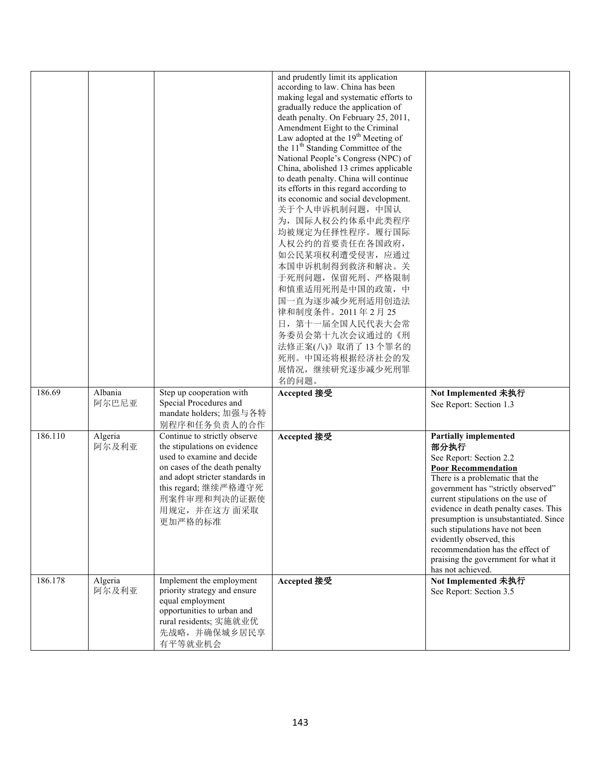|         |                  |                                                                                                                                                                                                                                  | and prudently limit its application<br>according to law. China has been<br>making legal and systematic efforts to<br>gradually reduce the application of<br>death penalty. On February 25, 2011,<br>Amendment Eight to the Criminal<br>Law adopted at the 19 <sup>th</sup> Meeting of<br>the 11 <sup>th</sup> Standing Committee of the<br>National People's Congress (NPC) of<br>China, abolished 13 crimes applicable<br>to death penalty. China will continue<br>its efforts in this regard according to<br>its economic and social development.<br>关于个人申诉机制问题, 中国认<br>为, 国际人权公约体系中此类程序<br>均被规定为任择性程序。履行国际<br>人权公约的首要责任在各国政府,<br>如公民某项权利遭受侵害, 应通过<br>本国申诉机制得到救济和解决。关<br>于死刑问题, 保留死刑、严格限制<br>和慎重适用死刑是中国的政策,中<br>国一直为逐步减少死刑适用创造法<br>律和制度条件。2011年2月25<br>日, 第十一届全国人民代表大会常<br>务委员会第十九次会议通过的《刑<br>法修正案(八)》取消了13个罪名的<br>死刑。中国还将根据经济社会的发<br>展情况,继续研究逐步减少死刑罪<br>名的问题。 |                                                                                                                                                                                                                                                                                                                                                                                                                                                               |
|---------|------------------|----------------------------------------------------------------------------------------------------------------------------------------------------------------------------------------------------------------------------------|------------------------------------------------------------------------------------------------------------------------------------------------------------------------------------------------------------------------------------------------------------------------------------------------------------------------------------------------------------------------------------------------------------------------------------------------------------------------------------------------------------------------------------------------------------------------------------------------------------------------------------------------------------------------------------------------------------------------------------------------------------------------------------------------------------------------------------------------------------------|---------------------------------------------------------------------------------------------------------------------------------------------------------------------------------------------------------------------------------------------------------------------------------------------------------------------------------------------------------------------------------------------------------------------------------------------------------------|
| 186.69  | Albania<br>阿尔巴尼亚 | Step up cooperation with<br>Special Procedures and<br>mandate holders; 加强与各特<br>别程序和任务负责人的合作                                                                                                                                     | Accepted 接受                                                                                                                                                                                                                                                                                                                                                                                                                                                                                                                                                                                                                                                                                                                                                                                                                                                      | Not Implemented 未执行<br>See Report: Section 1.3                                                                                                                                                                                                                                                                                                                                                                                                                |
| 186.110 | Algeria<br>阿尔及利亚 | Continue to strictly observe<br>the stipulations on evidence<br>used to examine and decide<br>on cases of the death penalty<br>and adopt stricter standards in<br>this regard; 继续严格遵守死<br>刑案件审理和判决的证据使<br>用规定,并在这方面采取<br>更加严格的标准 | Accepted 接受                                                                                                                                                                                                                                                                                                                                                                                                                                                                                                                                                                                                                                                                                                                                                                                                                                                      | <b>Partially implemented</b><br>部分执行<br>See Report: Section 2.2<br><b>Poor Recommendation</b><br>There is a problematic that the<br>government has "strictly observed"<br>current stipulations on the use of<br>evidence in death penalty cases. This<br>presumption is unsubstantiated. Since<br>such stipulations have not been<br>evidently observed, this<br>recommendation has the effect of<br>praising the government for what it<br>has not achieved. |
| 186.178 | Algeria<br>阿尔及利亚 | Implement the employment<br>priority strategy and ensure<br>equal employment<br>opportunities to urban and<br>rural residents; 实施就业优<br>先战略,并确保城乡居民享<br>有平等就业机会                                                                  | Accepted 接受                                                                                                                                                                                                                                                                                                                                                                                                                                                                                                                                                                                                                                                                                                                                                                                                                                                      | Not Implemented 未执行<br>See Report: Section 3.5                                                                                                                                                                                                                                                                                                                                                                                                                |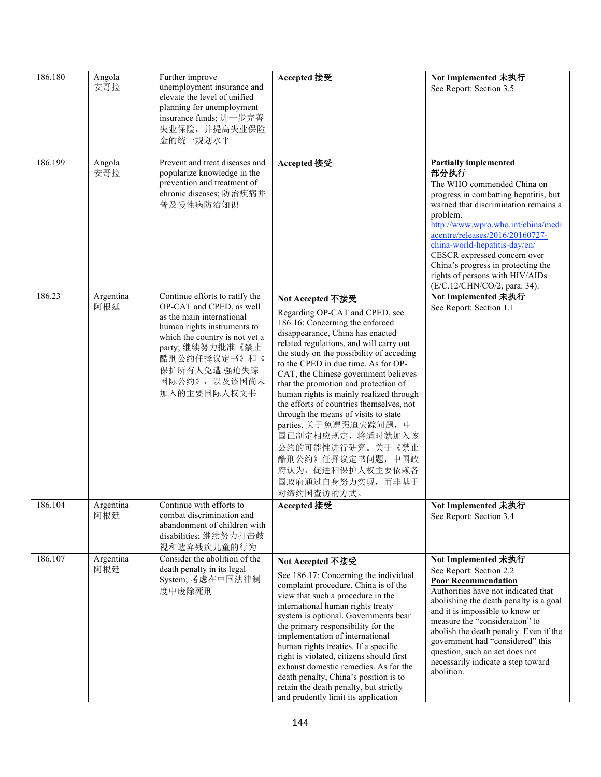| 186.180 | Angola<br>安哥拉    | Further improve<br>unemployment insurance and<br>elevate the level of unified<br>planning for unemployment<br>insurance funds; 进一步完善<br>失业保险,并提高失业保险<br>金的统一规划水平                                                                            | Accepted 接受                                                                                                                                                                                                                                                                                                                                                                                                                                                                                                                                                                                                           | Not Implemented 未执行<br>See Report: Section 3.5                                                                                                                                                                                                                                                                                                                                                                     |
|---------|------------------|---------------------------------------------------------------------------------------------------------------------------------------------------------------------------------------------------------------------------------------------|-----------------------------------------------------------------------------------------------------------------------------------------------------------------------------------------------------------------------------------------------------------------------------------------------------------------------------------------------------------------------------------------------------------------------------------------------------------------------------------------------------------------------------------------------------------------------------------------------------------------------|--------------------------------------------------------------------------------------------------------------------------------------------------------------------------------------------------------------------------------------------------------------------------------------------------------------------------------------------------------------------------------------------------------------------|
| 186.199 | Angola<br>安哥拉    | Prevent and treat diseases and<br>popularize knowledge in the<br>prevention and treatment of<br>chronic diseases; 防治疾病并<br>普及慢性病防治知识                                                                                                        | Accepted 接受                                                                                                                                                                                                                                                                                                                                                                                                                                                                                                                                                                                                           | <b>Partially implemented</b><br>部分执行<br>The WHO commended China on<br>progress in combatting hepatitis, but<br>warned that discrimination remains a<br>problem.<br>http://www.wpro.who.int/china/medi<br>acentre/releases/2016/20160727-<br>china-world-hepatitis-day/en/<br>CESCR expressed concern over<br>China's progress in protecting the<br>rights of persons with HIV/AIDs<br>(E/C.12/CHN/CO/2, para. 34). |
| 186.23  | Argentina<br>阿根廷 | Continue efforts to ratify the<br>OP-CAT and CPED, as well<br>as the main international<br>human rights instruments to<br>which the country is not yet a<br>party;继续努力批准《禁止<br>酷刑公约任择议定书》和《<br>保护所有人免遭 强迫失踪<br>国际公约》, 以及该国尚未<br>加入的主要国际人权文书 | Not Accepted 不接受<br>Regarding OP-CAT and CPED, see<br>186.16: Concerning the enforced<br>disappearance, China has enacted<br>related regulations, and will carry out<br>the study on the possibility of acceding<br>to the CPED in due time. As for OP-<br>CAT, the Chinese government believes<br>that the promotion and protection of<br>human rights is mainly realized through<br>the efforts of countries themselves, not<br>through the means of visits to state<br>parties. 关于免遭强迫失踪问题, 中<br>国已制定相应规定, 将适时就加入该<br>公约的可能性进行研究。关于《禁止<br>酷刑公约》任择议定书问题, 中国政<br>府认为, 促进和保护人权主要依赖各<br>国政府通过自身努力实现,而非基于<br>对缔约国查访的方式。 | Not Implemented 未执行<br>See Report: Section 1.1                                                                                                                                                                                                                                                                                                                                                                     |
| 186.104 | Argentina<br>阿根廷 | Continue with efforts to<br>combat discrimination and<br>abandonment of children with<br>disabilities;继续努力打击歧<br>视和遗弃残疾儿童的行为                                                                                                                | Accepted 接受                                                                                                                                                                                                                                                                                                                                                                                                                                                                                                                                                                                                           | Not Implemented 未执行<br>See Report: Section 3.4                                                                                                                                                                                                                                                                                                                                                                     |
| 186.107 | Argentina<br>阿根廷 | Consider the abolition of the<br>death penalty in its legal<br>System; 考虑在中国法律制<br>度中废除死刑                                                                                                                                                   | Not Accepted 不接受<br>See 186.17: Concerning the individual<br>complaint procedure, China is of the<br>view that such a procedure in the<br>international human rights treaty<br>system is optional. Governments bear<br>the primary responsibility for the<br>implementation of international<br>human rights treaties. If a specific<br>right is violated, citizens should first<br>exhaust domestic remedies. As for the<br>death penalty, China's position is to<br>retain the death penalty, but strictly<br>and prudently limit its application                                                                   | Not Implemented 未执行<br>See Report: Section 2.2<br><b>Poor Recommendation</b><br>Authorities have not indicated that<br>abolishing the death penalty is a goal<br>and it is impossible to know or<br>measure the "consideration" to<br>abolish the death penalty. Even if the<br>government had "considered" this<br>question, such an act does not<br>necessarily indicate a step toward<br>abolition.             |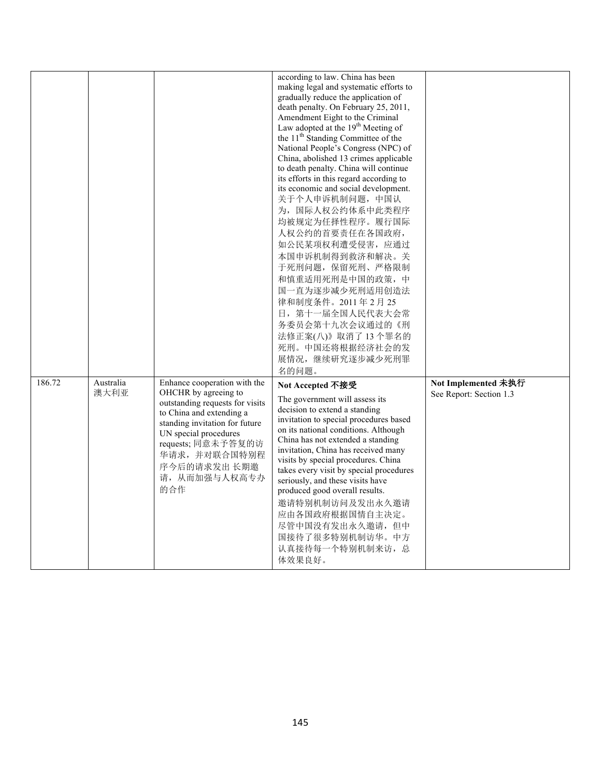|        |                   |                                                                                                                                                                                                                                                              | according to law. China has been<br>making legal and systematic efforts to<br>gradually reduce the application of<br>death penalty. On February 25, 2011,<br>Amendment Eight to the Criminal<br>Law adopted at the 19 <sup>th</sup> Meeting of<br>the 11 <sup>th</sup> Standing Committee of the<br>National People's Congress (NPC) of<br>China, abolished 13 crimes applicable<br>to death penalty. China will continue<br>its efforts in this regard according to<br>its economic and social development.<br>关于个人申诉机制问题, 中国认<br>为, 国际人权公约体系中此类程序<br>均被规定为任择性程序。履行国际<br>人权公约的首要责任在各国政府,<br>如公民某项权利遭受侵害, 应通过<br>本国申诉机制得到救济和解决。关<br>于死刑问题, 保留死刑、严格限制<br>和慎重适用死刑是中国的政策,中<br>国一直为逐步减少死刑适用创造法<br>律和制度条件。2011年2月25<br>日, 第十一届全国人民代表大会常<br>务委员会第十九次会议通过的《刑<br>法修正案(八)》取消了13个罪名的<br>死刑。中国还将根据经济社会的发<br>展情况,继续研究逐步减少死刑罪 |                                                |
|--------|-------------------|--------------------------------------------------------------------------------------------------------------------------------------------------------------------------------------------------------------------------------------------------------------|------------------------------------------------------------------------------------------------------------------------------------------------------------------------------------------------------------------------------------------------------------------------------------------------------------------------------------------------------------------------------------------------------------------------------------------------------------------------------------------------------------------------------------------------------------------------------------------------------------------------------------------------------------------------------------------------------------------------------------------------------------------------------------------------------------------|------------------------------------------------|
|        |                   |                                                                                                                                                                                                                                                              | 名的问题。                                                                                                                                                                                                                                                                                                                                                                                                                                                                                                                                                                                                                                                                                                                                                                                                            |                                                |
| 186.72 | Australia<br>澳大利亚 | Enhance cooperation with the<br>OHCHR by agreeing to<br>outstanding requests for visits<br>to China and extending a<br>standing invitation for future<br>UN special procedures<br>requests; 同意未予答复的访<br>华请求,并对联合国特别程<br>序今后的请求发出 长期邀<br>请, 从而加强与人权高专办<br>的合作 | Not Accepted 不接受<br>The government will assess its<br>decision to extend a standing<br>invitation to special procedures based<br>on its national conditions. Although<br>China has not extended a standing<br>invitation, China has received many<br>visits by special procedures. China<br>takes every visit by special procedures<br>seriously, and these visits have<br>produced good overall results.<br>邀请特别机制访问及发出永久邀请<br>应由各国政府根据国情自主决定。<br>尽管中国没有发出永久邀请,但中<br>国接待了很多特别机制访华。中方<br>认真接待每一个特别机制来访, 总<br>体效果良好。                                                                                                                                                                                                                                                                                              | Not Implemented 未执行<br>See Report: Section 1.3 |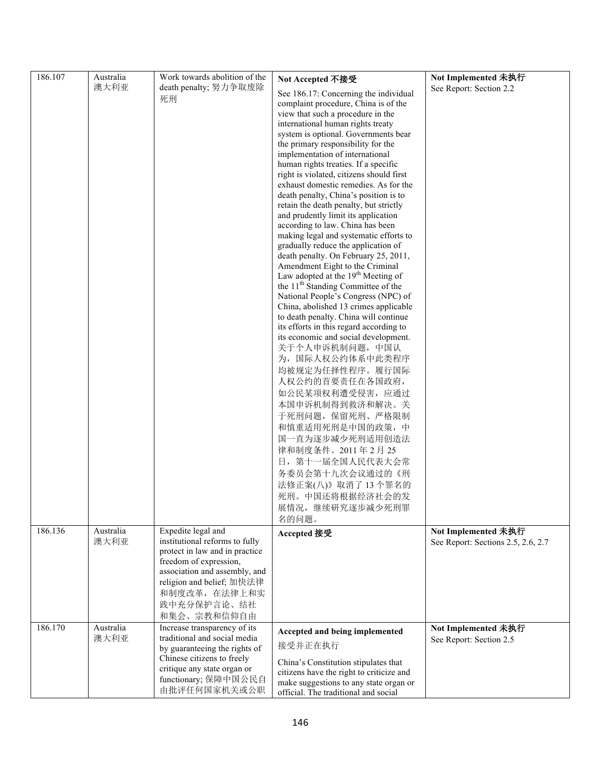| 186.107 | Australia         | Work towards abolition of the                                                                                                                                                                                                 |                                                                                                                                                                                                                                                                                                                                                                                                                                                                                                                                                                                                                                                                                                                                                                                                                                                                                                                                                                                                                                                                                                                                                                                                                                                                                                                                                                        | Not Implemented 未执行                                       |
|---------|-------------------|-------------------------------------------------------------------------------------------------------------------------------------------------------------------------------------------------------------------------------|------------------------------------------------------------------------------------------------------------------------------------------------------------------------------------------------------------------------------------------------------------------------------------------------------------------------------------------------------------------------------------------------------------------------------------------------------------------------------------------------------------------------------------------------------------------------------------------------------------------------------------------------------------------------------------------------------------------------------------------------------------------------------------------------------------------------------------------------------------------------------------------------------------------------------------------------------------------------------------------------------------------------------------------------------------------------------------------------------------------------------------------------------------------------------------------------------------------------------------------------------------------------------------------------------------------------------------------------------------------------|-----------------------------------------------------------|
|         | 澳大利亚              | death penalty; 努力争取废除<br>死刑                                                                                                                                                                                                   | Not Accepted 不接受<br>See 186.17: Concerning the individual<br>complaint procedure, China is of the<br>view that such a procedure in the<br>international human rights treaty<br>system is optional. Governments bear<br>the primary responsibility for the<br>implementation of international<br>human rights treaties. If a specific<br>right is violated, citizens should first<br>exhaust domestic remedies. As for the<br>death penalty, China's position is to<br>retain the death penalty, but strictly<br>and prudently limit its application<br>according to law. China has been<br>making legal and systematic efforts to<br>gradually reduce the application of<br>death penalty. On February 25, 2011,<br>Amendment Eight to the Criminal<br>Law adopted at the $19th$ Meeting of<br>the 11 <sup>th</sup> Standing Committee of the<br>National People's Congress (NPC) of<br>China, abolished 13 crimes applicable<br>to death penalty. China will continue<br>its efforts in this regard according to<br>its economic and social development.<br>关于个人申诉机制问题, 中国认<br>为, 国际人权公约体系中此类程序<br>均被规定为任择性程序。履行国际<br>人权公约的首要责任在各国政府,<br>如公民某项权利遭受侵害, 应通过<br>本国申诉机制得到救济和解决。关<br>于死刑问题, 保留死刑、严格限制<br>和慎重适用死刑是中国的政策,中<br>国一直为逐步减少死刑适用创造法<br>律和制度条件。2011年2月25<br>日, 第十一届全国人民代表大会常<br>务委员会第十九次会议通过的《刑<br>法修正案(八)》取消了13个罪名的<br>死刑。中国还将根据经济社会的发<br>展情况,继续研究逐步减少死刑罪<br>名的问题。 | See Report: Section 2.2                                   |
| 186.136 | Australia<br>澳大利亚 | Expedite legal and<br>institutional reforms to fully<br>protect in law and in practice<br>freedom of expression,<br>association and assembly, and<br>religion and belief; 加快法律<br>和制度改革, 在法律上和实<br>践中充分保护言论、结社<br>和集会、宗教和信仰自由 | Accepted 接受                                                                                                                                                                                                                                                                                                                                                                                                                                                                                                                                                                                                                                                                                                                                                                                                                                                                                                                                                                                                                                                                                                                                                                                                                                                                                                                                                            | Not Implemented 未执行<br>See Report: Sections 2.5, 2.6, 2.7 |
| 186.170 | Australia<br>澳大利亚 | Increase transparency of its<br>traditional and social media<br>by guaranteeing the rights of<br>Chinese citizens to freely<br>critique any state organ or<br>functionary; 保障中国公民自<br>由批评任何国家机关或公职                            | Accepted and being implemented<br>接受并正在执行<br>China's Constitution stipulates that<br>citizens have the right to criticize and<br>make suggestions to any state organ or<br>official. The traditional and social                                                                                                                                                                                                                                                                                                                                                                                                                                                                                                                                                                                                                                                                                                                                                                                                                                                                                                                                                                                                                                                                                                                                                        | Not Implemented 未执行<br>See Report: Section 2.5            |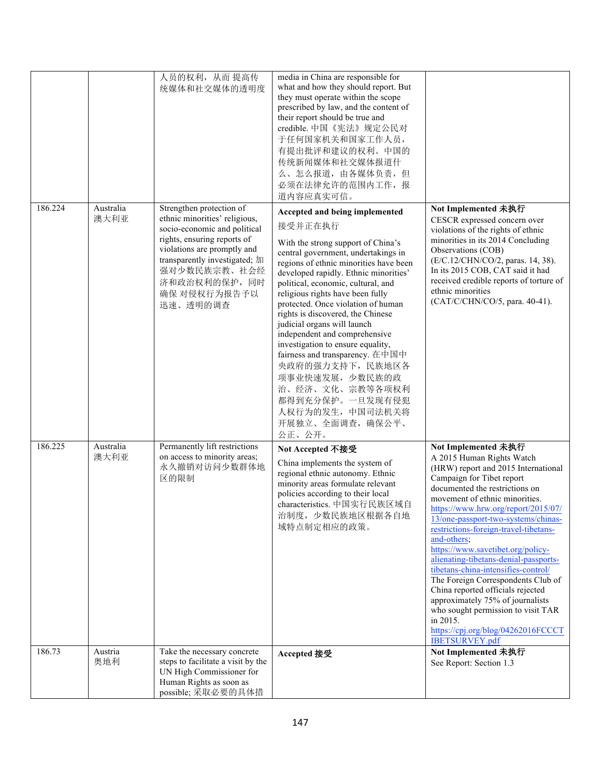|         |                   | 人员的权利, 从而 提高传<br>统媒体和社交媒体的透明度                                                                                                                                                                                                                        | media in China are responsible for<br>what and how they should report. But<br>they must operate within the scope<br>prescribed by law, and the content of<br>their report should be true and<br>credible. 中国《宪法》规定公民对<br>于任何国家机关和国家工作人员,<br>有提出批评和建议的权利。中国的<br>传统新闻媒体和社交媒体报道什<br>么、怎么报道, 由各媒体负责, 但<br>必须在法律允许的范围内工作, 报<br>道内容应真实可信。                                                                                                                                                                                                                                                                                                   |                                                                                                                                                                                                                                                                                                                                                                                                                                                                                                                                                                                                                                                                                     |
|---------|-------------------|------------------------------------------------------------------------------------------------------------------------------------------------------------------------------------------------------------------------------------------------------|---------------------------------------------------------------------------------------------------------------------------------------------------------------------------------------------------------------------------------------------------------------------------------------------------------------------------------------------------------------------------------------------------------------------------------------------------------------------------------------------------------------------------------------------------------------------------------------------------------------------------------------|-------------------------------------------------------------------------------------------------------------------------------------------------------------------------------------------------------------------------------------------------------------------------------------------------------------------------------------------------------------------------------------------------------------------------------------------------------------------------------------------------------------------------------------------------------------------------------------------------------------------------------------------------------------------------------------|
| 186.224 | Australia<br>澳大利亚 | Strengthen protection of<br>ethnic minorities' religious,<br>socio-economic and political<br>rights, ensuring reports of<br>violations are promptly and<br>transparently investigated; 加<br>强对少数民族宗教、社会经<br>济和政治权利的保护,同时<br>确保 对侵权行为报告予以<br>迅速、透明的调查 | Accepted and being implemented<br>接受并正在执行<br>With the strong support of China's<br>central government, undertakings in<br>regions of ethnic minorities have been<br>developed rapidly. Ethnic minorities'<br>political, economic, cultural, and<br>religious rights have been fully<br>protected. Once violation of human<br>rights is discovered, the Chinese<br>judicial organs will launch<br>independent and comprehensive<br>investigation to ensure equality,<br>fairness and transparency. 在中国中<br>央政府的强力支持下, 民族地区各<br>项事业快速发展, 少数民族的政<br>治、经济、文化、宗教等各项权利<br>都得到充分保护。一旦发现有侵犯<br>人权行为的发生, 中国司法机关将<br>开展独立、全面调查, 确保公平、<br>公正、公开。 | Not Implemented 未执行<br>CESCR expressed concern over<br>violations of the rights of ethnic<br>minorities in its 2014 Concluding<br>Observations (COB)<br>(E/C.12/CHN/CO/2, paras. 14, 38).<br>In its 2015 COB, CAT said it had<br>received credible reports of torture of<br>ethnic minorities<br>(CAT/C/CHN/CO/5, para. 40-41).                                                                                                                                                                                                                                                                                                                                                     |
| 186.225 | Australia<br>澳大利亚 | Permanently lift restrictions<br>on access to minority areas;<br>永久撤销对访问少数群体地<br>区的限制                                                                                                                                                                | Not Accepted 不接受<br>China implements the system of<br>regional ethnic autonomy. Ethnic<br>minority areas formulate relevant<br>policies according to their local<br>characteristics. 中国实行民族区域自<br>治制度, 少数民族地区根据各自地<br>域特点制定相应的政策。                                                                                                                                                                                                                                                                                                                                                                                                     | Not Implemented 未执行<br>A 2015 Human Rights Watch<br>(HRW) report and 2015 International<br>Campaign for Tibet report<br>documented the restrictions on<br>movement of ethnic minorities.<br>https://www.hrw.org/report/2015/07/<br>13/one-passport-two-systems/chinas-<br>restrictions-foreign-travel-tibetans-<br>and-others;<br>https://www.savetibet.org/policy-<br>alienating-tibetans-denial-passports-<br>tibetans-china-intensifies-control/<br>The Foreign Correspondents Club of<br>China reported officials rejected<br>approximately 75% of journalists<br>who sought permission to visit TAR<br>in 2015.<br>https://cpj.org/blog/04262016FCCCT<br><b>IBETSURVEY.pdf</b> |
| 186.73  | Austria<br>奥地利    | Take the necessary concrete<br>steps to facilitate a visit by the<br>UN High Commissioner for<br>Human Rights as soon as<br>possible; 采取必要的具体措                                                                                                       | Accepted 接受                                                                                                                                                                                                                                                                                                                                                                                                                                                                                                                                                                                                                           | Not Implemented 未执行<br>See Report: Section 1.3                                                                                                                                                                                                                                                                                                                                                                                                                                                                                                                                                                                                                                      |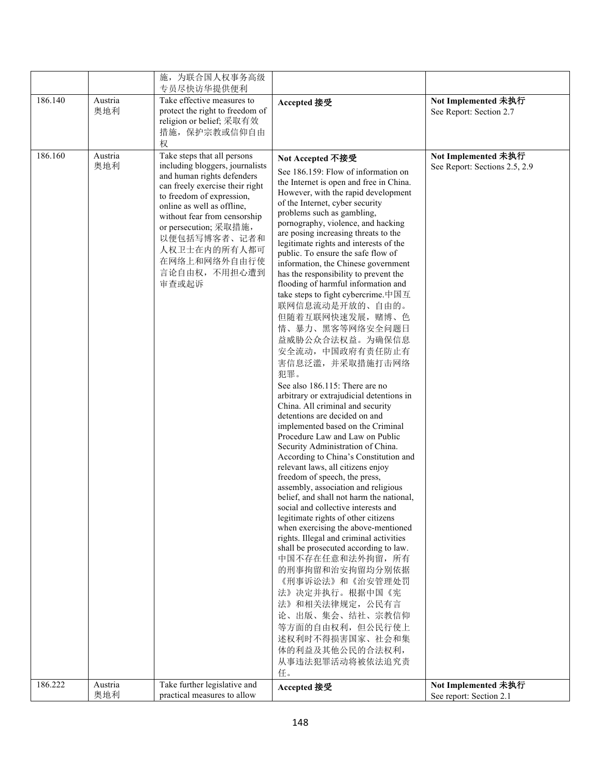|         |                | 施,为联合国人权事务高级                                                                                                                                                                                                                                                                                                                 |                                                                                                                                                                                                                                                                                                                                                                                                                                                                                                                                                                                                                                                                                                                                                                                                                                                                                                                                                                                                                                                                                                                                                                                                                                                                                                                                                                                                                                                                                                                                                  |                                                      |
|---------|----------------|------------------------------------------------------------------------------------------------------------------------------------------------------------------------------------------------------------------------------------------------------------------------------------------------------------------------------|--------------------------------------------------------------------------------------------------------------------------------------------------------------------------------------------------------------------------------------------------------------------------------------------------------------------------------------------------------------------------------------------------------------------------------------------------------------------------------------------------------------------------------------------------------------------------------------------------------------------------------------------------------------------------------------------------------------------------------------------------------------------------------------------------------------------------------------------------------------------------------------------------------------------------------------------------------------------------------------------------------------------------------------------------------------------------------------------------------------------------------------------------------------------------------------------------------------------------------------------------------------------------------------------------------------------------------------------------------------------------------------------------------------------------------------------------------------------------------------------------------------------------------------------------|------------------------------------------------------|
|         |                | 专员尽快访华提供便利                                                                                                                                                                                                                                                                                                                   |                                                                                                                                                                                                                                                                                                                                                                                                                                                                                                                                                                                                                                                                                                                                                                                                                                                                                                                                                                                                                                                                                                                                                                                                                                                                                                                                                                                                                                                                                                                                                  |                                                      |
| 186.140 | Austria<br>奥地利 | Take effective measures to<br>protect the right to freedom of<br>religion or belief; 采取有效<br>措施, 保护宗教或信仰自由<br>权                                                                                                                                                                                                              | Accepted 接受                                                                                                                                                                                                                                                                                                                                                                                                                                                                                                                                                                                                                                                                                                                                                                                                                                                                                                                                                                                                                                                                                                                                                                                                                                                                                                                                                                                                                                                                                                                                      | Not Implemented 未执行<br>See Report: Section 2.7       |
| 186.160 | Austria<br>奥地利 | Take steps that all persons<br>including bloggers, journalists<br>and human rights defenders<br>can freely exercise their right<br>to freedom of expression,<br>online as well as offline,<br>without fear from censorship<br>or persecution; 采取措施,<br>以便包括写博客者、记者和<br>人权卫士在内的所有人都可<br>在网络上和网络外自由行使<br>言论自由权,不用担心遭到<br>审查或起诉 | Not Accepted 不接受<br>See 186.159: Flow of information on<br>the Internet is open and free in China.<br>However, with the rapid development<br>of the Internet, cyber security<br>problems such as gambling,<br>pornography, violence, and hacking<br>are posing increasing threats to the<br>legitimate rights and interests of the<br>public. To ensure the safe flow of<br>information, the Chinese government<br>has the responsibility to prevent the<br>flooding of harmful information and<br>take steps to fight cybercrime.中国互<br>联网信息流动是开放的、自由的。<br>但随着互联网快速发展, 赌博、色<br>情、暴力、黑客等网络安全问题日<br>益威胁公众合法权益。为确保信息<br>安全流动, 中国政府有责任防止有<br>害信息泛滥, 并采取措施打击网络<br>犯罪。<br>See also 186.115: There are no<br>arbitrary or extrajudicial detentions in<br>China. All criminal and security<br>detentions are decided on and<br>implemented based on the Criminal<br>Procedure Law and Law on Public<br>Security Administration of China.<br>According to China's Constitution and<br>relevant laws, all citizens enjoy<br>freedom of speech, the press,<br>assembly, association and religious<br>belief, and shall not harm the national,<br>social and collective interests and<br>legitimate rights of other citizens<br>when exercising the above-mentioned<br>rights. Illegal and criminal activities<br>shall be prosecuted according to law.<br>中国不存在任意和法外拘留, 所有<br>的刑事拘留和治安拘留均分别依据<br>《刑事诉讼法》和《治安管理处罚<br>法》决定并执行。根据中国《宪<br>法》和相关法律规定, 公民有言<br>论、出版、集会、结社、宗教信仰<br>等方面的自由权利,但公民行使上<br>述权利时不得损害国家、社会和集<br>体的利益及其他公民的合法权利,<br>从事违法犯罪活动将被依法追究责<br>任。 | Not Implemented 未执行<br>See Report: Sections 2.5, 2.9 |
| 186.222 | Austria<br>奥地利 | Take further legislative and<br>practical measures to allow                                                                                                                                                                                                                                                                  | Accepted 接受                                                                                                                                                                                                                                                                                                                                                                                                                                                                                                                                                                                                                                                                                                                                                                                                                                                                                                                                                                                                                                                                                                                                                                                                                                                                                                                                                                                                                                                                                                                                      | Not Implemented 未执行<br>See report: Section 2.1       |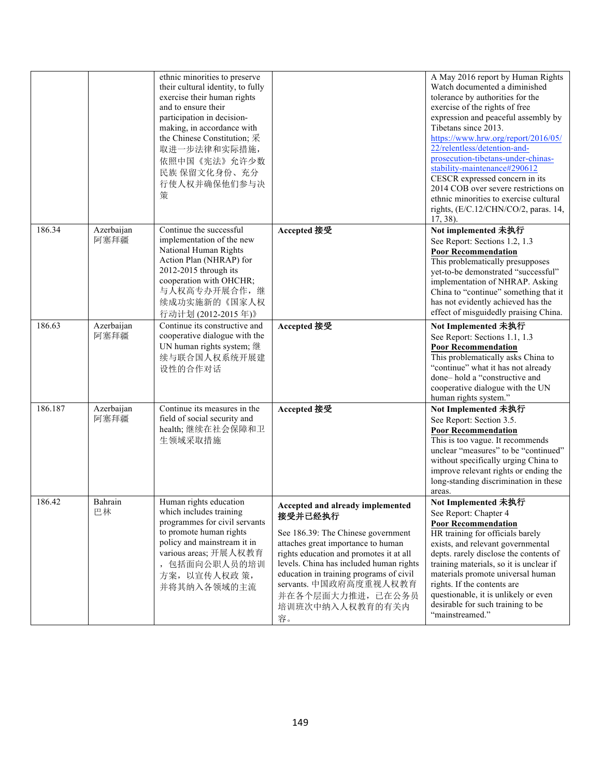|         |                    | ethnic minorities to preserve<br>their cultural identity, to fully<br>exercise their human rights<br>and to ensure their<br>participation in decision-<br>making, in accordance with<br>the Chinese Constitution; 采<br>取进一步法律和实际措施,<br>依照中国《宪法》允许少数<br>民族 保留文化身份、充分<br>行使人权并确保他们参与决<br>策 |                                                                                                                                                                                                                                                                                                                                  | A May 2016 report by Human Rights<br>Watch documented a diminished<br>tolerance by authorities for the<br>exercise of the rights of free<br>expression and peaceful assembly by<br>Tibetans since 2013.<br>https://www.hrw.org/report/2016/05/<br>22/relentless/detention-and-<br>prosecution-tibetans-under-chinas-<br>stability-maintenance#290612<br>CESCR expressed concern in its<br>2014 COB over severe restrictions on<br>ethnic minorities to exercise cultural<br>rights, (E/C.12/CHN/CO/2, paras. 14,<br>$17, 38$ ). |
|---------|--------------------|------------------------------------------------------------------------------------------------------------------------------------------------------------------------------------------------------------------------------------------------------------------------------------------|----------------------------------------------------------------------------------------------------------------------------------------------------------------------------------------------------------------------------------------------------------------------------------------------------------------------------------|---------------------------------------------------------------------------------------------------------------------------------------------------------------------------------------------------------------------------------------------------------------------------------------------------------------------------------------------------------------------------------------------------------------------------------------------------------------------------------------------------------------------------------|
| 186.34  | Azerbaijan<br>阿塞拜疆 | Continue the successful<br>implementation of the new<br>National Human Rights<br>Action Plan (NHRAP) for<br>2012-2015 through its<br>cooperation with OHCHR;<br>与人权高专办开展合作,继<br>续成功实施新的《国家人权<br>行动计划 (2012-2015年)》                                                                       | Accepted 接受                                                                                                                                                                                                                                                                                                                      | Not implemented 未执行<br>See Report: Sections 1.2, 1.3<br><b>Poor Recommendation</b><br>This problematically presupposes<br>yet-to-be demonstrated "successful"<br>implementation of NHRAP. Asking<br>China to "continue" something that it<br>has not evidently achieved has the<br>effect of misguidedly praising China.                                                                                                                                                                                                        |
| 186.63  | Azerbaijan<br>阿塞拜疆 | Continue its constructive and<br>cooperative dialogue with the<br>UN human rights system; 继<br>续与联合国人权系统开展建<br>设性的合作对话                                                                                                                                                                   | Accepted 接受                                                                                                                                                                                                                                                                                                                      | Not Implemented 未执行<br>See Report: Sections 1.1, 1.3<br><b>Poor Recommendation</b><br>This problematically asks China to<br>"continue" what it has not already<br>done-hold a "constructive and<br>cooperative dialogue with the UN<br>human rights system."                                                                                                                                                                                                                                                                    |
| 186.187 | Azerbaijan<br>阿塞拜疆 | Continue its measures in the<br>field of social security and<br>health;继续在社会保障和卫<br>生领域采取措施                                                                                                                                                                                              | Accepted 接受                                                                                                                                                                                                                                                                                                                      | Not Implemented 未执行<br>See Report: Section 3.5.<br><b>Poor Recommendation</b><br>This is too vague. It recommends<br>unclear "measures" to be "continued"<br>without specifically urging China to<br>improve relevant rights or ending the<br>long-standing discrimination in these<br>areas.                                                                                                                                                                                                                                   |
| 186.42  | Bahrain<br>巴林      | Human rights education<br>which includes training<br>programmes for civil servants<br>to promote human rights<br>policy and mainstream it in<br>various areas; 开展人权教育<br>, 包括面向公职人员的培训<br>方案, 以宣传人权政策,<br>并将其纳入各领域的主流                                                                    | Accepted and already implemented<br>接受并已经执行<br>See 186.39: The Chinese government<br>attaches great importance to human<br>rights education and promotes it at all<br>levels. China has included human rights<br>education in training programs of civil<br>servants. 中国政府高度重视人权教育<br>并在各个层面大力推进, 已在公务员<br>培训班次中纳入人权教育的有关内<br>容。 | Not Implemented 未执行<br>See Report: Chapter 4<br><b>Poor Recommendation</b><br>HR training for officials barely<br>exists, and relevant governmental<br>depts. rarely disclose the contents of<br>training materials, so it is unclear if<br>materials promote universal human<br>rights. If the contents are<br>questionable, it is unlikely or even<br>desirable for such training to be<br>"mainstreamed."                                                                                                                    |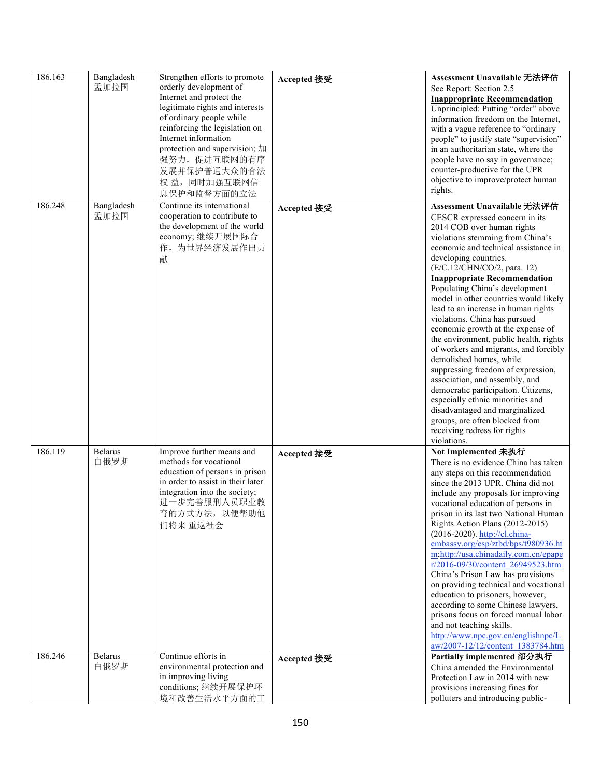| 186.163 | Bangladesh<br>孟加拉国     | Strengthen efforts to promote<br>orderly development of<br>Internet and protect the<br>legitimate rights and interests<br>of ordinary people while<br>reinforcing the legislation on<br>Internet information<br>protection and supervision; 加<br>强努力,促进互联网的有序<br>发展并保护普通大众的合法<br>权 益, 同时加强互联网信<br>息保护和监督方面的立法 | Accepted 接受 | Assessment Unavailable 无法评估<br>See Report: Section 2.5<br><b>Inappropriate Recommendation</b><br>Unprincipled: Putting "order" above<br>information freedom on the Internet,<br>with a vague reference to "ordinary<br>people" to justify state "supervision"<br>in an authoritarian state, where the<br>people have no say in governance;<br>counter-productive for the UPR<br>objective to improve/protect human<br>rights.                                                                                                                                                                                                                                                                                                                                                                                                                      |
|---------|------------------------|---------------------------------------------------------------------------------------------------------------------------------------------------------------------------------------------------------------------------------------------------------------------------------------------------------------|-------------|----------------------------------------------------------------------------------------------------------------------------------------------------------------------------------------------------------------------------------------------------------------------------------------------------------------------------------------------------------------------------------------------------------------------------------------------------------------------------------------------------------------------------------------------------------------------------------------------------------------------------------------------------------------------------------------------------------------------------------------------------------------------------------------------------------------------------------------------------|
| 186.248 | Bangladesh<br>孟加拉国     | Continue its international<br>cooperation to contribute to<br>the development of the world<br>economy; 继续开展国际合<br>作,为世界经济发展作出贡<br>献                                                                                                                                                                           | Accepted 接受 | Assessment Unavailable 无法评估<br>CESCR expressed concern in its<br>2014 COB over human rights<br>violations stemming from China's<br>economic and technical assistance in<br>developing countries.<br>(E/C.12/CHN/CO/2, para. 12)<br><b>Inappropriate Recommendation</b><br>Populating China's development<br>model in other countries would likely<br>lead to an increase in human rights<br>violations. China has pursued<br>economic growth at the expense of<br>the environment, public health, rights<br>of workers and migrants, and forcibly<br>demolished homes, while<br>suppressing freedom of expression,<br>association, and assembly, and<br>democratic participation. Citizens,<br>especially ethnic minorities and<br>disadvantaged and marginalized<br>groups, are often blocked from<br>receiving redress for rights<br>violations. |
| 186.119 | <b>Belarus</b><br>白俄罗斯 | Improve further means and<br>methods for vocational<br>education of persons in prison<br>in order to assist in their later<br>integration into the society;<br>进一步完善服刑人员职业教<br>育的方式方法, 以便帮助他<br>们将来 重返社会                                                                                                      | Accepted 接受 | Not Implemented 未执行<br>There is no evidence China has taken<br>any steps on this recommendation<br>since the 2013 UPR. China did not<br>include any proposals for improving<br>vocational education of persons in<br>prison in its last two National Human<br>Rights Action Plans (2012-2015)<br>(2016-2020). http://cl.china-<br>embassy.org/esp/ztbd/bps/t980936.ht<br>m;http://usa.chinadaily.com.cn/epape<br>r/2016-09/30/content 26949523.htm<br>China's Prison Law has provisions<br>on providing technical and vocational<br>education to prisoners, however,<br>according to some Chinese lawyers,<br>prisons focus on forced manual labor<br>and not teaching skills.<br>http://www.npc.gov.cn/englishnpc/L<br>aw/2007-12/12/content 1383784.htm                                                                                          |
| 186.246 | <b>Belarus</b><br>白俄罗斯 | Continue efforts in<br>environmental protection and<br>in improving living<br>conditions; 继续开展保护环<br>境和改善生活水平方面的工                                                                                                                                                                                             | Accepted 接受 | Partially implemented 部分执行<br>China amended the Environmental<br>Protection Law in 2014 with new<br>provisions increasing fines for<br>polluters and introducing public-                                                                                                                                                                                                                                                                                                                                                                                                                                                                                                                                                                                                                                                                           |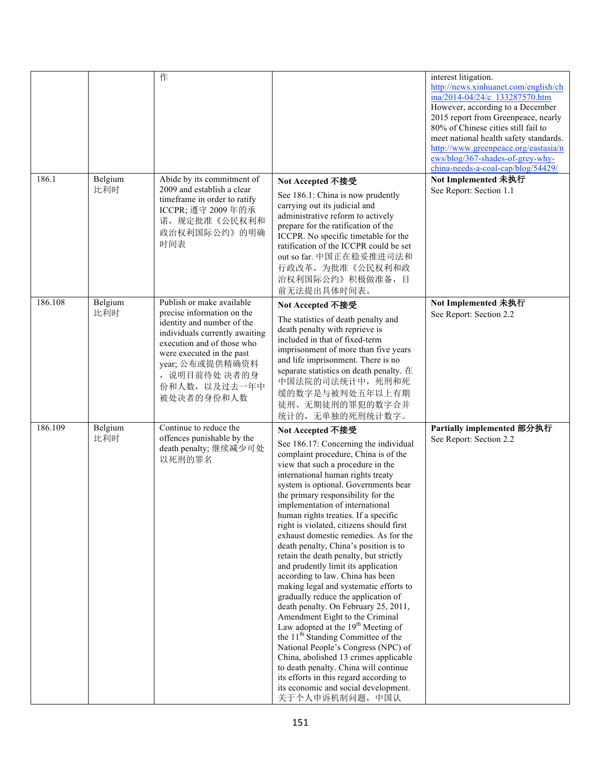| 186.1   | Belgium        | 作<br>Abide by its commitment of                                                                                                                                                                                                                      |                                                                                                                                                                                                                                                                                                                                                                                                                                                                                                                                                                                                                                                                                                                                                                                                                                                                                                                                                                                                                                                                                        | interest litigation.<br>http://news.xinhuanet.com/english/ch<br>ina/2014-04/24/c 133287570.htm<br>However, according to a December<br>2015 report from Greenpeace, nearly<br>80% of Chinese cities still fail to<br>meet national health safety standards.<br>http://www.greenpeace.org/eastasia/n<br>ews/blog/367-shades-of-grey-why-<br>china-needs-a-coal-cap/blog/54429/<br>Not Implemented 未执行 |
|---------|----------------|------------------------------------------------------------------------------------------------------------------------------------------------------------------------------------------------------------------------------------------------------|----------------------------------------------------------------------------------------------------------------------------------------------------------------------------------------------------------------------------------------------------------------------------------------------------------------------------------------------------------------------------------------------------------------------------------------------------------------------------------------------------------------------------------------------------------------------------------------------------------------------------------------------------------------------------------------------------------------------------------------------------------------------------------------------------------------------------------------------------------------------------------------------------------------------------------------------------------------------------------------------------------------------------------------------------------------------------------------|-----------------------------------------------------------------------------------------------------------------------------------------------------------------------------------------------------------------------------------------------------------------------------------------------------------------------------------------------------------------------------------------------------|
|         | 比利时            | 2009 and establish a clear<br>timeframe in order to ratify<br>ICCPR; 遵守 2009年的承<br>诺, 规定批准《公民权利和<br>政治权利国际公约》的明确<br>时间表                                                                                                                              | Not Accepted 不接受<br>See 186.1: China is now prudently<br>carrying out its judicial and<br>administrative reform to actively<br>prepare for the ratification of the<br>ICCPR. No specific timetable for the<br>ratification of the ICCPR could be set<br>out so far. 中国正在稳妥推进司法和<br>行政改革,为批准《公民权利和政<br>治权利国际公约》积极做准备,目<br>前无法提出具体时间表。                                                                                                                                                                                                                                                                                                                                                                                                                                                                                                                                                                                                                                                                                                                                                   | See Report: Section 1.1                                                                                                                                                                                                                                                                                                                                                                             |
| 186.108 | Belgium<br>比利时 | Publish or make available<br>precise information on the<br>identity and number of the<br>individuals currently awaiting<br>execution and of those who<br>were executed in the past<br>year; 公布或提供精确资料<br>, 说明目前待处决者的身<br>份和人数, 以及过去一年中<br>被处决者的身份和人数 | Not Accepted 不接受<br>The statistics of death penalty and<br>death penalty with reprieve is<br>included in that of fixed-term<br>imprisonment of more than five years<br>and life imprisonment. There is no<br>separate statistics on death penalty. 在<br>中国法院的司法统计中, 死刑和死<br>缓的数字是与被判处五年以上有期<br>徒刑、无期徒刑的罪犯的数字合并<br>统计的,无单独的死刑统计数字。                                                                                                                                                                                                                                                                                                                                                                                                                                                                                                                                                                                                                                                                                                                                                      | Not Implemented 未执行<br>See Report: Section 2.2                                                                                                                                                                                                                                                                                                                                                      |
| 186.109 | Belgium<br>比利时 | Continue to reduce the<br>offences punishable by the<br>death penalty; 继续减少可处<br>以死刑的罪名                                                                                                                                                              | Not Accepted 不接受<br>See 186.17: Concerning the individual<br>complaint procedure, China is of the<br>view that such a procedure in the<br>international human rights treaty<br>system is optional. Governments bear<br>the primary responsibility for the<br>implementation of international<br>human rights treaties. If a specific<br>right is violated, citizens should first<br>exhaust domestic remedies. As for the<br>death penalty, China's position is to<br>retain the death penalty, but strictly<br>and prudently limit its application<br>according to law. China has been<br>making legal and systematic efforts to<br>gradually reduce the application of<br>death penalty. On February 25, 2011,<br>Amendment Eight to the Criminal<br>Law adopted at the 19 <sup>th</sup> Meeting of<br>the 11 <sup>th</sup> Standing Committee of the<br>National People's Congress (NPC) of<br>China, abolished 13 crimes applicable<br>to death penalty. China will continue<br>its efforts in this regard according to<br>its economic and social development.<br>关于个人申诉机制问题, 中国认 | Partially implemented 部分执行<br>See Report: Section 2.2                                                                                                                                                                                                                                                                                                                                               |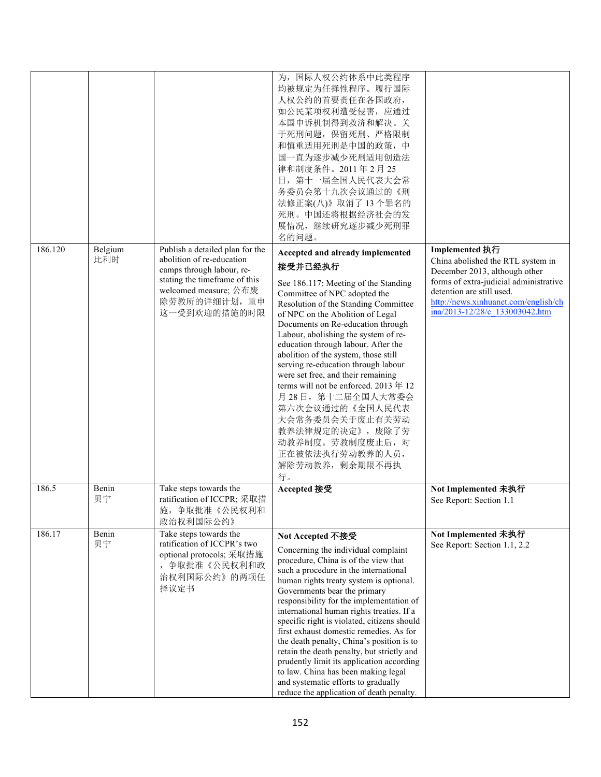|         |                |                                                                                                                                                                                     | 为,国际人权公约体系中此类程序<br>均被规定为任择性程序。履行国际<br>人权公约的首要责任在各国政府,<br>如公民某项权利遭受侵害, 应通过<br>本国申诉机制得到救济和解决。关<br>于死刑问题, 保留死刑、严格限制<br>和慎重适用死刑是中国的政策,中<br>国一直为逐步减少死刑适用创造法<br>律和制度条件。2011年2月25<br>日, 第十一届全国人民代表大会常<br>务委员会第十九次会议通过的《刑<br>法修正案(八)》取消了13个罪名的<br>死刑。中国还将根据经济社会的发<br>展情况,继续研究逐步减少死刑罪<br>名的问题。                                                                                                                                                                                                                                                                                                                                                                                    |                                                                                                                                                                                                                                       |
|---------|----------------|-------------------------------------------------------------------------------------------------------------------------------------------------------------------------------------|--------------------------------------------------------------------------------------------------------------------------------------------------------------------------------------------------------------------------------------------------------------------------------------------------------------------------------------------------------------------------------------------------------------------------------------------------------------------------------------------------------------------------------------------------------------------------------------------------------------------------------------------------------------------------|---------------------------------------------------------------------------------------------------------------------------------------------------------------------------------------------------------------------------------------|
| 186.120 | Belgium<br>比利时 | Publish a detailed plan for the<br>abolition of re-education<br>camps through labour, re-<br>stating the timeframe of this<br>welcomed measure; 公布废<br>除劳教所的详细计划,重申<br>这一受到欢迎的措施的时限 | Accepted and already implemented<br>接受并已经执行<br>See 186.117: Meeting of the Standing<br>Committee of NPC adopted the<br>Resolution of the Standing Committee<br>of NPC on the Abolition of Legal<br>Documents on Re-education through<br>Labour, abolishing the system of re-<br>education through labour. After the<br>abolition of the system, those still<br>serving re-education through labour<br>were set free, and their remaining<br>terms will not be enforced. 2013年12<br>月28日, 第十二届全国人大常委会<br>第六次会议通过的《全国人民代表<br>大会常务委员会关于废止有关劳动<br>教养法律规定的决定》, 废除了劳<br>动教养制度。劳教制度废止后, 对<br>正在被依法执行劳动教养的人员,<br>解除劳动教养, 剩余期限不再执<br>行。                                           | Implemented 执行<br>China abolished the RTL system in<br>December 2013, although other<br>forms of extra-judicial administrative<br>detention are still used.<br>http://news.xinhuanet.com/english/ch<br>ina/2013-12/28/c 133003042.htm |
| 186.5   | Benin<br>贝宁    | Take steps towards the<br>ratification of ICCPR; 采取措<br>施,争取批准《公民权利和<br>政治权利国际公约》                                                                                                   | Accepted 接受                                                                                                                                                                                                                                                                                                                                                                                                                                                                                                                                                                                                                                                              | Not Implemented 未执行<br>See Report: Section 1.1                                                                                                                                                                                        |
| 186.17  | Benin<br>贝宁    | Take steps towards the<br>ratification of ICCPR's two<br>optional protocols; 采取措施<br>, 争取批准《公民权利和政<br>治权利国际公约》的两项任<br>择议定书                                                          | Not Accepted 不接受<br>Concerning the individual complaint<br>procedure, China is of the view that<br>such a procedure in the international<br>human rights treaty system is optional.<br>Governments bear the primary<br>responsibility for the implementation of<br>international human rights treaties. If a<br>specific right is violated, citizens should<br>first exhaust domestic remedies. As for<br>the death penalty, China's position is to<br>retain the death penalty, but strictly and<br>prudently limit its application according<br>to law. China has been making legal<br>and systematic efforts to gradually<br>reduce the application of death penalty. | Not Implemented 未执行<br>See Report: Section 1.1, 2.2                                                                                                                                                                                   |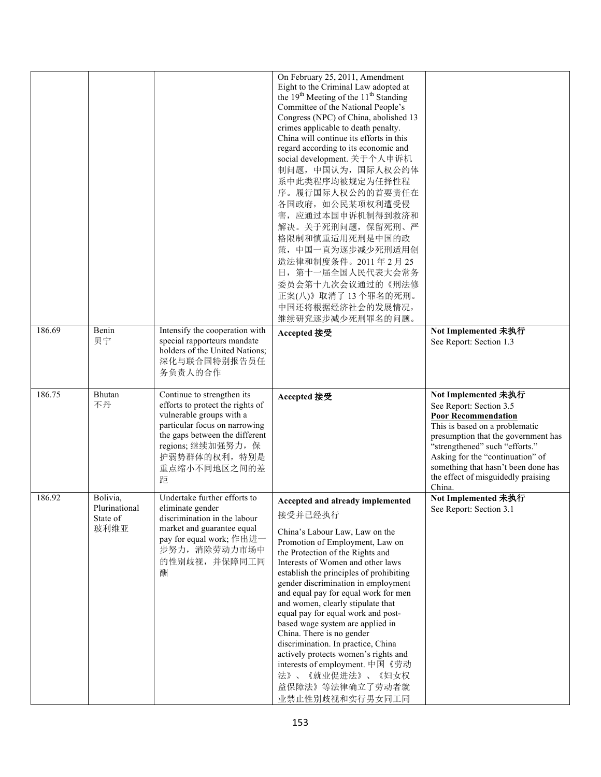| 186.69 | Benin        | Intensify the cooperation with                                                                                                                                                      | On February 25, 2011, Amendment<br>Eight to the Criminal Law adopted at<br>the 19 <sup>th</sup> Meeting of the 11 <sup>th</sup> Standing<br>Committee of the National People's<br>Congress (NPC) of China, abolished 13<br>crimes applicable to death penalty.<br>China will continue its efforts in this<br>regard according to its economic and<br>social development. 关于个人申诉机<br>制问题, 中国认为, 国际人权公约体<br>系中此类程序均被规定为任择性程<br>序。履行国际人权公约的首要责任在<br>各国政府, 如公民某项权利遭受侵<br>害, 应通过本国申诉机制得到救济和<br>解决。关于死刑问题, 保留死刑、严<br>格限制和慎重适用死刑是中国的政<br>策, 中国一直为逐步减少死刑适用创<br>造法律和制度条件。2011年2月25<br>日, 第十一届全国人民代表大会常务<br>委员会第十九次会议通过的《刑法修<br>正案(八)》取消了13个罪名的死刑。<br>中国还将根据经济社会的发展情况,<br>继续研究逐步减少死刑罪名的问题。 | Not Implemented 未执行                                                                                                                                                                                                         |
|--------|--------------|-------------------------------------------------------------------------------------------------------------------------------------------------------------------------------------|----------------------------------------------------------------------------------------------------------------------------------------------------------------------------------------------------------------------------------------------------------------------------------------------------------------------------------------------------------------------------------------------------------------------------------------------------------------------------------------------------------------------------------------------------------------------------------------------------------------------------------------------------------------------------------|-----------------------------------------------------------------------------------------------------------------------------------------------------------------------------------------------------------------------------|
|        | 贝宁           | special rapporteurs mandate<br>holders of the United Nations;<br>深化与联合国特别报告员任<br>务负责人的合作                                                                                            | Accepted 接受                                                                                                                                                                                                                                                                                                                                                                                                                                                                                                                                                                                                                                                                      | See Report: Section 1.3                                                                                                                                                                                                     |
| 186.75 | Bhutan<br>不丹 | Continue to strengthen its<br>efforts to protect the rights of<br>vulnerable groups with a<br>particular focus on narrowing<br>the gaps between the different<br>regions; 继续加强努力, 保 | Accepted 接受                                                                                                                                                                                                                                                                                                                                                                                                                                                                                                                                                                                                                                                                      | Not Implemented 未执行<br>See Report: Section 3.5<br><b>Poor Recommendation</b><br>This is based on a problematic<br>presumption that the government has<br>"strengthened" such "efforts."<br>Asking for the "continuation" of |
|        |              | 护弱势群体的权利, 特别是<br>重点缩小不同地区之间的差<br>距                                                                                                                                                  |                                                                                                                                                                                                                                                                                                                                                                                                                                                                                                                                                                                                                                                                                  | something that hasn't been done has<br>the effect of misguidedly praising<br>China.                                                                                                                                         |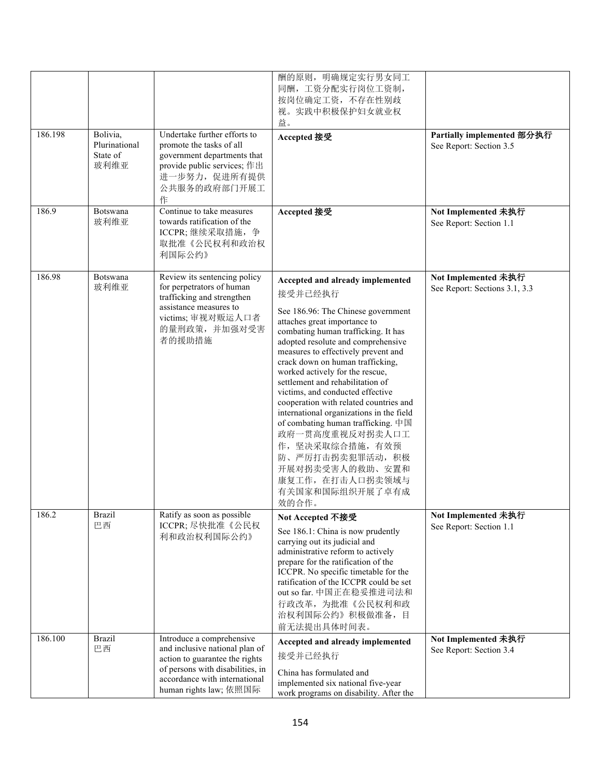|         |                                               |                                                                                                                                                                                              | 酬的原则, 明确规定实行男女同工<br>同酬,工资分配实行岗位工资制,<br>按岗位确定工资, 不存在性别歧<br>视。实践中积极保护妇女就业权<br>益。                                                                                                                                                                                                                                                                                                                                                                                                                                                                                                                                                               |                                                       |
|---------|-----------------------------------------------|----------------------------------------------------------------------------------------------------------------------------------------------------------------------------------------------|----------------------------------------------------------------------------------------------------------------------------------------------------------------------------------------------------------------------------------------------------------------------------------------------------------------------------------------------------------------------------------------------------------------------------------------------------------------------------------------------------------------------------------------------------------------------------------------------------------------------------------------------|-------------------------------------------------------|
| 186.198 | Bolivia,<br>Plurinational<br>State of<br>玻利维亚 | Undertake further efforts to<br>promote the tasks of all<br>government departments that<br>provide public services; 作出<br>进一步努力, 促进所有提供<br>公共服务的政府部门开展工<br>作                                 | Accepted 接受                                                                                                                                                                                                                                                                                                                                                                                                                                                                                                                                                                                                                                  | Partially implemented 部分执行<br>See Report: Section 3.5 |
| 186.9   | Botswana<br>玻利维亚                              | Continue to take measures<br>towards ratification of the<br>ICCPR;继续采取措施, 争<br>取批准《公民权利和政治权<br>利国际公约》                                                                                        | Accepted 接受                                                                                                                                                                                                                                                                                                                                                                                                                                                                                                                                                                                                                                  | Not Implemented 未执行<br>See Report: Section 1.1        |
| 186.98  | Botswana<br>玻利维亚                              | Review its sentencing policy<br>for perpetrators of human<br>trafficking and strengthen<br>assistance measures to<br>victims; 审视对贩运人口者<br>的量刑政策,并加强对受害<br>者的援助措施                             | Accepted and already implemented<br>接受并已经执行<br>See 186.96: The Chinese government<br>attaches great importance to<br>combating human trafficking. It has<br>adopted resolute and comprehensive<br>measures to effectively prevent and<br>crack down on human trafficking,<br>worked actively for the rescue,<br>settlement and rehabilitation of<br>victims, and conducted effective<br>cooperation with related countries and<br>international organizations in the field<br>of combating human trafficking. 中国<br>政府一贯高度重视反对拐卖人口工<br>作,坚决采取综合措施,有效预<br>防、严厉打击拐卖犯罪活动, 积极<br>开展对拐卖受害人的救助、安置和<br>康复工作, 在打击人口拐卖领域与<br>有关国家和国际组织开展了卓有成<br>效的合作。 | Not Implemented 未执行<br>See Report: Sections 3.1, 3.3  |
| 186.2   | <b>Brazil</b><br>巴西                           | Ratify as soon as possible<br>ICCPR; 尽快批准《公民权<br>利和政治权利国际公约》                                                                                                                                 | Not Accepted 不接受<br>See 186.1: China is now prudently<br>carrying out its judicial and<br>administrative reform to actively<br>prepare for the ratification of the<br>ICCPR. No specific timetable for the<br>ratification of the ICCPR could be set<br>out so far. 中国正在稳妥推进司法和<br>行政改革, 为批准《公民权利和政<br>治权利国际公约》积极做准备, 目<br>前无法提出具体时间表。                                                                                                                                                                                                                                                                                                       | Not Implemented 未执行<br>See Report: Section 1.1        |
| 186.100 | <b>Brazil</b><br>巴西                           | Introduce a comprehensive<br>and inclusive national plan of<br>action to guarantee the rights<br>of persons with disabilities, in<br>accordance with international<br>human rights law; 依照国际 | Accepted and already implemented<br>接受并已经执行<br>China has formulated and<br>implemented six national five-year<br>work programs on disability. After the                                                                                                                                                                                                                                                                                                                                                                                                                                                                                      | Not Implemented 未执行<br>See Report: Section 3.4        |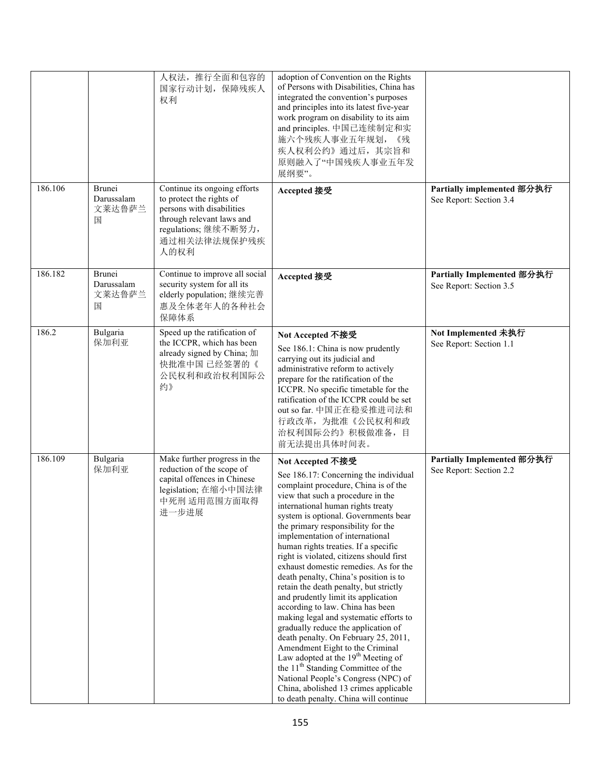|         |                                            | 人权法, 推行全面和包容的<br>国家行动计划, 保障残疾人<br>权利                                                                                                                              | adoption of Convention on the Rights<br>of Persons with Disabilities, China has<br>integrated the convention's purposes<br>and principles into its latest five-year<br>work program on disability to its aim<br>and principles. 中国已连续制定和实<br>施六个残疾人事业五年规划,<br>《残<br>疾人权利公约》通过后, 其宗旨和<br>原则融入了"中国残疾人事业五年发<br>展纲要"。                                                                                                                                                                                                                                                                                                                                                                                                                                                                                                                                                                                                                                                                |                                                       |
|---------|--------------------------------------------|-------------------------------------------------------------------------------------------------------------------------------------------------------------------|----------------------------------------------------------------------------------------------------------------------------------------------------------------------------------------------------------------------------------------------------------------------------------------------------------------------------------------------------------------------------------------------------------------------------------------------------------------------------------------------------------------------------------------------------------------------------------------------------------------------------------------------------------------------------------------------------------------------------------------------------------------------------------------------------------------------------------------------------------------------------------------------------------------------------------------------------------------------------------|-------------------------------------------------------|
| 186.106 | <b>Brunei</b><br>Darussalam<br>文莱达鲁萨兰<br>国 | Continue its ongoing efforts<br>to protect the rights of<br>persons with disabilities<br>through relevant laws and<br>regulations;继续不断努力,<br>通过相关法律法规保护残疾<br>人的权利 | Accepted 接受                                                                                                                                                                                                                                                                                                                                                                                                                                                                                                                                                                                                                                                                                                                                                                                                                                                                                                                                                                      | Partially implemented 部分执行<br>See Report: Section 3.4 |
| 186.182 | Brunei<br>Darussalam<br>文莱达鲁萨兰<br>国        | Continue to improve all social<br>security system for all its<br>elderly population; 继续完善<br>惠及全体老年人的各种社会<br>保障体系                                                 | Accepted 接受                                                                                                                                                                                                                                                                                                                                                                                                                                                                                                                                                                                                                                                                                                                                                                                                                                                                                                                                                                      | Partially Implemented 部分执行<br>See Report: Section 3.5 |
| 186.2   | Bulgaria<br>保加利亚                           | Speed up the ratification of<br>the ICCPR, which has been<br>already signed by China; 加<br>快批准中国已经签署的《<br>公民权利和政治权利国际公<br>约》                                      | Not Accepted 不接受<br>See 186.1: China is now prudently<br>carrying out its judicial and<br>administrative reform to actively<br>prepare for the ratification of the<br>ICCPR. No specific timetable for the<br>ratification of the ICCPR could be set<br>out so far. 中国正在稳妥推进司法和<br>行政改革, 为批准《公民权利和政<br>治权利国际公约》积极做准备,目<br>前无法提出具体时间表。                                                                                                                                                                                                                                                                                                                                                                                                                                                                                                                                                                                                                                            | Not Implemented 未执行<br>See Report: Section 1.1        |
| 186.109 | Bulgaria<br>保加利亚                           | Make further progress in the<br>reduction of the scope of<br>capital offences in Chinese<br>legislation; 在缩小中国法律<br>中死刑 适用范围方面取得<br>进一步进展                         | Not Accepted 不接受<br>See 186.17: Concerning the individual<br>complaint procedure, China is of the<br>view that such a procedure in the<br>international human rights treaty<br>system is optional. Governments bear<br>the primary responsibility for the<br>implementation of international<br>human rights treaties. If a specific<br>right is violated, citizens should first<br>exhaust domestic remedies. As for the<br>death penalty, China's position is to<br>retain the death penalty, but strictly<br>and prudently limit its application<br>according to law. China has been<br>making legal and systematic efforts to<br>gradually reduce the application of<br>death penalty. On February 25, 2011,<br>Amendment Eight to the Criminal<br>Law adopted at the 19 <sup>th</sup> Meeting of<br>the 11 <sup>th</sup> Standing Committee of the<br>National People's Congress (NPC) of<br>China, abolished 13 crimes applicable<br>to death penalty. China will continue | Partially Implemented 部分执行<br>See Report: Section 2.2 |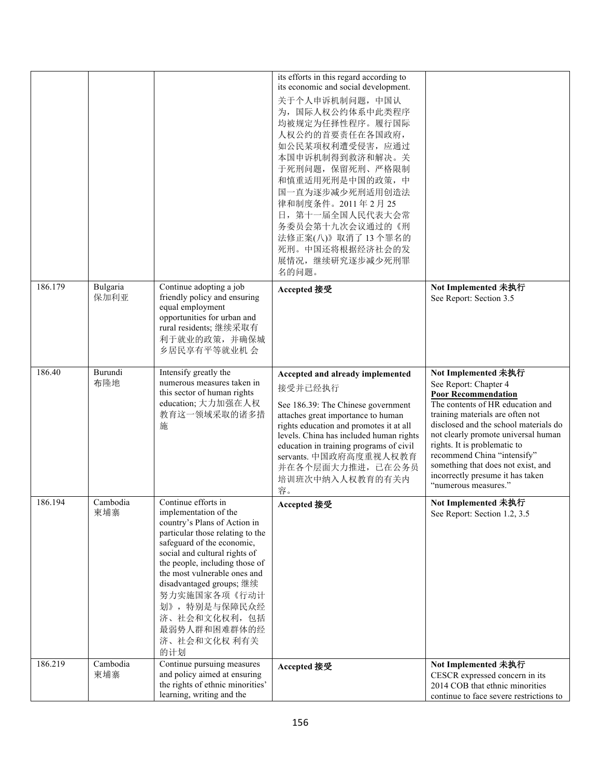|         |                  |                                                                                                                                                                                                                                                                                                                                                                       | its efforts in this regard according to<br>its economic and social development.<br>关于个人申诉机制问题, 中国认<br>为, 国际人权公约体系中此类程序<br>均被规定为任择性程序。履行国际<br>人权公约的首要责任在各国政府,<br>如公民某项权利遭受侵害, 应通过<br>本国申诉机制得到救济和解决。关<br>于死刑问题, 保留死刑、严格限制<br>和慎重适用死刑是中国的政策,中<br>国一直为逐步减少死刑适用创造法<br>律和制度条件。2011年2月25<br>日, 第十一届全国人民代表大会常<br>务委员会第十九次会议通过的《刑<br>法修正案(八)》取消了13个罪名的<br>死刑。中国还将根据经济社会的发 |                                                                                                                                                                                                                                                                                                                                                                                                     |
|---------|------------------|-----------------------------------------------------------------------------------------------------------------------------------------------------------------------------------------------------------------------------------------------------------------------------------------------------------------------------------------------------------------------|------------------------------------------------------------------------------------------------------------------------------------------------------------------------------------------------------------------------------------------------------------------------------------------------------------------------------------------------------------------|-----------------------------------------------------------------------------------------------------------------------------------------------------------------------------------------------------------------------------------------------------------------------------------------------------------------------------------------------------------------------------------------------------|
|         |                  |                                                                                                                                                                                                                                                                                                                                                                       | 展情况,继续研究逐步减少死刑罪<br>名的问题。                                                                                                                                                                                                                                                                                                                                         |                                                                                                                                                                                                                                                                                                                                                                                                     |
| 186.179 | Bulgaria<br>保加利亚 | Continue adopting a job<br>friendly policy and ensuring<br>equal employment<br>opportunities for urban and<br>rural residents; 继续采取有<br>利于就业的政策,并确保城<br>乡居民享有平等就业机 会                                                                                                                                                                                                  | Accepted 接受                                                                                                                                                                                                                                                                                                                                                      | Not Implemented 未执行<br>See Report: Section 3.5                                                                                                                                                                                                                                                                                                                                                      |
| 186.40  | Burundi<br>布隆地   | Intensify greatly the<br>numerous measures taken in<br>this sector of human rights<br>education; 大力加强在人权<br>教育这一领域采取的诸多措<br>施                                                                                                                                                                                                                                         | Accepted and already implemented<br>接受并已经执行<br>See 186.39: The Chinese government<br>attaches great importance to human<br>rights education and promotes it at all<br>levels. China has included human rights<br>education in training programs of civil<br>servants. 中国政府高度重视人权教育<br>并在各个层面大力推进, 已在公务员<br>培训班次中纳入人权教育的有关内<br>容。                                 | Not Implemented 未执行<br>See Report: Chapter 4<br><b>Poor Recommendation</b><br>The contents of HR education and<br>training materials are often not<br>disclosed and the school materials do<br>not clearly promote universal human<br>rights. It is problematic to<br>recommend China "intensify"<br>something that does not exist, and<br>incorrectly presume it has taken<br>"numerous measures." |
| 186.194 | Cambodia<br>柬埔寨  | Continue efforts in<br>implementation of the<br>country's Plans of Action in<br>particular those relating to the<br>safeguard of the economic,<br>social and cultural rights of<br>the people, including those of<br>the most vulnerable ones and<br>disadvantaged groups; 继续<br>努力实施国家各项《行动计<br>划》, 特别是与保障民众经<br>济、社会和文化权利,包括<br>最弱势人群和困难群体的经<br>济、社会和文化权 利有关<br>的计划 | Accepted 接受                                                                                                                                                                                                                                                                                                                                                      | Not Implemented 未执行<br>See Report: Section 1.2, 3.5                                                                                                                                                                                                                                                                                                                                                 |
| 186.219 | Cambodia<br>柬埔寨  | Continue pursuing measures<br>and policy aimed at ensuring<br>the rights of ethnic minorities'<br>learning, writing and the                                                                                                                                                                                                                                           | Accepted 接受                                                                                                                                                                                                                                                                                                                                                      | Not Implemented 未执行<br>CESCR expressed concern in its<br>2014 COB that ethnic minorities<br>continue to face severe restrictions to                                                                                                                                                                                                                                                                 |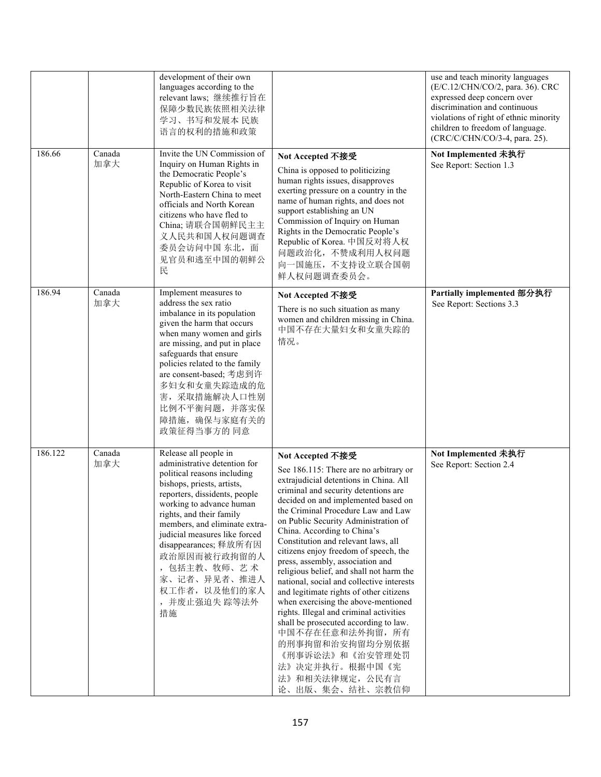|         |               | development of their own<br>languages according to the<br>relevant laws; 继续推行旨在<br>保障少数民族依照相关法律<br>学习、书写和发展本 民族<br>语言的权利的措施和政策                                                                                                                                                                                                                                                                |                                                                                                                                                                                                                                                                                                                                                                                                                                                                                                                                                                                                                                                                                                                                                                                                       | use and teach minority languages<br>(E/C.12/CHN/CO/2, para. 36). CRC<br>expressed deep concern over<br>discrimination and continuous<br>violations of right of ethnic minority<br>children to freedom of language.<br>(CRC/C/CHN/CO/3-4, para. 25). |
|---------|---------------|-----------------------------------------------------------------------------------------------------------------------------------------------------------------------------------------------------------------------------------------------------------------------------------------------------------------------------------------------------------------------------------------------|-------------------------------------------------------------------------------------------------------------------------------------------------------------------------------------------------------------------------------------------------------------------------------------------------------------------------------------------------------------------------------------------------------------------------------------------------------------------------------------------------------------------------------------------------------------------------------------------------------------------------------------------------------------------------------------------------------------------------------------------------------------------------------------------------------|-----------------------------------------------------------------------------------------------------------------------------------------------------------------------------------------------------------------------------------------------------|
| 186.66  | Canada<br>加拿大 | Invite the UN Commission of<br>Inquiry on Human Rights in<br>the Democratic People's<br>Republic of Korea to visit<br>North-Eastern China to meet<br>officials and North Korean<br>citizens who have fled to<br>China; 请联合国朝鲜民主主<br>义人民共和国人权问题调查<br>委员会访问中国 东北, 面<br>见官员和逃至中国的朝鲜公<br>民                                                                                                        | Not Accepted 不接受<br>China is opposed to politicizing<br>human rights issues, disapproves<br>exerting pressure on a country in the<br>name of human rights, and does not<br>support establishing an UN<br>Commission of Inquiry on Human<br>Rights in the Democratic People's<br>Republic of Korea. 中国反对将人权<br>问题政治化,不赞成利用人权问题<br>向一国施压,不支持设立联合国朝<br>鲜人权问题调查委员会。                                                                                                                                                                                                                                                                                                                                                                                                                                       | Not Implemented 未执行<br>See Report: Section 1.3                                                                                                                                                                                                      |
| 186.94  | Canada<br>加拿大 | Implement measures to<br>address the sex ratio<br>imbalance in its population<br>given the harm that occurs<br>when many women and girls<br>are missing, and put in place<br>safeguards that ensure<br>policies related to the family<br>are consent-based; 考虑到许<br>多妇女和女童失踪造成的危<br>害,采取措施解决人口性别<br>比例不平衡问题,并落实保<br>障措施, 确保与家庭有关的<br>政策征得当事方的 同意                                              | Not Accepted 不接受<br>There is no such situation as many<br>women and children missing in China.<br>中国不存在大量妇女和女童失踪的<br>情况。                                                                                                                                                                                                                                                                                                                                                                                                                                                                                                                                                                                                                                                                              | Partially implemented 部分执行<br>See Report: Sections 3.3                                                                                                                                                                                              |
| 186.122 | Canada<br>加拿大 | Release all people in<br>administrative detention for<br>political reasons including<br>bishops, priests, artists,<br>reporters, dissidents, people<br>working to advance human<br>rights, and their family<br>members, and eliminate extra-<br>judicial measures like forced<br>disappearances; 释放所有因<br>政治原因而被行政拘留的人<br>,包括主教、牧师、艺术<br>家、记者、异见者、推进人<br>权工作者, 以及他们的家人<br>, 并废止强迫失 踪等法外<br>措施 | Not Accepted 不接受<br>See 186.115: There are no arbitrary or<br>extrajudicial detentions in China. All<br>criminal and security detentions are<br>decided on and implemented based on<br>the Criminal Procedure Law and Law<br>on Public Security Administration of<br>China. According to China's<br>Constitution and relevant laws, all<br>citizens enjoy freedom of speech, the<br>press, assembly, association and<br>religious belief, and shall not harm the<br>national, social and collective interests<br>and legitimate rights of other citizens<br>when exercising the above-mentioned<br>rights. Illegal and criminal activities<br>shall be prosecuted according to law.<br>中国不存在任意和法外拘留, 所有<br>的刑事拘留和治安拘留均分别依据<br>《刑事诉讼法》和《治安管理处罚<br>法》决定并执行。根据中国《宪<br>法》和相关法律规定, 公民有言<br>论、出版、集会、结社、宗教信仰 | Not Implemented 未执行<br>See Report: Section 2.4                                                                                                                                                                                                      |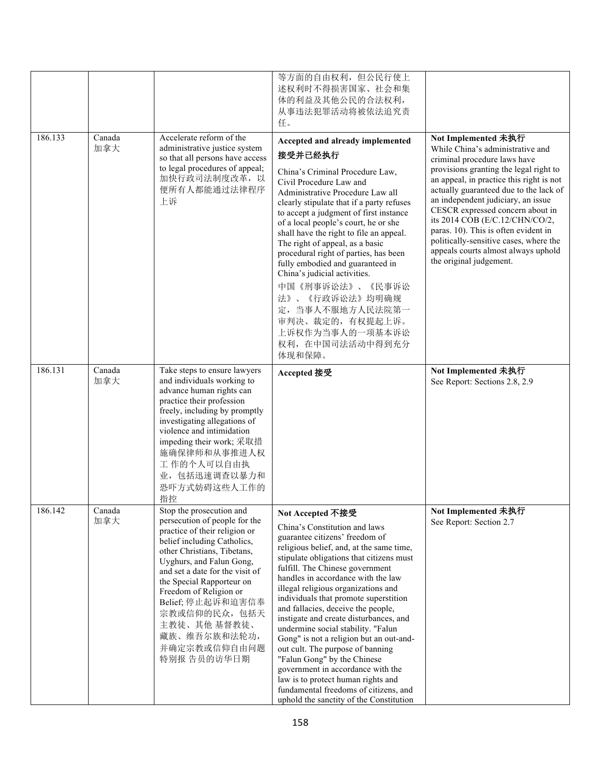|         |               |                                                                                                                                                                                                                                                                                                                                                                                    | 等方面的自由权利,但公民行使上<br>述权利时不得损害国家、社会和集<br>体的利益及其他公民的合法权利,<br>从事违法犯罪活动将被依法追究责<br>任。                                                                                                                                                                                                                                                                                                                                                                                                                                                                                                                                                                                                                                                          |                                                                                                                                                                                                                                                                                                                                                                                                                                                                                         |
|---------|---------------|------------------------------------------------------------------------------------------------------------------------------------------------------------------------------------------------------------------------------------------------------------------------------------------------------------------------------------------------------------------------------------|-----------------------------------------------------------------------------------------------------------------------------------------------------------------------------------------------------------------------------------------------------------------------------------------------------------------------------------------------------------------------------------------------------------------------------------------------------------------------------------------------------------------------------------------------------------------------------------------------------------------------------------------------------------------------------------------------------------------------------------------|-----------------------------------------------------------------------------------------------------------------------------------------------------------------------------------------------------------------------------------------------------------------------------------------------------------------------------------------------------------------------------------------------------------------------------------------------------------------------------------------|
| 186.133 | Canada<br>加拿大 | Accelerate reform of the<br>administrative justice system<br>so that all persons have access<br>to legal procedures of appeal;<br>加快行政司法制度改革,以<br>便所有人都能通过法律程序<br>上诉                                                                                                                                                                                                               | Accepted and already implemented<br>接受并已经执行<br>China's Criminal Procedure Law,<br>Civil Procedure Law and<br>Administrative Procedure Law all<br>clearly stipulate that if a party refuses<br>to accept a judgment of first instance<br>of a local people's court, he or she<br>shall have the right to file an appeal.<br>The right of appeal, as a basic<br>procedural right of parties, has been<br>fully embodied and guaranteed in<br>China's judicial activities.<br>中国《刑事诉讼法》、《民事诉讼<br>法》、《行政诉讼法》均明确规<br>定, 当事人不服地方人民法院第一<br>审判决、裁定的,有权提起上诉。<br>上诉权作为当事人的一项基本诉讼<br>权利, 在中国司法活动中得到充分<br>体现和保障。                                                                                                                                    | Not Implemented 未执行<br>While China's administrative and<br>criminal procedure laws have<br>provisions granting the legal right to<br>an appeal, in practice this right is not<br>actually guaranteed due to the lack of<br>an independent judiciary, an issue<br>CESCR expressed concern about in<br>its 2014 COB (E/C.12/CHN/CO/2,<br>paras. 10). This is often evident in<br>politically-sensitive cases, where the<br>appeals courts almost always uphold<br>the original judgement. |
| 186.131 | Canada<br>加拿大 | Take steps to ensure lawyers<br>and individuals working to<br>advance human rights can<br>practice their profession<br>freely, including by promptly<br>investigating allegations of<br>violence and intimidation<br>impeding their work; 采取措<br>施确保律师和从事推进人权<br>工作的个人可以自由执<br>业,包括迅速调查以暴力和<br>恐吓方式妨碍这些人工作的<br>指控                                                                  | Accepted 接受                                                                                                                                                                                                                                                                                                                                                                                                                                                                                                                                                                                                                                                                                                                             | Not Implemented 未执行<br>See Report: Sections 2.8, 2.9                                                                                                                                                                                                                                                                                                                                                                                                                                    |
| 186.142 | Canada<br>加拿大 | Stop the prosecution and<br>persecution of people for the<br>practice of their religion or<br>belief including Catholics,<br>other Christians, Tibetans,<br>Uyghurs, and Falun Gong,<br>and set a date for the visit of<br>the Special Rapporteur on<br>Freedom of Religion or<br>Belief; 停止起诉和迫害信奉<br>宗教或信仰的民众,包括天<br>主教徒、其他 基督教徒、<br>藏族、维吾尔族和法轮功,<br>并确定宗教或信仰自由问题<br>特别报 告员的访华日期 | Not Accepted 不接受<br>China's Constitution and laws<br>guarantee citizens' freedom of<br>religious belief, and, at the same time,<br>stipulate obligations that citizens must<br>fulfill. The Chinese government<br>handles in accordance with the law<br>illegal religious organizations and<br>individuals that promote superstition<br>and fallacies, deceive the people,<br>instigate and create disturbances, and<br>undermine social stability. "Falun<br>Gong" is not a religion but an out-and-<br>out cult. The purpose of banning<br>"Falun Gong" by the Chinese<br>government in accordance with the<br>law is to protect human rights and<br>fundamental freedoms of citizens, and<br>uphold the sanctity of the Constitution | Not Implemented 未执行<br>See Report: Section 2.7                                                                                                                                                                                                                                                                                                                                                                                                                                          |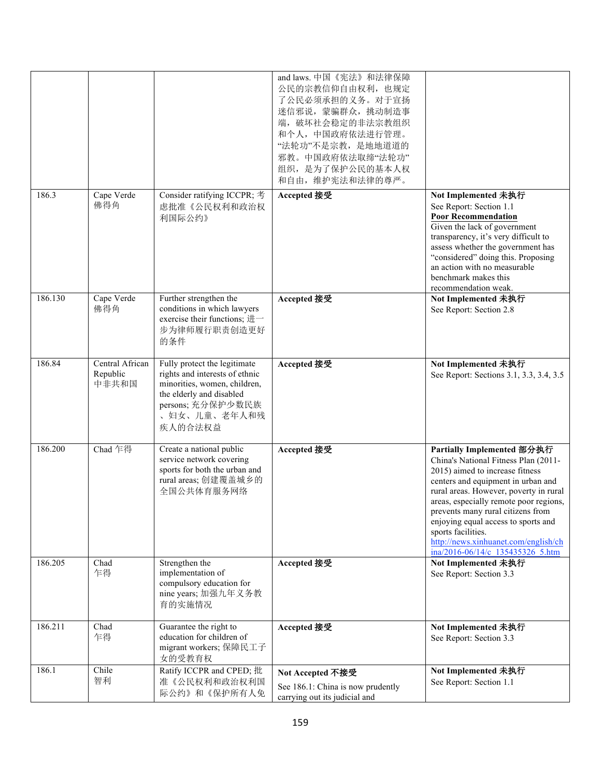|         |                                      |                                                                                                                                                                            | and laws. 中国《宪法》和法律保障<br>公民的宗教信仰自由权利, 也规定<br>了公民必须承担的义务。对于宣扬<br>迷信邪说, 蒙骗群众, 挑动制造事<br>端,破坏社会稳定的非法宗教组织<br>和个人,中国政府依法进行管理。<br>"法轮功"不是宗教, 是地地道道的<br>邪教。中国政府依法取缔"法轮功"<br>组织, 是为了保护公民的基本人权<br>和自由, 维护宪法和法律的尊严。 |                                                                                                                                                                                                                                                                                                                                                                                                               |
|---------|--------------------------------------|----------------------------------------------------------------------------------------------------------------------------------------------------------------------------|----------------------------------------------------------------------------------------------------------------------------------------------------------------------------------------------------------|---------------------------------------------------------------------------------------------------------------------------------------------------------------------------------------------------------------------------------------------------------------------------------------------------------------------------------------------------------------------------------------------------------------|
| 186.3   | Cape Verde<br>佛得角                    | Consider ratifying ICCPR; 考<br>虑批准《公民权利和政治权<br>利国际公约》                                                                                                                      | Accepted 接受                                                                                                                                                                                              | Not Implemented 未执行<br>See Report: Section 1.1<br><b>Poor Recommendation</b><br>Given the lack of government<br>transparency, it's very difficult to<br>assess whether the government has<br>"considered" doing this. Proposing<br>an action with no measurable<br>benchmark makes this<br>recommendation weak.                                                                                               |
| 186.130 | Cape Verde<br>佛得角                    | Further strengthen the<br>conditions in which lawyers<br>exercise their functions; 进一<br>步为律师履行职责创造更好<br>的条件                                                               | Accepted 接受                                                                                                                                                                                              | Not Implemented 未执行<br>See Report: Section 2.8                                                                                                                                                                                                                                                                                                                                                                |
| 186.84  | Central African<br>Republic<br>中非共和国 | Fully protect the legitimate<br>rights and interests of ethnic<br>minorities, women, children,<br>the elderly and disabled<br>persons; 充分保护少数民族<br>、妇女、儿童、老年人和残<br>疾人的合法权益 | Accepted 接受                                                                                                                                                                                              | Not Implemented 未执行<br>See Report: Sections 3.1, 3.3, 3.4, 3.5                                                                                                                                                                                                                                                                                                                                                |
| 186.200 | Chad 乍得                              | Create a national public<br>service network covering<br>sports for both the urban and<br>rural areas; 创建覆盖城乡的<br>全国公共体育服务网络                                                | Accepted 接受                                                                                                                                                                                              | Partially Implemented 部分执行<br>China's National Fitness Plan (2011-<br>2015) aimed to increase fitness<br>centers and equipment in urban and<br>rural areas. However, poverty in rural<br>areas, especially remote poor regions,<br>prevents many rural citizens from<br>enjoying equal access to sports and<br>sports facilities.<br>http://news.xinhuanet.com/english/ch<br>ina/2016-06/14/c 135435326 5.htm |
| 186.205 | Chad<br>乍得                           | Strengthen the<br>implementation of<br>compulsory education for<br>nine years; 加强九年义务教<br>育的实施情况                                                                           | Accepted 接受                                                                                                                                                                                              | Not Implemented 未执行<br>See Report: Section 3.3                                                                                                                                                                                                                                                                                                                                                                |
| 186.211 | Chad<br>乍得                           | Guarantee the right to<br>education for children of<br>migrant workers; 保障民工子<br>女的受教育权                                                                                    | Accepted 接受                                                                                                                                                                                              | Not Implemented 未执行<br>See Report: Section 3.3                                                                                                                                                                                                                                                                                                                                                                |
| 186.1   | Chile<br>智利                          | Ratify ICCPR and CPED; 批<br>准《公民权利和政治权利国<br>际公约》和《保护所有人免                                                                                                                   | Not Accepted 不接受<br>See 186.1: China is now prudently<br>carrying out its judicial and                                                                                                                   | Not Implemented 未执行<br>See Report: Section 1.1                                                                                                                                                                                                                                                                                                                                                                |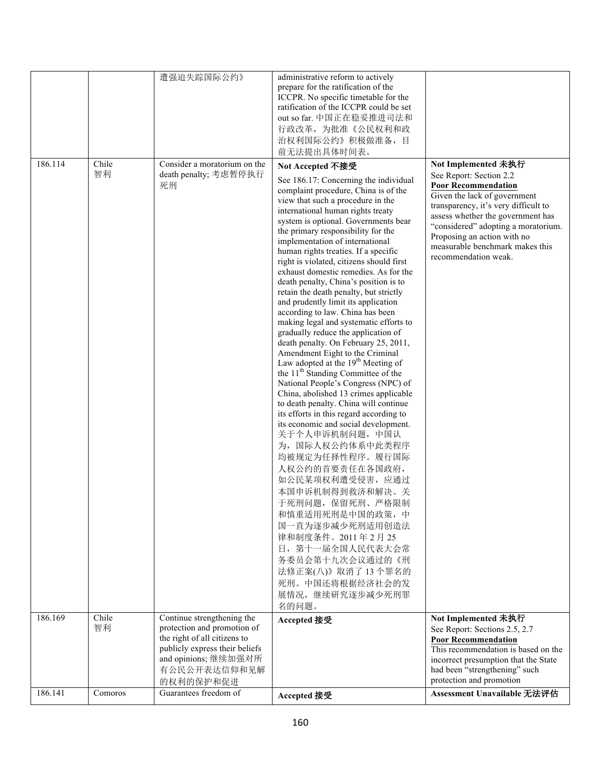|         |             | 遭强迫失踪国际公约》                                                  | administrative reform to actively                                                                                                                                                                                                                                                                                                                                                                                                                                                                                                                                                                                                                                                                                                                                                                                                                                                                                                                                                                                                                                                                                                                                                                                                                                                                                                                   |                                                                                                                                                                                                                                                                                                     |
|---------|-------------|-------------------------------------------------------------|-----------------------------------------------------------------------------------------------------------------------------------------------------------------------------------------------------------------------------------------------------------------------------------------------------------------------------------------------------------------------------------------------------------------------------------------------------------------------------------------------------------------------------------------------------------------------------------------------------------------------------------------------------------------------------------------------------------------------------------------------------------------------------------------------------------------------------------------------------------------------------------------------------------------------------------------------------------------------------------------------------------------------------------------------------------------------------------------------------------------------------------------------------------------------------------------------------------------------------------------------------------------------------------------------------------------------------------------------------|-----------------------------------------------------------------------------------------------------------------------------------------------------------------------------------------------------------------------------------------------------------------------------------------------------|
|         |             |                                                             | prepare for the ratification of the<br>ICCPR. No specific timetable for the<br>ratification of the ICCPR could be set                                                                                                                                                                                                                                                                                                                                                                                                                                                                                                                                                                                                                                                                                                                                                                                                                                                                                                                                                                                                                                                                                                                                                                                                                               |                                                                                                                                                                                                                                                                                                     |
|         |             |                                                             | out so far. 中国正在稳妥推进司法和                                                                                                                                                                                                                                                                                                                                                                                                                                                                                                                                                                                                                                                                                                                                                                                                                                                                                                                                                                                                                                                                                                                                                                                                                                                                                                                             |                                                                                                                                                                                                                                                                                                     |
|         |             |                                                             | 行政改革, 为批准《公民权利和政                                                                                                                                                                                                                                                                                                                                                                                                                                                                                                                                                                                                                                                                                                                                                                                                                                                                                                                                                                                                                                                                                                                                                                                                                                                                                                                                    |                                                                                                                                                                                                                                                                                                     |
|         |             |                                                             | 治权利国际公约》积极做准备, 目<br>前无法提出具体时间表。                                                                                                                                                                                                                                                                                                                                                                                                                                                                                                                                                                                                                                                                                                                                                                                                                                                                                                                                                                                                                                                                                                                                                                                                                                                                                                                     |                                                                                                                                                                                                                                                                                                     |
| 186.114 | Chile<br>智利 | Consider a moratorium on the                                | Not Accepted 不接受                                                                                                                                                                                                                                                                                                                                                                                                                                                                                                                                                                                                                                                                                                                                                                                                                                                                                                                                                                                                                                                                                                                                                                                                                                                                                                                                    | Not Implemented 未执行                                                                                                                                                                                                                                                                                 |
|         |             | death penalty; 考虑暂停执行<br>死刑                                 | See 186.17: Concerning the individual<br>complaint procedure, China is of the<br>view that such a procedure in the<br>international human rights treaty<br>system is optional. Governments bear<br>the primary responsibility for the<br>implementation of international<br>human rights treaties. If a specific<br>right is violated, citizens should first<br>exhaust domestic remedies. As for the<br>death penalty, China's position is to<br>retain the death penalty, but strictly<br>and prudently limit its application<br>according to law. China has been<br>making legal and systematic efforts to<br>gradually reduce the application of<br>death penalty. On February 25, 2011,<br>Amendment Eight to the Criminal<br>Law adopted at the 19 <sup>th</sup> Meeting of<br>the 11 <sup>th</sup> Standing Committee of the<br>National People's Congress (NPC) of<br>China, abolished 13 crimes applicable<br>to death penalty. China will continue<br>its efforts in this regard according to<br>its economic and social development.<br>关于个人申诉机制问题, 中国认<br>为, 国际人权公约体系中此类程序<br>均被规定为任择性程序。履行国际<br>人权公约的首要责任在各国政府,<br>如公民某项权利遭受侵害, 应通过<br>本国申诉机制得到救济和解决。关<br>于死刑问题, 保留死刑、严格限制<br>和慎重适用死刑是中国的政策,中<br>国一直为逐步减少死刑适用创造法<br>律和制度条件。2011年2月25<br>日, 第十一届全国人民代表大会常<br>务委员会第十九次会议通过的《刑<br>法修正案(八)》取消了13个罪名的<br>死刑。中国还将根据经济社会的发<br>展情况,继续研究逐步减少死刑罪 | See Report: Section 2.2<br><b>Poor Recommendation</b><br>Given the lack of government<br>transparency, it's very difficult to<br>assess whether the government has<br>"considered" adopting a moratorium.<br>Proposing an action with no<br>measurable benchmark makes this<br>recommendation weak. |
| 186.169 | Chile       | Continue strengthening the                                  | 名的问题。<br>Accepted 接受                                                                                                                                                                                                                                                                                                                                                                                                                                                                                                                                                                                                                                                                                                                                                                                                                                                                                                                                                                                                                                                                                                                                                                                                                                                                                                                                | Not Implemented 未执行                                                                                                                                                                                                                                                                                 |
|         | 智利          | protection and promotion of<br>the right of all citizens to |                                                                                                                                                                                                                                                                                                                                                                                                                                                                                                                                                                                                                                                                                                                                                                                                                                                                                                                                                                                                                                                                                                                                                                                                                                                                                                                                                     | See Report: Sections 2.5, 2.7<br><b>Poor Recommendation</b>                                                                                                                                                                                                                                         |
|         |             | publicly express their beliefs                              |                                                                                                                                                                                                                                                                                                                                                                                                                                                                                                                                                                                                                                                                                                                                                                                                                                                                                                                                                                                                                                                                                                                                                                                                                                                                                                                                                     | This recommendation is based on the                                                                                                                                                                                                                                                                 |
|         |             | and opinions; 继续加强对所<br>有公民公开表达信仰和见解<br>的权利的保护和促进           |                                                                                                                                                                                                                                                                                                                                                                                                                                                                                                                                                                                                                                                                                                                                                                                                                                                                                                                                                                                                                                                                                                                                                                                                                                                                                                                                                     | incorrect presumption that the State<br>had been "strengthening" such<br>protection and promotion                                                                                                                                                                                                   |
| 186.141 | Comoros     | Guarantees freedom of                                       | Accepted 接受                                                                                                                                                                                                                                                                                                                                                                                                                                                                                                                                                                                                                                                                                                                                                                                                                                                                                                                                                                                                                                                                                                                                                                                                                                                                                                                                         | Assessment Unavailable 无法评估                                                                                                                                                                                                                                                                         |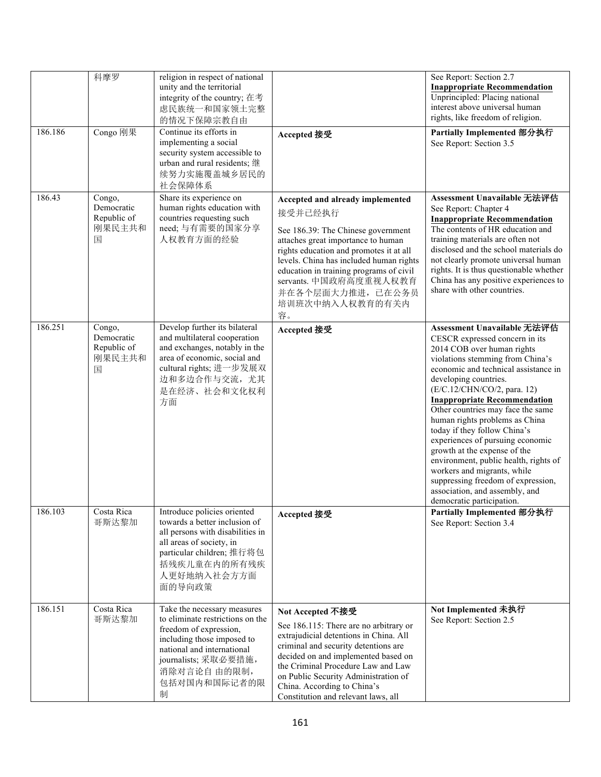|         | 科摩罗                                                | religion in respect of national<br>unity and the territorial<br>integrity of the country; 在考<br>虑民族统一和国家领土完整<br>的情况下保障宗教自由                                                                                        |                                                                                                                                                                                                                                                                                                                                         | See Report: Section 2.7<br><b>Inappropriate Recommendation</b><br>Unprincipled: Placing national<br>interest above universal human<br>rights, like freedom of religion.                                                                                                                                                                                                                                                                                                                                                                                                                                                        |
|---------|----------------------------------------------------|-------------------------------------------------------------------------------------------------------------------------------------------------------------------------------------------------------------------|-----------------------------------------------------------------------------------------------------------------------------------------------------------------------------------------------------------------------------------------------------------------------------------------------------------------------------------------|--------------------------------------------------------------------------------------------------------------------------------------------------------------------------------------------------------------------------------------------------------------------------------------------------------------------------------------------------------------------------------------------------------------------------------------------------------------------------------------------------------------------------------------------------------------------------------------------------------------------------------|
| 186.186 | Congo 刚果                                           | Continue its efforts in<br>implementing a social<br>security system accessible to<br>urban and rural residents; 继<br>续努力实施覆盖城乡居民的<br>社会保障体系                                                                       | Accepted 接受                                                                                                                                                                                                                                                                                                                             | Partially Implemented 部分执行<br>See Report: Section 3.5                                                                                                                                                                                                                                                                                                                                                                                                                                                                                                                                                                          |
| 186.43  | Congo,<br>Democratic<br>Republic of<br>刚果民主共和<br>国 | Share its experience on<br>human rights education with<br>countries requesting such<br>need; 与有需要的国家分享<br>人权教育方面的经验                                                                                               | Accepted and already implemented<br>接受并已经执行<br>See 186.39: The Chinese government<br>attaches great importance to human<br>rights education and promotes it at all<br>levels. China has included human rights<br>education in training programs of civil<br>servants. 中国政府高度重视人权教育<br>并在各个层面大力推进, 已在公务员<br>培训班次中纳入人权教育的有关内<br>容。        | Assessment Unavailable 无法评估<br>See Report: Chapter 4<br><b>Inappropriate Recommendation</b><br>The contents of HR education and<br>training materials are often not<br>disclosed and the school materials do<br>not clearly promote universal human<br>rights. It is thus questionable whether<br>China has any positive experiences to<br>share with other countries.                                                                                                                                                                                                                                                         |
| 186.251 | Congo,<br>Democratic<br>Republic of<br>刚果民主共和<br>国 | Develop further its bilateral<br>and multilateral cooperation<br>and exchanges, notably in the<br>area of economic, social and<br>cultural rights; 进一步发展双<br>边和多边合作与交流, 尤其<br>是在经济、社会和文化权利<br>方面                  | Accepted 接受                                                                                                                                                                                                                                                                                                                             | Assessment Unavailable 无法评估<br>CESCR expressed concern in its<br>2014 COB over human rights<br>violations stemming from China's<br>economic and technical assistance in<br>developing countries.<br>(E/C.12/CHN/CO/2, para. 12)<br><b>Inappropriate Recommendation</b><br>Other countries may face the same<br>human rights problems as China<br>today if they follow China's<br>experiences of pursuing economic<br>growth at the expense of the<br>environment, public health, rights of<br>workers and migrants, while<br>suppressing freedom of expression,<br>association, and assembly, and<br>democratic participation. |
| 186.103 | Costa Rica<br>哥斯达黎加                                | Introduce policies oriented<br>towards a better inclusion of<br>all persons with disabilities in<br>all areas of society, in<br>particular children; 推行将包<br>括残疾儿童在内的所有残疾<br>人更好地纳入社会方方面<br>面的导向政策                | Accepted 接受                                                                                                                                                                                                                                                                                                                             | Partially Implemented 部分执行<br>See Report: Section 3.4                                                                                                                                                                                                                                                                                                                                                                                                                                                                                                                                                                          |
| 186.151 | Costa Rica<br>哥斯达黎加                                | Take the necessary measures<br>to eliminate restrictions on the<br>freedom of expression,<br>including those imposed to<br>national and international<br>journalists; 采取必要措施,<br>消除对言论自由的限制,<br>包括对国内和国际记者的限<br>制 | Not Accepted 不接受<br>See 186.115: There are no arbitrary or<br>extrajudicial detentions in China. All<br>criminal and security detentions are<br>decided on and implemented based on<br>the Criminal Procedure Law and Law<br>on Public Security Administration of<br>China. According to China's<br>Constitution and relevant laws, all | Not Implemented 未执行<br>See Report: Section 2.5                                                                                                                                                                                                                                                                                                                                                                                                                                                                                                                                                                                 |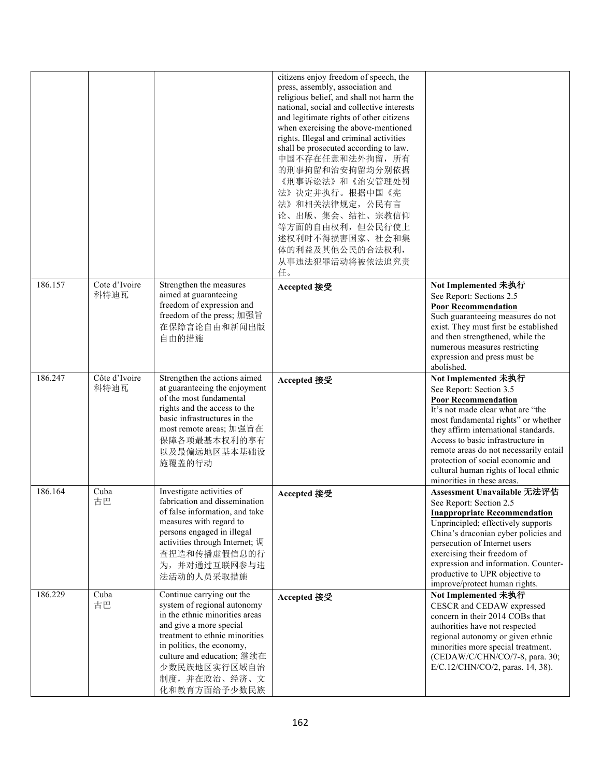|         |                       |                                                                                                                                                                                                                                                                    | citizens enjoy freedom of speech, the<br>press, assembly, association and<br>religious belief, and shall not harm the<br>national, social and collective interests<br>and legitimate rights of other citizens<br>when exercising the above-mentioned<br>rights. Illegal and criminal activities<br>shall be prosecuted according to law.<br>中国不存在任意和法外拘留, 所有<br>的刑事拘留和治安拘留均分别依据<br>《刑事诉讼法》和《治安管理处罚<br>法》决定并执行。根据中国《宪<br>法》和相关法律规定, 公民有言<br>论、出版、集会、结社、宗教信仰<br>等方面的自由权利,但公民行使上<br>述权利时不得损害国家、社会和集<br>体的利益及其他公民的合法权利,<br>从事违法犯罪活动将被依法追究责<br>任。 |                                                                                                                                                                                                                                                                                                                                                                                             |
|---------|-----------------------|--------------------------------------------------------------------------------------------------------------------------------------------------------------------------------------------------------------------------------------------------------------------|----------------------------------------------------------------------------------------------------------------------------------------------------------------------------------------------------------------------------------------------------------------------------------------------------------------------------------------------------------------------------------------------------------------------------------------------------------------------------------------------------------------------------------------------|---------------------------------------------------------------------------------------------------------------------------------------------------------------------------------------------------------------------------------------------------------------------------------------------------------------------------------------------------------------------------------------------|
| 186.157 | Cote d'Ivoire<br>科特迪瓦 | Strengthen the measures<br>aimed at guaranteeing<br>freedom of expression and<br>freedom of the press; 加强旨<br>在保障言论自由和新闻出版<br>自由的措施                                                                                                                                | Accepted 接受                                                                                                                                                                                                                                                                                                                                                                                                                                                                                                                                  | Not Implemented 未执行<br>See Report: Sections 2.5<br><b>Poor Recommendation</b><br>Such guaranteeing measures do not<br>exist. They must first be established<br>and then strengthened, while the<br>numerous measures restricting<br>expression and press must be<br>abolished.                                                                                                              |
| 186.247 | Côte d'Ivoire<br>科特迪瓦 | Strengthen the actions aimed<br>at guaranteeing the enjoyment<br>of the most fundamental<br>rights and the access to the<br>basic infrastructures in the<br>most remote areas; 加强旨在<br>保障各项最基本权利的享有<br>以及最偏远地区基本基础设<br>施覆盖的行动                                      | Accepted 接受                                                                                                                                                                                                                                                                                                                                                                                                                                                                                                                                  | Not Implemented 未执行<br>See Report: Section 3.5<br><b>Poor Recommendation</b><br>It's not made clear what are "the<br>most fundamental rights" or whether<br>they affirm international standards.<br>Access to basic infrastructure in<br>remote areas do not necessarily entail<br>protection of social economic and<br>cultural human rights of local ethnic<br>minorities in these areas. |
| 186.164 | Cuba<br>古巴            | Investigate activities of<br>fabrication and dissemination<br>of false information, and take<br>measures with regard to<br>persons engaged in illegal<br>activities through Internet; 调<br>查捏造和传播虚假信息的行<br>为,并对通过互联网参与违<br>法活动的人员采取措施                              | Accepted 接受                                                                                                                                                                                                                                                                                                                                                                                                                                                                                                                                  | Assessment Unavailable 无法评估<br>See Report: Section 2.5<br><b>Inappropriate Recommendation</b><br>Unprincipled; effectively supports<br>China's draconian cyber policies and<br>persecution of Internet users<br>exercising their freedom of<br>expression and information. Counter-<br>productive to UPR objective to<br>improve/protect human rights.                                      |
| 186.229 | Cuba<br>古巴            | Continue carrying out the<br>system of regional autonomy<br>in the ethnic minorities areas<br>and give a more special<br>treatment to ethnic minorities<br>in politics, the economy,<br>culture and education; 继续在<br>少数民族地区实行区域自治<br>制度,并在政治、经济、文<br>化和教育方面给予少数民族 | Accepted 接受                                                                                                                                                                                                                                                                                                                                                                                                                                                                                                                                  | Not Implemented 未执行<br>CESCR and CEDAW expressed<br>concern in their 2014 COBs that<br>authorities have not respected<br>regional autonomy or given ethnic<br>minorities more special treatment.<br>(CEDAW/C/CHN/CO/7-8, para. 30;<br>E/C.12/CHN/CO/2, paras. 14, 38).                                                                                                                      |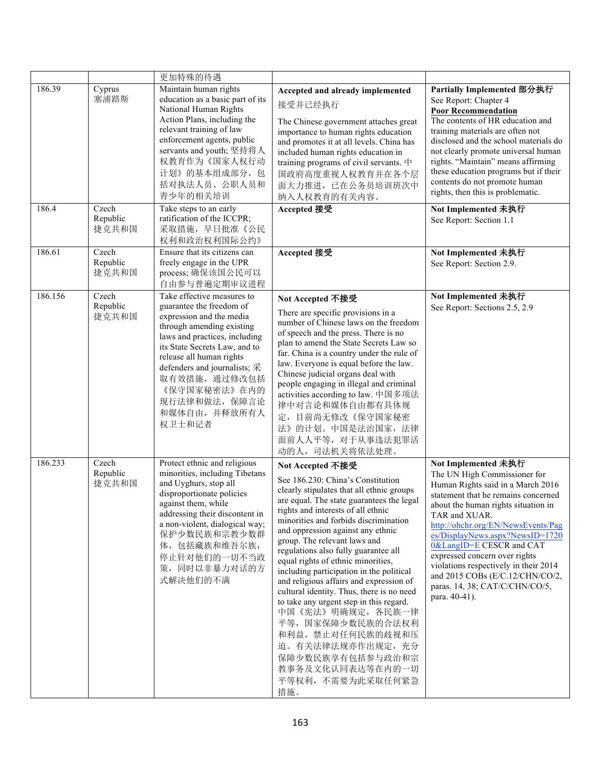|         |                            | 更加特殊的待遇                                                                                                                                                                                                                                                                                                                                |                                                                                                                                                                                                                                                                                                                                                                                                                                                                                                                                                                                                                                                                                                                          |                                                                                                                                                                                                                                                                                                                                                                                                                                                              |
|---------|----------------------------|----------------------------------------------------------------------------------------------------------------------------------------------------------------------------------------------------------------------------------------------------------------------------------------------------------------------------------------|--------------------------------------------------------------------------------------------------------------------------------------------------------------------------------------------------------------------------------------------------------------------------------------------------------------------------------------------------------------------------------------------------------------------------------------------------------------------------------------------------------------------------------------------------------------------------------------------------------------------------------------------------------------------------------------------------------------------------|--------------------------------------------------------------------------------------------------------------------------------------------------------------------------------------------------------------------------------------------------------------------------------------------------------------------------------------------------------------------------------------------------------------------------------------------------------------|
| 186.39  | Cyprus<br>塞浦路斯             | Maintain human rights<br>education as a basic part of its<br>National Human Rights<br>Action Plans, including the<br>relevant training of law<br>enforcement agents, public<br>servants and youth; 坚持将人<br>权教育作为《国家人权行动<br>计划》的基本组成部分,包<br>括对执法人员、公职人员和<br>青少年的相关培训                                                                    | Accepted and already implemented<br>接受并已经执行<br>The Chinese government attaches great<br>importance to human rights education<br>and promotes it at all levels. China has<br>included human rights education in<br>training programs of civil servants. $\#$<br>国政府高度重视人权教育并在各个层<br>面大力推进, 已在公务员培训班次中<br>纳入人权教育的有关内容。                                                                                                                                                                                                                                                                                                                                                                                                     | Partially Implemented 部分执行<br>See Report: Chapter 4<br><b>Poor Recommendation</b><br>The contents of HR education and<br>training materials are often not<br>disclosed and the school materials do<br>not clearly promote universal human<br>rights. "Maintain" means affirming<br>these education programs but if their<br>contents do not promote human<br>rights, then this is problematic.                                                               |
| 186.4   | Czech<br>Republic<br>捷克共和国 | Take steps to an early<br>ratification of the ICCPR;<br>采取措施, 早日批准《公民<br>权利和政治权利国际公约》                                                                                                                                                                                                                                                  | Accepted 接受                                                                                                                                                                                                                                                                                                                                                                                                                                                                                                                                                                                                                                                                                                              | Not Implemented 未执行<br>See Report: Section 1.1                                                                                                                                                                                                                                                                                                                                                                                                               |
| 186.61  | Czech<br>Republic<br>捷克共和国 | Ensure that its citizens can<br>freely engage in the UPR<br>process; 确保该国公民可以<br>自由参与普遍定期审议进程                                                                                                                                                                                                                                          | Accepted 接受                                                                                                                                                                                                                                                                                                                                                                                                                                                                                                                                                                                                                                                                                                              | Not Implemented 未执行<br>See Report: Section 2.9.                                                                                                                                                                                                                                                                                                                                                                                                              |
| 186.156 | Czech<br>Republic<br>捷克共和国 | Take effective measures to<br>guarantee the freedom of<br>expression and the media<br>through amending existing<br>laws and practices, including<br>its State Secrets Law, and to<br>release all human rights<br>defenders and journalists; $\mathcal{R}$<br>取有效措施, 通过修改包括<br>《保守国家秘密法》在内的<br>现行法律和做法, 保障言论<br>和媒体自由, 并释放所有人<br>权卫士和记者 | Not Accepted 不接受<br>There are specific provisions in a<br>number of Chinese laws on the freedom<br>of speech and the press. There is no<br>plan to amend the State Secrets Law so<br>far. China is a country under the rule of<br>law. Everyone is equal before the law.<br>Chinese judicial organs deal with<br>people engaging in illegal and criminal<br>activities according to law. 中国多项法<br>律中对言论和媒体自由都有具体规<br>定,目前尚无修改《保守国家秘密<br>法》的计划。中国是法治国家, 法律<br>面前人人平等, 对于从事违法犯罪活<br>动的人, 司法机关将依法处理。                                                                                                                                                                                                                        | Not Implemented 未执行<br>See Report: Sections 2.5, 2.9                                                                                                                                                                                                                                                                                                                                                                                                         |
| 186.233 | Czech<br>Republic<br>捷克共和国 | Protect ethnic and religious<br>minorities, including Tibetans<br>and Uyghurs, stop all<br>disproportionate policies<br>against them, while<br>addressing their discontent in<br>a non-violent, dialogical way;<br>保护少数民族和宗教少数群<br>体,包括藏族和维吾尔族,<br>停止针对他们的一切不当政<br>策,同时以非暴力对话的方<br>式解决他们的不满                                            | Not Accepted 不接受<br>See 186.230: China's Constitution<br>clearly stipulates that all ethnic groups<br>are equal. The state guarantees the legal<br>rights and interests of all ethnic<br>minorities and forbids discrimination<br>and oppression against any ethnic<br>group. The relevant laws and<br>regulations also fully guarantee all<br>equal rights of ethnic minorities,<br>including participation in the political<br>and religious affairs and expression of<br>cultural identity. Thus, there is no need<br>to take any urgent step in this regard.<br>中国《宪法》明确规定, 各民族一律<br>平等, 国家保障少数民族的合法权利<br>和利益, 禁止对任何民族的歧视和压<br>迫。有关法律法规亦作出规定, 充分<br>保障少数民族享有包括参与政治和宗<br>教事务及文化认同表达等在内的一切<br>平等权利, 不需要为此采取任何紧急<br>措施。 | Not Implemented 未执行<br>The UN High Commissioner for<br>Human Rights said in a March 2016<br>statement that he remains concerned<br>about the human rights situation in<br>TAR and XUAR.<br>http://ohchr.org/EN/NewsEvents/Pag<br>es/DisplayNews.aspx?NewsID=1720<br>0&LangID=E CESCR and CAT<br>expressed concern over rights<br>violations respectively in their 2014<br>and 2015 COBs (E/C.12/CHN/CO/2,<br>paras. 14, 38; CAT/C/CHN/CO/5,<br>para. 40-41). |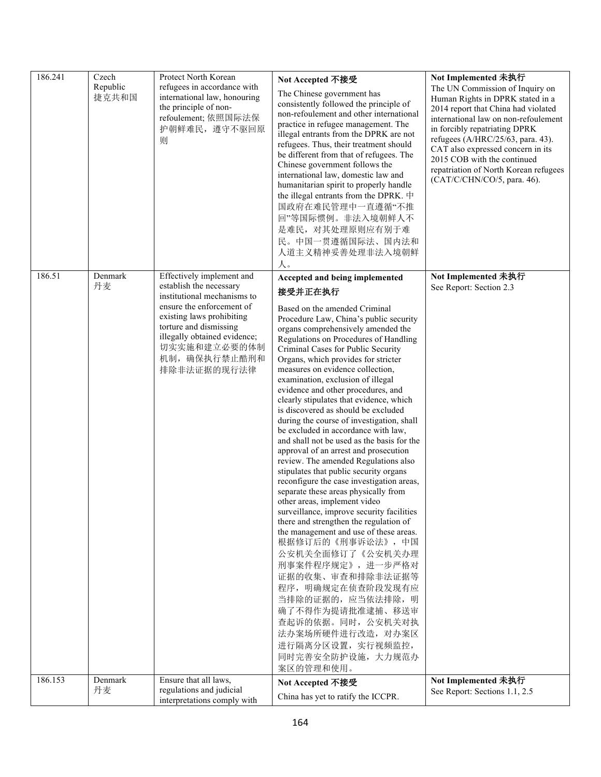| 186.241 | Czech<br>Republic<br>捷克共和国 | Protect North Korean<br>refugees in accordance with<br>international law, honouring<br>the principle of non-<br>refoulement; 依照国际法保<br>护朝鲜难民, 遵守不驱回原<br>则                                                                                               | Not Accepted 不接受<br>The Chinese government has<br>consistently followed the principle of<br>non-refoulement and other international<br>practice in refugee management. The<br>illegal entrants from the DPRK are not<br>refugees. Thus, their treatment should<br>be different from that of refugees. The<br>Chinese government follows the<br>international law, domestic law and<br>humanitarian spirit to properly handle<br>the illegal entrants from the DPRK. 中<br>国政府在难民管理中一直遵循"不推<br>回"等国际惯例。非法入境朝鲜人不<br>是难民, 对其处理原则应有别于难<br>民。中国一贯遵循国际法、国内法和<br>人道主义精神妥善处理非法入境朝鲜<br>人。                                                                                                                                                                                                                                                                                                                                                                                                                                                                                                                                                                                                                                                                      | Not Implemented 未执行<br>The UN Commission of Inquiry on<br>Human Rights in DPRK stated in a<br>2014 report that China had violated<br>international law on non-refoulement<br>in forcibly repatriating DPRK<br>refugees (A/HRC/25/63, para. 43).<br>CAT also expressed concern in its<br>2015 COB with the continued<br>repatriation of North Korean refugees<br>(CAT/C/CHN/CO/5, para. 46). |
|---------|----------------------------|---------------------------------------------------------------------------------------------------------------------------------------------------------------------------------------------------------------------------------------------------------|------------------------------------------------------------------------------------------------------------------------------------------------------------------------------------------------------------------------------------------------------------------------------------------------------------------------------------------------------------------------------------------------------------------------------------------------------------------------------------------------------------------------------------------------------------------------------------------------------------------------------------------------------------------------------------------------------------------------------------------------------------------------------------------------------------------------------------------------------------------------------------------------------------------------------------------------------------------------------------------------------------------------------------------------------------------------------------------------------------------------------------------------------------------------------------------------------------------------------------------------------|---------------------------------------------------------------------------------------------------------------------------------------------------------------------------------------------------------------------------------------------------------------------------------------------------------------------------------------------------------------------------------------------|
| 186.51  | Denmark<br>丹麦              | Effectively implement and<br>establish the necessary<br>institutional mechanisms to<br>ensure the enforcement of<br>existing laws prohibiting<br>torture and dismissing<br>illegally obtained evidence;<br>切实实施和建立必要的体制<br>机制, 确保执行禁止酷刑和<br>排除非法证据的现行法律 | Accepted and being implemented<br>接受并正在执行<br>Based on the amended Criminal<br>Procedure Law, China's public security<br>organs comprehensively amended the<br>Regulations on Procedures of Handling<br>Criminal Cases for Public Security<br>Organs, which provides for stricter<br>measures on evidence collection,<br>examination, exclusion of illegal<br>evidence and other procedures, and<br>clearly stipulates that evidence, which<br>is discovered as should be excluded<br>during the course of investigation, shall<br>be excluded in accordance with law,<br>and shall not be used as the basis for the<br>approval of an arrest and prosecution<br>review. The amended Regulations also<br>stipulates that public security organs<br>reconfigure the case investigation areas,<br>separate these areas physically from<br>other areas, implement video<br>surveillance, improve security facilities<br>there and strengthen the regulation of<br>the management and use of these areas.<br>根据修订后的《刑事诉讼法》,中国<br>公安机关全面修订了《公安机关办理<br>刑事案件程序规定》,进一步严格对<br>证据的收集、审查和排除非法证据等<br>程序, 明确规定在侦查阶段发现有应<br>当排除的证据的, 应当依法排除, 明<br>确了不得作为提请批准逮捕、移送审<br>查起诉的依据。同时, 公安机关对执<br>法办案场所硬件进行改造, 对办案区<br>进行隔离分区设置, 实行视频监控,<br>同时完善安全防护设施, 大力规范办<br>案区的管理和使用。 | Not Implemented 未执行<br>See Report: Section 2.3                                                                                                                                                                                                                                                                                                                                              |
| 186.153 | Denmark<br>丹麦              | Ensure that all laws,<br>regulations and judicial<br>interpretations comply with                                                                                                                                                                        | Not Accepted 不接受<br>China has yet to ratify the ICCPR.                                                                                                                                                                                                                                                                                                                                                                                                                                                                                                                                                                                                                                                                                                                                                                                                                                                                                                                                                                                                                                                                                                                                                                                               | Not Implemented 未执行<br>See Report: Sections 1.1, 2.5                                                                                                                                                                                                                                                                                                                                        |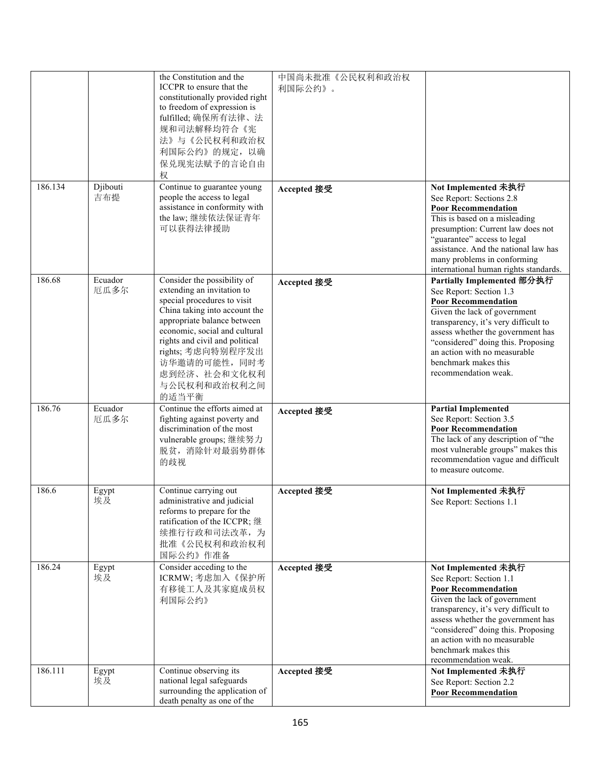|         |                 | the Constitution and the<br>ICCPR to ensure that the<br>constitutionally provided right<br>to freedom of expression is<br>fulfilled; 确保所有法律、法<br>规和司法解释均符合《宪<br>法》与《公民权利和政治权<br>利国际公约》的规定,以确<br>保兑现宪法赋予的言论自由<br>权                                                                                         | 中国尚未批准《公民权利和政治权<br>利国际公约》。 |                                                                                                                                                                                                                                                                                                                        |
|---------|-----------------|-----------------------------------------------------------------------------------------------------------------------------------------------------------------------------------------------------------------------------------------------------------------------------------------------------------|----------------------------|------------------------------------------------------------------------------------------------------------------------------------------------------------------------------------------------------------------------------------------------------------------------------------------------------------------------|
| 186.134 | Djibouti<br>吉布提 | Continue to guarantee young<br>people the access to legal<br>assistance in conformity with<br>the law; 继续依法保证青年<br>可以获得法律援助                                                                                                                                                                               | Accepted 接受                | Not Implemented 未执行<br>See Report: Sections 2.8<br><b>Poor Recommendation</b><br>This is based on a misleading<br>presumption: Current law does not<br>"guarantee" access to legal<br>assistance. And the national law has<br>many problems in conforming<br>international human rights standards.                     |
| 186.68  | Ecuador<br>厄瓜多尔 | Consider the possibility of<br>extending an invitation to<br>special procedures to visit<br>China taking into account the<br>appropriate balance between<br>economic, social and cultural<br>rights and civil and political<br>rights; 考虑向特别程序发出<br>访华邀请的可能性,同时考<br>虑到经济、社会和文化权利<br>与公民权利和政治权利之间<br>的适当平衡 | Accepted 接受                | Partially Implemented 部分执行<br>See Report: Section 1.3<br><b>Poor Recommendation</b><br>Given the lack of government<br>transparency, it's very difficult to<br>assess whether the government has<br>"considered" doing this. Proposing<br>an action with no measurable<br>benchmark makes this<br>recommendation weak. |
| 186.76  | Ecuador<br>厄瓜多尔 | Continue the efforts aimed at<br>fighting against poverty and<br>discrimination of the most<br>vulnerable groups; 继续努力<br>脱贫,消除针对最弱势群体<br>的歧视                                                                                                                                                             | Accepted 接受                | <b>Partial Implemented</b><br>See Report: Section 3.5<br><b>Poor Recommendation</b><br>The lack of any description of "the<br>most vulnerable groups" makes this<br>recommendation vague and difficult<br>to measure outcome.                                                                                          |
| 186.6   | Egypt<br>埃及     | Continue carrying out<br>administrative and judicial<br>reforms to prepare for the<br>ratification of the ICCPR;继<br>续推行行政和司法改革,为<br>批准《公民权利和政治权利<br>国际公约》作准备                                                                                                                                             | Accepted 接受                | Not Implemented 未执行<br>See Report: Sections 1.1                                                                                                                                                                                                                                                                        |
| 186.24  | Egypt<br>埃及     | Consider acceding to the<br>ICRMW; 考虑加入《保护所<br>有移徙工人及其家庭成员权<br>利国际公约》                                                                                                                                                                                                                                     | Accepted 接受                | Not Implemented 未执行<br>See Report: Section 1.1<br><b>Poor Recommendation</b><br>Given the lack of government<br>transparency, it's very difficult to<br>assess whether the government has<br>"considered" doing this. Proposing<br>an action with no measurable<br>benchmark makes this<br>recommendation weak.        |
| 186.111 | Egypt<br>埃及     | Continue observing its<br>national legal safeguards<br>surrounding the application of<br>death penalty as one of the                                                                                                                                                                                      | Accepted 接受                | Not Implemented 未执行<br>See Report: Section 2.2<br><b>Poor Recommendation</b>                                                                                                                                                                                                                                           |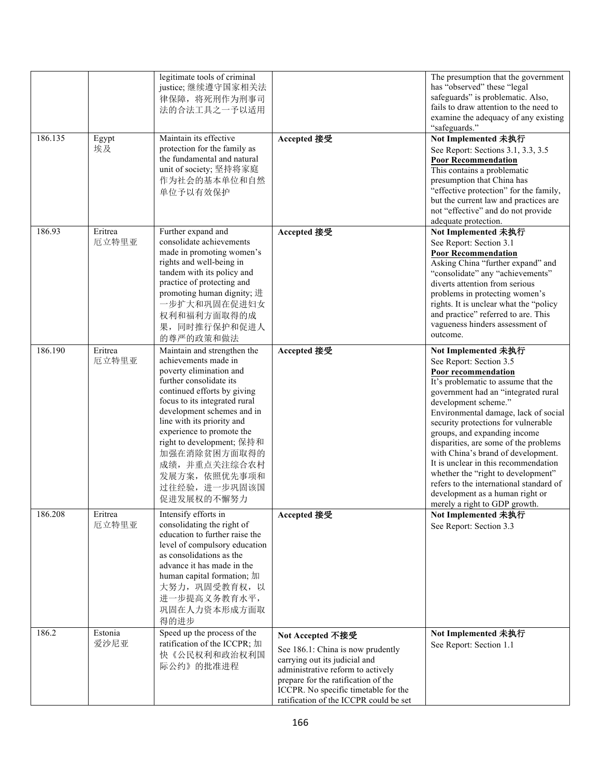|         |                  | legitimate tools of criminal<br>justice;继续遵守国家相关法<br>律保障, 将死刑作为刑事司<br>法的合法工具之一予以适用                                                                                                                                                                                                                                                                                             |                                                                                                                                                                                                                                                      | The presumption that the government<br>has "observed" these "legal<br>safeguards" is problematic. Also,<br>fails to draw attention to the need to<br>examine the adequacy of any existing<br>"safeguards."                                                                                                                                                                                                                                                                                                                                                             |
|---------|------------------|--------------------------------------------------------------------------------------------------------------------------------------------------------------------------------------------------------------------------------------------------------------------------------------------------------------------------------------------------------------------------------|------------------------------------------------------------------------------------------------------------------------------------------------------------------------------------------------------------------------------------------------------|------------------------------------------------------------------------------------------------------------------------------------------------------------------------------------------------------------------------------------------------------------------------------------------------------------------------------------------------------------------------------------------------------------------------------------------------------------------------------------------------------------------------------------------------------------------------|
| 186.135 | Egypt<br>埃及      | Maintain its effective<br>protection for the family as<br>the fundamental and natural<br>unit of society; 坚持将家庭<br>作为社会的基本单位和自然<br>单位予以有效保护                                                                                                                                                                                                                                    | Accepted 接受                                                                                                                                                                                                                                          | Not Implemented 未执行<br>See Report: Sections 3.1, 3.3, 3.5<br><b>Poor Recommendation</b><br>This contains a problematic<br>presumption that China has<br>"effective protection" for the family,<br>but the current law and practices are<br>not "effective" and do not provide<br>adequate protection.                                                                                                                                                                                                                                                                  |
| 186.93  | Eritrea<br>厄立特里亚 | Further expand and<br>consolidate achievements<br>made in promoting women's<br>rights and well-being in<br>tandem with its policy and<br>practice of protecting and<br>promoting human dignity; 进<br>一步扩大和巩固在促进妇女<br>权利和福利方面取得的成<br>果,同时推行保护和促进人<br>的尊严的政策和做法                                                                                                                  | Accepted 接受                                                                                                                                                                                                                                          | Not Implemented 未执行<br>See Report: Section 3.1<br><b>Poor Recommendation</b><br>Asking China "further expand" and<br>"consolidate" any "achievements"<br>diverts attention from serious<br>problems in protecting women's<br>rights. It is unclear what the "policy<br>and practice" referred to are. This<br>vagueness hinders assessment of<br>outcome.                                                                                                                                                                                                              |
| 186.190 | Eritrea<br>厄立特里亚 | Maintain and strengthen the<br>achievements made in<br>poverty elimination and<br>further consolidate its<br>continued efforts by giving<br>focus to its integrated rural<br>development schemes and in<br>line with its priority and<br>experience to promote the<br>right to development; 保持和<br>加强在消除贫困方面取得的<br>成绩,并重点关注综合农村<br>发展方案, 依照优先事项和<br>过往经验,进一步巩固该国<br>促进发展权的不懈努力 | Accepted 接受                                                                                                                                                                                                                                          | Not Implemented 未执行<br>See Report: Section 3.5<br>Poor recommendation<br>It's problematic to assume that the<br>government had an "integrated rural<br>development scheme."<br>Environmental damage, lack of social<br>security protections for vulnerable<br>groups, and expanding income<br>disparities, are some of the problems<br>with China's brand of development.<br>It is unclear in this recommendation<br>whether the "right to development"<br>refers to the international standard of<br>development as a human right or<br>merely a right to GDP growth. |
| 186.208 | Eritrea<br>厄立特里亚 | Intensify efforts in<br>consolidating the right of<br>education to further raise the<br>level of compulsory education<br>as consolidations as the<br>advance it has made in the<br>human capital formation; 加<br>大努力, 巩固受教育权, 以<br>进一步提高义务教育水平,<br>巩固在人力资本形成方面取<br>得的进步                                                                                                        | Accepted 接受                                                                                                                                                                                                                                          | Not Implemented 未执行<br>See Report: Section 3.3                                                                                                                                                                                                                                                                                                                                                                                                                                                                                                                         |
| 186.2   | Estonia<br>爱沙尼亚  | Speed up the process of the<br>ratification of the ICCPR; 加<br>快《公民权利和政治权利国<br>际公约》的批准进程                                                                                                                                                                                                                                                                                       | Not Accepted 不接受<br>See 186.1: China is now prudently<br>carrying out its judicial and<br>administrative reform to actively<br>prepare for the ratification of the<br>ICCPR. No specific timetable for the<br>ratification of the ICCPR could be set | Not Implemented 未执行<br>See Report: Section 1.1                                                                                                                                                                                                                                                                                                                                                                                                                                                                                                                         |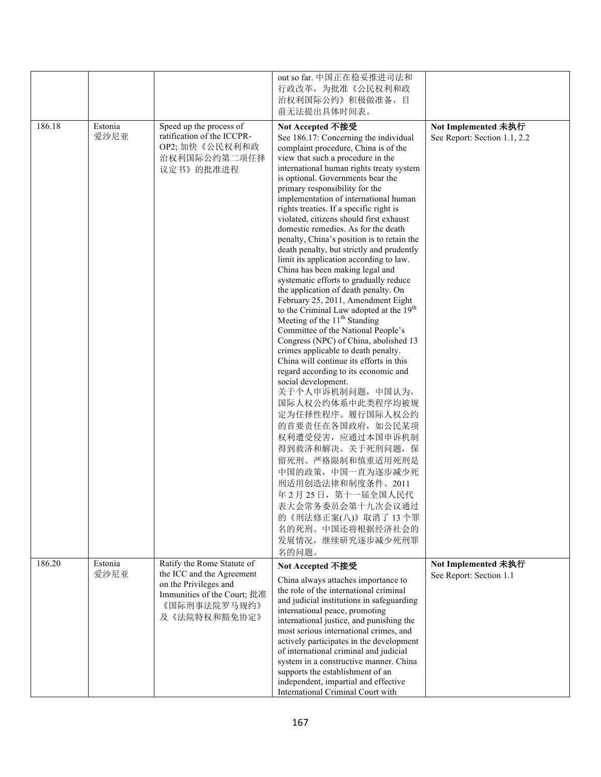|        |                 |                                                                                                                   | out so far. 中国正在稳妥推进司法和<br>行政改革, 为批准《公民权利和政<br>治权利国际公约》积极做准备, 目<br>前无法提出具体时间表。                                                                                                                                                                                                                                                                                                                                                                                                                                                                                                                                                                                                                                                                                                                                                                                                                                                                                                                                                                                                                                                                                                                                                                                                                                                                                      |                                                     |
|--------|-----------------|-------------------------------------------------------------------------------------------------------------------|---------------------------------------------------------------------------------------------------------------------------------------------------------------------------------------------------------------------------------------------------------------------------------------------------------------------------------------------------------------------------------------------------------------------------------------------------------------------------------------------------------------------------------------------------------------------------------------------------------------------------------------------------------------------------------------------------------------------------------------------------------------------------------------------------------------------------------------------------------------------------------------------------------------------------------------------------------------------------------------------------------------------------------------------------------------------------------------------------------------------------------------------------------------------------------------------------------------------------------------------------------------------------------------------------------------------------------------------------------------------|-----------------------------------------------------|
| 186.18 | Estonia<br>爱沙尼亚 | Speed up the process of<br>ratification of the ICCPR-<br>OP2; 加快《公民权利和政<br>治权利国际公约第二项任择<br>议定书》的批准进程              | Not Accepted 不接受<br>See 186.17: Concerning the individual<br>complaint procedure, China is of the<br>view that such a procedure in the<br>international human rights treaty system<br>is optional. Governments bear the<br>primary responsibility for the<br>implementation of international human<br>rights treaties. If a specific right is<br>violated, citizens should first exhaust<br>domestic remedies. As for the death<br>penalty, China's position is to retain the<br>death penalty, but strictly and prudently<br>limit its application according to law.<br>China has been making legal and<br>systematic efforts to gradually reduce<br>the application of death penalty. On<br>February 25, 2011, Amendment Eight<br>to the Criminal Law adopted at the 19 <sup>th</sup><br>Meeting of the 11 <sup>th</sup> Standing<br>Committee of the National People's<br>Congress (NPC) of China, abolished 13<br>crimes applicable to death penalty.<br>China will continue its efforts in this<br>regard according to its economic and<br>social development.<br>关于个人申诉机制问题,中国认为,<br>国际人权公约体系中此类程序均被规<br>定为任择性程序。履行国际人权公约<br>的首要责任在各国政府, 如公民某项<br>权利遭受侵害, 应通过本国申诉机制<br>得到救济和解决。关于死刑问题, 保<br>留死刑、严格限制和慎重适用死刑是<br>中国的政策, 中国一直为逐步减少死<br>刑适用创造法律和制度条件。2011<br>年2月25日, 第十一届全国人民代<br>表大会常务委员会第十九次会议通过<br>的《刑法修正案(八)》取消了13个罪<br>名的死刑。中国还将根据经济社会的<br>发展情况,继续研究逐步减少死刑罪 | Not Implemented 未执行<br>See Report: Section 1.1, 2.2 |
| 186.20 | Estonia         | Ratify the Rome Statute of                                                                                        | 名的问题。<br>Not Accepted 不接受                                                                                                                                                                                                                                                                                                                                                                                                                                                                                                                                                                                                                                                                                                                                                                                                                                                                                                                                                                                                                                                                                                                                                                                                                                                                                                                                           | Not Implemented 未执行                                 |
|        | 爱沙尼亚            | the ICC and the Agreement<br>on the Privileges and<br>Immunities of the Court; 批准<br>《国际刑事法院罗马规约》<br>及《法院特权和豁免协定》 | China always attaches importance to<br>the role of the international criminal<br>and judicial institutions in safeguarding<br>international peace, promoting<br>international justice, and punishing the<br>most serious international crimes, and<br>actively participates in the development<br>of international criminal and judicial<br>system in a constructive manner. China<br>supports the establishment of an<br>independent, impartial and effective<br>International Criminal Court with                                                                                                                                                                                                                                                                                                                                                                                                                                                                                                                                                                                                                                                                                                                                                                                                                                                                 | See Report: Section 1.1                             |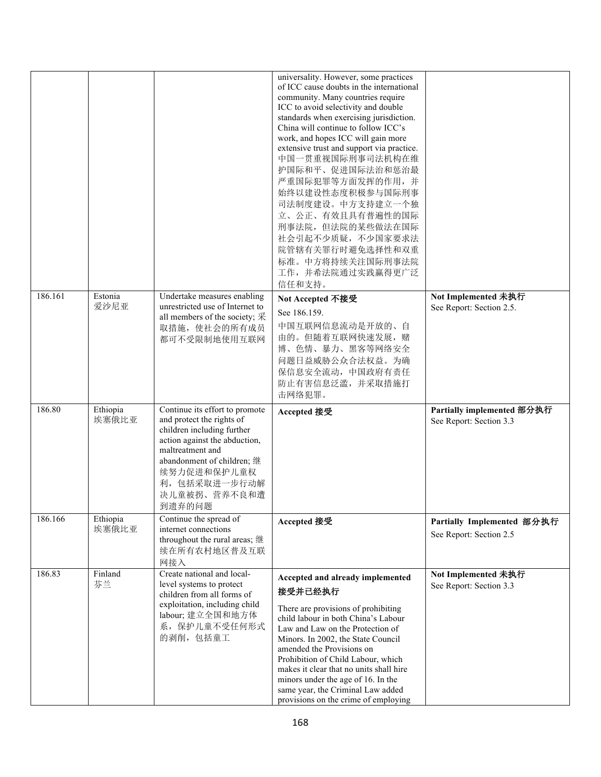|         |                   |                                                                                                                                                                                                                                       | universality. However, some practices<br>of ICC cause doubts in the international<br>community. Many countries require<br>ICC to avoid selectivity and double<br>standards when exercising jurisdiction.<br>China will continue to follow ICC's<br>work, and hopes ICC will gain more<br>extensive trust and support via practice.<br>中国一贯重视国际刑事司法机构在维<br>护国际和平、促进国际法治和惩治最<br>严重国际犯罪等方面发挥的作用,并<br>始终以建设性态度积极参与国际刑事<br>司法制度建设。中方支持建立一个独<br>立、公正、有效且具有普遍性的国际<br>刑事法院, 但法院的某些做法在国际<br>社会引起不少质疑,不少国家要求法<br>院管辖有关罪行时避免选择性和双重<br>标准。中方将持续关注国际刑事法院<br>工作,并希法院通过实践赢得更广泛<br>信任和支持。 |                                                       |
|---------|-------------------|---------------------------------------------------------------------------------------------------------------------------------------------------------------------------------------------------------------------------------------|---------------------------------------------------------------------------------------------------------------------------------------------------------------------------------------------------------------------------------------------------------------------------------------------------------------------------------------------------------------------------------------------------------------------------------------------------------------------------------------------------------------------------------------------------------------------------|-------------------------------------------------------|
| 186.161 | Estonia<br>爱沙尼亚   | Undertake measures enabling<br>unrestricted use of Internet to<br>all members of the society; 采<br>取措施, 使社会的所有成员<br>都可不受限制地使用互联网                                                                                                      | Not Accepted 不接受<br>See 186.159.<br>中国互联网信息流动是开放的、自<br>由的。但随着互联网快速发展, 赌<br>博、色情、暴力、黑客等网络安全<br>问题日益威胁公众合法权益。为确<br>保信息安全流动, 中国政府有责任<br>防止有害信息泛滥,并采取措施打<br>击网络犯罪。                                                                                                                                                                                                                                                                                                                                                                                                            | Not Implemented 未执行<br>See Report: Section 2.5.       |
| 186.80  | Ethiopia<br>埃塞俄比亚 | Continue its effort to promote<br>and protect the rights of<br>children including further<br>action against the abduction,<br>maltreatment and<br>abandonment of children; 继<br>续努力促进和保护儿童权<br>利,包括采取进一步行动解<br>决儿童被拐、营养不良和遭<br>到遗弃的问题 | Accepted 接受                                                                                                                                                                                                                                                                                                                                                                                                                                                                                                                                                               | Partially implemented 部分执行<br>See Report: Section 3.3 |
| 186.166 | Ethiopia<br>埃塞俄比亚 | Continue the spread of<br>internet connections<br>throughout the rural areas;继<br>续在所有农村地区普及互联<br>网接入                                                                                                                                 | Accepted 接受                                                                                                                                                                                                                                                                                                                                                                                                                                                                                                                                                               | Partially Implemented 部分执行<br>See Report: Section 2.5 |
| 186.83  | Finland<br>芬兰     | Create national and local-<br>level systems to protect<br>children from all forms of<br>exploitation, including child<br>labour; 建立全国和地方体<br>系, 保护儿童不受任何形式<br>的剥削,包括童工                                                                | Accepted and already implemented<br>接受并已经执行<br>There are provisions of prohibiting<br>child labour in both China's Labour<br>Law and Law on the Protection of<br>Minors. In 2002, the State Council<br>amended the Provisions on<br>Prohibition of Child Labour, which<br>makes it clear that no units shall hire<br>minors under the age of 16. In the<br>same year, the Criminal Law added<br>provisions on the crime of employing                                                                                                                                      | Not Implemented 未执行<br>See Report: Section 3.3        |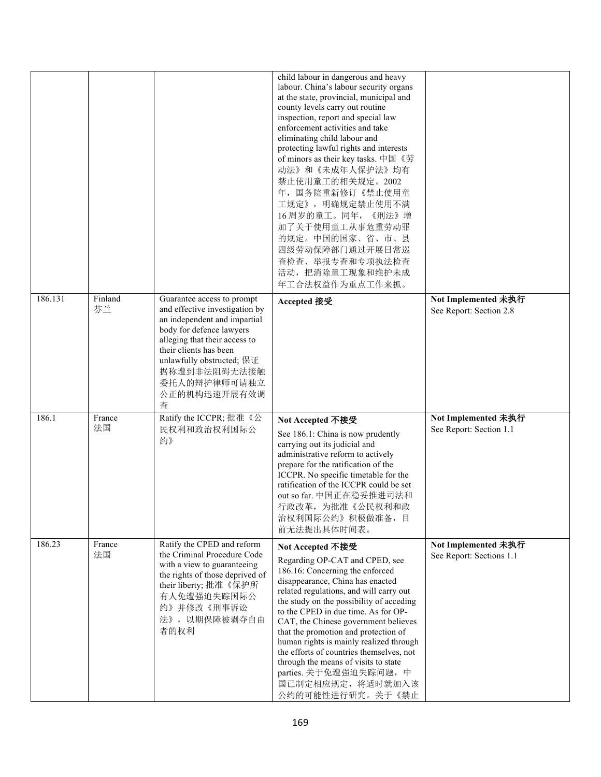|         |               |                                                                                                                                                                                                                                                                       | child labour in dangerous and heavy<br>labour. China's labour security organs<br>at the state, provincial, municipal and<br>county levels carry out routine<br>inspection, report and special law<br>enforcement activities and take<br>eliminating child labour and<br>protecting lawful rights and interests<br>of minors as their key tasks. 中国《劳<br>动法》和《未成年人保护法》均有<br>禁止使用童工的相关规定。2002<br>年, 国务院重新修订《禁止使用童<br>工规定》, 明确规定禁止使用不满<br>16周岁的童工。同年,《刑法》增<br>加了关于使用童工从事危重劳动罪<br>的规定。中国的国家、省、市、县<br>四级劳动保障部门通过开展日常巡<br>查检查、举报专查和专项执法检查<br>活动, 把消除童工现象和维护未成<br>年工合法权益作为重点工作来抓。 |                                                 |
|---------|---------------|-----------------------------------------------------------------------------------------------------------------------------------------------------------------------------------------------------------------------------------------------------------------------|----------------------------------------------------------------------------------------------------------------------------------------------------------------------------------------------------------------------------------------------------------------------------------------------------------------------------------------------------------------------------------------------------------------------------------------------------------------------------------------------------------------------------------------------------------------------------|-------------------------------------------------|
| 186.131 | Finland<br>芬兰 | Guarantee access to prompt<br>and effective investigation by<br>an independent and impartial<br>body for defence lawyers<br>alleging that their access to<br>their clients has been<br>unlawfully obstructed; 保证<br>据称遭到非法阻碍无法接触<br>委托人的辩护律师可请独立<br>公正的机构迅速开展有效调<br>查 | Accepted 接受                                                                                                                                                                                                                                                                                                                                                                                                                                                                                                                                                                | Not Implemented 未执行<br>See Report: Section 2.8  |
| 186.1   | France<br>法国  | Ratify the ICCPR; 批准《公<br>民权利和政治权利国际公<br>约》                                                                                                                                                                                                                           | Not Accepted 不接受<br>See 186.1: China is now prudently<br>carrying out its judicial and<br>administrative reform to actively<br>prepare for the ratification of the<br>ICCPR. No specific timetable for the<br>ratification of the ICCPR could be set<br>out so far. 中国正在稳妥推进司法和<br>行政改革,为批准《公民权利和政<br>治权利国际公约》积极做准备,目<br>前无法提出具体时间表。                                                                                                                                                                                                                                       | Not Implemented 未执行<br>See Report: Section 1.1  |
| 186.23  | France<br>法国  | Ratify the CPED and reform<br>the Criminal Procedure Code<br>with a view to guaranteeing<br>the rights of those deprived of<br>their liberty; 批准《保护所<br>有人免遭强迫失踪国际公<br>约》并修改《刑事诉讼<br>法》,以期保障被剥夺自由<br>者的权利                                                             | Not Accepted 不接受<br>Regarding OP-CAT and CPED, see<br>186.16: Concerning the enforced<br>disappearance, China has enacted<br>related regulations, and will carry out<br>the study on the possibility of acceding<br>to the CPED in due time. As for OP-<br>CAT, the Chinese government believes<br>that the promotion and protection of<br>human rights is mainly realized through<br>the efforts of countries themselves, not<br>through the means of visits to state<br>parties. 关于免遭强迫失踪问题, 中<br>国已制定相应规定, 将适时就加入该<br>公约的可能性进行研究。关于《禁止                                  | Not Implemented 未执行<br>See Report: Sections 1.1 |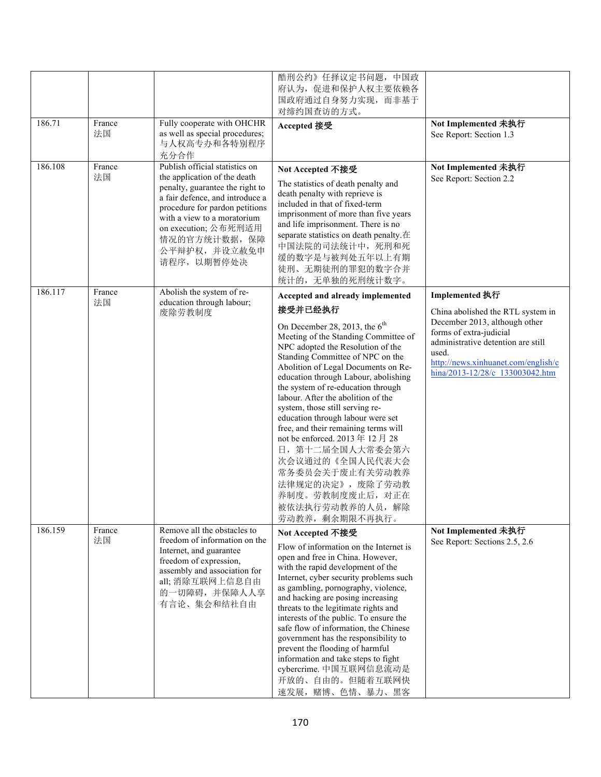|         |              |                                                                                                                                                                                                                                                                               | 酷刑公约》任择议定书问题,中国政<br>府认为, 促进和保护人权主要依赖各<br>国政府通过自身努力实现,而非基于<br>对缔约国查访的方式。                                                                                                                                                                                                                                                                                                                                                                                                                                                                                                                             |                                                                                                                                                                                   |
|---------|--------------|-------------------------------------------------------------------------------------------------------------------------------------------------------------------------------------------------------------------------------------------------------------------------------|-----------------------------------------------------------------------------------------------------------------------------------------------------------------------------------------------------------------------------------------------------------------------------------------------------------------------------------------------------------------------------------------------------------------------------------------------------------------------------------------------------------------------------------------------------------------------------------------------------|-----------------------------------------------------------------------------------------------------------------------------------------------------------------------------------|
| 186.71  | France<br>法国 | Fully cooperate with OHCHR<br>as well as special procedures;<br>与人权高专办和各特别程序<br>充分合作                                                                                                                                                                                          | Accepted 接受                                                                                                                                                                                                                                                                                                                                                                                                                                                                                                                                                                                         | Not Implemented 未执行<br>See Report: Section 1.3                                                                                                                                    |
| 186.108 | France<br>法国 | Publish official statistics on<br>the application of the death<br>penalty, guarantee the right to<br>a fair defence, and introduce a<br>procedure for pardon petitions<br>with a view to a moratorium<br>on execution; 公布死刑适用<br>情况的官方统计数据, 保障<br>公平辩护权,并设立赦免申<br>请程序, 以期暂停处决 | Not Accepted 不接受<br>The statistics of death penalty and<br>death penalty with reprieve is<br>included in that of fixed-term<br>imprisonment of more than five years<br>and life imprisonment. There is no<br>separate statistics on death penalty.在<br>中国法院的司法统计中, 死刑和死<br>缓的数字是与被判处五年以上有期<br>徒刑、无期徒刑的罪犯的数字合并<br>统计的,无单独的死刑统计数字。                                                                                                                                                                                                                                                                    | Not Implemented 未执行<br>See Report: Section 2.2                                                                                                                                    |
| 186.117 | France       | Abolish the system of re-                                                                                                                                                                                                                                                     | Accepted and already implemented                                                                                                                                                                                                                                                                                                                                                                                                                                                                                                                                                                    | Implemented 执行                                                                                                                                                                    |
|         | 法国           | education through labour;<br>废除劳教制度                                                                                                                                                                                                                                           | 接受并已经执行                                                                                                                                                                                                                                                                                                                                                                                                                                                                                                                                                                                             | China abolished the RTL system in                                                                                                                                                 |
| 186.159 | France       | Remove all the obstacles to                                                                                                                                                                                                                                                   | On December 28, 2013, the $6th$<br>Meeting of the Standing Committee of<br>NPC adopted the Resolution of the<br>Standing Committee of NPC on the<br>Abolition of Legal Documents on Re-<br>education through Labour, abolishing<br>the system of re-education through<br>labour. After the abolition of the<br>system, those still serving re-<br>education through labour were set<br>free, and their remaining terms will<br>not be enforced. 2013年12月28<br>日, 第十二届全国人大常委会第六<br>次会议通过的《全国人民代表大会<br>常务委员会关于废止有关劳动教养<br>法律规定的决定》, 废除了劳动教<br>养制度。劳教制度废止后, 对正在<br>被依法执行劳动教养的人员, 解除<br>劳动教养, 剩余期限不再执行。 | December 2013, although other<br>forms of extra-judicial<br>administrative detention are still<br>used.<br>http://news.xinhuanet.com/english/c<br>hina/2013-12/28/c 133003042.htm |
|         | 法国           | freedom of information on the<br>Internet, and guarantee<br>freedom of expression,<br>assembly and association for<br>all; 消除互联网上信息自由<br>的一切障碍,并保障人人享<br>有言论、集会和结社自由                                                                                                          | Not Accepted 不接受<br>Flow of information on the Internet is<br>open and free in China. However,<br>with the rapid development of the<br>Internet, cyber security problems such<br>as gambling, pornography, violence,<br>and hacking are posing increasing<br>threats to the legitimate rights and<br>interests of the public. To ensure the<br>safe flow of information, the Chinese<br>government has the responsibility to<br>prevent the flooding of harmful<br>information and take steps to fight<br>cybercrime. 中国互联网信息流动是<br>开放的、自由的。但随着互联网快<br>速发展, 赌博、色情、暴力、黑客                             | Not Implemented 未执行<br>See Report: Sections 2.5, 2.6                                                                                                                              |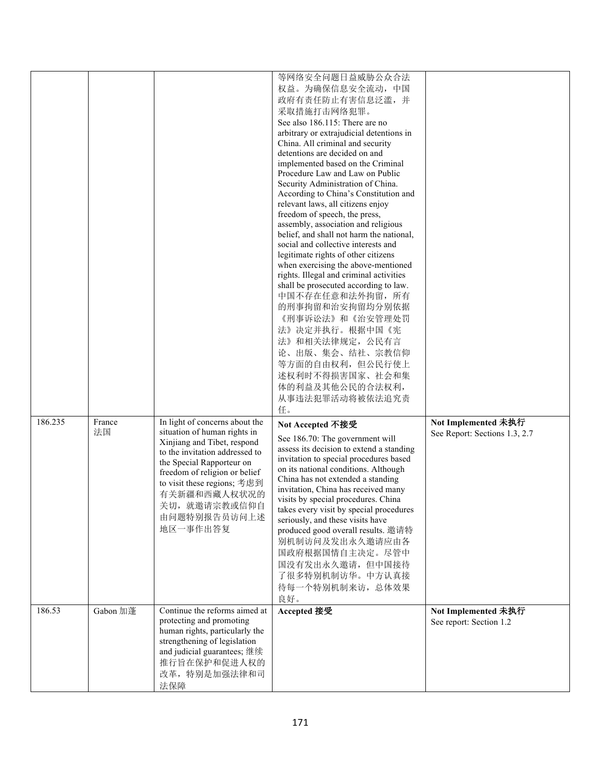|         |              |                                                                                                                                                                                                                                                                                           | 等网络安全问题日益威胁公众合法<br>权益。为确保信息安全流动, 中国<br>政府有责任防止有害信息泛滥,并<br>采取措施打击网络犯罪。<br>See also 186.115: There are no<br>arbitrary or extrajudicial detentions in<br>China. All criminal and security<br>detentions are decided on and<br>implemented based on the Criminal<br>Procedure Law and Law on Public<br>Security Administration of China.<br>According to China's Constitution and<br>relevant laws, all citizens enjoy<br>freedom of speech, the press,<br>assembly, association and religious<br>belief, and shall not harm the national,<br>social and collective interests and<br>legitimate rights of other citizens<br>when exercising the above-mentioned<br>rights. Illegal and criminal activities<br>shall be prosecuted according to law.<br>中国不存在任意和法外拘留, 所有<br>的刑事拘留和治安拘留均分别依据<br>《刑事诉讼法》和《治安管理处罚<br>法》决定并执行。根据中国《宪<br>法》和相关法律规定, 公民有言 |                                                      |
|---------|--------------|-------------------------------------------------------------------------------------------------------------------------------------------------------------------------------------------------------------------------------------------------------------------------------------------|-------------------------------------------------------------------------------------------------------------------------------------------------------------------------------------------------------------------------------------------------------------------------------------------------------------------------------------------------------------------------------------------------------------------------------------------------------------------------------------------------------------------------------------------------------------------------------------------------------------------------------------------------------------------------------------------------------------------------------------------------------------------------------------------------------------------------------------------------|------------------------------------------------------|
|         |              |                                                                                                                                                                                                                                                                                           | 论、出版、集会、结社、宗教信仰<br>等方面的自由权利, 但公民行使上<br>述权利时不得损害国家、社会和集<br>体的利益及其他公民的合法权利,<br>从事违法犯罪活动将被依法追究责<br>任。                                                                                                                                                                                                                                                                                                                                                                                                                                                                                                                                                                                                                                                                                                                                              |                                                      |
| 186.235 | France<br>法国 | In light of concerns about the<br>situation of human rights in<br>Xinjiang and Tibet, respond<br>to the invitation addressed to<br>the Special Rapporteur on<br>freedom of religion or belief<br>to visit these regions; 考虑到<br>有关新疆和西藏人权状况的<br>关切, 就邀请宗教或信仰自<br>由问题特别报告员访问上述<br>地区一事作出答复 | Not Accepted 不接受<br>See 186.70: The government will<br>assess its decision to extend a standing<br>invitation to special procedures based<br>on its national conditions. Although<br>China has not extended a standing<br>invitation, China has received many<br>visits by special procedures. China<br>takes every visit by special procedures<br>seriously, and these visits have<br>produced good overall results. 邀请特<br>别机制访问及发出永久邀请应由各<br>国政府根据国情自主决定。尽管中<br>国没有发出永久邀请, 但中国接待<br>了很多特别机制访华。中方认真接<br>待每一个特别机制来访, 总体效果<br>良好。                                                                                                                                                                                                                                                                                                               | Not Implemented 未执行<br>See Report: Sections 1.3, 2.7 |
| 186.53  | Gabon 加蓬     | Continue the reforms aimed at<br>protecting and promoting<br>human rights, particularly the<br>strengthening of legislation<br>and judicial guarantees; 继续<br>推行旨在保护和促进人权的<br>改革, 特别是加强法律和司<br>法保障                                                                                        | Accepted 接受                                                                                                                                                                                                                                                                                                                                                                                                                                                                                                                                                                                                                                                                                                                                                                                                                                     | Not Implemented 未执行<br>See report: Section 1.2       |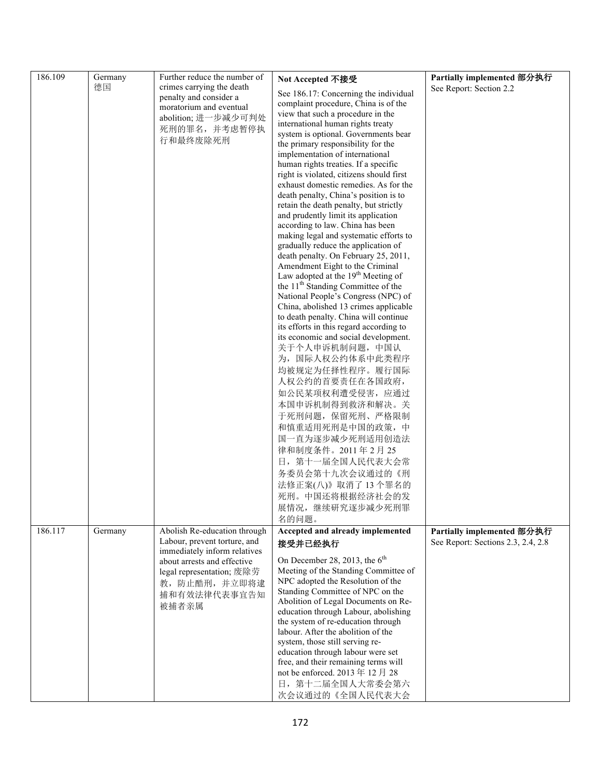| 186.109 | Germany | Further reduce the number of                                                                 | Not Accepted 不接受                                                                  | Partially implemented 部分执行                                       |
|---------|---------|----------------------------------------------------------------------------------------------|-----------------------------------------------------------------------------------|------------------------------------------------------------------|
|         | 德国      | crimes carrying the death                                                                    |                                                                                   | See Report: Section 2.2                                          |
|         |         | penalty and consider a                                                                       | See 186.17: Concerning the individual<br>complaint procedure, China is of the     |                                                                  |
|         |         | moratorium and eventual                                                                      | view that such a procedure in the                                                 |                                                                  |
|         |         | abolition; 进一步减少可判处                                                                          | international human rights treaty                                                 |                                                                  |
|         |         | 死刑的罪名,并考虑暂停执                                                                                 | system is optional. Governments bear                                              |                                                                  |
|         |         | 行和最终废除死刑                                                                                     | the primary responsibility for the                                                |                                                                  |
|         |         |                                                                                              | implementation of international                                                   |                                                                  |
|         |         |                                                                                              | human rights treaties. If a specific                                              |                                                                  |
|         |         |                                                                                              | right is violated, citizens should first<br>exhaust domestic remedies. As for the |                                                                  |
|         |         |                                                                                              | death penalty, China's position is to                                             |                                                                  |
|         |         |                                                                                              | retain the death penalty, but strictly                                            |                                                                  |
|         |         |                                                                                              | and prudently limit its application                                               |                                                                  |
|         |         |                                                                                              | according to law. China has been                                                  |                                                                  |
|         |         |                                                                                              | making legal and systematic efforts to                                            |                                                                  |
|         |         |                                                                                              | gradually reduce the application of<br>death penalty. On February 25, 2011,       |                                                                  |
|         |         |                                                                                              | Amendment Eight to the Criminal                                                   |                                                                  |
|         |         |                                                                                              | Law adopted at the $19th$ Meeting of                                              |                                                                  |
|         |         |                                                                                              | the 11 <sup>th</sup> Standing Committee of the                                    |                                                                  |
|         |         |                                                                                              | National People's Congress (NPC) of                                               |                                                                  |
|         |         |                                                                                              | China, abolished 13 crimes applicable                                             |                                                                  |
|         |         |                                                                                              | to death penalty. China will continue                                             |                                                                  |
|         |         |                                                                                              | its efforts in this regard according to<br>its economic and social development.   |                                                                  |
|         |         |                                                                                              | 关于个人申诉机制问题, 中国认                                                                   |                                                                  |
|         |         |                                                                                              | 为, 国际人权公约体系中此类程序                                                                  |                                                                  |
|         |         |                                                                                              | 均被规定为任择性程序。履行国际                                                                   |                                                                  |
|         |         |                                                                                              | 人权公约的首要责任在各国政府,                                                                   |                                                                  |
|         |         |                                                                                              | 如公民某项权利遭受侵害, 应通过                                                                  |                                                                  |
|         |         |                                                                                              | 本国申诉机制得到救济和解决。关                                                                   |                                                                  |
|         |         |                                                                                              | 于死刑问题, 保留死刑、严格限制                                                                  |                                                                  |
|         |         |                                                                                              | 和慎重适用死刑是中国的政策,中                                                                   |                                                                  |
|         |         |                                                                                              | 国一直为逐步减少死刑适用创造法                                                                   |                                                                  |
|         |         |                                                                                              | 律和制度条件。2011年2月25                                                                  |                                                                  |
|         |         |                                                                                              | 日, 第十一届全国人民代表大会常                                                                  |                                                                  |
|         |         |                                                                                              | 务委员会第十九次会议通过的《刑                                                                   |                                                                  |
|         |         |                                                                                              | 法修正案(八)》取消了13个罪名的                                                                 |                                                                  |
|         |         |                                                                                              | 死刑。中国还将根据经济社会的发                                                                   |                                                                  |
|         |         |                                                                                              | 展情况, 继续研究逐步减少死刑罪                                                                  |                                                                  |
| 186.117 |         |                                                                                              | 名的问题。<br>Accepted and already implemented                                         |                                                                  |
|         | Germany | Abolish Re-education through<br>Labour, prevent torture, and<br>immediately inform relatives | 接受并已经执行                                                                           | Partially implemented 部分执行<br>See Report: Sections 2.3, 2.4, 2.8 |
|         |         | about arrests and effective                                                                  | On December 28, 2013, the $6th$                                                   |                                                                  |
|         |         | legal representation; 废除劳                                                                    | Meeting of the Standing Committee of                                              |                                                                  |
|         |         | 教,防止酷刑,并立即将逮                                                                                 | NPC adopted the Resolution of the                                                 |                                                                  |
|         |         | 捕和有效法律代表事宜告知                                                                                 | Standing Committee of NPC on the<br>Abolition of Legal Documents on Re-           |                                                                  |
|         |         | 被捕者亲属                                                                                        | education through Labour, abolishing                                              |                                                                  |
|         |         |                                                                                              | the system of re-education through                                                |                                                                  |
|         |         |                                                                                              | labour. After the abolition of the                                                |                                                                  |
|         |         |                                                                                              | system, those still serving re-                                                   |                                                                  |
|         |         |                                                                                              | education through labour were set<br>free, and their remaining terms will         |                                                                  |
|         |         |                                                                                              | not be enforced. 2013年12月28                                                       |                                                                  |
|         |         |                                                                                              | 日, 第十二届全国人大常委会第六                                                                  |                                                                  |
|         |         |                                                                                              | 次会议通过的《全国人民代表大会                                                                   |                                                                  |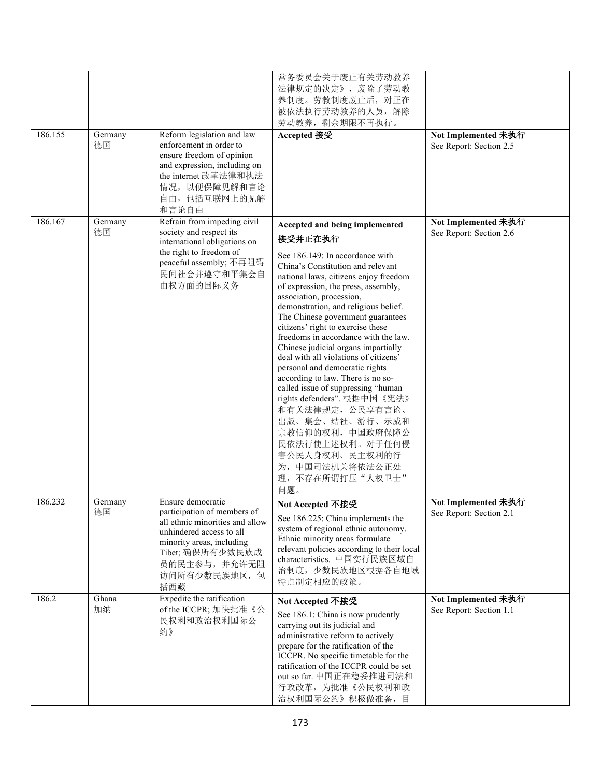|         |               |                                                                                                                                                                                                          | 常务委员会关于废止有关劳动教养<br>法律规定的决定》, 废除了劳动教<br>养制度。劳教制度废止后, 对正在<br>被依法执行劳动教养的人员,解除<br>劳动教养, 剩余期限不再执行。                                                                                                                                                                                                                                                                                                                                                                                                                                                                                                                                                                                                                                                            |                                                |
|---------|---------------|----------------------------------------------------------------------------------------------------------------------------------------------------------------------------------------------------------|----------------------------------------------------------------------------------------------------------------------------------------------------------------------------------------------------------------------------------------------------------------------------------------------------------------------------------------------------------------------------------------------------------------------------------------------------------------------------------------------------------------------------------------------------------------------------------------------------------------------------------------------------------------------------------------------------------------------------------------------------------|------------------------------------------------|
| 186.155 | Germany<br>德国 | Reform legislation and law<br>enforcement in order to<br>ensure freedom of opinion<br>and expression, including on<br>the internet 改革法律和执法<br>情况, 以便保障见解和言论<br>自由,包括互联网上的见解<br>和言论自由                     | Accepted 接受                                                                                                                                                                                                                                                                                                                                                                                                                                                                                                                                                                                                                                                                                                                                              | Not Implemented 未执行<br>See Report: Section 2.5 |
| 186.167 | Germany<br>德国 | Refrain from impeding civil<br>society and respect its<br>international obligations on<br>the right to freedom of<br>peaceful assembly; 不再阻碍<br>民间社会并遵守和平集会自<br>由权方面的国际义务                                | Accepted and being implemented<br>接受并正在执行<br>See 186.149: In accordance with<br>China's Constitution and relevant<br>national laws, citizens enjoy freedom<br>of expression, the press, assembly,<br>association, procession,<br>demonstration, and religious belief.<br>The Chinese government guarantees<br>citizens' right to exercise these<br>freedoms in accordance with the law.<br>Chinese judicial organs impartially<br>deal with all violations of citizens'<br>personal and democratic rights<br>according to law. There is no so-<br>called issue of suppressing "human<br>rights defenders". 根据中国《宪法》<br>和有关法律规定, 公民享有言论、<br>出版、集会、结社、游行、示威和<br>宗教信仰的权利, 中国政府保障公<br>民依法行使上述权利。对于任何侵<br>害公民人身权利、民主权利的行<br>为,中国司法机关将依法公正处<br>理,不存在所谓打压"人权卫士" | Not Implemented 未执行<br>See Report: Section 2.6 |
| 186.232 | Germany<br>德国 | Ensure democratic<br>participation of members of<br>all ethnic minorities and allow<br>unhindered access to all<br>minority areas, including<br>Tibet; 确保所有少数民族成<br>员的民主参与,并允许无阻<br>访问所有少数民族地区, 包<br>括西藏 | 问题。<br>Not Accepted 不接受<br>See 186.225: China implements the<br>system of regional ethnic autonomy.<br>Ethnic minority areas formulate<br>relevant policies according to their local<br>characteristics. 中国实行民族区域自<br>治制度, 少数民族地区根据各自地域<br>特点制定相应的政策。                                                                                                                                                                                                                                                                                                                                                                                                                                                                                                    | Not Implemented 未执行<br>See Report: Section 2.1 |
| 186.2   | Ghana<br>加纳   | Expedite the ratification<br>of the ICCPR; 加快批准《公<br>民权利和政治权利国际公<br>约》                                                                                                                                   | Not Accepted 不接受<br>See 186.1: China is now prudently<br>carrying out its judicial and<br>administrative reform to actively<br>prepare for the ratification of the<br>ICCPR. No specific timetable for the<br>ratification of the ICCPR could be set<br>out so far. 中国正在稳妥推进司法和<br>行政改革, 为批准《公民权利和政<br>治权利国际公约》积极做准备, 目                                                                                                                                                                                                                                                                                                                                                                                                                                  | Not Implemented 未执行<br>See Report: Section 1.1 |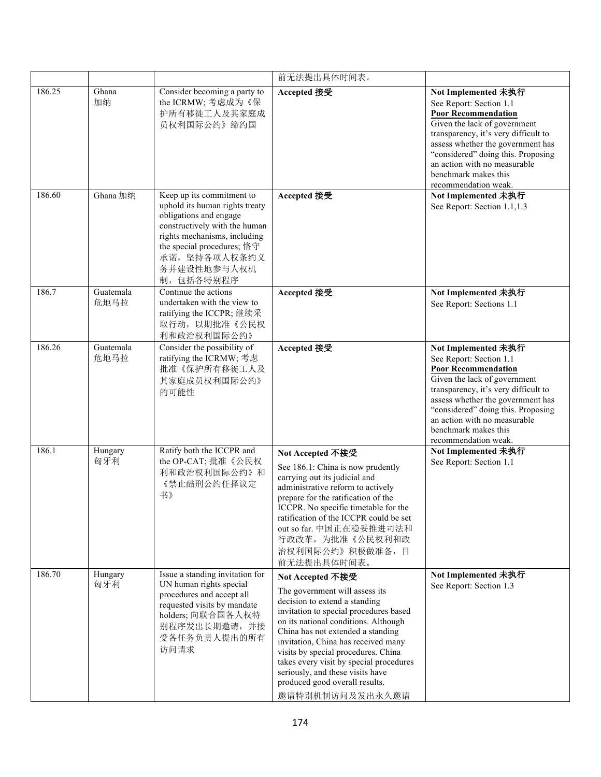|        |                   |                                                                                                                                                                                                                                  | 前无法提出具体时间表。                                                                                                                                                                                                                                                                                                                                                                                                                  |                                                                                                                                                                                                                                                                                                                 |
|--------|-------------------|----------------------------------------------------------------------------------------------------------------------------------------------------------------------------------------------------------------------------------|------------------------------------------------------------------------------------------------------------------------------------------------------------------------------------------------------------------------------------------------------------------------------------------------------------------------------------------------------------------------------------------------------------------------------|-----------------------------------------------------------------------------------------------------------------------------------------------------------------------------------------------------------------------------------------------------------------------------------------------------------------|
| 186.25 | Ghana<br>加纳       | Consider becoming a party to<br>the ICRMW; 考虑成为《保<br>护所有移徙工人及其家庭成<br>员权利国际公约》缔约国                                                                                                                                                 | Accepted 接受                                                                                                                                                                                                                                                                                                                                                                                                                  | Not Implemented 未执行<br>See Report: Section 1.1<br><b>Poor Recommendation</b><br>Given the lack of government<br>transparency, it's very difficult to<br>assess whether the government has<br>"considered" doing this. Proposing<br>an action with no measurable<br>benchmark makes this<br>recommendation weak. |
| 186.60 | Ghana 加纳          | Keep up its commitment to<br>uphold its human rights treaty<br>obligations and engage<br>constructively with the human<br>rights mechanisms, including<br>the special procedures; 恪守<br>承诺,坚持各项人权条约义<br>务并建设性地参与人权机<br>制,包括各特别程序 | Accepted 接受                                                                                                                                                                                                                                                                                                                                                                                                                  | Not Implemented 未执行<br>See Report: Section 1.1,1.3                                                                                                                                                                                                                                                              |
| 186.7  | Guatemala<br>危地马拉 | Continue the actions<br>undertaken with the view to<br>ratifying the ICCPR;继续采<br>取行动, 以期批准《公民权<br>利和政治权利国际公约》                                                                                                                   | Accepted 接受                                                                                                                                                                                                                                                                                                                                                                                                                  | Not Implemented 未执行<br>See Report: Sections 1.1                                                                                                                                                                                                                                                                 |
| 186.26 | Guatemala<br>危地马拉 | Consider the possibility of<br>ratifying the ICRMW; 考虑<br>批准《保护所有移徙工人及<br>其家庭成员权利国际公约》<br>的可能性                                                                                                                                   | Accepted 接受                                                                                                                                                                                                                                                                                                                                                                                                                  | Not Implemented 未执行<br>See Report: Section 1.1<br><b>Poor Recommendation</b><br>Given the lack of government<br>transparency, it's very difficult to<br>assess whether the government has<br>"considered" doing this. Proposing<br>an action with no measurable<br>benchmark makes this<br>recommendation weak. |
| 186.1  | Hungary<br>匈牙利    | Ratify both the ICCPR and<br>the OP-CAT; 批准《公民权<br>利和政治权利国际公约》和<br>《禁止酷刑公约任择议定<br>书》                                                                                                                                             | Not Accepted 不接受<br>See 186.1: China is now prudently<br>carrying out its judicial and<br>administrative reform to actively<br>prepare for the ratification of the<br>ICCPR. No specific timetable for the<br>ratification of the ICCPR could be set<br>out so far. 中国正在稳妥推进司法和<br>行政改革, 为批准《公民权利和政<br>治权利国际公约》积极做准备,目<br>前无法提出具体时间表。                                                                                        | Not Implemented 未执行<br>See Report: Section 1.1                                                                                                                                                                                                                                                                  |
| 186.70 | Hungary<br>匈牙利    | Issue a standing invitation for<br>UN human rights special<br>procedures and accept all<br>requested visits by mandate<br>holders; 向联合国各人权特<br>别程序发出长期邀请,并接<br>受各任务负责人提出的所有<br>访问请求                                              | Not Accepted 不接受<br>The government will assess its<br>decision to extend a standing<br>invitation to special procedures based<br>on its national conditions. Although<br>China has not extended a standing<br>invitation, China has received many<br>visits by special procedures. China<br>takes every visit by special procedures<br>seriously, and these visits have<br>produced good overall results.<br>邀请特别机制访问及发出永久邀请 | Not Implemented 未执行<br>See Report: Section 1.3                                                                                                                                                                                                                                                                  |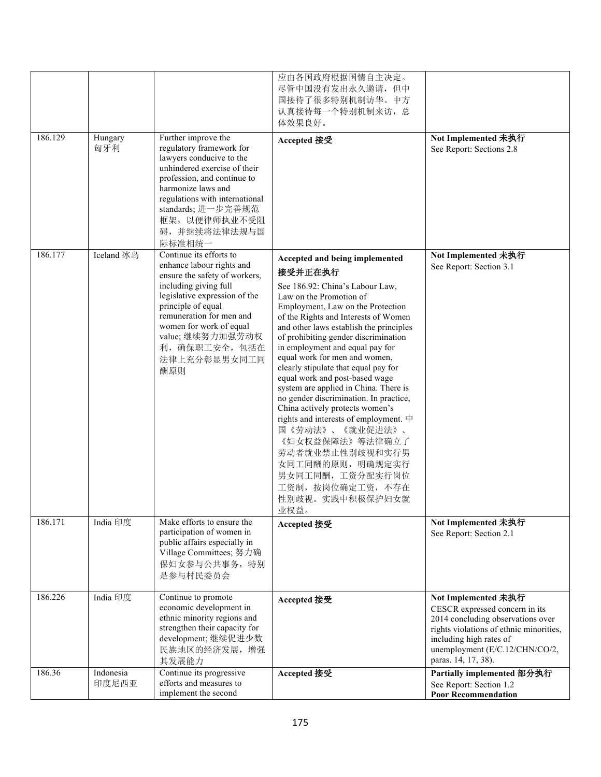| 186.129 | Hungary<br>匈牙利     | Further improve the<br>regulatory framework for                                                                                                                                                                                                                                          | 应由各国政府根据国情自主决定。<br>尽管中国没有发出永久邀请, 但中<br>国接待了很多特别机制访华。中方<br>认真接待每一个特别机制来访, 总<br>体效果良好。<br>Accepted 接受                                                                                                                                                                                                                                                                                                                                                                                                                                                                                                                                                                                                                                  | Not Implemented 未执行<br>See Report: Sections 2.8                                                                                                                                                                           |
|---------|--------------------|------------------------------------------------------------------------------------------------------------------------------------------------------------------------------------------------------------------------------------------------------------------------------------------|--------------------------------------------------------------------------------------------------------------------------------------------------------------------------------------------------------------------------------------------------------------------------------------------------------------------------------------------------------------------------------------------------------------------------------------------------------------------------------------------------------------------------------------------------------------------------------------------------------------------------------------------------------------------------------------------------------------------------------------|---------------------------------------------------------------------------------------------------------------------------------------------------------------------------------------------------------------------------|
|         |                    | lawyers conducive to the<br>unhindered exercise of their<br>profession, and continue to<br>harmonize laws and<br>regulations with international<br>standards; 进一步完善规范<br>框架, 以便律师执业不受阻<br>碍,并继续将法律法规与国<br>际标准相统一                                                                         |                                                                                                                                                                                                                                                                                                                                                                                                                                                                                                                                                                                                                                                                                                                                      |                                                                                                                                                                                                                           |
| 186.177 | Iceland 冰岛         | Continue its efforts to<br>enhance labour rights and<br>ensure the safety of workers,<br>including giving full<br>legislative expression of the<br>principle of equal<br>remuneration for men and<br>women for work of equal<br>value;继续努力加强劳动权<br>利, 确保职工安全, 包括在<br>法律上充分彰显男女同工同<br>酬原则 | Accepted and being implemented<br>接受并正在执行<br>See 186.92: China's Labour Law,<br>Law on the Promotion of<br>Employment, Law on the Protection<br>of the Rights and Interests of Women<br>and other laws establish the principles<br>of prohibiting gender discrimination<br>in employment and equal pay for<br>equal work for men and women,<br>clearly stipulate that equal pay for<br>equal work and post-based wage<br>system are applied in China. There is<br>no gender discrimination. In practice,<br>China actively protects women's<br>rights and interests of employment. 中<br>国《劳动法》、《就业促进法》、<br>《妇女权益保障法》等法律确立了<br>劳动者就业禁止性别歧视和实行男<br>女同工同酬的原则, 明确规定实行<br>男女同工同酬,工资分配实行岗位<br>工资制, 按岗位确定工资, 不存在<br>性别歧视。实践中积极保护妇女就<br>业权益。 | Not Implemented 未执行<br>See Report: Section 3.1                                                                                                                                                                            |
| 186.171 | India 印度           | Make efforts to ensure the<br>participation of women in<br>public affairs especially in<br>Village Committees; 努力确<br>保妇女参与公共事务, 特别<br>是参与村民委员会                                                                                                                                          | Accepted 接受                                                                                                                                                                                                                                                                                                                                                                                                                                                                                                                                                                                                                                                                                                                          | Not Implemented 未执行<br>See Report: Section 2.1                                                                                                                                                                            |
| 186.226 | India 印度           | Continue to promote<br>economic development in<br>ethnic minority regions and<br>strengthen their capacity for<br>development;继续促进少数<br>民族地区的经济发展,增强<br>其发展能力                                                                                                                            | Accepted 接受                                                                                                                                                                                                                                                                                                                                                                                                                                                                                                                                                                                                                                                                                                                          | Not Implemented 未执行<br>CESCR expressed concern in its<br>2014 concluding observations over<br>rights violations of ethnic minorities,<br>including high rates of<br>unemployment (E/C.12/CHN/CO/2,<br>paras. 14, 17, 38). |
| 186.36  | Indonesia<br>印度尼西亚 | Continue its progressive<br>efforts and measures to<br>implement the second                                                                                                                                                                                                              | Accepted 接受                                                                                                                                                                                                                                                                                                                                                                                                                                                                                                                                                                                                                                                                                                                          | Partially implemented 部分执行<br>See Report: Section 1.2<br><b>Poor Recommendation</b>                                                                                                                                       |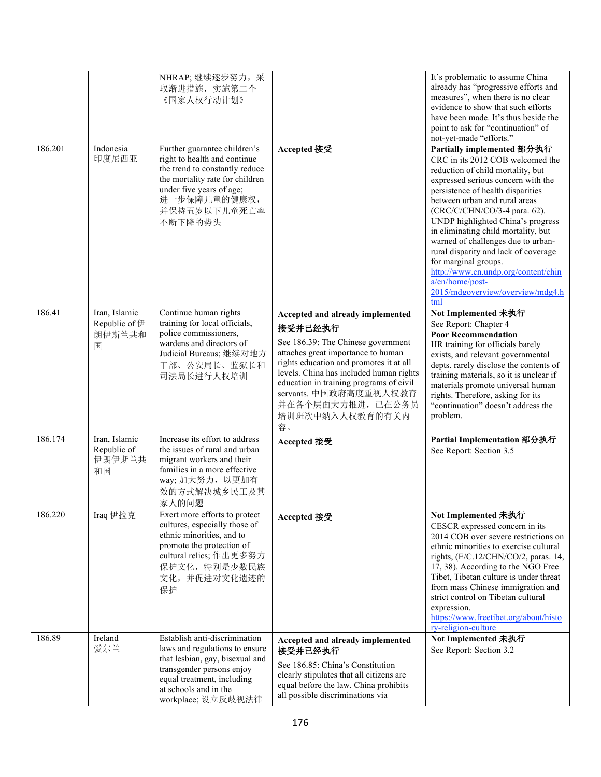| 186.89  | Ireland<br>爱尔兰                                | Establish anti-discrimination<br>laws and regulations to ensure<br>that lesbian, gay, bisexual and<br>transgender persons enjoy<br>equal treatment, including<br>at schools and in the<br>workplace; 设立反歧视法律 | Accepted and already implemented<br>接受并已经执行<br>See 186.85: China's Constitution<br>clearly stipulates that all citizens are<br>equal before the law. China prohibits<br>all possible discriminations via                                                                                                                         | Not Implemented 未执行<br>See Report: Section 3.2                                                                                                                                                                                                                                                                                                                                                                                                                                                                                                                                                                                                                                        |
|---------|-----------------------------------------------|--------------------------------------------------------------------------------------------------------------------------------------------------------------------------------------------------------------|----------------------------------------------------------------------------------------------------------------------------------------------------------------------------------------------------------------------------------------------------------------------------------------------------------------------------------|---------------------------------------------------------------------------------------------------------------------------------------------------------------------------------------------------------------------------------------------------------------------------------------------------------------------------------------------------------------------------------------------------------------------------------------------------------------------------------------------------------------------------------------------------------------------------------------------------------------------------------------------------------------------------------------|
| 186.220 | Iraq 伊拉克                                      | Exert more efforts to protect<br>cultures, especially those of<br>ethnic minorities, and to<br>promote the protection of<br>cultural relics; 作出更多努力<br>保护文化, 特别是少数民族<br>文化,并促进对文化遗迹的<br>保护                   | Accepted 接受                                                                                                                                                                                                                                                                                                                      | Not Implemented 未执行<br>CESCR expressed concern in its<br>2014 COB over severe restrictions on<br>ethnic minorities to exercise cultural<br>rights, (E/C.12/CHN/CO/2, paras. 14,<br>17, 38). According to the NGO Free<br>Tibet, Tibetan culture is under threat<br>from mass Chinese immigration and<br>strict control on Tibetan cultural<br>expression.<br>https://www.freetibet.org/about/histo<br>ry-religion-culture                                                                                                                                                                                                                                                             |
| 186.174 | Iran, Islamic<br>Republic of<br>伊朗伊斯兰共<br>和国  | Increase its effort to address<br>the issues of rural and urban<br>migrant workers and their<br>families in a more effective<br>way; 加大努力, 以更加有<br>效的方式解决城乡民工及其<br>家人的问题                                     | Accepted 接受                                                                                                                                                                                                                                                                                                                      | Partial Implementation 部分执行<br>See Report: Section 3.5                                                                                                                                                                                                                                                                                                                                                                                                                                                                                                                                                                                                                                |
| 186.41  | Iran, Islamic<br>Republic of 伊<br>朗伊斯兰共和<br>国 | Continue human rights<br>training for local officials,<br>police commissioners,<br>wardens and directors of<br>Judicial Bureaus;继续对地方<br>干部、公安局长、监狱长和<br>司法局长进行人权培训                                          | Accepted and already implemented<br>接受并已经执行<br>See 186.39: The Chinese government<br>attaches great importance to human<br>rights education and promotes it at all<br>levels. China has included human rights<br>education in training programs of civil<br>servants. 中国政府高度重视人权教育<br>并在各个层面大力推进, 已在公务员<br>培训班次中纳入人权教育的有关内<br>容。 | Not Implemented 未执行<br>See Report: Chapter 4<br><b>Poor Recommendation</b><br>HR training for officials barely<br>exists, and relevant governmental<br>depts. rarely disclose the contents of<br>training materials, so it is unclear if<br>materials promote universal human<br>rights. Therefore, asking for its<br>"continuation" doesn't address the<br>problem.                                                                                                                                                                                                                                                                                                                  |
| 186.201 | Indonesia<br>印度尼西亚                            | Further guarantee children's<br>right to health and continue<br>the trend to constantly reduce<br>the mortality rate for children<br>under five years of age;<br>进一步保障儿童的健康权,<br>并保持五岁以下儿童死亡率<br>不断下降的势头     | Accepted 接受                                                                                                                                                                                                                                                                                                                      | evidence to show that such efforts<br>have been made. It's thus beside the<br>point to ask for "continuation" of<br>not-yet-made "efforts."<br>Partially implemented 部分执行<br>CRC in its 2012 COB welcomed the<br>reduction of child mortality, but<br>expressed serious concern with the<br>persistence of health disparities<br>between urban and rural areas<br>(CRC/C/CHN/CO/3-4 para. 62).<br>UNDP highlighted China's progress<br>in eliminating child mortality, but<br>warned of challenges due to urban-<br>rural disparity and lack of coverage<br>for marginal groups.<br>http://www.cn.undp.org/content/chin<br>a/en/home/post-<br>2015/mdgoverview/overview/mdg4.h<br>tml |
|         |                                               | NHRAP;继续逐步努力, 采<br>取渐进措施, 实施第二个<br>《国家人权行动计划》                                                                                                                                                                |                                                                                                                                                                                                                                                                                                                                  | It's problematic to assume China<br>already has "progressive efforts and<br>measures", when there is no clear                                                                                                                                                                                                                                                                                                                                                                                                                                                                                                                                                                         |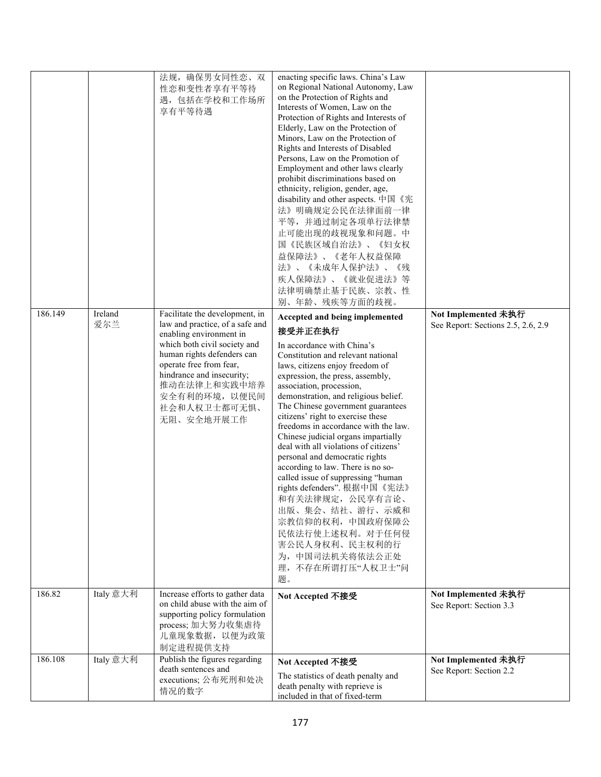|         |                | 法规, 确保男女同性恋、双<br>性恋和变性者享有平等待<br>遇,包括在学校和工作场所<br>享有平等待遇                                                                                                                                                                                                                            | enacting specific laws. China's Law<br>on Regional National Autonomy, Law<br>on the Protection of Rights and<br>Interests of Women, Law on the<br>Protection of Rights and Interests of<br>Elderly, Law on the Protection of<br>Minors, Law on the Protection of<br>Rights and Interests of Disabled<br>Persons, Law on the Promotion of<br>Employment and other laws clearly<br>prohibit discriminations based on<br>ethnicity, religion, gender, age,<br>disability and other aspects. 中国《宪<br>法》明确规定公民在法律面前一律<br>平等, 并通过制定各项单行法律禁<br>止可能出现的歧视现象和问题。中<br>国《民族区域自治法》、《妇女权<br>益保障法》、《老年人权益保障<br>《未成年人保护法》、《残<br>法》、<br>疾人保障法》、<br>《就业促进法》等<br>法律明确禁止基于民族、宗教、性<br>别、年龄、残疾等方面的歧视。                                                                        |                                                           |
|---------|----------------|-----------------------------------------------------------------------------------------------------------------------------------------------------------------------------------------------------------------------------------------------------------------------------------|--------------------------------------------------------------------------------------------------------------------------------------------------------------------------------------------------------------------------------------------------------------------------------------------------------------------------------------------------------------------------------------------------------------------------------------------------------------------------------------------------------------------------------------------------------------------------------------------------------------------------------------------------------------------------------------------------------------------------------------------------------|-----------------------------------------------------------|
| 186.149 | Ireland<br>爱尔兰 | Facilitate the development, in<br>law and practice, of a safe and<br>enabling environment in<br>which both civil society and<br>human rights defenders can<br>operate free from fear,<br>hindrance and insecurity;<br>推动在法律上和实践中培养<br>安全有利的环境, 以便民间<br>社会和人权卫士都可无惧、<br>无阻、安全地开展工作 | Accepted and being implemented<br>接受并正在执行<br>In accordance with China's<br>Constitution and relevant national<br>laws, citizens enjoy freedom of<br>expression, the press, assembly,<br>association, procession,<br>demonstration, and religious belief.<br>The Chinese government guarantees<br>citizens' right to exercise these<br>freedoms in accordance with the law.<br>Chinese judicial organs impartially<br>deal with all violations of citizens'<br>personal and democratic rights<br>according to law. There is no so-<br>called issue of suppressing "human<br>rights defenders". 根据中国《宪法》<br>和有关法律规定, 公民享有言论、<br>出版、集会、结社、游行、示威和<br>宗教信仰的权利, 中国政府保障公<br>民依法行使上述权利。对于任何侵<br>害公民人身权利、民主权利的行<br>为,中国司法机关将依法公正处<br>不存在所谓打压"人权卫士"问<br>理,<br>题。 | Not Implemented 未执行<br>See Report: Sections 2.5, 2.6, 2.9 |
| 186.82  | Italy 意大利      | Increase efforts to gather data<br>on child abuse with the aim of<br>supporting policy formulation<br>process; 加大努力收集虐待<br>儿童现象数据, 以便为政策<br>制定进程提供支持                                                                                                                              | Not Accepted 不接受                                                                                                                                                                                                                                                                                                                                                                                                                                                                                                                                                                                                                                                                                                                                       | Not Implemented 未执行<br>See Report: Section 3.3            |
| 186.108 | Italy 意大利      | Publish the figures regarding<br>death sentences and<br>executions; 公布死刑和处决<br>情况的数字                                                                                                                                                                                              | Not Accepted 不接受<br>The statistics of death penalty and<br>death penalty with reprieve is<br>included in that of fixed-term                                                                                                                                                                                                                                                                                                                                                                                                                                                                                                                                                                                                                            | Not Implemented 未执行<br>See Report: Section 2.2            |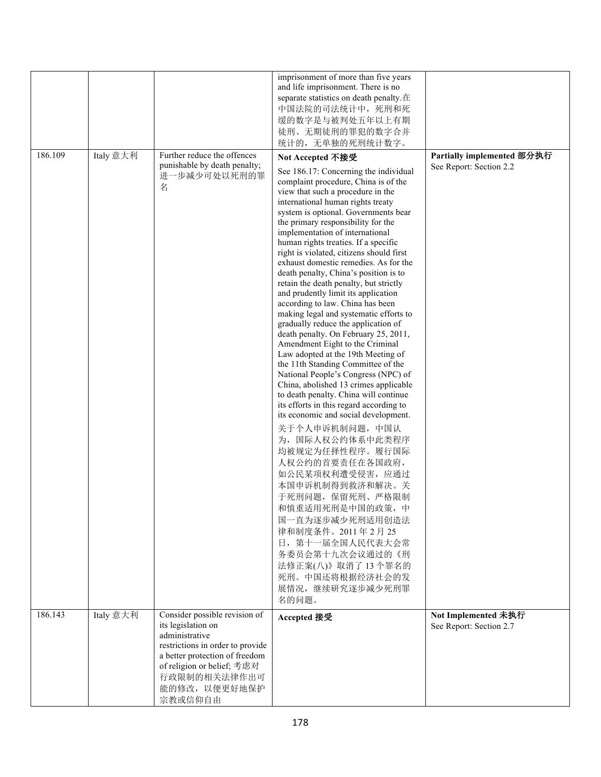| 186.109 | Italy 意大利 | Further reduce the offences<br>punishable by death penalty;<br>进一步减少可处以死刑的罪<br>名                                                                                                                                      | imprisonment of more than five years<br>and life imprisonment. There is no<br>separate statistics on death penalty.在<br>中国法院的司法统计中, 死刑和死<br>缓的数字是与被判处五年以上有期<br>徒刑、无期徒刑的罪犯的数字合并<br>统计的,无单独的死刑统计数字。<br>Not Accepted 不接受<br>See 186.17: Concerning the individual<br>complaint procedure, China is of the<br>view that such a procedure in the<br>international human rights treaty<br>system is optional. Governments bear<br>the primary responsibility for the<br>implementation of international<br>human rights treaties. If a specific<br>right is violated, citizens should first<br>exhaust domestic remedies. As for the<br>death penalty, China's position is to<br>retain the death penalty, but strictly<br>and prudently limit its application<br>according to law. China has been | Partially implemented 部分执行<br>See Report: Section 2.2 |
|---------|-----------|-----------------------------------------------------------------------------------------------------------------------------------------------------------------------------------------------------------------------|----------------------------------------------------------------------------------------------------------------------------------------------------------------------------------------------------------------------------------------------------------------------------------------------------------------------------------------------------------------------------------------------------------------------------------------------------------------------------------------------------------------------------------------------------------------------------------------------------------------------------------------------------------------------------------------------------------------------------------------------------------------------------------------------|-------------------------------------------------------|
|         |           |                                                                                                                                                                                                                       | Law adopted at the 19th Meeting of<br>the 11th Standing Committee of the<br>National People's Congress (NPC) of<br>China, abolished 13 crimes applicable<br>to death penalty. China will continue<br>its efforts in this regard according to<br>its economic and social development.<br>关于个人申诉机制问题, 中国认<br>为, 国际人权公约体系中此类程序<br>均被规定为任择性程序。履行国际<br>人权公约的首要责任在各国政府,<br>如公民某项权利遭受侵害, 应通过<br>本国申诉机制得到救济和解决。关<br>于死刑问题, 保留死刑、严格限制<br>和慎重适用死刑是中国的政策,中<br>国一直为逐步减少死刑适用创造法<br>律和制度条件。2011年2月25<br>日, 第十一届全国人民代表大会常<br>务委员会第十九次会议通过的《刑<br>法修正案(八)》取消了13个罪名的<br>死刑。中国还将根据经济社会的发<br>展情况,继续研究逐步减少死刑罪<br>名的问题。                                                                                                                                                                                            |                                                       |
| 186.143 | Italy 意大利 | Consider possible revision of<br>its legislation on<br>administrative<br>restrictions in order to provide<br>a better protection of freedom<br>of religion or belief; 考虑对<br>行政限制的相关法律作出可<br>能的修改, 以便更好地保护<br>宗教或信仰自由 | Accepted 接受                                                                                                                                                                                                                                                                                                                                                                                                                                                                                                                                                                                                                                                                                                                                                                                  | Not Implemented 未执行<br>See Report: Section 2.7        |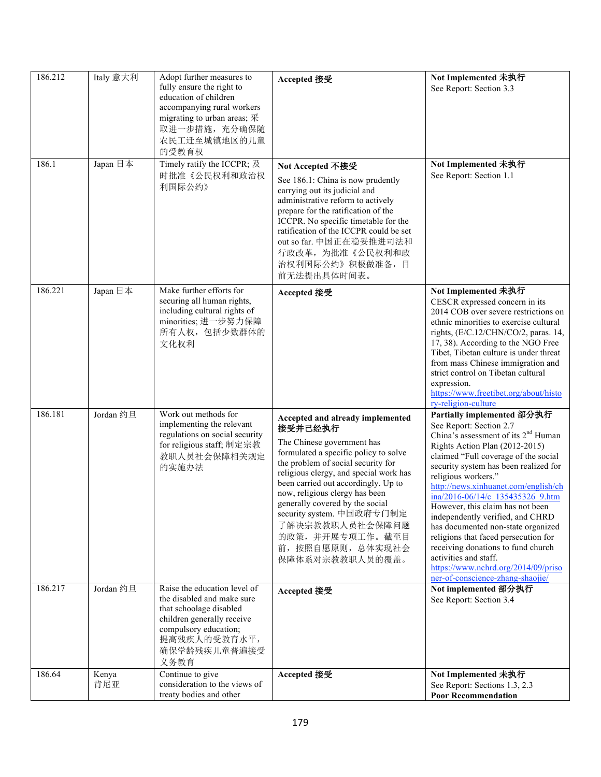| 186.212 | Italy 意大利    | Adopt further measures to<br>fully ensure the right to<br>education of children<br>accompanying rural workers<br>migrating to urban areas; $\mathcal{R}$<br>取进一步措施, 充分确保随<br>农民工迁至城镇地区的儿童<br>的受教育权 | Accepted 接受                                                                                                                                                                                                                                                                                                                                                                                                               | Not Implemented 未执行<br>See Report: Section 3.3                                                                                                                                                                                                                                                                                                                                                                                                                                                                                                                                                                                 |
|---------|--------------|----------------------------------------------------------------------------------------------------------------------------------------------------------------------------------------------------|---------------------------------------------------------------------------------------------------------------------------------------------------------------------------------------------------------------------------------------------------------------------------------------------------------------------------------------------------------------------------------------------------------------------------|--------------------------------------------------------------------------------------------------------------------------------------------------------------------------------------------------------------------------------------------------------------------------------------------------------------------------------------------------------------------------------------------------------------------------------------------------------------------------------------------------------------------------------------------------------------------------------------------------------------------------------|
| 186.1   | Japan 日本     | Timely ratify the ICCPR; 及<br>时批准《公民权利和政治权<br>利国际公约》                                                                                                                                               | Not Accepted 不接受<br>See 186.1: China is now prudently<br>carrying out its judicial and<br>administrative reform to actively<br>prepare for the ratification of the<br>ICCPR. No specific timetable for the<br>ratification of the ICCPR could be set<br>out so far. 中国正在稳妥推进司法和<br>行政改革, 为批准《公民权利和政<br>治权利国际公约》积极做准备,目<br>前无法提出具体时间表。                                                                                     | Not Implemented 未执行<br>See Report: Section 1.1                                                                                                                                                                                                                                                                                                                                                                                                                                                                                                                                                                                 |
| 186.221 | Japan 日本     | Make further efforts for<br>securing all human rights,<br>including cultural rights of<br>minorities; 进一步努力保障<br>所有人权,包括少数群体的<br>文化权利                                                              | Accepted 接受                                                                                                                                                                                                                                                                                                                                                                                                               | Not Implemented 未执行<br>CESCR expressed concern in its<br>2014 COB over severe restrictions on<br>ethnic minorities to exercise cultural<br>rights, (E/C.12/CHN/CO/2, paras. 14,<br>17, 38). According to the NGO Free<br>Tibet, Tibetan culture is under threat<br>from mass Chinese immigration and<br>strict control on Tibetan cultural<br>expression.<br>https://www.freetibet.org/about/histo<br>ry-religion-culture                                                                                                                                                                                                      |
| 186.181 | Jordan 约旦    | Work out methods for<br>implementing the relevant<br>regulations on social security<br>for religious staff; 制定宗教<br>教职人员社会保障相关规定<br>的实施办法                                                          | Accepted and already implemented<br>接受并已经执行<br>The Chinese government has<br>formulated a specific policy to solve<br>the problem of social security for<br>religious clergy, and special work has<br>been carried out accordingly. Up to<br>now, religious clergy has been<br>generally covered by the social<br>security system. 中国政府专门制定<br>了解决宗教教职人员社会保障问题<br>的政策,并开展专项工作。截至目<br>前, 按照自愿原则, 总体实现社会<br>保障体系对宗教教职人员的覆盖。 | Partially implemented 部分执行<br>See Report: Section 2.7<br>China's assessment of its 2 <sup>nd</sup> Human<br>Rights Action Plan (2012-2015)<br>claimed "Full coverage of the social<br>security system has been realized for<br>religious workers."<br>http://news.xinhuanet.com/english/ch<br>ina/2016-06/14/c 135435326 9.htm<br>However, this claim has not been<br>independently verified, and CHRD<br>has documented non-state organized<br>religions that faced persecution for<br>receiving donations to fund church<br>activities and staff.<br>https://www.nchrd.org/2014/09/priso<br>ner-of-conscience-zhang-shaojie/ |
| 186.217 | Jordan 约旦    | Raise the education level of<br>the disabled and make sure<br>that schoolage disabled<br>children generally receive<br>compulsory education;<br>提高残疾人的受教育水平,<br>确保学龄残疾儿童普遍接受<br>义务教育               | Accepted 接受                                                                                                                                                                                                                                                                                                                                                                                                               | Not implemented 部分执行<br>See Report: Section 3.4                                                                                                                                                                                                                                                                                                                                                                                                                                                                                                                                                                                |
| 186.64  | Kenya<br>肯尼亚 | Continue to give<br>consideration to the views of<br>treaty bodies and other                                                                                                                       | Accepted 接受                                                                                                                                                                                                                                                                                                                                                                                                               | Not Implemented 未执行<br>See Report: Sections 1.3, 2.3<br><b>Poor Recommendation</b>                                                                                                                                                                                                                                                                                                                                                                                                                                                                                                                                             |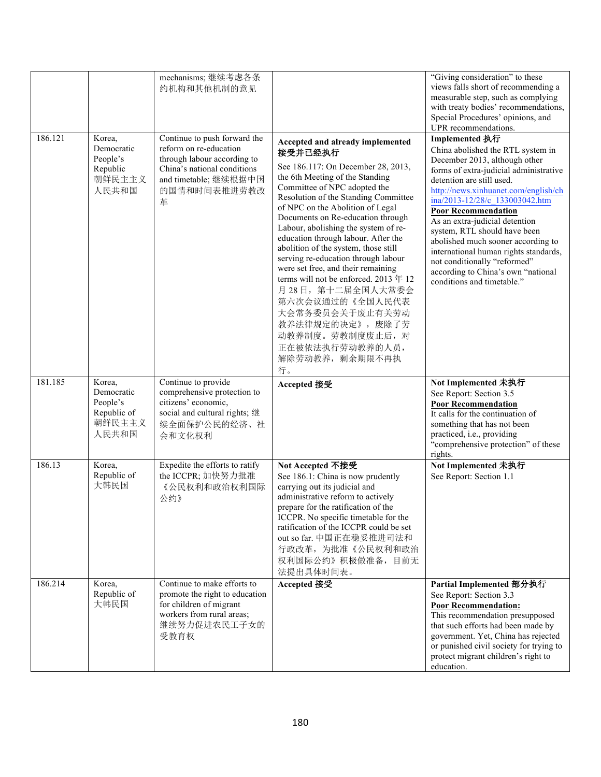|         |                                                                    | mechanisms; 继续考虑各条<br>约机构和其他机制的意见                                                                                                                                  |                                                                                                                                                                                                                                                                                                                                                                                                                                                                                                                                                                                                                                                                 | "Giving consideration" to these<br>views falls short of recommending a<br>measurable step, such as complying<br>with treaty bodies' recommendations,<br>Special Procedures' opinions, and<br>UPR recommendations.                                                                                                                                                                                                                                                                                                        |
|---------|--------------------------------------------------------------------|--------------------------------------------------------------------------------------------------------------------------------------------------------------------|-----------------------------------------------------------------------------------------------------------------------------------------------------------------------------------------------------------------------------------------------------------------------------------------------------------------------------------------------------------------------------------------------------------------------------------------------------------------------------------------------------------------------------------------------------------------------------------------------------------------------------------------------------------------|--------------------------------------------------------------------------------------------------------------------------------------------------------------------------------------------------------------------------------------------------------------------------------------------------------------------------------------------------------------------------------------------------------------------------------------------------------------------------------------------------------------------------|
| 186.121 | Korea,<br>Democratic<br>People's<br>Republic<br>朝鲜民主主义<br>人民共和国    | Continue to push forward the<br>reform on re-education<br>through labour according to<br>China's national conditions<br>and timetable; 继续根据中国<br>的国情和时间表推进劳教改<br>革 | Accepted and already implemented<br>接受并已经执行<br>See 186.117: On December 28, 2013,<br>the 6th Meeting of the Standing<br>Committee of NPC adopted the<br>Resolution of the Standing Committee<br>of NPC on the Abolition of Legal<br>Documents on Re-education through<br>Labour, abolishing the system of re-<br>education through labour. After the<br>abolition of the system, those still<br>serving re-education through labour<br>were set free, and their remaining<br>terms will not be enforced. 2013年12<br>月28日, 第十二届全国人大常委会<br>第六次会议通过的《全国人民代表<br>大会常务委员会关于废止有关劳动<br>教养法律规定的决定》, 废除了劳<br>动教养制度。劳教制度废止后, 对<br>正在被依法执行劳动教养的人员,<br>解除劳动教养, 剩余期限不再执<br>行。 | Implemented 执行<br>China abolished the RTL system in<br>December 2013, although other<br>forms of extra-judicial administrative<br>detention are still used.<br>http://news.xinhuanet.com/english/ch<br>ina/2013-12/28/c 133003042.htm<br><b>Poor Recommendation</b><br>As an extra-judicial detention<br>system, RTL should have been<br>abolished much sooner according to<br>international human rights standards,<br>not conditionally "reformed"<br>according to China's own "national<br>conditions and timetable." |
| 181.185 | Korea,<br>Democratic<br>People's<br>Republic of<br>朝鲜民主主义<br>人民共和国 | Continue to provide<br>comprehensive protection to<br>citizens' economic,<br>social and cultural rights; 继<br>续全面保护公民的经济、社<br>会和文化权利                               | Accepted 接受                                                                                                                                                                                                                                                                                                                                                                                                                                                                                                                                                                                                                                                     | Not Implemented 未执行<br>See Report: Section 3.5<br><b>Poor Recommendation</b><br>It calls for the continuation of<br>something that has not been<br>practiced, i.e., providing<br>"comprehensive protection" of these<br>rights.                                                                                                                                                                                                                                                                                          |
| 186.13  | Korea,<br>Republic of<br>大韩民国                                      | Expedite the efforts to ratify<br>the ICCPR; 加快努力批准<br>《公民权利和政治权利国际<br>公约》                                                                                         | Not Accepted 不接受<br>See 186.1: China is now prudently<br>carrying out its judicial and<br>administrative reform to actively<br>prepare for the ratification of the<br>ICCPR. No specific timetable for the<br>ratification of the ICCPR could be set<br>out so far. 中国正在稳妥推进司法和<br>行政改革, 为批准《公民权利和政治<br>权利国际公约》积极做准备,目前无<br>法提出具体时间表。                                                                                                                                                                                                                                                                                                                           | Not Implemented 未执行<br>See Report: Section 1.1                                                                                                                                                                                                                                                                                                                                                                                                                                                                           |
| 186.214 | Korea,<br>Republic of<br>大韩民国                                      | Continue to make efforts to<br>promote the right to education<br>for children of migrant<br>workers from rural areas;<br>继续努力促进农民工子女的<br>受教育权                      | Accepted 接受                                                                                                                                                                                                                                                                                                                                                                                                                                                                                                                                                                                                                                                     | Partial Implemented 部分执行<br>See Report: Section 3.3<br><b>Poor Recommendation:</b><br>This recommendation presupposed<br>that such efforts had been made by<br>government. Yet, China has rejected<br>or punished civil society for trying to<br>protect migrant children's right to<br>education.                                                                                                                                                                                                                       |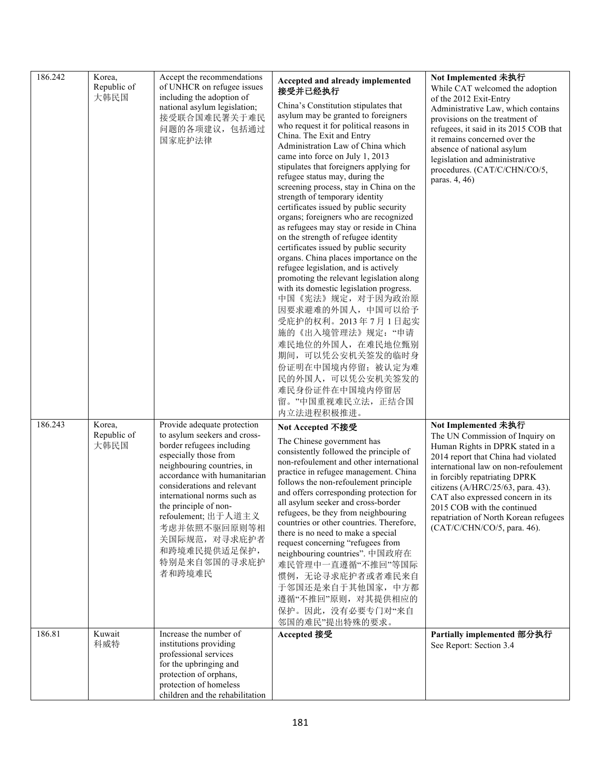| 186.242 | Korea,<br>Republic of<br>大韩民国 | Accept the recommendations<br>of UNHCR on refugee issues<br>including the adoption of<br>national asylum legislation;<br>接受联合国难民署关于难民<br>问题的各项建议,包括通过<br>国家庇护法律                                                                                                                                                                                                          | Accepted and already implemented<br>接受并已经执行<br>China's Constitution stipulates that<br>asylum may be granted to foreigners<br>who request it for political reasons in<br>China. The Exit and Entry<br>Administration Law of China which<br>came into force on July 1, 2013<br>stipulates that foreigners applying for<br>refugee status may, during the<br>screening process, stay in China on the<br>strength of temporary identity<br>certificates issued by public security<br>organs; foreigners who are recognized<br>as refugees may stay or reside in China<br>on the strength of refugee identity<br>certificates issued by public security<br>organs. China places importance on the<br>refugee legislation, and is actively<br>promoting the relevant legislation along<br>with its domestic legislation progress.<br>中国《宪法》规定, 对于因为政治原<br>因要求避难的外国人,中国可以给予<br>受庇护的权利。2013年7月1日起实<br>施的《出入境管理法》规定:"申请<br>难民地位的外国人, 在难民地位甄别<br>期间,可以凭公安机关签发的临时身<br>份证明在中国境内停留; 被认定为难<br>民的外国人, 可以凭公安机关签发的<br>难民身份证件在中国境内停留居<br>留。"中国重视难民立法,正结合国<br>内立法进程积极推进。 | Not Implemented 未执行<br>While CAT welcomed the adoption<br>of the 2012 Exit-Entry<br>Administrative Law, which contains<br>provisions on the treatment of<br>refugees, it said in its 2015 COB that<br>it remains concerned over the<br>absence of national asylum<br>legislation and administrative<br>procedures. (CAT/C/CHN/CO/5,<br>paras. 4, 46)                                        |
|---------|-------------------------------|--------------------------------------------------------------------------------------------------------------------------------------------------------------------------------------------------------------------------------------------------------------------------------------------------------------------------------------------------------------------------|--------------------------------------------------------------------------------------------------------------------------------------------------------------------------------------------------------------------------------------------------------------------------------------------------------------------------------------------------------------------------------------------------------------------------------------------------------------------------------------------------------------------------------------------------------------------------------------------------------------------------------------------------------------------------------------------------------------------------------------------------------------------------------------------------------------------------------------------------------------------------------------------------------------------------------------------------------------------------------------------------------------------------------------------------------|---------------------------------------------------------------------------------------------------------------------------------------------------------------------------------------------------------------------------------------------------------------------------------------------------------------------------------------------------------------------------------------------|
| 186.243 | Korea,<br>Republic of<br>大韩民国 | Provide adequate protection<br>to asylum seekers and cross-<br>border refugees including<br>especially those from<br>neighbouring countries, in<br>accordance with humanitarian<br>considerations and relevant<br>international norms such as<br>the principle of non-<br>refoulement; 出于人道主义<br>考虑并依照不驱回原则等相<br>关国际规范, 对寻求庇护者<br>和跨境难民提供适足保护,<br>特别是来自邻国的寻求庇护<br>者和跨境难民 | Not Accepted 不接受<br>The Chinese government has<br>consistently followed the principle of<br>non-refoulement and other international<br>practice in refugee management. China<br>follows the non-refoulement principle<br>and offers corresponding protection for<br>all asylum seeker and cross-border<br>refugees, be they from neighbouring<br>countries or other countries. Therefore,<br>there is no need to make a special<br>request concerning "refugees from<br>neighbouring countries". 中国政府在<br>难民管理中一直遵循"不推回"等国际<br>惯例,无论寻求庇护者或者难民来自<br>于邻国还是来自于其他国家,中方都<br>遵循"不推回"原则, 对其提供相应的<br>保护。因此, 没有必要专门对"来自<br>邻国的难民"提出特殊的要求。                                                                                                                                                                                                                                                                                                                                                                                                                       | Not Implemented 未执行<br>The UN Commission of Inquiry on<br>Human Rights in DPRK stated in a<br>2014 report that China had violated<br>international law on non-refoulement<br>in forcibly repatriating DPRK<br>citizens (A/HRC/25/63, para. 43).<br>CAT also expressed concern in its<br>2015 COB with the continued<br>repatriation of North Korean refugees<br>(CAT/C/CHN/CO/5, para. 46). |
| 186.81  | Kuwait<br>科威特                 | Increase the number of<br>institutions providing<br>professional services<br>for the upbringing and<br>protection of orphans,<br>protection of homeless<br>children and the rehabilitation                                                                                                                                                                               | Accepted 接受                                                                                                                                                                                                                                                                                                                                                                                                                                                                                                                                                                                                                                                                                                                                                                                                                                                                                                                                                                                                                                            | Partially implemented 部分执行<br>See Report: Section 3.4                                                                                                                                                                                                                                                                                                                                       |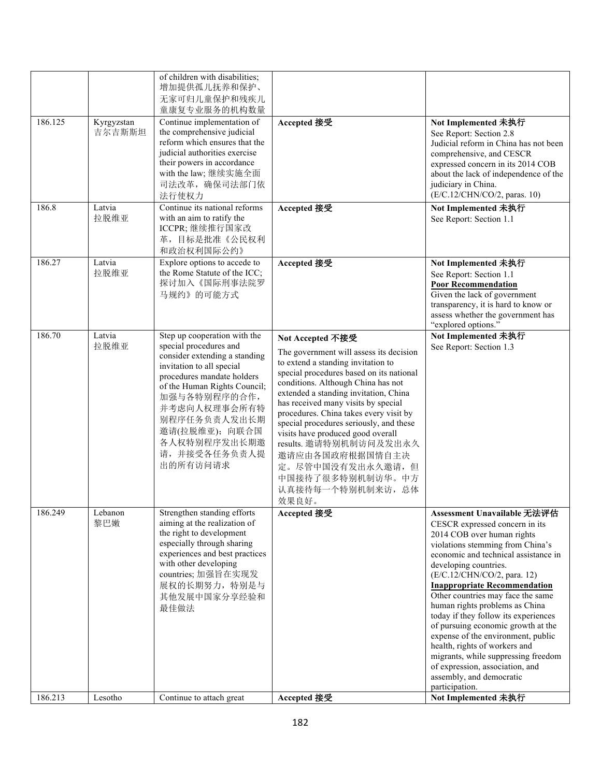| 186.125<br>186.8 | Kyrgyzstan<br>吉尔吉斯斯坦<br>Latvia<br>拉脱维亚 | of children with disabilities;<br>增加提供孤儿抚养和保护、<br>无家可归儿童保护和残疾儿<br>童康复专业服务的机构数量<br>Continue implementation of<br>the comprehensive judicial<br>reform which ensures that the<br>judicial authorities exercise<br>their powers in accordance<br>with the law; 继续实施全面<br>司法改革, 确保司法部门依<br>法行使权力<br>Continue its national reforms<br>with an aim to ratify the<br>ICCPR;继续推行国家改 | Accepted 接受<br>Accepted 接受                                                                                                                                                                                                                                                                                                                                                                                                                                                                                       | Not Implemented 未执行<br>See Report: Section 2.8<br>Judicial reform in China has not been<br>comprehensive, and CESCR<br>expressed concern in its 2014 COB<br>about the lack of independence of the<br>judiciary in China.<br>(E/C.12/CHN/CO/2, paras. 10)<br>Not Implemented 未执行<br>See Report: Section 1.1                                                                                                                                                                                                                                                                                                                 |
|------------------|----------------------------------------|-----------------------------------------------------------------------------------------------------------------------------------------------------------------------------------------------------------------------------------------------------------------------------------------------------------------------------------------------------------------------------|------------------------------------------------------------------------------------------------------------------------------------------------------------------------------------------------------------------------------------------------------------------------------------------------------------------------------------------------------------------------------------------------------------------------------------------------------------------------------------------------------------------|----------------------------------------------------------------------------------------------------------------------------------------------------------------------------------------------------------------------------------------------------------------------------------------------------------------------------------------------------------------------------------------------------------------------------------------------------------------------------------------------------------------------------------------------------------------------------------------------------------------------------|
| 186.27           | Latvia                                 | 革, 目标是批准《公民权利<br>和政治权利国际公约》<br>Explore options to accede to                                                                                                                                                                                                                                                                                                                 |                                                                                                                                                                                                                                                                                                                                                                                                                                                                                                                  | Not Implemented 未执行                                                                                                                                                                                                                                                                                                                                                                                                                                                                                                                                                                                                        |
|                  | 拉脱维亚                                   | the Rome Statute of the ICC;<br>探讨加入《国际刑事法院罗<br>马规约》的可能方式                                                                                                                                                                                                                                                                                                                   | Accepted 接受                                                                                                                                                                                                                                                                                                                                                                                                                                                                                                      | See Report: Section 1.1<br><b>Poor Recommendation</b><br>Given the lack of government<br>transparency, it is hard to know or<br>assess whether the government has<br>"explored options."                                                                                                                                                                                                                                                                                                                                                                                                                                   |
| 186.70           | Latvia<br>拉脱维亚                         | Step up cooperation with the<br>special procedures and<br>consider extending a standing<br>invitation to all special<br>procedures mandate holders<br>of the Human Rights Council;<br>加强与各特别程序的合作,<br>并考虑向人权理事会所有特<br>别程序任务负责人发出长期<br>邀请(拉脱维亚); 向联合国<br>各人权特别程序发出长期邀<br>请,并接受各任务负责人提<br>出的所有访问请求                                                                            | Not Accepted 不接受<br>The government will assess its decision<br>to extend a standing invitation to<br>special procedures based on its national<br>conditions. Although China has not<br>extended a standing invitation, China<br>has received many visits by special<br>procedures. China takes every visit by<br>special procedures seriously, and these<br>visits have produced good overall<br>results. 邀请特别机制访问及发出永久<br>邀请应由各国政府根据国情自主决<br>定。尽管中国没有发出永久邀请,但<br>中国接待了很多特别机制访华。中方<br>认真接待每一个特别机制来访, 总体<br>效果良好。 | Not Implemented 未执行<br>See Report: Section 1.3                                                                                                                                                                                                                                                                                                                                                                                                                                                                                                                                                                             |
| 186.249          | Lebanon<br>黎巴嫩                         | Strengthen standing efforts<br>aiming at the realization of<br>the right to development<br>especially through sharing<br>experiences and best practices<br>with other developing<br>countries; 加强旨在实现发<br>展权的长期努力, 特别是与<br>其他发展中国家分享经验和<br>最佳做法                                                                                                                             | Accepted 接受                                                                                                                                                                                                                                                                                                                                                                                                                                                                                                      | Assessment Unavailable 无法评估<br>CESCR expressed concern in its<br>2014 COB over human rights<br>violations stemming from China's<br>economic and technical assistance in<br>developing countries.<br>(E/C.12/CHN/CO/2, para. 12)<br><b>Inappropriate Recommendation</b><br>Other countries may face the same<br>human rights problems as China<br>today if they follow its experiences<br>of pursuing economic growth at the<br>expense of the environment, public<br>health, rights of workers and<br>migrants, while suppressing freedom<br>of expression, association, and<br>assembly, and democratic<br>participation. |
| 186.213          | Lesotho                                | Continue to attach great                                                                                                                                                                                                                                                                                                                                                    | Accepted 接受                                                                                                                                                                                                                                                                                                                                                                                                                                                                                                      | Not Implemented 未执行                                                                                                                                                                                                                                                                                                                                                                                                                                                                                                                                                                                                        |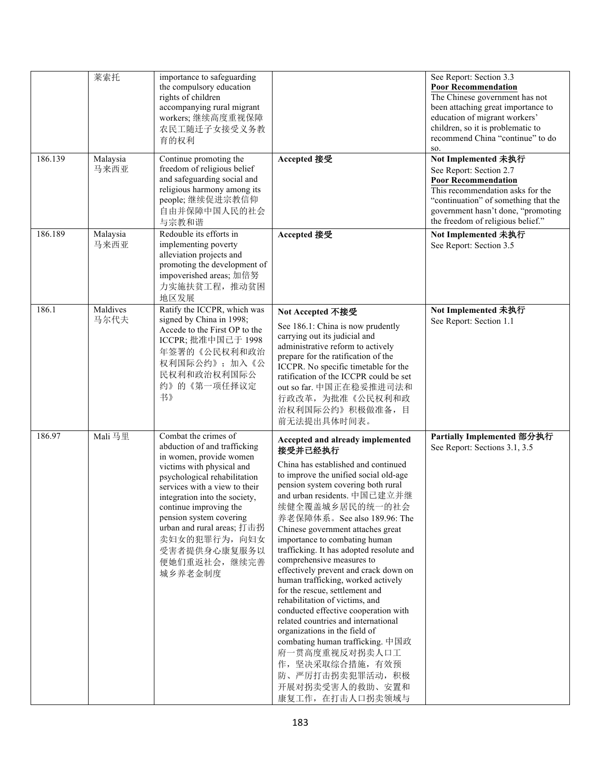|         | 莱索托              | importance to safeguarding<br>the compulsory education<br>rights of children<br>accompanying rural migrant<br>workers;继续高度重视保障<br>农民工随迁子女接受义务教<br>育的权利                                                                                                                                                                                                       |                                                                                                                                                                                                                                                                                                                                                                                                                                                                                                                                                                                                                                                                                                                                                                                                          | See Report: Section 3.3<br><b>Poor Recommendation</b><br>The Chinese government has not<br>been attaching great importance to<br>education of migrant workers'<br>children, so it is problematic to<br>recommend China "continue" to do<br>SO. |
|---------|------------------|--------------------------------------------------------------------------------------------------------------------------------------------------------------------------------------------------------------------------------------------------------------------------------------------------------------------------------------------------------------|----------------------------------------------------------------------------------------------------------------------------------------------------------------------------------------------------------------------------------------------------------------------------------------------------------------------------------------------------------------------------------------------------------------------------------------------------------------------------------------------------------------------------------------------------------------------------------------------------------------------------------------------------------------------------------------------------------------------------------------------------------------------------------------------------------|------------------------------------------------------------------------------------------------------------------------------------------------------------------------------------------------------------------------------------------------|
| 186.139 | Malaysia<br>马来西亚 | Continue promoting the<br>freedom of religious belief<br>and safeguarding social and<br>religious harmony among its<br>people;继续促进宗教信仰<br>自由并保障中国人民的社会<br>与宗教和谐                                                                                                                                                                                              | Accepted 接受                                                                                                                                                                                                                                                                                                                                                                                                                                                                                                                                                                                                                                                                                                                                                                                              | Not Implemented 未执行<br>See Report: Section 2.7<br><b>Poor Recommendation</b><br>This recommendation asks for the<br>"continuation" of something that the<br>government hasn't done, "promoting<br>the freedom of religious belief."            |
| 186.189 | Malaysia<br>马来西亚 | Redouble its efforts in<br>implementing poverty<br>alleviation projects and<br>promoting the development of<br>impoverished areas; 加倍努<br>力实施扶贫工程, 推动贫困<br>地区发展                                                                                                                                                                                              | Accepted 接受                                                                                                                                                                                                                                                                                                                                                                                                                                                                                                                                                                                                                                                                                                                                                                                              | Not Implemented 未执行<br>See Report: Section 3.5                                                                                                                                                                                                 |
| 186.1   | Maldives<br>马尔代夫 | Ratify the ICCPR, which was<br>signed by China in 1998;<br>Accede to the First OP to the<br>ICCPR; 批准中国已于 1998<br>年签署的《公民权利和政治<br>权利国际公约》;加入《公<br>民权利和政治权利国际公<br>约》的《第一项任择议定<br>书》                                                                                                                                                                           | Not Accepted 不接受<br>See 186.1: China is now prudently<br>carrying out its judicial and<br>administrative reform to actively<br>prepare for the ratification of the<br>ICCPR. No specific timetable for the<br>ratification of the ICCPR could be set<br>out so far. 中国正在稳妥推进司法和<br>行政改革, 为批准《公民权利和政<br>治权利国际公约》积极做准备,目<br>前无法提出具体时间表。                                                                                                                                                                                                                                                                                                                                                                                                                                                                    | Not Implemented 未执行<br>See Report: Section 1.1                                                                                                                                                                                                 |
| 186.97  | Mali 马里          | Combat the crimes of<br>abduction of and trafficking<br>in women, provide women<br>victims with physical and<br>psychological rehabilitation<br>services with a view to their<br>integration into the society,<br>continue improving the<br>pension system covering<br>urban and rural areas; 打击拐<br>卖妇女的犯罪行为,向妇女<br>受害者提供身心康复服务以<br>便她们重返社会,继续完善<br>城乡养老金制度 | Accepted and already implemented<br>接受并已经执行<br>China has established and continued<br>to improve the unified social old-age<br>pension system covering both rural<br>and urban residents. 中国已建立并继<br>续健全覆盖城乡居民的统一的社会<br>养老保障体系。See also 189.96: The<br>Chinese government attaches great<br>importance to combating human<br>trafficking. It has adopted resolute and<br>comprehensive measures to<br>effectively prevent and crack down on<br>human trafficking, worked actively<br>for the rescue, settlement and<br>rehabilitation of victims, and<br>conducted effective cooperation with<br>related countries and international<br>organizations in the field of<br>combating human trafficking. 中国政<br>府一贯高度重视反对拐卖人口工<br>作,坚决采取综合措施,有效预<br>防、严厉打击拐卖犯罪活动, 积极<br>开展对拐卖受害人的救助、安置和<br>康复工作, 在打击人口拐卖领域与 | Partially Implemented 部分执行<br>See Report: Sections 3.1, 3.5                                                                                                                                                                                    |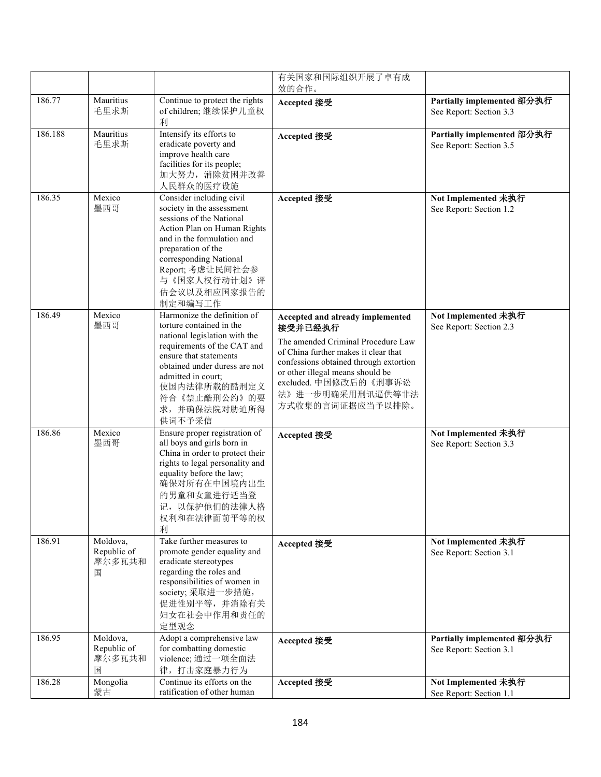|         |                                        |                                                                                                                                                                                                                                                                    | 有关国家和国际组织开展了卓有成<br>效的合作。                                                                                                                                                                                                                                                 |                                                       |
|---------|----------------------------------------|--------------------------------------------------------------------------------------------------------------------------------------------------------------------------------------------------------------------------------------------------------------------|--------------------------------------------------------------------------------------------------------------------------------------------------------------------------------------------------------------------------------------------------------------------------|-------------------------------------------------------|
| 186.77  | Mauritius<br>毛里求斯                      | Continue to protect the rights<br>of children;继续保护儿童权<br>利                                                                                                                                                                                                         | Accepted 接受                                                                                                                                                                                                                                                              | Partially implemented 部分执行<br>See Report: Section 3.3 |
| 186.188 | Mauritius<br>毛里求斯                      | Intensify its efforts to<br>eradicate poverty and<br>improve health care<br>facilities for its people;<br>加大努力, 消除贫困并改善<br>人民群众的医疗设施                                                                                                                               | Accepted 接受                                                                                                                                                                                                                                                              | Partially implemented 部分执行<br>See Report: Section 3.5 |
| 186.35  | Mexico<br>墨西哥                          | Consider including civil<br>society in the assessment<br>sessions of the National<br>Action Plan on Human Rights<br>and in the formulation and<br>preparation of the<br>corresponding National<br>Report; 考虑让民间社会参<br>与《国家人权行动计划》评<br>估会议以及相应国家报告的<br>制定和编写工作      | Accepted 接受                                                                                                                                                                                                                                                              | Not Implemented 未执行<br>See Report: Section 1.2        |
| 186.49  | Mexico<br>墨西哥                          | Harmonize the definition of<br>torture contained in the<br>national legislation with the<br>requirements of the CAT and<br>ensure that statements<br>obtained under duress are not<br>admitted in court;<br>使国内法律所载的酷刑定义<br>符合《禁止酷刑公约》的要<br>求,并确保法院对胁迫所得<br>供词不予采信 | Accepted and already implemented<br>接受并已经执行<br>The amended Criminal Procedure Law<br>of China further makes it clear that<br>confessions obtained through extortion<br>or other illegal means should be<br>excluded. 中国修改后的《刑事诉讼<br>法》进一步明确采用刑讯逼供等非法<br>方式收集的言词证据应当予以排除。 | Not Implemented 未执行<br>See Report: Section 2.3        |
| 186.86  | Mexico<br>墨西哥                          | Ensure proper registration of<br>all boys and girls born in<br>China in order to protect their<br>rights to legal personality and<br>equality before the law;<br>确保对所有在中国境内出生<br>的男童和女童进行适当登<br>记, 以保护他们的法律人格<br>权利和在法律面前平等的权<br>利                                 | Accepted 接受                                                                                                                                                                                                                                                              | Not Implemented 未执行<br>See Report: Section 3.3        |
| 186.91  | Moldova,<br>Republic of<br>摩尔多瓦共和<br>国 | Take further measures to<br>promote gender equality and<br>eradicate stereotypes<br>regarding the roles and<br>responsibilities of women in<br>society; 采取进一步措施,<br>促进性别平等,并消除有关<br>妇女在社会中作用和责任的<br>定型观念                                                           | Accepted 接受                                                                                                                                                                                                                                                              | Not Implemented 未执行<br>See Report: Section 3.1        |
| 186.95  | Moldova,<br>Republic of<br>摩尔多瓦共和<br>国 | Adopt a comprehensive law<br>for combatting domestic<br>violence; 通过一项全面法<br>律,打击家庭暴力行为                                                                                                                                                                            | Accepted 接受                                                                                                                                                                                                                                                              | Partially implemented 部分执行<br>See Report: Section 3.1 |
| 186.28  | Mongolia<br>蒙古                         | Continue its efforts on the<br>ratification of other human                                                                                                                                                                                                         | Accepted 接受                                                                                                                                                                                                                                                              | Not Implemented 未执行<br>See Report: Section 1.1        |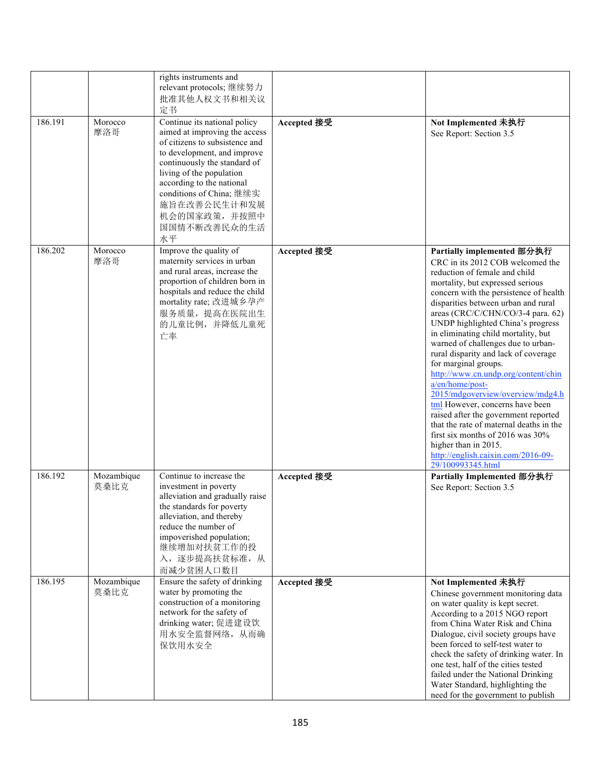|         |                    | rights instruments and<br>relevant protocols; 继续努力<br>批准其他人权文书和相关议<br>定书                                                                                                                                                                                                                                  |             |                                                                                                                                                                                                                                                                                                                                                                                                                                                                                                                                                                                                                                                                                                                                                                                           |
|---------|--------------------|-----------------------------------------------------------------------------------------------------------------------------------------------------------------------------------------------------------------------------------------------------------------------------------------------------------|-------------|-------------------------------------------------------------------------------------------------------------------------------------------------------------------------------------------------------------------------------------------------------------------------------------------------------------------------------------------------------------------------------------------------------------------------------------------------------------------------------------------------------------------------------------------------------------------------------------------------------------------------------------------------------------------------------------------------------------------------------------------------------------------------------------------|
| 186.191 | Morocco<br>摩洛哥     | Continue its national policy<br>aimed at improving the access<br>of citizens to subsistence and<br>to development, and improve<br>continuously the standard of<br>living of the population<br>according to the national<br>conditions of China; 继续实<br>施旨在改善公民生计和发展<br>机会的国家政策,并按照中<br>国国情不断改善民众的生活<br>水平 | Accepted 接受 | Not Implemented 未执行<br>See Report: Section 3.5                                                                                                                                                                                                                                                                                                                                                                                                                                                                                                                                                                                                                                                                                                                                            |
| 186.202 | Morocco<br>摩洛哥     | Improve the quality of<br>maternity services in urban<br>and rural areas, increase the<br>proportion of children born in<br>hospitals and reduce the child<br>mortality rate; 改进城乡孕产<br>服务质量, 提高在医院出生<br>的儿童比例,并降低儿童死<br>亡率                                                                               | Accepted 接受 | Partially implemented 部分执行<br>CRC in its 2012 COB welcomed the<br>reduction of female and child<br>mortality, but expressed serious<br>concern with the persistence of health<br>disparities between urban and rural<br>areas (CRC/C/CHN/CO/3-4 para. 62)<br>UNDP highlighted China's progress<br>in eliminating child mortality, but<br>warned of challenges due to urban-<br>rural disparity and lack of coverage<br>for marginal groups.<br>http://www.cn.undp.org/content/chin<br>a/en/home/post-<br>2015/mdgoverview/overview/mdg4.h<br>tml However, concerns have been<br>raised after the government reported<br>that the rate of maternal deaths in the<br>first six months of 2016 was $30\%$<br>higher than in 2015.<br>http://english.caixin.com/2016-09-<br>29/100993345.html |
| 186.192 | Mozambique<br>莫桑比克 | Continue to increase the<br>investment in poverty<br>alleviation and gradually raise<br>the standards for poverty<br>alleviation, and thereby<br>reduce the number of<br>impoverished population;<br>继续增加对扶贫工作的投<br>入,逐步提高扶贫标准,从<br>而减少贫困人口数目                                                             | Accepted 接受 | Partially Implemented 部分执行<br>See Report: Section 3.5                                                                                                                                                                                                                                                                                                                                                                                                                                                                                                                                                                                                                                                                                                                                     |
| 186.195 | Mozambique<br>莫桑比克 | Ensure the safety of drinking<br>water by promoting the<br>construction of a monitoring<br>network for the safety of<br>drinking water; 促进建设饮<br>用水安全监督网络, 从而确<br>保饮用水安全                                                                                                                                  | Accepted 接受 | Not Implemented 未执行<br>Chinese government monitoring data<br>on water quality is kept secret.<br>According to a 2015 NGO report<br>from China Water Risk and China<br>Dialogue, civil society groups have<br>been forced to self-test water to<br>check the safety of drinking water. In<br>one test, half of the cities tested<br>failed under the National Drinking<br>Water Standard, highlighting the<br>need for the government to publish                                                                                                                                                                                                                                                                                                                                           |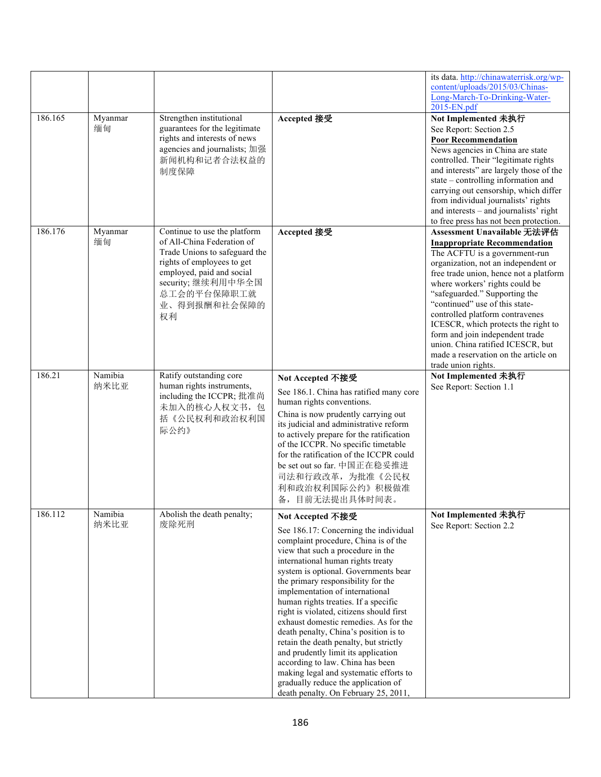|         |                 |                                                                                                                                                                                                                   |                                                                                                                                                                                                                                                                                                                                                                                                                                                                                                                                                                                                                                                                                                                  | its data. http://chinawaterrisk.org/wp-<br>content/uploads/2015/03/Chinas-                                                                                                                                                                                                                                                                                                                                                                                                                                 |
|---------|-----------------|-------------------------------------------------------------------------------------------------------------------------------------------------------------------------------------------------------------------|------------------------------------------------------------------------------------------------------------------------------------------------------------------------------------------------------------------------------------------------------------------------------------------------------------------------------------------------------------------------------------------------------------------------------------------------------------------------------------------------------------------------------------------------------------------------------------------------------------------------------------------------------------------------------------------------------------------|------------------------------------------------------------------------------------------------------------------------------------------------------------------------------------------------------------------------------------------------------------------------------------------------------------------------------------------------------------------------------------------------------------------------------------------------------------------------------------------------------------|
|         |                 |                                                                                                                                                                                                                   |                                                                                                                                                                                                                                                                                                                                                                                                                                                                                                                                                                                                                                                                                                                  | Long-March-To-Drinking-Water-<br>2015-EN.pdf                                                                                                                                                                                                                                                                                                                                                                                                                                                               |
| 186.165 | Myanmar<br>缅甸   | Strengthen institutional<br>guarantees for the legitimate<br>rights and interests of news<br>agencies and journalists; 加强<br>新闻机构和记者合法权益的<br>制度保障                                                                 | Accepted 接受                                                                                                                                                                                                                                                                                                                                                                                                                                                                                                                                                                                                                                                                                                      | Not Implemented 未执行<br>See Report: Section 2.5<br><b>Poor Recommendation</b><br>News agencies in China are state<br>controlled. Their "legitimate rights<br>and interests" are largely those of the<br>state – controlling information and<br>carrying out censorship, which differ<br>from individual journalists' rights<br>and interests - and journalists' right<br>to free press has not been protection.                                                                                             |
| 186.176 | Myanmar<br>缅甸   | Continue to use the platform<br>of All-China Federation of<br>Trade Unions to safeguard the<br>rights of employees to get<br>employed, paid and social<br>security; 继续利用中华全国<br>总工会的平台保障职工就<br>业、得到报酬和社会保障的<br>权利 | Accepted 接受                                                                                                                                                                                                                                                                                                                                                                                                                                                                                                                                                                                                                                                                                                      | Assessment Unavailable 无法评估<br><b>Inappropriate Recommendation</b><br>The ACFTU is a government-run<br>organization, not an independent or<br>free trade union, hence not a platform<br>where workers' rights could be<br>"safeguarded." Supporting the<br>"continued" use of this state-<br>controlled platform contravenes<br>ICESCR, which protects the right to<br>form and join independent trade<br>union. China ratified ICESCR, but<br>made a reservation on the article on<br>trade union rights. |
| 186.21  | Namibia<br>纳米比亚 | Ratify outstanding core<br>human rights instruments,<br>including the ICCPR; 批准尚<br>未加入的核心人权文书,包<br>括《公民权利和政治权利国<br>际公约》                                                                                          | Not Accepted 不接受<br>See 186.1. China has ratified many core<br>human rights conventions.<br>China is now prudently carrying out<br>its judicial and administrative reform<br>to actively prepare for the ratification<br>of the ICCPR. No specific timetable<br>for the ratification of the ICCPR could<br>be set out so far. 中国正在稳妥推进<br>司法和行政改革, 为批准《公民权<br>利和政治权利国际公约》积极做准<br>备,目前无法提出具体时间表。                                                                                                                                                                                                                                                                                                                  | Not Implemented 未执行<br>See Report: Section 1.1                                                                                                                                                                                                                                                                                                                                                                                                                                                             |
| 186.112 | Namibia<br>纳米比亚 | Abolish the death penalty;<br>废除死刑                                                                                                                                                                                | Not Accepted 不接受<br>See 186.17: Concerning the individual<br>complaint procedure, China is of the<br>view that such a procedure in the<br>international human rights treaty<br>system is optional. Governments bear<br>the primary responsibility for the<br>implementation of international<br>human rights treaties. If a specific<br>right is violated, citizens should first<br>exhaust domestic remedies. As for the<br>death penalty, China's position is to<br>retain the death penalty, but strictly<br>and prudently limit its application<br>according to law. China has been<br>making legal and systematic efforts to<br>gradually reduce the application of<br>death penalty. On February 25, 2011, | Not Implemented 未执行<br>See Report: Section 2.2                                                                                                                                                                                                                                                                                                                                                                                                                                                             |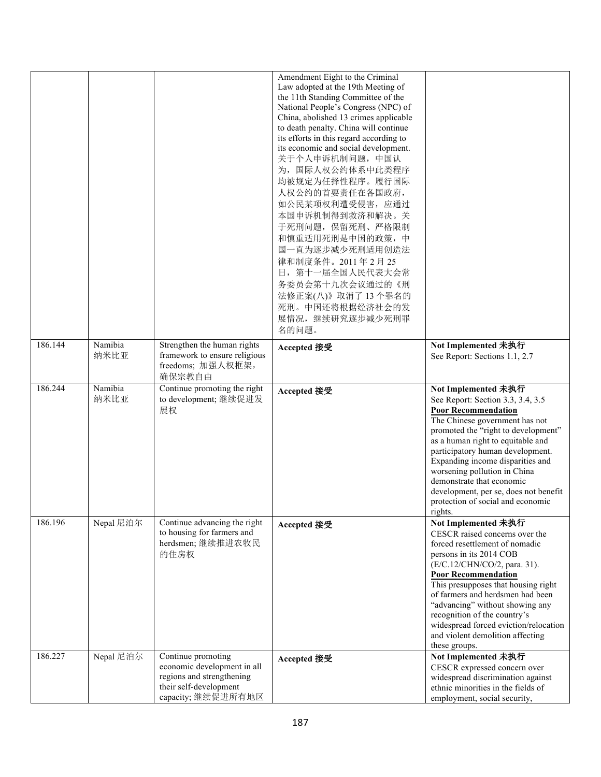|         |                 |                                                                                                                               | Amendment Eight to the Criminal<br>Law adopted at the 19th Meeting of<br>the 11th Standing Committee of the<br>National People's Congress (NPC) of<br>China, abolished 13 crimes applicable<br>to death penalty. China will continue<br>its efforts in this regard according to<br>its economic and social development.<br>关于个人申诉机制问题, 中国认<br>为, 国际人权公约体系中此类程序<br>均被规定为任择性程序。履行国际<br>人权公约的首要责任在各国政府,<br>如公民某项权利遭受侵害, 应通过<br>本国申诉机制得到救济和解决。关<br>于死刑问题, 保留死刑、严格限制<br>和慎重适用死刑是中国的政策,中<br>国一直为逐步减少死刑适用创造法<br>律和制度条件。2011年2月25<br>日, 第十一届全国人民代表大会常<br>务委员会第十九次会议通过的《刑<br>法修正案(八)》取消了13个罪名的<br>死刑。中国还将根据经济社会的发<br>展情况,继续研究逐步减少死刑罪<br>名的问题。 |                                                                                                                                                                                                                                                                                                                                                                                                                                    |
|---------|-----------------|-------------------------------------------------------------------------------------------------------------------------------|--------------------------------------------------------------------------------------------------------------------------------------------------------------------------------------------------------------------------------------------------------------------------------------------------------------------------------------------------------------------------------------------------------------------------------------------------------------------------------------------------------------------------------------------------------------------------------------------------------------------------------------|------------------------------------------------------------------------------------------------------------------------------------------------------------------------------------------------------------------------------------------------------------------------------------------------------------------------------------------------------------------------------------------------------------------------------------|
| 186.144 | Namibia<br>纳米比亚 | Strengthen the human rights<br>framework to ensure religious<br>freedoms; 加强人权框架,<br>确保宗教自由                                   | Accepted 接受                                                                                                                                                                                                                                                                                                                                                                                                                                                                                                                                                                                                                          | Not Implemented 未执行<br>See Report: Sections 1.1, 2.7                                                                                                                                                                                                                                                                                                                                                                               |
| 186.244 | Namibia<br>纳米比亚 | Continue promoting the right<br>to development; 继续促进发<br>展权                                                                   | Accepted 接受                                                                                                                                                                                                                                                                                                                                                                                                                                                                                                                                                                                                                          | Not Implemented 未执行<br>See Report: Section 3.3, 3.4, 3.5<br><b>Poor Recommendation</b><br>The Chinese government has not<br>promoted the "right to development"<br>as a human right to equitable and<br>participatory human development.<br>Expanding income disparities and<br>worsening pollution in China<br>demonstrate that economic<br>development, per se, does not benefit<br>protection of social and economic<br>rights. |
| 186.196 | Nepal 尼泊尔       | Continue advancing the right<br>to housing for farmers and<br>herdsmen;继续推进农牧民<br>的住房权                                        | Accepted 接受                                                                                                                                                                                                                                                                                                                                                                                                                                                                                                                                                                                                                          | Not Implemented 未执行<br>CESCR raised concerns over the<br>forced resettlement of nomadic<br>persons in its 2014 COB<br>(E/C.12/CHN/CO/2, para. 31).<br><b>Poor Recommendation</b><br>This presupposes that housing right<br>of farmers and herdsmen had been<br>"advancing" without showing any<br>recognition of the country's<br>widespread forced eviction/relocation<br>and violent demolition affecting<br>these groups.       |
| 186.227 | Nepal 尼泊尔       | Continue promoting<br>economic development in all<br>regions and strengthening<br>their self-development<br>capacity;继续促进所有地区 | Accepted 接受                                                                                                                                                                                                                                                                                                                                                                                                                                                                                                                                                                                                                          | Not Implemented 未执行<br>CESCR expressed concern over<br>widespread discrimination against<br>ethnic minorities in the fields of<br>employment, social security,                                                                                                                                                                                                                                                                     |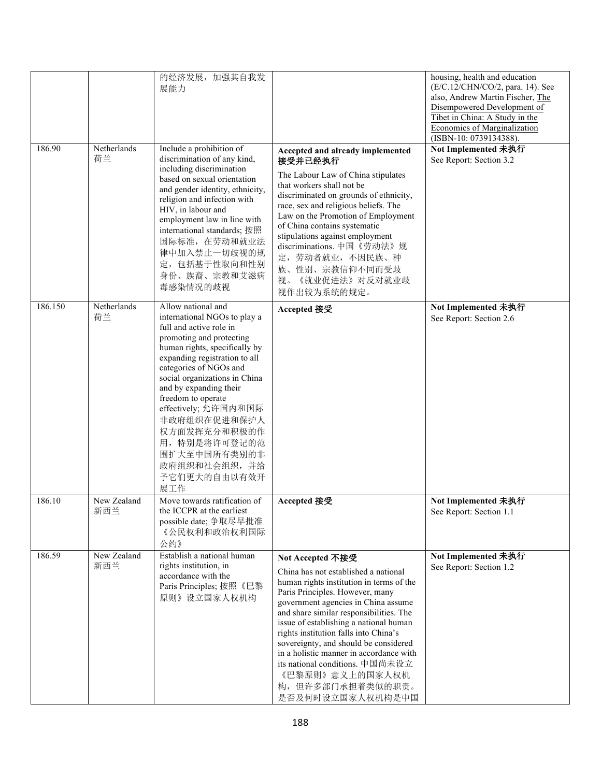|         |                    | 的经济发展, 加强其自我发<br>展能力                                                                                                                                                                                                                                                                                                                                                                                                   |                                                                                                                                                                                                                                                                                                                                                                                                                                                                                                | housing, health and education<br>(E/C.12/CHN/CO/2, para. 14). See<br>also, Andrew Martin Fischer, The<br>Disempowered Development of<br>Tibet in China: A Study in the<br>Economics of Marginalization<br>(ISBN-10: 0739134388). |
|---------|--------------------|------------------------------------------------------------------------------------------------------------------------------------------------------------------------------------------------------------------------------------------------------------------------------------------------------------------------------------------------------------------------------------------------------------------------|------------------------------------------------------------------------------------------------------------------------------------------------------------------------------------------------------------------------------------------------------------------------------------------------------------------------------------------------------------------------------------------------------------------------------------------------------------------------------------------------|----------------------------------------------------------------------------------------------------------------------------------------------------------------------------------------------------------------------------------|
| 186.90  | Netherlands<br>荷兰  | Include a prohibition of<br>discrimination of any kind,<br>including discrimination<br>based on sexual orientation<br>and gender identity, ethnicity,<br>religion and infection with<br>HIV, in labour and<br>employment law in line with<br>international standards; 按照<br>国际标准, 在劳动和就业法<br>律中加入禁止一切歧视的规<br>定,包括基于性取向和性别<br>身份、族裔、宗教和艾滋病<br>毒感染情况的歧视                                                                  | Accepted and already implemented<br>接受并已经执行<br>The Labour Law of China stipulates<br>that workers shall not be<br>discriminated on grounds of ethnicity,<br>race, sex and religious beliefs. The<br>Law on the Promotion of Employment<br>of China contains systematic<br>stipulations against employment<br>discriminations. 中国《劳动法》规<br>定,劳动者就业,不因民族、种<br>族、性别、宗教信仰不同而受歧<br>《就业促进法》对反对就业歧<br>视。<br>视作出较为系统的规定。                                                                               | Not Implemented 未执行<br>See Report: Section 3.2                                                                                                                                                                                   |
| 186.150 | Netherlands<br>荷兰  | Allow national and<br>international NGOs to play a<br>full and active role in<br>promoting and protecting<br>human rights, specifically by<br>expanding registration to all<br>categories of NGOs and<br>social organizations in China<br>and by expanding their<br>freedom to operate<br>effectively; 允许国内和国际<br>非政府组织在促进和保护人<br>权方面发挥充分和积极的作<br>用, 特别是将许可登记的范<br>围扩大至中国所有类别的非<br>政府组织和社会组织,并给<br>予它们更大的自由以有效开<br>展工作 | Accepted 接受                                                                                                                                                                                                                                                                                                                                                                                                                                                                                    | Not Implemented 未执行<br>See Report: Section 2.6                                                                                                                                                                                   |
| 186.10  | New Zealand<br>新西兰 | Move towards ratification of<br>the ICCPR at the earliest<br>possible date; 争取尽早批准<br>《公民权利和政治权利国际<br>公约》                                                                                                                                                                                                                                                                                                              | Accepted 接受                                                                                                                                                                                                                                                                                                                                                                                                                                                                                    | Not Implemented 未执行<br>See Report: Section 1.1                                                                                                                                                                                   |
| 186.59  | New Zealand<br>新西兰 | Establish a national human<br>rights institution, in<br>accordance with the<br>Paris Principles; 按照《巴黎<br>原则》设立国家人权机构                                                                                                                                                                                                                                                                                                  | Not Accepted 不接受<br>China has not established a national<br>human rights institution in terms of the<br>Paris Principles. However, many<br>government agencies in China assume<br>and share similar responsibilities. The<br>issue of establishing a national human<br>rights institution falls into China's<br>sovereignty, and should be considered<br>in a holistic manner in accordance with<br>its national conditions. 中国尚未设立<br>《巴黎原则》意义上的国家人权机<br>构,但许多部门承担着类似的职责。<br>是否及何时设立国家人权机构是中国 | Not Implemented 未执行<br>See Report: Section 1.2                                                                                                                                                                                   |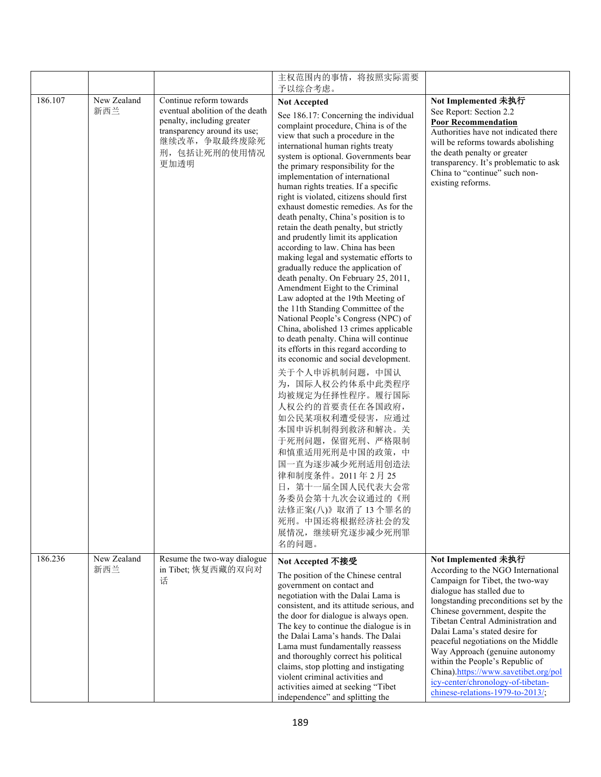|         |                    |                                                                                                                                                                   | 主权范围内的事情, 将按照实际需要                                                                                                                                                                                                                                                                                                                                                                                                                                                                                                                                                                                                                                                                                                                                                                                                                                                                                                                                                                                                                                                                                                                                                                                                                                                                                  |                                                                                                                                                                                                                                                                                                                                                                                             |
|---------|--------------------|-------------------------------------------------------------------------------------------------------------------------------------------------------------------|----------------------------------------------------------------------------------------------------------------------------------------------------------------------------------------------------------------------------------------------------------------------------------------------------------------------------------------------------------------------------------------------------------------------------------------------------------------------------------------------------------------------------------------------------------------------------------------------------------------------------------------------------------------------------------------------------------------------------------------------------------------------------------------------------------------------------------------------------------------------------------------------------------------------------------------------------------------------------------------------------------------------------------------------------------------------------------------------------------------------------------------------------------------------------------------------------------------------------------------------------------------------------------------------------|---------------------------------------------------------------------------------------------------------------------------------------------------------------------------------------------------------------------------------------------------------------------------------------------------------------------------------------------------------------------------------------------|
| 186.107 | New Zealand<br>新西兰 | Continue reform towards<br>eventual abolition of the death<br>penalty, including greater<br>transparency around its use;<br>继续改革,争取最终废除死<br>刑, 包括让死刑的使用情况<br>更加透明 | 予以综合考虑。<br><b>Not Accepted</b><br>See 186.17: Concerning the individual<br>complaint procedure, China is of the<br>view that such a procedure in the<br>international human rights treaty<br>system is optional. Governments bear<br>the primary responsibility for the<br>implementation of international<br>human rights treaties. If a specific<br>right is violated, citizens should first<br>exhaust domestic remedies. As for the<br>death penalty, China's position is to<br>retain the death penalty, but strictly<br>and prudently limit its application<br>according to law. China has been<br>making legal and systematic efforts to<br>gradually reduce the application of<br>death penalty. On February 25, 2011,<br>Amendment Eight to the Criminal<br>Law adopted at the 19th Meeting of<br>the 11th Standing Committee of the<br>National People's Congress (NPC) of<br>China, abolished 13 crimes applicable<br>to death penalty. China will continue<br>its efforts in this regard according to<br>its economic and social development.<br>关于个人申诉机制问题, 中国认<br>为, 国际人权公约体系中此类程序<br>均被规定为任择性程序。履行国际<br>人权公约的首要责任在各国政府,<br>如公民某项权利遭受侵害, 应通过<br>本国申诉机制得到救济和解决。关<br>于死刑问题, 保留死刑、严格限制<br>和慎重适用死刑是中国的政策,中<br>国一直为逐步减少死刑适用创造法<br>律和制度条件。2011年2月25<br>日, 第十一届全国人民代表大会常<br>务委员会第十九次会议通过的《刑 | Not Implemented 未执行<br>See Report: Section 2.2<br><b>Poor Recommendation</b><br>Authorities have not indicated there<br>will be reforms towards abolishing<br>the death penalty or greater<br>transparency. It's problematic to ask<br>China to "continue" such non-<br>existing reforms.                                                                                                   |
| 186.236 | New Zealand<br>新西兰 | Resume the two-way dialogue<br>in Tibet; 恢复西藏的双向对<br>话                                                                                                            | 法修正案(八)》取消了13个罪名的<br>死刑。中国还将根据经济社会的发<br>展情况,继续研究逐步减少死刑罪<br>名的问题。<br>Not Accepted 不接受<br>The position of the Chinese central<br>government on contact and<br>negotiation with the Dalai Lama is<br>consistent, and its attitude serious, and<br>the door for dialogue is always open.<br>The key to continue the dialogue is in<br>the Dalai Lama's hands. The Dalai<br>Lama must fundamentally reassess<br>and thoroughly correct his political<br>claims, stop plotting and instigating                                                                                                                                                                                                                                                                                                                                                                                                                                                                                                                                                                                                                                                                                                                                                                                                           | Not Implemented 未执行<br>According to the NGO International<br>Campaign for Tibet, the two-way<br>dialogue has stalled due to<br>longstanding preconditions set by the<br>Chinese government, despite the<br>Tibetan Central Administration and<br>Dalai Lama's stated desire for<br>peaceful negotiations on the Middle<br>Way Approach (genuine autonomy<br>within the People's Republic of |
|         |                    |                                                                                                                                                                   | violent criminal activities and<br>activities aimed at seeking "Tibet<br>independence" and splitting the                                                                                                                                                                                                                                                                                                                                                                                                                                                                                                                                                                                                                                                                                                                                                                                                                                                                                                                                                                                                                                                                                                                                                                                           | China).https://www.savetibet.org/pol<br>icy-center/chronology-of-tibetan-<br>chinese-relations-1979-to-2013/;                                                                                                                                                                                                                                                                               |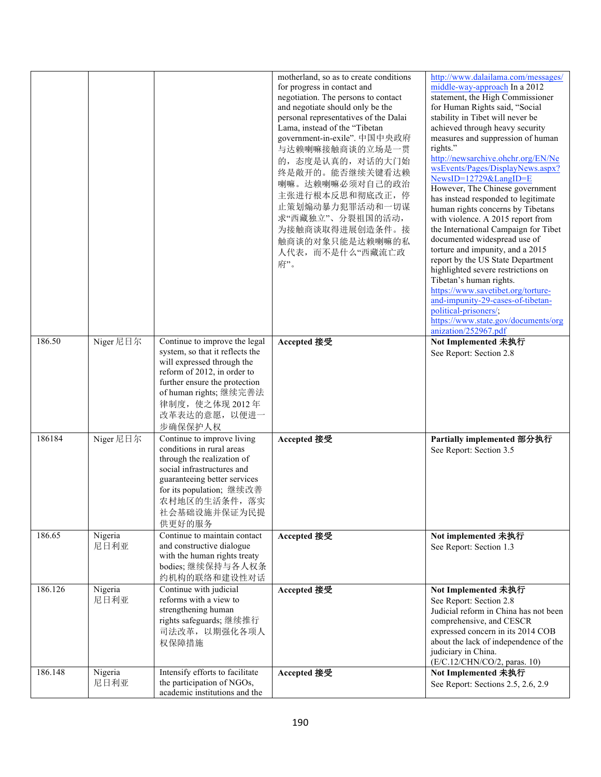|         |                 |                                                                                                                                                                                                                                         | motherland, so as to create conditions<br>for progress in contact and<br>negotiation. The persons to contact<br>and negotiate should only be the<br>personal representatives of the Dalai<br>Lama, instead of the "Tibetan<br>government-in-exile". 中国中央政府<br>与达赖喇嘛接触商谈的立场是一贯<br>的, 态度是认真的, 对话的大门始<br>终是敞开的。能否继续关键看达赖<br>喇嘛。达赖喇嘛必须对自己的政治<br>主张进行根本反思和彻底改正,停<br>止策划煽动暴力犯罪活动和一切谋<br>求"西藏独立"、分裂祖国的活动,<br>为接触商谈取得进展创造条件。接<br>触商谈的对象只能是达赖喇嘛的私<br>人代表, 而不是什么"西藏流亡政<br>府"。 | http://www.dalailama.com/messages/<br>middle-way-approach In a 2012<br>statement, the High Commissioner<br>for Human Rights said, "Social<br>stability in Tibet will never be<br>achieved through heavy security<br>measures and suppression of human<br>rights."<br>http://newsarchive.ohchr.org/EN/Ne<br>wsEvents/Pages/DisplayNews.aspx?<br>NewsID=12729&LangID=E<br>However, The Chinese government<br>has instead responded to legitimate<br>human rights concerns by Tibetans<br>with violence. A 2015 report from<br>the International Campaign for Tibet<br>documented widespread use of<br>torture and impunity, and a 2015<br>report by the US State Department<br>highlighted severe restrictions on<br>Tibetan's human rights.<br>https://www.savetibet.org/torture-<br>and-impunity-29-cases-of-tibetan-<br>political-prisoners/;<br>https://www.state.gov/documents/org<br>anization/252967.pdf |
|---------|-----------------|-----------------------------------------------------------------------------------------------------------------------------------------------------------------------------------------------------------------------------------------|---------------------------------------------------------------------------------------------------------------------------------------------------------------------------------------------------------------------------------------------------------------------------------------------------------------------------------------------------------------------------------------------------------------------------------------------------------------------|---------------------------------------------------------------------------------------------------------------------------------------------------------------------------------------------------------------------------------------------------------------------------------------------------------------------------------------------------------------------------------------------------------------------------------------------------------------------------------------------------------------------------------------------------------------------------------------------------------------------------------------------------------------------------------------------------------------------------------------------------------------------------------------------------------------------------------------------------------------------------------------------------------------|
| 186.50  | Niger 尼日尔       | Continue to improve the legal<br>system, so that it reflects the<br>will expressed through the<br>reform of 2012, in order to<br>further ensure the protection<br>of human rights; 继续完善法<br>律制度, 使之体现 2012年<br>改革表达的意愿, 以便进一<br>步确保保护人权 | Accepted 接受                                                                                                                                                                                                                                                                                                                                                                                                                                                         | Not Implemented 未执行<br>See Report: Section 2.8                                                                                                                                                                                                                                                                                                                                                                                                                                                                                                                                                                                                                                                                                                                                                                                                                                                                |
| 186184  | Niger 尼日尔       | Continue to improve living<br>conditions in rural areas<br>through the realization of<br>social infrastructures and<br>guaranteeing better services<br>for its population; 继续改善<br>农村地区的生活条件, 落实<br>社会基础设施并保证为民提<br>供更好的服务              | Accepted 接受                                                                                                                                                                                                                                                                                                                                                                                                                                                         | Partially implemented 部分执行<br>See Report: Section 3.5                                                                                                                                                                                                                                                                                                                                                                                                                                                                                                                                                                                                                                                                                                                                                                                                                                                         |
| 186.65  | Nigeria<br>尼日利亚 | Continue to maintain contact<br>and constructive dialogue<br>with the human rights treaty<br>bodies;继续保持与各人权条<br>约机构的联络和建设性对话                                                                                                           | Accepted 接受                                                                                                                                                                                                                                                                                                                                                                                                                                                         | Not implemented 未执行<br>See Report: Section 1.3                                                                                                                                                                                                                                                                                                                                                                                                                                                                                                                                                                                                                                                                                                                                                                                                                                                                |
| 186.126 | Nigeria<br>尼日利亚 | Continue with judicial<br>reforms with a view to<br>strengthening human<br>rights safeguards;继续推行<br>司法改革, 以期强化各项人<br>权保障措施                                                                                                             | Accepted 接受                                                                                                                                                                                                                                                                                                                                                                                                                                                         | Not Implemented 未执行<br>See Report: Section 2.8<br>Judicial reform in China has not been<br>comprehensive, and CESCR<br>expressed concern in its 2014 COB<br>about the lack of independence of the<br>judiciary in China.<br>(E/C.12/CHN/CO/2, paras. 10)                                                                                                                                                                                                                                                                                                                                                                                                                                                                                                                                                                                                                                                      |
| 186.148 | Nigeria<br>尼日利亚 | Intensify efforts to facilitate<br>the participation of NGOs,<br>academic institutions and the                                                                                                                                          | Accepted 接受                                                                                                                                                                                                                                                                                                                                                                                                                                                         | Not Implemented 未执行<br>See Report: Sections 2.5, 2.6, 2.9                                                                                                                                                                                                                                                                                                                                                                                                                                                                                                                                                                                                                                                                                                                                                                                                                                                     |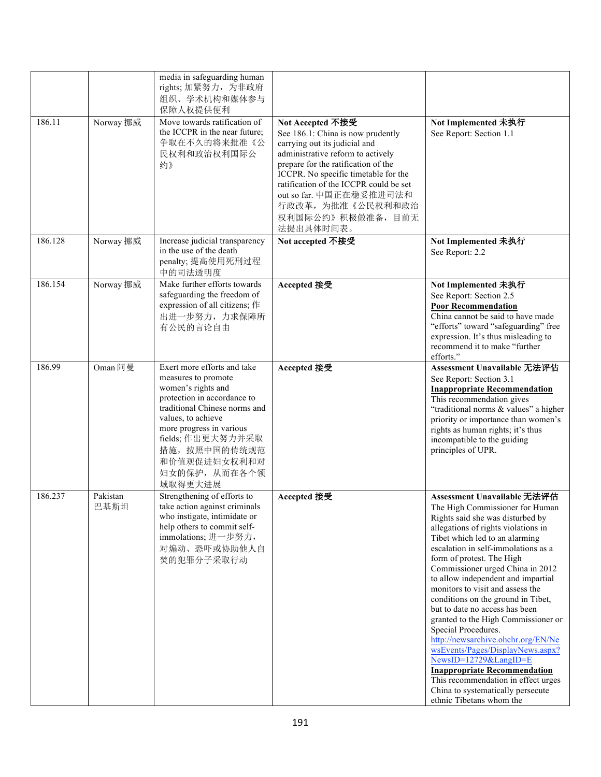|         |                  | media in safeguarding human<br>rights; 加紧努力, 为非政府<br>组织、学术机构和媒体参与<br>保障人权提供便利                                                                                                                                                                                                |                                                                                                                                                                                                                                                                                                                                        |                                                                                                                                                                                                                                                                                                                                                                                                                                                                                                                                                                                                                                                                                                                                                       |
|---------|------------------|------------------------------------------------------------------------------------------------------------------------------------------------------------------------------------------------------------------------------------------------------------------------------|----------------------------------------------------------------------------------------------------------------------------------------------------------------------------------------------------------------------------------------------------------------------------------------------------------------------------------------|-------------------------------------------------------------------------------------------------------------------------------------------------------------------------------------------------------------------------------------------------------------------------------------------------------------------------------------------------------------------------------------------------------------------------------------------------------------------------------------------------------------------------------------------------------------------------------------------------------------------------------------------------------------------------------------------------------------------------------------------------------|
| 186.11  | Norway 挪威        | Move towards ratification of<br>the ICCPR in the near future;<br>争取在不久的将来批准《公<br>民权利和政治权利国际公<br>约》                                                                                                                                                                           | Not Accepted 不接受<br>See 186.1: China is now prudently<br>carrying out its judicial and<br>administrative reform to actively<br>prepare for the ratification of the<br>ICCPR. No specific timetable for the<br>ratification of the ICCPR could be set<br>out so far. 中国正在稳妥推进司法和<br>行政改革, 为批准《公民权利和政治<br>权利国际公约》积极做准备, 目前无<br>法提出具体时间表。 | Not Implemented 未执行<br>See Report: Section 1.1                                                                                                                                                                                                                                                                                                                                                                                                                                                                                                                                                                                                                                                                                                        |
| 186.128 | Norway 挪威        | Increase judicial transparency<br>in the use of the death<br>penalty; 提高使用死刑过程<br>中的司法透明度                                                                                                                                                                                    | Not accepted 不接受                                                                                                                                                                                                                                                                                                                       | Not Implemented 未执行<br>See Report: 2.2                                                                                                                                                                                                                                                                                                                                                                                                                                                                                                                                                                                                                                                                                                                |
| 186.154 | Norway 挪威        | Make further efforts towards<br>safeguarding the freedom of<br>expression of all citizens; 作<br>出进一步努力,力求保障所<br>有公民的言论自由                                                                                                                                                     | Accepted 接受                                                                                                                                                                                                                                                                                                                            | Not Implemented 未执行<br>See Report: Section 2.5<br><b>Poor Recommendation</b><br>China cannot be said to have made<br>"efforts" toward "safeguarding" free<br>expression. It's thus misleading to<br>recommend it to make "further<br>efforts."                                                                                                                                                                                                                                                                                                                                                                                                                                                                                                        |
| 186.99  | Oman 阿曼          | Exert more efforts and take<br>measures to promote<br>women's rights and<br>protection in accordance to<br>traditional Chinese norms and<br>values, to achieve<br>more progress in various<br>fields; 作出更大努力并采取<br>措施, 按照中国的传统规范<br>和价值观促进妇女权利和对<br>妇女的保护, 从而在各个领<br>域取得更大进展 | Accepted 接受                                                                                                                                                                                                                                                                                                                            | Assessment Unavailable 无法评估<br>See Report: Section 3.1<br><b>Inappropriate Recommendation</b><br>This recommendation gives<br>"traditional norms & values" a higher<br>priority or importance than women's<br>rights as human rights; it's thus<br>incompatible to the guiding<br>principles of UPR.                                                                                                                                                                                                                                                                                                                                                                                                                                                  |
| 186.237 | Pakistan<br>巴基斯坦 | Strengthening of efforts to<br>take action against criminals<br>who instigate, intimidate or<br>help others to commit self-<br>immolations; 进一步努力,<br>对煽动、恐吓或协助他人自<br>焚的犯罪分子采取行动                                                                                             | Accepted 接受                                                                                                                                                                                                                                                                                                                            | Assessment Unavailable 无法评估<br>The High Commissioner for Human<br>Rights said she was disturbed by<br>allegations of rights violations in<br>Tibet which led to an alarming<br>escalation in self-immolations as a<br>form of protest. The High<br>Commissioner urged China in 2012<br>to allow independent and impartial<br>monitors to visit and assess the<br>conditions on the ground in Tibet,<br>but to date no access has been<br>granted to the High Commissioner or<br>Special Procedures.<br>http://newsarchive.ohchr.org/EN/Ne<br>wsEvents/Pages/DisplayNews.aspx?<br>NewsID=12729&LangID=E<br><b>Inappropriate Recommendation</b><br>This recommendation in effect urges<br>China to systematically persecute<br>ethnic Tibetans whom the |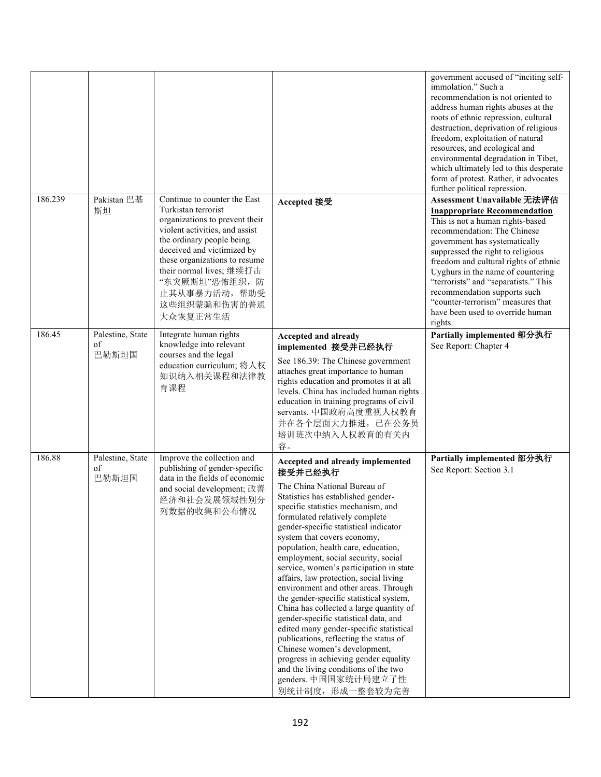|         |                                 |                                                                                                                                                                                                                                                                                                              |                                                                                                                                                                                                                                                                                                                                                                                                                                                                                                                                                                                                                                                                                                                                                                                                                                                              | government accused of "inciting self-<br>immolation." Such a<br>recommendation is not oriented to<br>address human rights abuses at the<br>roots of ethnic repression, cultural<br>destruction, deprivation of religious<br>freedom, exploitation of natural<br>resources, and ecological and<br>environmental degradation in Tibet,<br>which ultimately led to this desperate<br>form of protest. Rather, it advocates<br>further political repression. |
|---------|---------------------------------|--------------------------------------------------------------------------------------------------------------------------------------------------------------------------------------------------------------------------------------------------------------------------------------------------------------|--------------------------------------------------------------------------------------------------------------------------------------------------------------------------------------------------------------------------------------------------------------------------------------------------------------------------------------------------------------------------------------------------------------------------------------------------------------------------------------------------------------------------------------------------------------------------------------------------------------------------------------------------------------------------------------------------------------------------------------------------------------------------------------------------------------------------------------------------------------|----------------------------------------------------------------------------------------------------------------------------------------------------------------------------------------------------------------------------------------------------------------------------------------------------------------------------------------------------------------------------------------------------------------------------------------------------------|
| 186.239 | Pakistan 巴基<br>斯坦               | Continue to counter the East<br>Turkistan terrorist<br>organizations to prevent their<br>violent activities, and assist<br>the ordinary people being<br>deceived and victimized by<br>these organizations to resume<br>their normal lives; 继续打击<br>"东突厥斯坦"恐怖组织,防<br>止其从事暴力活动,帮助受<br>这些组织蒙骗和伤害的普通<br>大众恢复正常生活 | Accepted 接受                                                                                                                                                                                                                                                                                                                                                                                                                                                                                                                                                                                                                                                                                                                                                                                                                                                  | Assessment Unavailable 无法评估<br><b>Inappropriate Recommendation</b><br>This is not a human rights-based<br>recommendation: The Chinese<br>government has systematically<br>suppressed the right to religious<br>freedom and cultural rights of ethnic<br>Uyghurs in the name of countering<br>"terrorists" and "separatists." This<br>recommendation supports such<br>"counter-terrorism" measures that<br>have been used to override human<br>rights.    |
| 186.45  | Palestine, State<br>of<br>巴勒斯坦国 | Integrate human rights<br>knowledge into relevant<br>courses and the legal<br>education curriculum; 将人权<br>知识纳入相关课程和法律教<br>育课程                                                                                                                                                                               | Accepted and already<br>implemented 接受并已经执行<br>See 186.39: The Chinese government<br>attaches great importance to human<br>rights education and promotes it at all<br>levels. China has included human rights<br>education in training programs of civil<br>servants. 中国政府高度重视人权教育<br>并在各个层面大力推进, 已在公务员<br>培训班次中纳入人权教育的有关内<br>容。                                                                                                                                                                                                                                                                                                                                                                                                                                                                                                                             | Partially implemented 部分执行<br>See Report: Chapter 4                                                                                                                                                                                                                                                                                                                                                                                                      |
| 186.88  | Palestine, State<br>of<br>巴勒斯坦国 | Improve the collection and<br>publishing of gender-specific<br>data in the fields of economic<br>and social development; 改善<br>经济和社会发展领域性别分<br>列数据的收集和公布情况                                                                                                                                                   | Accepted and already implemented<br>接受并已经执行<br>The China National Bureau of<br>Statistics has established gender-<br>specific statistics mechanism, and<br>formulated relatively complete<br>gender-specific statistical indicator<br>system that covers economy,<br>population, health care, education,<br>employment, social security, social<br>service, women's participation in state<br>affairs, law protection, social living<br>environment and other areas. Through<br>the gender-specific statistical system,<br>China has collected a large quantity of<br>gender-specific statistical data, and<br>edited many gender-specific statistical<br>publications, reflecting the status of<br>Chinese women's development,<br>progress in achieving gender equality<br>and the living conditions of the two<br>genders. 中国国家统计局建立了性<br>别统计制度,形成一整套较为完善 | Partially implemented 部分执行<br>See Report: Section 3.1                                                                                                                                                                                                                                                                                                                                                                                                    |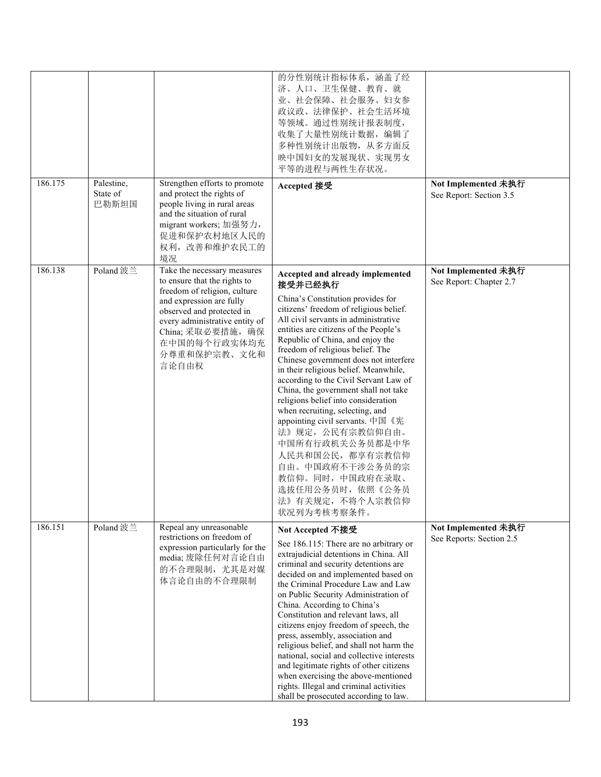|         |                                 |                                                                                                                                                                                                                                                      | 的分性别统计指标体系, 涵盖了经<br>济、人口、卫生保健、教育、就<br>业、社会保障、社会服务、妇女参<br>政议政、法律保护、社会生活环境<br>等领域。通过性别统计报表制度,<br>收集了大量性别统计数据, 编辑了<br>多种性别统计出版物, 从多方面反<br>映中国妇女的发展现状、实现男女<br>平等的进程与两性生存状况。                                                                                                                                                                                                                                                                                                                                                                                                                                                                                                                                                     |                                                 |
|---------|---------------------------------|------------------------------------------------------------------------------------------------------------------------------------------------------------------------------------------------------------------------------------------------------|-----------------------------------------------------------------------------------------------------------------------------------------------------------------------------------------------------------------------------------------------------------------------------------------------------------------------------------------------------------------------------------------------------------------------------------------------------------------------------------------------------------------------------------------------------------------------------------------------------------------------------------------------------------------------------------------------------------------------------|-------------------------------------------------|
| 186.175 | Palestine,<br>State of<br>巴勒斯坦国 | Strengthen efforts to promote<br>and protect the rights of<br>people living in rural areas<br>and the situation of rural<br>migrant workers; 加强努力,<br>促进和保护农村地区人民的<br>权利,改善和维护农民工的<br>境况                                                             | Accepted 接受                                                                                                                                                                                                                                                                                                                                                                                                                                                                                                                                                                                                                                                                                                                 | Not Implemented 未执行<br>See Report: Section 3.5  |
| 186.138 | Poland 波兰                       | Take the necessary measures<br>to ensure that the rights to<br>freedom of religion, culture<br>and expression are fully<br>observed and protected in<br>every administrative entity of<br>China; 采取必要措施, 确保<br>在中国的每个行政实体均充<br>分尊重和保护宗教、文化和<br>言论自由权 | Accepted and already implemented<br>接受并已经执行<br>China's Constitution provides for<br>citizens' freedom of religious belief.<br>All civil servants in administrative<br>entities are citizens of the People's<br>Republic of China, and enjoy the<br>freedom of religious belief. The<br>Chinese government does not interfere<br>in their religious belief. Meanwhile,<br>according to the Civil Servant Law of<br>China, the government shall not take<br>religions belief into consideration<br>when recruiting, selecting, and<br>appointing civil servants. 中国《宪<br>法》规定, 公民有宗教信仰自由。<br>中国所有行政机关公务员都是中华<br>人民共和国公民,都享有宗教信仰<br>自由。中国政府不干涉公务员的宗<br>教信仰。同时, 中国政府在录取、<br>选拔任用公务员时, 依照《公务员<br>法》有关规定, 不将个人宗教信仰<br>状况列为考核考察条件。 | Not Implemented 未执行<br>See Report: Chapter 2.7  |
| 186.151 | Poland 波兰                       | Repeal any unreasonable<br>restrictions on freedom of<br>expression particularly for the<br>media; 废除任何对言论自由<br>的不合理限制, 尤其是对媒<br>体言论自由的不合理限制                                                                                                         | Not Accepted 不接受<br>See 186.115: There are no arbitrary or<br>extrajudicial detentions in China. All<br>criminal and security detentions are<br>decided on and implemented based on<br>the Criminal Procedure Law and Law<br>on Public Security Administration of<br>China. According to China's<br>Constitution and relevant laws, all<br>citizens enjoy freedom of speech, the<br>press, assembly, association and<br>religious belief, and shall not harm the<br>national, social and collective interests<br>and legitimate rights of other citizens<br>when exercising the above-mentioned<br>rights. Illegal and criminal activities<br>shall be prosecuted according to law.                                         | Not Implemented 未执行<br>See Reports: Section 2.5 |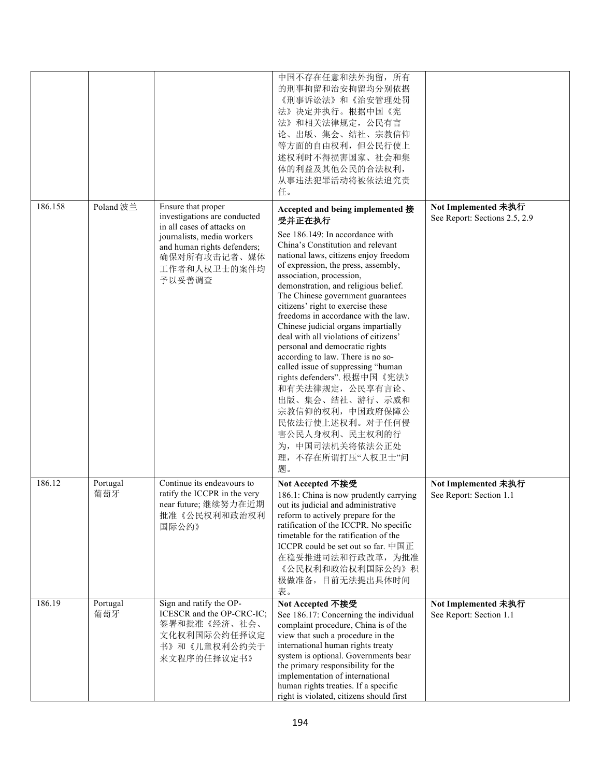|         |                 |                                                                                                                                                                                         | 中国不存在任意和法外拘留, 所有<br>的刑事拘留和治安拘留均分别依据<br>《刑事诉讼法》和《治安管理处罚<br>法》决定并执行。根据中国《宪<br>法》和相关法律规定, 公民有言<br>论、出版、集会、结社、宗教信仰<br>等方面的自由权利, 但公民行使上<br>述权利时不得损害国家、社会和集<br>体的利益及其他公民的合法权利,<br>从事违法犯罪活动将被依法追究责<br>任。                                                                                                                                                                                                                                                                                                                                                                                                                                                                                                                                                                 |                                                      |
|---------|-----------------|-----------------------------------------------------------------------------------------------------------------------------------------------------------------------------------------|-------------------------------------------------------------------------------------------------------------------------------------------------------------------------------------------------------------------------------------------------------------------------------------------------------------------------------------------------------------------------------------------------------------------------------------------------------------------------------------------------------------------------------------------------------------------------------------------------------------------------------------------------------------------------------------------------------------------------------------------------------------------|------------------------------------------------------|
| 186.158 | Poland 波兰       | Ensure that proper<br>investigations are conducted<br>in all cases of attacks on<br>journalists, media workers<br>and human rights defenders;<br>确保对所有攻击记者、媒体<br>工作者和人权卫士的案件均<br>予以妥善调查 | Accepted and being implemented 接<br>受并正在执行<br>See 186.149: In accordance with<br>China's Constitution and relevant<br>national laws, citizens enjoy freedom<br>of expression, the press, assembly,<br>association, procession,<br>demonstration, and religious belief.<br>The Chinese government guarantees<br>citizens' right to exercise these<br>freedoms in accordance with the law.<br>Chinese judicial organs impartially<br>deal with all violations of citizens'<br>personal and democratic rights<br>according to law. There is no so-<br>called issue of suppressing "human<br>rights defenders". 根据中国《宪法》<br>和有关法律规定, 公民享有言论、<br>出版、集会、结社、游行、示威和<br>宗教信仰的权利, 中国政府保障公<br>民依法行使上述权利。对于任何侵<br>害公民人身权利、民主权利的行<br>为, 中国司法机关将依法公正处<br>理,不存在所谓打压"人权卫士"问<br>题。 | Not Implemented 未执行<br>See Report: Sections 2.5, 2.9 |
| 186.12  | Portugal<br>葡萄牙 | Continue its endeavours to<br>ratify the ICCPR in the very<br>near future; 继续努力在近期<br>批准《公民权利和政治权利<br>国际公约》                                                                             | Not Accepted 不接受<br>186.1: China is now prudently carrying<br>out its judicial and administrative<br>reform to actively prepare for the<br>ratification of the ICCPR. No specific<br>timetable for the ratification of the<br>ICCPR could be set out so far. $\dagger \boxplus \boxdot$<br>在稳妥推进司法和行政改革, 为批准<br>《公民权利和政治权利国际公约》积<br>极做准备,目前无法提出具体时间<br>表。                                                                                                                                                                                                                                                                                                                                                                                                         | Not Implemented 未执行<br>See Report: Section 1.1       |
| 186.19  | Portugal<br>葡萄牙 | Sign and ratify the OP-<br>ICESCR and the OP-CRC-IC;<br>签署和批准《经济、社会、<br>文化权利国际公约任择议定<br>书》和《儿童权利公约关于<br>来文程序的任择议定书》                                                                     | Not Accepted 不接受<br>See 186.17: Concerning the individual<br>complaint procedure, China is of the<br>view that such a procedure in the<br>international human rights treaty<br>system is optional. Governments bear<br>the primary responsibility for the<br>implementation of international<br>human rights treaties. If a specific<br>right is violated, citizens should first                                                                                                                                                                                                                                                                                                                                                                                  | Not Implemented 未执行<br>See Report: Section 1.1       |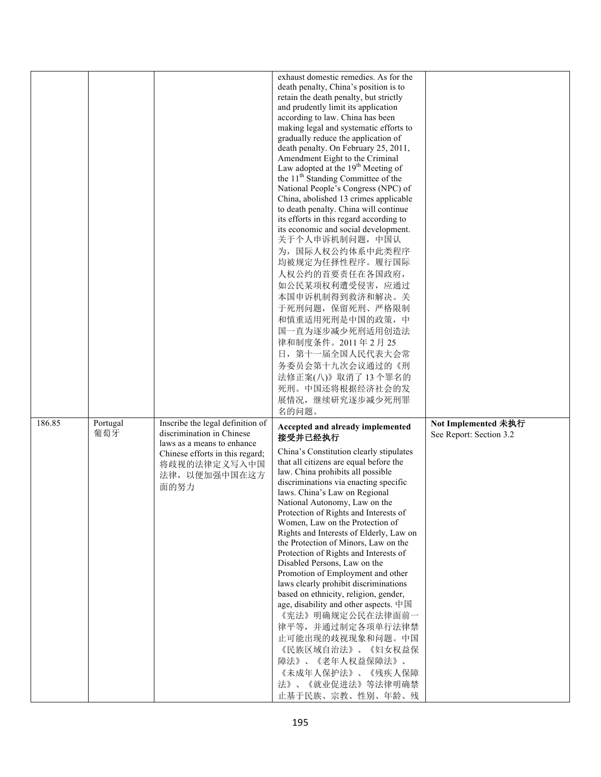|        |                 |                                                                                                        | exhaust domestic remedies. As for the<br>death penalty, China's position is to<br>retain the death penalty, but strictly<br>and prudently limit its application<br>according to law. China has been<br>making legal and systematic efforts to                                                                                                                                                                                                                                                                                                                                                                                                                                     |                                                |
|--------|-----------------|--------------------------------------------------------------------------------------------------------|-----------------------------------------------------------------------------------------------------------------------------------------------------------------------------------------------------------------------------------------------------------------------------------------------------------------------------------------------------------------------------------------------------------------------------------------------------------------------------------------------------------------------------------------------------------------------------------------------------------------------------------------------------------------------------------|------------------------------------------------|
|        |                 |                                                                                                        | gradually reduce the application of<br>death penalty. On February 25, 2011,<br>Amendment Eight to the Criminal<br>Law adopted at the 19 <sup>th</sup> Meeting of<br>the 11 <sup>th</sup> Standing Committee of the<br>National People's Congress (NPC) of<br>China, abolished 13 crimes applicable                                                                                                                                                                                                                                                                                                                                                                                |                                                |
|        |                 |                                                                                                        | to death penalty. China will continue<br>its efforts in this regard according to<br>its economic and social development.<br>关于个人申诉机制问题, 中国认<br>为, 国际人权公约体系中此类程序<br>均被规定为任择性程序。履行国际                                                                                                                                                                                                                                                                                                                                                                                                                                                                                                |                                                |
|        |                 |                                                                                                        | 人权公约的首要责任在各国政府,<br>如公民某项权利遭受侵害, 应通过<br>本国申诉机制得到救济和解决。关<br>于死刑问题, 保留死刑、严格限制<br>和慎重适用死刑是中国的政策,中<br>国一直为逐步减少死刑适用创造法                                                                                                                                                                                                                                                                                                                                                                                                                                                                                                                                                                  |                                                |
|        |                 |                                                                                                        | 律和制度条件。2011年2月25<br>日, 第十一届全国人民代表大会常<br>务委员会第十九次会议通过的《刑<br>法修正案(八)》取消了13个罪名的<br>死刑。中国还将根据经济社会的发<br>展情况,继续研究逐步减少死刑罪                                                                                                                                                                                                                                                                                                                                                                                                                                                                                                                                                                |                                                |
| 186.85 | Portugal<br>葡萄牙 | Inscribe the legal definition of<br>discrimination in Chinese                                          | 名的问题。<br>Accepted and already implemented<br>接受并已经执行                                                                                                                                                                                                                                                                                                                                                                                                                                                                                                                                                                                                                              | Not Implemented 未执行<br>See Report: Section 3.2 |
|        |                 | laws as a means to enhance<br>Chinese efforts in this regard;<br>将歧视的法律定义写入中国<br>法律, 以便加强中国在这方<br>面的努力 | China's Constitution clearly stipulates<br>that all citizens are equal before the<br>law. China prohibits all possible<br>discriminations via enacting specific<br>laws. China's Law on Regional<br>National Autonomy, Law on the<br>Protection of Rights and Interests of<br>Women, Law on the Protection of<br>Rights and Interests of Elderly, Law on<br>the Protection of Minors, Law on the<br>Protection of Rights and Interests of<br>Disabled Persons, Law on the<br>Promotion of Employment and other<br>laws clearly prohibit discriminations<br>based on ethnicity, religion, gender,<br>age, disability and other aspects. 中国<br>《宪法》明确规定公民在法律面前一<br>律平等,并通过制定各项单行法律禁 |                                                |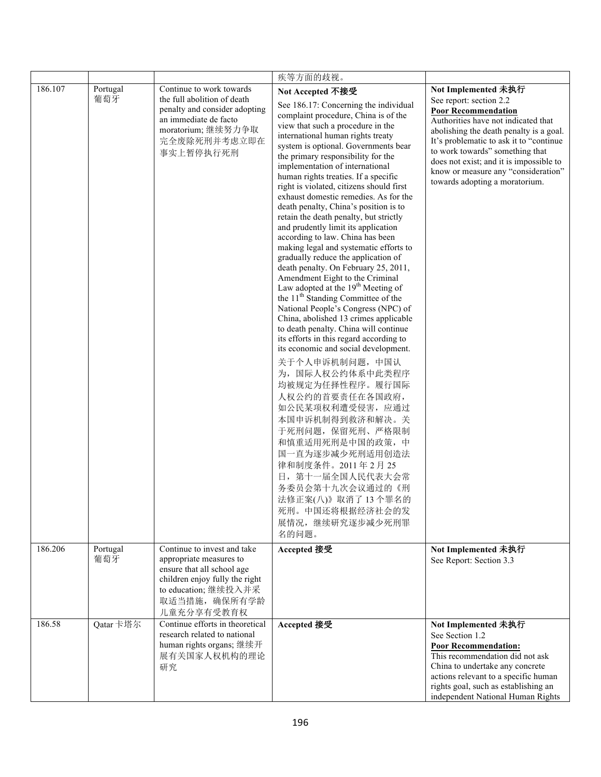|         |                 |                                                                                                                                                                               | 疾等方面的歧视。                                                                                                                                                                                                                                                                                                                                                                                                                                                                                                                                                                                                                                                                                                                                                                                                                                                                                                                                                                                                                                                                                                                                                                                                                                                                                                                                                                         |                                                                                                                                                                                                                                                                                                                                                                  |
|---------|-----------------|-------------------------------------------------------------------------------------------------------------------------------------------------------------------------------|----------------------------------------------------------------------------------------------------------------------------------------------------------------------------------------------------------------------------------------------------------------------------------------------------------------------------------------------------------------------------------------------------------------------------------------------------------------------------------------------------------------------------------------------------------------------------------------------------------------------------------------------------------------------------------------------------------------------------------------------------------------------------------------------------------------------------------------------------------------------------------------------------------------------------------------------------------------------------------------------------------------------------------------------------------------------------------------------------------------------------------------------------------------------------------------------------------------------------------------------------------------------------------------------------------------------------------------------------------------------------------|------------------------------------------------------------------------------------------------------------------------------------------------------------------------------------------------------------------------------------------------------------------------------------------------------------------------------------------------------------------|
| 186.107 | Portugal<br>葡萄牙 | Continue to work towards<br>the full abolition of death<br>penalty and consider adopting<br>an immediate de facto<br>moratorium;继续努力争取<br>完全废除死刑并考虑立即在<br>事实上暂停执行死刑           | Not Accepted 不接受<br>See 186.17: Concerning the individual<br>complaint procedure, China is of the<br>view that such a procedure in the<br>international human rights treaty<br>system is optional. Governments bear<br>the primary responsibility for the<br>implementation of international<br>human rights treaties. If a specific<br>right is violated, citizens should first<br>exhaust domestic remedies. As for the<br>death penalty, China's position is to<br>retain the death penalty, but strictly<br>and prudently limit its application<br>according to law. China has been<br>making legal and systematic efforts to<br>gradually reduce the application of<br>death penalty. On February 25, 2011,<br>Amendment Eight to the Criminal<br>Law adopted at the 19 <sup>th</sup> Meeting of<br>the 11 <sup>th</sup> Standing Committee of the<br>National People's Congress (NPC) of<br>China, abolished 13 crimes applicable<br>to death penalty. China will continue<br>its efforts in this regard according to<br>its economic and social development.<br>关于个人申诉机制问题, 中国认<br>为, 国际人权公约体系中此类程序<br>均被规定为任择性程序。履行国际<br>人权公约的首要责任在各国政府,<br>如公民某项权利遭受侵害, 应通过<br>本国申诉机制得到救济和解决。关<br>于死刑问题, 保留死刑、严格限制<br>和慎重适用死刑是中国的政策,中<br>国一直为逐步减少死刑适用创造法<br>律和制度条件。2011年2月25<br>日, 第十一届全国人民代表大会常<br>务委员会第十九次会议通过的《刑<br>法修正案(八)》取消了13个罪名的<br>死刑。中国还将根据经济社会的发<br>展情况,继续研究逐步减少死刑罪<br>名的问题。 | Not Implemented 未执行<br>See report: section 2.2<br><b>Poor Recommendation</b><br>Authorities have not indicated that<br>abolishing the death penalty is a goal.<br>It's problematic to ask it to "continue<br>to work towards" something that<br>does not exist; and it is impossible to<br>know or measure any "consideration"<br>towards adopting a moratorium. |
| 186.206 | Portugal<br>葡萄牙 | Continue to invest and take<br>appropriate measures to<br>ensure that all school age<br>children enjoy fully the right<br>to education; 继续投入并采<br>取适当措施, 确保所有学龄<br>儿童充分享有受教育权 | Accepted 接受                                                                                                                                                                                                                                                                                                                                                                                                                                                                                                                                                                                                                                                                                                                                                                                                                                                                                                                                                                                                                                                                                                                                                                                                                                                                                                                                                                      | Not Implemented 未执行<br>See Report: Section 3.3                                                                                                                                                                                                                                                                                                                   |
| 186.58  | Qatar卡塔尔        | Continue efforts in theoretical<br>research related to national<br>human rights organs; 继续开<br>展有关国家人权机构的理论<br>研究                                                             | Accepted 接受                                                                                                                                                                                                                                                                                                                                                                                                                                                                                                                                                                                                                                                                                                                                                                                                                                                                                                                                                                                                                                                                                                                                                                                                                                                                                                                                                                      | Not Implemented 未执行<br>See Section 1.2<br><b>Poor Recommendation:</b><br>This recommendation did not ask<br>China to undertake any concrete<br>actions relevant to a specific human<br>rights goal, such as establishing an<br>independent National Human Rights                                                                                                 |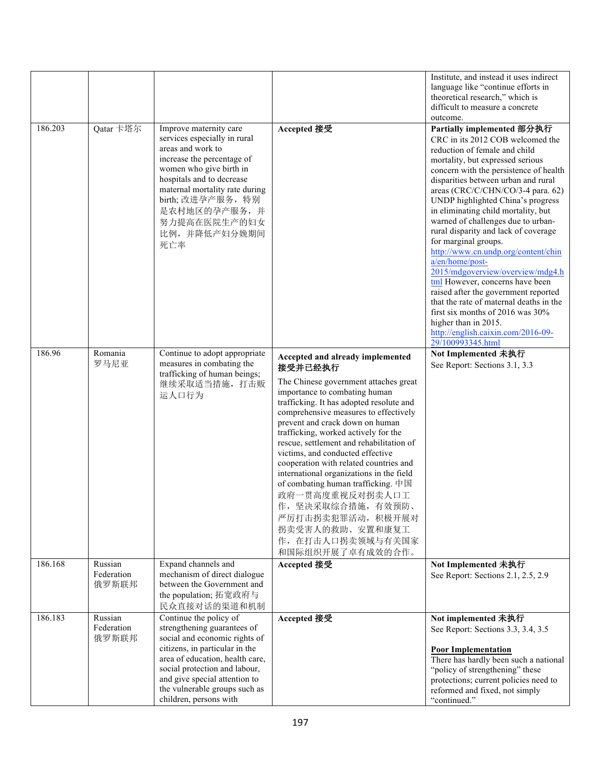|         |                                |                                                                                                                                                                                                                                                                                          |                                                                                                                                                                                                                                                                                                                                                                                                                                                                                                                                                                                                                           | Institute, and instead it uses indirect<br>language like "continue efforts in<br>theoretical research," which is<br>difficult to measure a concrete<br>outcome.                                                                                                                                                                                                                                                                                                                                                                                                                                                                                                                                                                                                                        |
|---------|--------------------------------|------------------------------------------------------------------------------------------------------------------------------------------------------------------------------------------------------------------------------------------------------------------------------------------|---------------------------------------------------------------------------------------------------------------------------------------------------------------------------------------------------------------------------------------------------------------------------------------------------------------------------------------------------------------------------------------------------------------------------------------------------------------------------------------------------------------------------------------------------------------------------------------------------------------------------|----------------------------------------------------------------------------------------------------------------------------------------------------------------------------------------------------------------------------------------------------------------------------------------------------------------------------------------------------------------------------------------------------------------------------------------------------------------------------------------------------------------------------------------------------------------------------------------------------------------------------------------------------------------------------------------------------------------------------------------------------------------------------------------|
| 186.203 | Qatar 卡塔尔                      | Improve maternity care<br>services especially in rural<br>areas and work to<br>increase the percentage of<br>women who give birth in<br>hospitals and to decrease<br>maternal mortality rate during<br>birth;改进孕产服务,特别<br>是农村地区的孕产服务,并<br>努力提高在医院生产的妇女<br>比例,并降低产妇分娩期间<br>死亡率            | Accepted 接受                                                                                                                                                                                                                                                                                                                                                                                                                                                                                                                                                                                                               | Partially implemented 部分执行<br>CRC in its 2012 COB welcomed the<br>reduction of female and child<br>mortality, but expressed serious<br>concern with the persistence of health<br>disparities between urban and rural<br>areas (CRC/C/CHN/CO/3-4 para. 62)<br>UNDP highlighted China's progress<br>in eliminating child mortality, but<br>warned of challenges due to urban-<br>rural disparity and lack of coverage<br>for marginal groups.<br>http://www.cn.undp.org/content/chin<br>a/en/home/post-<br>2015/mdgoverview/overview/mdg4.h<br>tml However, concerns have been<br>raised after the government reported<br>that the rate of maternal deaths in the<br>first six months of 2016 was 30%<br>higher than in 2015.<br>http://english.caixin.com/2016-09-<br>29/100993345.html |
| 186.96  | Romania<br>罗马尼亚                | Continue to adopt appropriate<br>measures in combating the<br>trafficking of human beings;<br>继续采取适当措施, 打击贩<br>运人口行为                                                                                                                                                                     | Accepted and already implemented<br>接受并已经执行<br>The Chinese government attaches great<br>importance to combating human<br>trafficking. It has adopted resolute and<br>comprehensive measures to effectively<br>prevent and crack down on human<br>trafficking, worked actively for the<br>rescue, settlement and rehabilitation of<br>victims, and conducted effective<br>cooperation with related countries and<br>international organizations in the field<br>of combating human trafficking. 中国<br>政府一贯高度重视反对拐卖人口工<br>作,坚决采取综合措施,有效预防。<br>严厉打击拐卖犯罪活动, 积极开展对<br>拐卖受害人的救助、安置和康复工<br>作, 在打击人口拐卖领域与有关国家<br>和国际组织开展了卓有成效的合作。 | Not Implemented 未执行<br>See Report: Sections 3.1, 3.3                                                                                                                                                                                                                                                                                                                                                                                                                                                                                                                                                                                                                                                                                                                                   |
| 186.168 | Russian<br>Federation<br>俄罗斯联邦 | Expand channels and<br>mechanism of direct dialogue<br>between the Government and<br>the population; 拓宽政府与<br>民众直接对话的渠道和机制                                                                                                                                                               | Accepted 接受                                                                                                                                                                                                                                                                                                                                                                                                                                                                                                                                                                                                               | Not Implemented 未执行<br>See Report: Sections 2.1, 2.5, 2.9                                                                                                                                                                                                                                                                                                                                                                                                                                                                                                                                                                                                                                                                                                                              |
| 186.183 | Russian<br>Federation<br>俄罗斯联邦 | Continue the policy of<br>strengthening guarantees of<br>social and economic rights of<br>citizens, in particular in the<br>area of education, health care,<br>social protection and labour,<br>and give special attention to<br>the vulnerable groups such as<br>children, persons with | Accepted 接受                                                                                                                                                                                                                                                                                                                                                                                                                                                                                                                                                                                                               | Not implemented 未执行<br>See Report: Sections 3.3, 3.4, 3.5<br><b>Poor Implementation</b><br>There has hardly been such a national<br>"policy of strengthening" these<br>protections; current policies need to<br>reformed and fixed, not simply<br>"continued."                                                                                                                                                                                                                                                                                                                                                                                                                                                                                                                         |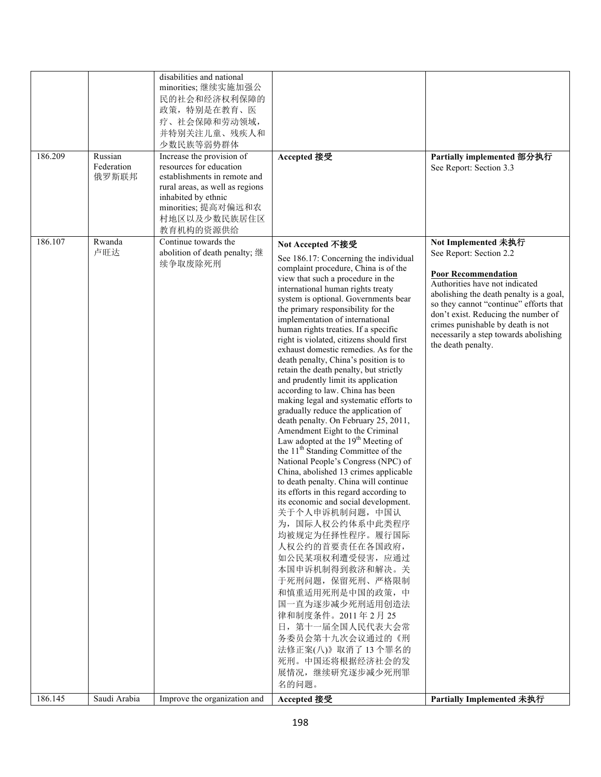| 186.209 | Russian<br>Federation<br>俄罗斯联邦 | disabilities and national<br>minorities; 继续实施加强公<br>民的社会和经济权利保障的<br>政策, 特别是在教育、医<br>疗、社会保障和劳动领域,<br>并特别关注儿童、残疾人和<br>少数民族等弱势群体<br>Increase the provision of<br>resources for education<br>establishments in remote and<br>rural areas, as well as regions<br>inhabited by ethnic<br>minorities; 提高对偏远和农<br>村地区以及少数民族居住区<br>教育机构的资源供给 | Accepted 接受                                                                                                                                                                                                                                                                                                                                                                                                                                                                                                                                                                                                                                                                                                                                                                                                                                                                                                                                                                                                                                                                                                                                                                                                                                                                                                                                                             | Partially implemented 部分执行<br>See Report: Section 3.3                                                                                                                                                                                                                                                                                          |
|---------|--------------------------------|-------------------------------------------------------------------------------------------------------------------------------------------------------------------------------------------------------------------------------------------------------------------------------------------------------------------------------------|-------------------------------------------------------------------------------------------------------------------------------------------------------------------------------------------------------------------------------------------------------------------------------------------------------------------------------------------------------------------------------------------------------------------------------------------------------------------------------------------------------------------------------------------------------------------------------------------------------------------------------------------------------------------------------------------------------------------------------------------------------------------------------------------------------------------------------------------------------------------------------------------------------------------------------------------------------------------------------------------------------------------------------------------------------------------------------------------------------------------------------------------------------------------------------------------------------------------------------------------------------------------------------------------------------------------------------------------------------------------------|------------------------------------------------------------------------------------------------------------------------------------------------------------------------------------------------------------------------------------------------------------------------------------------------------------------------------------------------|
| 186.107 | Rwanda<br>卢旺达                  | Continue towards the<br>abolition of death penalty; 继<br>续争取废除死刑                                                                                                                                                                                                                                                                    | Not Accepted 不接受<br>See 186.17: Concerning the individual<br>complaint procedure, China is of the<br>view that such a procedure in the<br>international human rights treaty<br>system is optional. Governments bear<br>the primary responsibility for the<br>implementation of international<br>human rights treaties. If a specific<br>right is violated, citizens should first<br>exhaust domestic remedies. As for the<br>death penalty, China's position is to<br>retain the death penalty, but strictly<br>and prudently limit its application<br>according to law. China has been<br>making legal and systematic efforts to<br>gradually reduce the application of<br>death penalty. On February 25, 2011,<br>Amendment Eight to the Criminal<br>Law adopted at the $19th$ Meeting of<br>the 11 <sup>th</sup> Standing Committee of the<br>National People's Congress (NPC) of<br>China, abolished 13 crimes applicable<br>to death penalty. China will continue<br>its efforts in this regard according to<br>its economic and social development.<br>关于个人申诉机制问题, 中国认<br>为, 国际人权公约体系中此类程序<br>均被规定为任择性程序。履行国际<br>人权公约的首要责任在各国政府,<br>如公民某项权利遭受侵害, 应通过<br>本国申诉机制得到救济和解决。关<br>于死刑问题, 保留死刑、严格限制<br>和慎重适用死刑是中国的政策, 中<br>国一直为逐步减少死刑适用创造法<br>律和制度条件。2011年2月25<br>日, 第十一届全国人民代表大会常<br>务委员会第十九次会议通过的《刑<br>法修正案(八)》取消了13个罪名的<br>死刑。中国还将根据经济社会的发<br>展情况,继续研究逐步减少死刑罪<br>名的问题。 | Not Implemented 未执行<br>See Report: Section 2.2<br><b>Poor Recommendation</b><br>Authorities have not indicated<br>abolishing the death penalty is a goal,<br>so they cannot "continue" efforts that<br>don't exist. Reducing the number of<br>crimes punishable by death is not<br>necessarily a step towards abolishing<br>the death penalty. |
| 186.145 | Saudi Arabia                   | Improve the organization and                                                                                                                                                                                                                                                                                                        | Accepted 接受                                                                                                                                                                                                                                                                                                                                                                                                                                                                                                                                                                                                                                                                                                                                                                                                                                                                                                                                                                                                                                                                                                                                                                                                                                                                                                                                                             | Partially Implemented 未执行                                                                                                                                                                                                                                                                                                                      |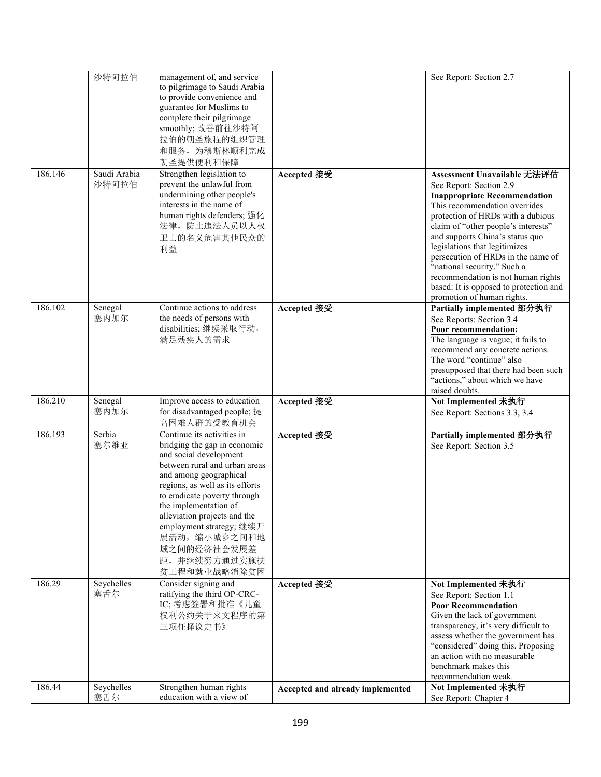|         | 沙特阿拉伯                 | management of, and service<br>to pilgrimage to Saudi Arabia<br>to provide convenience and<br>guarantee for Muslims to<br>complete their pilgrimage<br>smoothly; 改善前往沙特阿<br>拉伯的朝圣旅程的组织管理<br>和服务, 为穆斯林顺利完成<br>朝圣提供便利和保障                                                                                                                                                  |                                  | See Report: Section 2.7                                                                                                                                                                                                                                                                                                                                                                                                                                           |
|---------|-----------------------|------------------------------------------------------------------------------------------------------------------------------------------------------------------------------------------------------------------------------------------------------------------------------------------------------------------------------------------------------------------------|----------------------------------|-------------------------------------------------------------------------------------------------------------------------------------------------------------------------------------------------------------------------------------------------------------------------------------------------------------------------------------------------------------------------------------------------------------------------------------------------------------------|
| 186.146 | Saudi Arabia<br>沙特阿拉伯 | Strengthen legislation to<br>prevent the unlawful from<br>undermining other people's<br>interests in the name of<br>human rights defenders; 强化<br>法律,防止违法人员以人权<br>卫士的名义危害其他民众的<br>利益                                                                                                                                                                                   | Accepted 接受                      | Assessment Unavailable 无法评估<br>See Report: Section 2.9<br><b>Inappropriate Recommendation</b><br>This recommendation overrides<br>protection of HRDs with a dubious<br>claim of "other people's interests"<br>and supports China's status quo<br>legislations that legitimizes<br>persecution of HRDs in the name of<br>"national security." Such a<br>recommendation is not human rights<br>based: It is opposed to protection and<br>promotion of human rights. |
| 186.102 | Senegal<br>塞内加尔       | Continue actions to address<br>the needs of persons with<br>disabilities;继续采取行动,<br>满足残疾人的需求                                                                                                                                                                                                                                                                           | Accepted 接受                      | Partially implemented 部分执行<br>See Reports: Section 3.4<br>Poor recommendation:<br>The language is vague; it fails to<br>recommend any concrete actions.<br>The word "continue" also<br>presupposed that there had been such<br>"actions," about which we have<br>raised doubts.                                                                                                                                                                                   |
| 186.210 | Senegal<br>塞内加尔       | Improve access to education<br>for disadvantaged people; 提<br>高困难人群的受教育机会                                                                                                                                                                                                                                                                                              | Accepted 接受                      | Not Implemented 未执行<br>See Report: Sections 3.3, 3.4                                                                                                                                                                                                                                                                                                                                                                                                              |
| 186.193 | Serbia<br>塞尔维亚        | Continue its activities in<br>bridging the gap in economic<br>and social development<br>between rural and urban areas<br>and among geographical<br>regions, as well as its efforts<br>to eradicate poverty through<br>the implementation of<br>alleviation projects and the<br>employment strategy; 继续开<br>展活动,缩小城乡之间和地<br>域之间的经济社会发展差<br>距,并继续努力通过实施扶<br>贫工程和就业战略消除贫困 | Accepted 接受                      | Partially implemented 部分执行<br>See Report: Section 3.5                                                                                                                                                                                                                                                                                                                                                                                                             |
| 186.29  | Seychelles<br>塞舌尔     | Consider signing and<br>ratifying the third OP-CRC-<br>IC; 考虑签署和批准《儿童<br>权利公约关于来文程序的第<br>三项任择议定书》                                                                                                                                                                                                                                                                      | Accepted 接受                      | Not Implemented 未执行<br>See Report: Section 1.1<br><b>Poor Recommendation</b><br>Given the lack of government<br>transparency, it's very difficult to<br>assess whether the government has<br>"considered" doing this. Proposing<br>an action with no measurable<br>benchmark makes this<br>recommendation weak.                                                                                                                                                   |
| 186.44  | Seychelles<br>塞舌尔     | Strengthen human rights<br>education with a view of                                                                                                                                                                                                                                                                                                                    | Accepted and already implemented | Not Implemented 未执行<br>See Report: Chapter 4                                                                                                                                                                                                                                                                                                                                                                                                                      |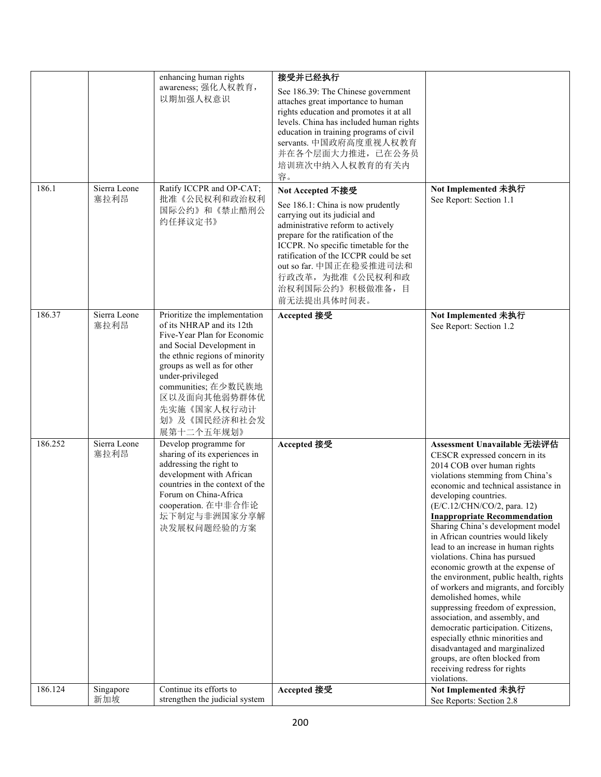|         |                      | enhancing human rights<br>awareness; 强化人权教育,<br>以期加强人权意识                                                                                                                                                                                                                                        | 接受并已经执行<br>See 186.39: The Chinese government<br>attaches great importance to human<br>rights education and promotes it at all<br>levels. China has included human rights<br>education in training programs of civil<br>servants. 中国政府高度重视人权教育<br>并在各个层面大力推进, 已在公务员<br>培训班次中纳入人权教育的有关内<br>容。                                          |                                                                                                                                                                                                                                                                                                                                                                                                                                                                                                                                                                                                                                                                                                                                                                                                                                                   |
|---------|----------------------|-------------------------------------------------------------------------------------------------------------------------------------------------------------------------------------------------------------------------------------------------------------------------------------------------|---------------------------------------------------------------------------------------------------------------------------------------------------------------------------------------------------------------------------------------------------------------------------------------------------------------------------------------|---------------------------------------------------------------------------------------------------------------------------------------------------------------------------------------------------------------------------------------------------------------------------------------------------------------------------------------------------------------------------------------------------------------------------------------------------------------------------------------------------------------------------------------------------------------------------------------------------------------------------------------------------------------------------------------------------------------------------------------------------------------------------------------------------------------------------------------------------|
| 186.1   | Sierra Leone<br>塞拉利昂 | Ratify ICCPR and OP-CAT;<br>批准《公民权利和政治权利<br>国际公约》和《禁止酷刑公<br>约任择议定书》                                                                                                                                                                                                                             | Not Accepted 不接受<br>See 186.1: China is now prudently<br>carrying out its judicial and<br>administrative reform to actively<br>prepare for the ratification of the<br>ICCPR. No specific timetable for the<br>ratification of the ICCPR could be set<br>out so far. 中国正在稳妥推进司法和<br>行政改革, 为批准《公民权利和政<br>治权利国际公约》积极做准备,目<br>前无法提出具体时间表。 | Not Implemented 未执行<br>See Report: Section 1.1                                                                                                                                                                                                                                                                                                                                                                                                                                                                                                                                                                                                                                                                                                                                                                                                    |
| 186.37  | Sierra Leone<br>塞拉利昂 | Prioritize the implementation<br>of its NHRAP and its 12th<br>Five-Year Plan for Economic<br>and Social Development in<br>the ethnic regions of minority<br>groups as well as for other<br>under-privileged<br>communities; 在少数民族地<br>区以及面向其他弱势群体优<br>先实施《国家人权行动计<br>划》及《国民经济和社会发<br>展第十二个五年规划》 | Accepted 接受                                                                                                                                                                                                                                                                                                                           | Not Implemented 未执行<br>See Report: Section 1.2                                                                                                                                                                                                                                                                                                                                                                                                                                                                                                                                                                                                                                                                                                                                                                                                    |
| 186.252 | Sierra Leone<br>塞拉利昂 | Develop programme for<br>sharing of its experiences in<br>addressing the right to<br>development with African<br>countries in the context of the<br>Forum on China-Africa<br>cooperation. 在中非合作论<br>坛下制定与非洲国家分享解<br>决发展权问题经验的方案                                                                 | Accepted 接受                                                                                                                                                                                                                                                                                                                           | Assessment Unavailable 无法评估<br>CESCR expressed concern in its<br>2014 COB over human rights<br>violations stemming from China's<br>economic and technical assistance in<br>developing countries.<br>(E/C.12/CHN/CO/2, para. 12)<br><b>Inappropriate Recommendation</b><br>Sharing China's development model<br>in African countries would likely<br>lead to an increase in human rights<br>violations. China has pursued<br>economic growth at the expense of<br>the environment, public health, rights<br>of workers and migrants, and forcibly<br>demolished homes, while<br>suppressing freedom of expression,<br>association, and assembly, and<br>democratic participation. Citizens,<br>especially ethnic minorities and<br>disadvantaged and marginalized<br>groups, are often blocked from<br>receiving redress for rights<br>violations. |
| 186.124 | Singapore<br>新加坡     | Continue its efforts to<br>strengthen the judicial system                                                                                                                                                                                                                                       | Accepted 接受                                                                                                                                                                                                                                                                                                                           | Not Implemented 未执行<br>See Reports: Section 2.8                                                                                                                                                                                                                                                                                                                                                                                                                                                                                                                                                                                                                                                                                                                                                                                                   |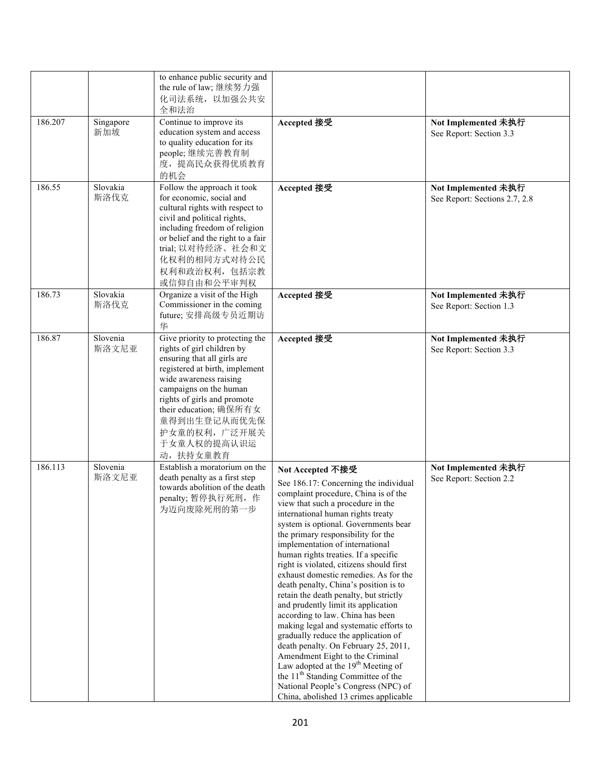|         |                   | to enhance public security and<br>the rule of law; 继续努力强<br>化司法系统, 以加强公共安<br>全和法治                                                                                                                                                                                                                       |                                                                                                                                                                                                                                                                                                                                                                                                                                                                                                                                                                                                                                                                                                                                                                                                                                                                                                                                         |                                                      |
|---------|-------------------|---------------------------------------------------------------------------------------------------------------------------------------------------------------------------------------------------------------------------------------------------------------------------------------------------------|-----------------------------------------------------------------------------------------------------------------------------------------------------------------------------------------------------------------------------------------------------------------------------------------------------------------------------------------------------------------------------------------------------------------------------------------------------------------------------------------------------------------------------------------------------------------------------------------------------------------------------------------------------------------------------------------------------------------------------------------------------------------------------------------------------------------------------------------------------------------------------------------------------------------------------------------|------------------------------------------------------|
| 186.207 | Singapore<br>新加坡  | Continue to improve its<br>education system and access<br>to quality education for its<br>people;继续完善教育制<br>度, 提高民众获得优质教育<br>的机会                                                                                                                                                                        | Accepted 接受                                                                                                                                                                                                                                                                                                                                                                                                                                                                                                                                                                                                                                                                                                                                                                                                                                                                                                                             | Not Implemented 未执行<br>See Report: Section 3.3       |
| 186.55  | Slovakia<br>斯洛伐克  | Follow the approach it took<br>for economic, social and<br>cultural rights with respect to<br>civil and political rights,<br>including freedom of religion<br>or belief and the right to a fair<br>trial; 以对待经济、社会和文<br>化权利的相同方式对待公民<br>权利和政治权利, 包括宗教<br>或信仰自由和公平审判权                                    | Accepted 接受                                                                                                                                                                                                                                                                                                                                                                                                                                                                                                                                                                                                                                                                                                                                                                                                                                                                                                                             | Not Implemented 未执行<br>See Report: Sections 2.7, 2.8 |
| 186.73  | Slovakia<br>斯洛伐克  | Organize a visit of the High<br>Commissioner in the coming<br>future; 安排高级专员近期访<br>华                                                                                                                                                                                                                    | Accepted 接受                                                                                                                                                                                                                                                                                                                                                                                                                                                                                                                                                                                                                                                                                                                                                                                                                                                                                                                             | Not Implemented 未执行<br>See Report: Section 1.3       |
| 186.87  | Slovenia<br>斯洛文尼亚 | Give priority to protecting the<br>rights of girl children by<br>ensuring that all girls are<br>registered at birth, implement<br>wide awareness raising<br>campaigns on the human<br>rights of girls and promote<br>their education; 确保所有女<br>童得到出生登记从而优先保<br>护女童的权利,广泛开展关<br>于女童人权的提高认识运<br>动, 扶持女童教育 | Accepted 接受                                                                                                                                                                                                                                                                                                                                                                                                                                                                                                                                                                                                                                                                                                                                                                                                                                                                                                                             | Not Implemented 未执行<br>See Report: Section 3.3       |
| 186.113 | Slovenia<br>斯洛文尼亚 | Establish a moratorium on the<br>death penalty as a first step<br>towards abolition of the death<br>penalty; 暂停执行死刑, 作<br>为迈向废除死刑的第一步                                                                                                                                                                   | Not Accepted 不接受<br>See 186.17: Concerning the individual<br>complaint procedure, China is of the<br>view that such a procedure in the<br>international human rights treaty<br>system is optional. Governments bear<br>the primary responsibility for the<br>implementation of international<br>human rights treaties. If a specific<br>right is violated, citizens should first<br>exhaust domestic remedies. As for the<br>death penalty, China's position is to<br>retain the death penalty, but strictly<br>and prudently limit its application<br>according to law. China has been<br>making legal and systematic efforts to<br>gradually reduce the application of<br>death penalty. On February 25, 2011,<br>Amendment Eight to the Criminal<br>Law adopted at the 19 <sup>th</sup> Meeting of<br>the 11 <sup>th</sup> Standing Committee of the<br>National People's Congress (NPC) of<br>China, abolished 13 crimes applicable | Not Implemented 未执行<br>See Report: Section 2.2       |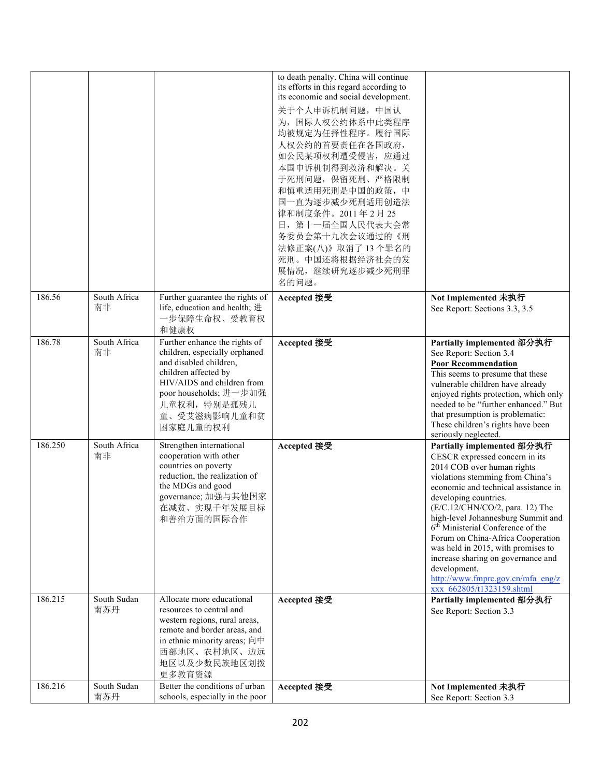|         |                    |                                                                                                                                                                                                                      | to death penalty. China will continue<br>its efforts in this regard according to<br>its economic and social development.<br>关于个人申诉机制问题, 中国认<br>为, 国际人权公约体系中此类程序<br>均被规定为任择性程序。履行国际<br>人权公约的首要责任在各国政府,<br>如公民某项权利遭受侵害, 应通过<br>本国申诉机制得到救济和解决。关<br>于死刑问题, 保留死刑、严格限制<br>和慎重适用死刑是中国的政策,中<br>国一直为逐步减少死刑适用创造法<br>律和制度条件。2011年2月25<br>日, 第十一届全国人民代表大会常<br>务委员会第十九次会议通过的《刑<br>法修正案(八)》取消了13个罪名的<br>死刑。中国还将根据经济社会的发<br>展情况,继续研究逐步减少死刑罪<br>名的问题。 |                                                                                                                                                                                                                                                                                                                                                                                                                                                                                                                              |
|---------|--------------------|----------------------------------------------------------------------------------------------------------------------------------------------------------------------------------------------------------------------|---------------------------------------------------------------------------------------------------------------------------------------------------------------------------------------------------------------------------------------------------------------------------------------------------------------------------------------------------------------------------------------------------------------------------------------|------------------------------------------------------------------------------------------------------------------------------------------------------------------------------------------------------------------------------------------------------------------------------------------------------------------------------------------------------------------------------------------------------------------------------------------------------------------------------------------------------------------------------|
| 186.56  | South Africa<br>南非 | Further guarantee the rights of<br>life, education and health; 进<br>一步保障生命权、受教育权<br>和健康权                                                                                                                             | Accepted 接受                                                                                                                                                                                                                                                                                                                                                                                                                           | Not Implemented 未执行<br>See Report: Sections 3.3, 3.5                                                                                                                                                                                                                                                                                                                                                                                                                                                                         |
| 186.78  | South Africa<br>南非 | Further enhance the rights of<br>children, especially orphaned<br>and disabled children,<br>children affected by<br>HIV/AIDS and children from<br>poor households; 进一步加强<br>儿童权利, 特别是孤残儿<br>童、受艾滋病影响儿童和贫<br>困家庭儿童的权利 | Accepted 接受                                                                                                                                                                                                                                                                                                                                                                                                                           | Partially implemented 部分执行<br>See Report: Section 3.4<br><b>Poor Recommendation</b><br>This seems to presume that these<br>vulnerable children have already<br>enjoyed rights protection, which only<br>needed to be "further enhanced." But<br>that presumption is problematic:<br>These children's rights have been<br>seriously neglected.                                                                                                                                                                                |
| 186.250 | South Africa<br>南非 | Strengthen international<br>cooperation with other<br>countries on poverty<br>reduction, the realization of<br>the MDGs and good<br>governance; 加强与其他国家<br>在减贫、实现千年发展目标<br>和善治方面的国际合作                                | Accepted 接受                                                                                                                                                                                                                                                                                                                                                                                                                           | Partially implemented 部分执行<br>CESCR expressed concern in its<br>2014 COB over human rights<br>violations stemming from China's<br>economic and technical assistance in<br>developing countries.<br>(E/C.12/CHN/CO/2, para. 12) The<br>high-level Johannesburg Summit and<br>6 <sup>th</sup> Ministerial Conference of the<br>Forum on China-Africa Cooperation<br>was held in 2015, with promises to<br>increase sharing on governance and<br>development.<br>http://www.fmprc.gov.cn/mfa eng/z<br>xxx 662805/t1323159.shtml |
| 186.215 | South Sudan<br>南苏丹 | Allocate more educational<br>resources to central and<br>western regions, rural areas,<br>remote and border areas, and<br>in ethnic minority areas; 向中<br>西部地区、农村地区、边远<br>地区以及少数民族地区划拨<br>更多教育资源                     | Accepted 接受                                                                                                                                                                                                                                                                                                                                                                                                                           | Partially implemented 部分执行<br>See Report: Section 3.3                                                                                                                                                                                                                                                                                                                                                                                                                                                                        |
| 186.216 | South Sudan<br>南苏丹 | Better the conditions of urban<br>schools, especially in the poor                                                                                                                                                    | Accepted 接受                                                                                                                                                                                                                                                                                                                                                                                                                           | Not Implemented 未执行<br>See Report: Section 3.3                                                                                                                                                                                                                                                                                                                                                                                                                                                                               |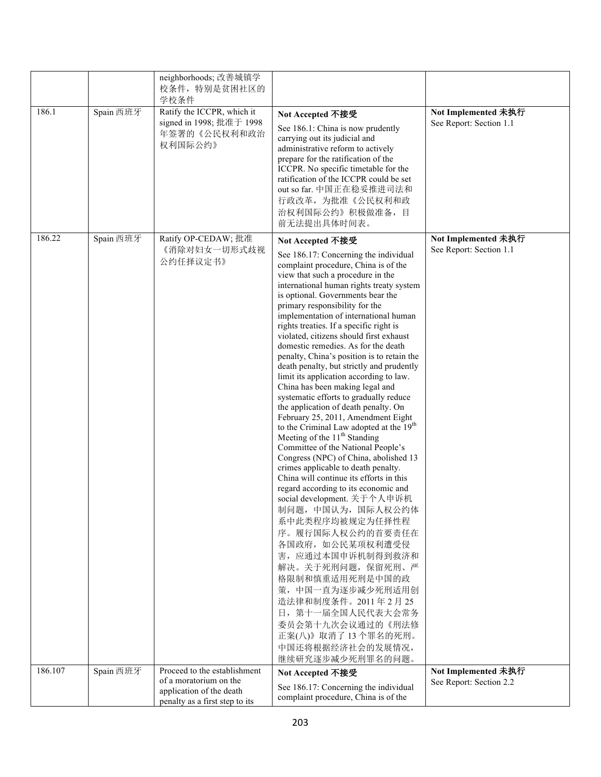|         |           | neighborhoods; 改善城镇学<br>校条件,特别是贫困社区的<br>学校条件                                      |                                                                                                                                                                                                                                                                                                                                                                                                                                                                                                                                                                                                                                                                                                                                                                                                                                                                                                                                                                                                                                                                                                                                                                                                                                                                                                                                                                             |                                                |
|---------|-----------|-----------------------------------------------------------------------------------|-----------------------------------------------------------------------------------------------------------------------------------------------------------------------------------------------------------------------------------------------------------------------------------------------------------------------------------------------------------------------------------------------------------------------------------------------------------------------------------------------------------------------------------------------------------------------------------------------------------------------------------------------------------------------------------------------------------------------------------------------------------------------------------------------------------------------------------------------------------------------------------------------------------------------------------------------------------------------------------------------------------------------------------------------------------------------------------------------------------------------------------------------------------------------------------------------------------------------------------------------------------------------------------------------------------------------------------------------------------------------------|------------------------------------------------|
| 186.1   | Spain 西班牙 | Ratify the ICCPR, which it<br>signed in 1998; 批准于 1998<br>年签署的《公民权利和政治<br>权利国际公约》 | Not Accepted 不接受<br>See 186.1: China is now prudently<br>carrying out its judicial and<br>administrative reform to actively<br>prepare for the ratification of the<br>ICCPR. No specific timetable for the<br>ratification of the ICCPR could be set<br>out so far. 中国正在稳妥推进司法和<br>行政改革, 为批准《公民权利和政<br>治权利国际公约》积极做准备,目<br>前无法提出具体时间表。                                                                                                                                                                                                                                                                                                                                                                                                                                                                                                                                                                                                                                                                                                                                                                                                                                                                                                                                                                                                                                       | Not Implemented 未执行<br>See Report: Section 1.1 |
| 186.22  | Spain 西班牙 | Ratify OP-CEDAW; 批准<br>《消除对妇女一切形式歧视<br>公约任择议定书》                                   | Not Accepted 不接受<br>See 186.17: Concerning the individual<br>complaint procedure, China is of the<br>view that such a procedure in the<br>international human rights treaty system<br>is optional. Governments bear the<br>primary responsibility for the<br>implementation of international human<br>rights treaties. If a specific right is<br>violated, citizens should first exhaust<br>domestic remedies. As for the death<br>penalty, China's position is to retain the<br>death penalty, but strictly and prudently<br>limit its application according to law.<br>China has been making legal and<br>systematic efforts to gradually reduce<br>the application of death penalty. On<br>February 25, 2011, Amendment Eight<br>to the Criminal Law adopted at the 19 <sup>th</sup><br>Meeting of the 11 <sup>th</sup> Standing<br>Committee of the National People's<br>Congress (NPC) of China, abolished 13<br>crimes applicable to death penalty.<br>China will continue its efforts in this<br>regard according to its economic and<br>social development. 关于个人申诉机<br>制问题, 中国认为, 国际人权公约体<br>系中此类程序均被规定为任择性程<br>序。履行国际人权公约的首要责任在<br>各国政府, 如公民某项权利遭受侵<br>害, 应通过本国申诉机制得到救济和<br>解决。关于死刑问题, 保留死刑、严<br>格限制和慎重适用死刑是中国的政<br>策, 中国一直为逐步减少死刑适用创<br>造法律和制度条件。2011年2月25<br>日, 第十一届全国人民代表大会常务<br>委员会第十九次会议通过的《刑法修<br>正案(八)》取消了13个罪名的死刑。<br>中国还将根据经济社会的发展情况,<br>继续研究逐步减少死刑罪名的问题。 | Not Implemented 未执行<br>See Report: Section 1.1 |
| 186.107 | Spain 西班牙 | Proceed to the establishment                                                      | Not Accepted 不接受                                                                                                                                                                                                                                                                                                                                                                                                                                                                                                                                                                                                                                                                                                                                                                                                                                                                                                                                                                                                                                                                                                                                                                                                                                                                                                                                                            | Not Implemented 未执行                            |
|         |           | of a moratorium on the                                                            | See 186.17: Concerning the individual                                                                                                                                                                                                                                                                                                                                                                                                                                                                                                                                                                                                                                                                                                                                                                                                                                                                                                                                                                                                                                                                                                                                                                                                                                                                                                                                       | See Report: Section 2.2                        |
|         |           | application of the death<br>penalty as a first step to its                        | complaint procedure, China is of the                                                                                                                                                                                                                                                                                                                                                                                                                                                                                                                                                                                                                                                                                                                                                                                                                                                                                                                                                                                                                                                                                                                                                                                                                                                                                                                                        |                                                |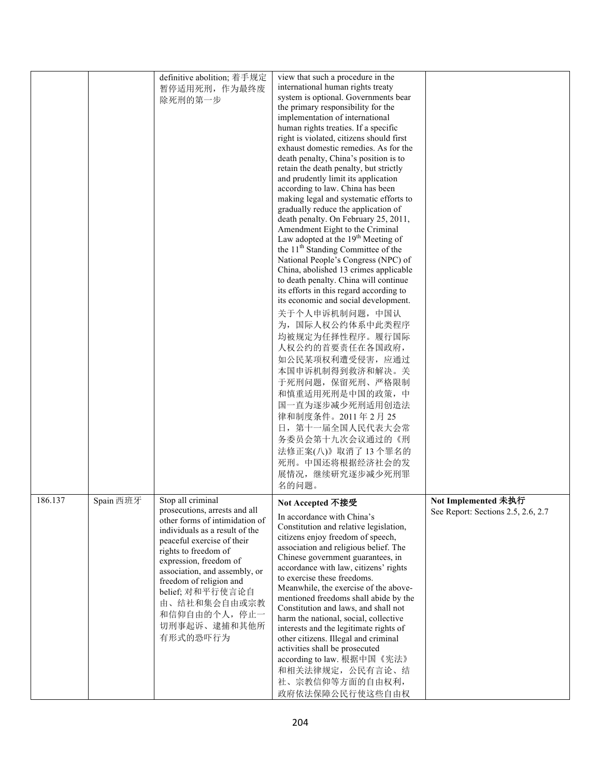|         |           | definitive abolition; 着手规定<br>暂停适用死刑,作为最终废<br>除死刑的第一步                                                                                                                                                                                                                                                                                               | view that such a procedure in the<br>international human rights treaty<br>system is optional. Governments bear<br>the primary responsibility for the<br>implementation of international<br>human rights treaties. If a specific<br>right is violated, citizens should first<br>exhaust domestic remedies. As for the<br>death penalty, China's position is to<br>retain the death penalty, but strictly<br>and prudently limit its application<br>according to law. China has been<br>making legal and systematic efforts to<br>gradually reduce the application of<br>death penalty. On February 25, 2011,<br>Amendment Eight to the Criminal<br>Law adopted at the 19 <sup>th</sup> Meeting of<br>the 11 <sup>th</sup> Standing Committee of the<br>National People's Congress (NPC) of<br>China, abolished 13 crimes applicable<br>to death penalty. China will continue<br>its efforts in this regard according to<br>its economic and social development.<br>关于个人申诉机制问题, 中国认<br>为, 国际人权公约体系中此类程序<br>均被规定为任择性程序。履行国际<br>人权公约的首要责任在各国政府,<br>如公民某项权利遭受侵害, 应通过<br>本国申诉机制得到救济和解决。关<br>于死刑问题, 保留死刑、严格限制<br>和慎重适用死刑是中国的政策,中<br>国一直为逐步减少死刑适用创造法<br>律和制度条件。2011年2月25<br>日, 第十一届全国人民代表大会常<br>务委员会第十九次会议通过的《刑<br>法修正案(八)》取消了13个罪名的<br>死刑。中国还将根据经济社会的发<br>展情况,继续研究逐步减少死刑罪<br>名的问题。 |                                                           |
|---------|-----------|-----------------------------------------------------------------------------------------------------------------------------------------------------------------------------------------------------------------------------------------------------------------------------------------------------------------------------------------------------|-----------------------------------------------------------------------------------------------------------------------------------------------------------------------------------------------------------------------------------------------------------------------------------------------------------------------------------------------------------------------------------------------------------------------------------------------------------------------------------------------------------------------------------------------------------------------------------------------------------------------------------------------------------------------------------------------------------------------------------------------------------------------------------------------------------------------------------------------------------------------------------------------------------------------------------------------------------------------------------------------------------------------------------------------------------------------------------------------------------------------------------------------------------------------------------------------------------------------------------------------------------------------------|-----------------------------------------------------------|
| 186.137 | Spain 西班牙 | Stop all criminal<br>prosecutions, arrests and all<br>other forms of intimidation of<br>individuals as a result of the<br>peaceful exercise of their<br>rights to freedom of<br>expression, freedom of<br>association, and assembly, or<br>freedom of religion and<br>belief; 对和平行使言论自<br>由、结社和集会自由或宗教<br>和信仰自由的个人, 停止一<br>切刑事起诉、逮捕和其他所<br>有形式的恐吓行为 | Not Accepted 不接受<br>In accordance with China's<br>Constitution and relative legislation,<br>citizens enjoy freedom of speech,<br>association and religious belief. The<br>Chinese government guarantees, in<br>accordance with law, citizens' rights<br>to exercise these freedoms.<br>Meanwhile, the exercise of the above-<br>mentioned freedoms shall abide by the<br>Constitution and laws, and shall not<br>harm the national, social, collective<br>interests and the legitimate rights of<br>other citizens. Illegal and criminal<br>activities shall be prosecuted<br>according to law. 根据中国《宪法》<br>和相关法律规定, 公民有言论、结<br>社、宗教信仰等方面的自由权利,<br>政府依法保障公民行使这些自由权                                                                                                                                                                                                                                                                                                                                                                                                                                                                                                                                                                                                          | Not Implemented 未执行<br>See Report: Sections 2.5, 2.6, 2.7 |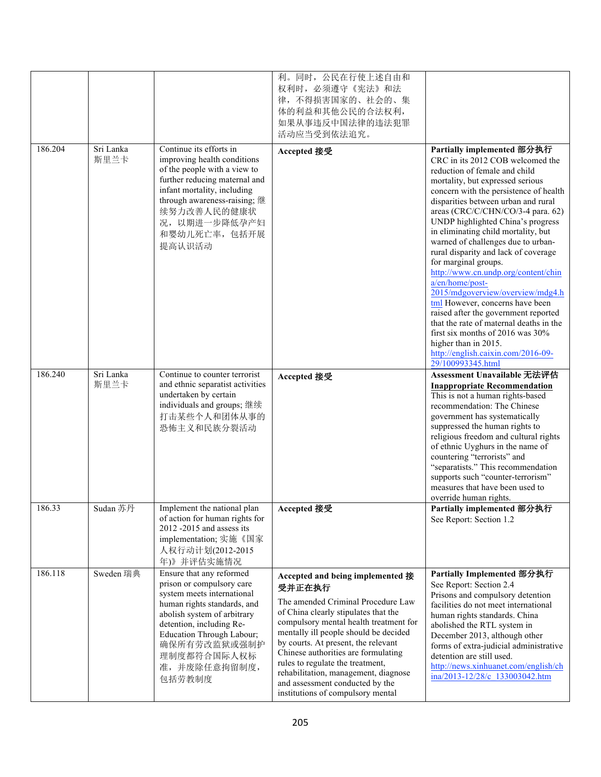|         |                   |                                                                                                                                                                                                                                                                     | 利。同时, 公民在行使上述自由和<br>权利时, 必须遵守《宪法》和法<br>律,不得损害国家的、社会的、集<br>体的利益和其他公民的合法权利,<br>如果从事违反中国法律的违法犯罪<br>活动应当受到依法追究。                                                                                                                                                                                                                                                                                                                                   |                                                                                                                                                                                                                                                                                                                                                                                                                                                                                                                                                                                                                                                                                                                                                                                        |
|---------|-------------------|---------------------------------------------------------------------------------------------------------------------------------------------------------------------------------------------------------------------------------------------------------------------|-----------------------------------------------------------------------------------------------------------------------------------------------------------------------------------------------------------------------------------------------------------------------------------------------------------------------------------------------------------------------------------------------------------------------------------------------|----------------------------------------------------------------------------------------------------------------------------------------------------------------------------------------------------------------------------------------------------------------------------------------------------------------------------------------------------------------------------------------------------------------------------------------------------------------------------------------------------------------------------------------------------------------------------------------------------------------------------------------------------------------------------------------------------------------------------------------------------------------------------------------|
| 186.204 | Sri Lanka<br>斯里兰卡 | Continue its efforts in<br>improving health conditions<br>of the people with a view to<br>further reducing maternal and<br>infant mortality, including<br>through awareness-raising; 继<br>续努力改善人民的健康状<br>况,以期进一步降低孕产妇<br>和婴幼儿死亡率,包括开展<br>提高认识活动                     | Accepted 接受                                                                                                                                                                                                                                                                                                                                                                                                                                   | Partially implemented 部分执行<br>CRC in its 2012 COB welcomed the<br>reduction of female and child<br>mortality, but expressed serious<br>concern with the persistence of health<br>disparities between urban and rural<br>areas (CRC/C/CHN/CO/3-4 para. 62)<br>UNDP highlighted China's progress<br>in eliminating child mortality, but<br>warned of challenges due to urban-<br>rural disparity and lack of coverage<br>for marginal groups.<br>http://www.cn.undp.org/content/chin<br>a/en/home/post-<br>2015/mdgoverview/overview/mdg4.h<br>tml However, concerns have been<br>raised after the government reported<br>that the rate of maternal deaths in the<br>first six months of 2016 was 30%<br>higher than in 2015.<br>http://english.caixin.com/2016-09-<br>29/100993345.html |
| 186.240 | Sri Lanka<br>斯里兰卡 | Continue to counter terrorist<br>and ethnic separatist activities<br>undertaken by certain<br>individuals and groups; 继续<br>打击某些个人和团体从事的<br>恐怖主义和民族分裂活动                                                                                                             | Accepted 接受                                                                                                                                                                                                                                                                                                                                                                                                                                   | Assessment Unavailable 无法评估<br><b>Inappropriate Recommendation</b><br>This is not a human rights-based<br>recommendation: The Chinese<br>government has systematically<br>suppressed the human rights to<br>religious freedom and cultural rights<br>of ethnic Uyghurs in the name of<br>countering "terrorists" and<br>"separatists." This recommendation<br>supports such "counter-terrorism"<br>measures that have been used to<br>override human rights.                                                                                                                                                                                                                                                                                                                           |
| 186.33  | Sudan 苏丹          | Implement the national plan<br>of action for human rights for<br>2012 -2015 and assess its<br>implementation; 实施《国家<br>人权行动计划(2012-2015<br>年)》并评估实施情况                                                                                                               | Accepted 接受                                                                                                                                                                                                                                                                                                                                                                                                                                   | Partially implemented 部分执行<br>See Report: Section 1.2                                                                                                                                                                                                                                                                                                                                                                                                                                                                                                                                                                                                                                                                                                                                  |
| 186.118 | Sweden 瑞典         | Ensure that any reformed<br>prison or compulsory care<br>system meets international<br>human rights standards, and<br>abolish system of arbitrary<br>detention, including Re-<br>Education Through Labour;<br>确保所有劳改监狱或强制护<br>理制度都符合国际人权标<br>准,并废除任意拘留制度,<br>包括劳教制度 | Accepted and being implemented 接<br>受并正在执行<br>The amended Criminal Procedure Law<br>of China clearly stipulates that the<br>compulsory mental health treatment for<br>mentally ill people should be decided<br>by courts. At present, the relevant<br>Chinese authorities are formulating<br>rules to regulate the treatment,<br>rehabilitation, management, diagnose<br>and assessment conducted by the<br>institutions of compulsory mental | Partially Implemented 部分执行<br>See Report: Section 2.4<br>Prisons and compulsory detention<br>facilities do not meet international<br>human rights standards. China<br>abolished the RTL system in<br>December 2013, although other<br>forms of extra-judicial administrative<br>detention are still used.<br>http://news.xinhuanet.com/english/ch<br>ina/2013-12/28/c 133003042.htm                                                                                                                                                                                                                                                                                                                                                                                                    |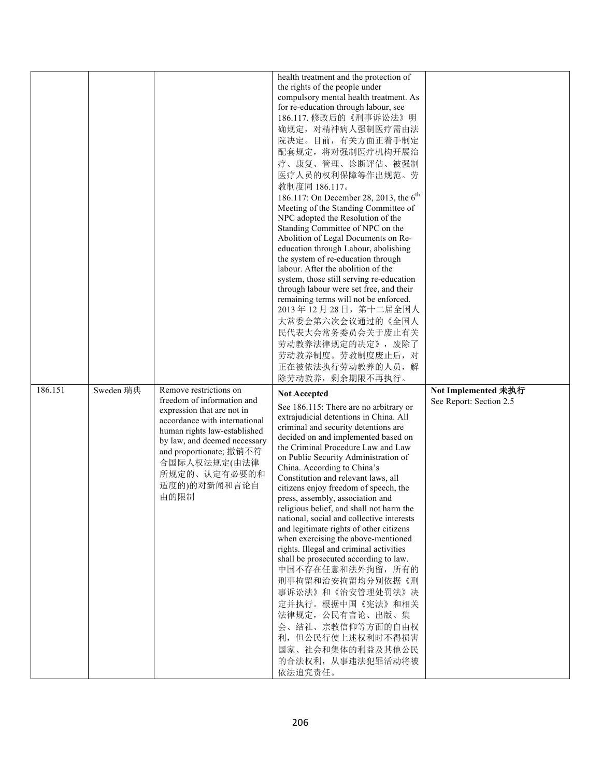|         |           |                                                                                                                                                                                                                                                                        | health treatment and the protection of<br>the rights of the people under<br>compulsory mental health treatment. As<br>for re-education through labour, see<br>186.117. 修改后的《刑事诉讼法》明<br>确规定, 对精神病人强制医疗需由法<br>院决定。目前, 有关方面正着手制定<br>配套规定, 将对强制医疗机构开展治<br>疗、康复、管理、诊断评估、被强制<br>医疗人员的权利保障等作出规范。劳<br>教制度同 186.117。<br>186.117: On December 28, 2013, the 6 <sup>th</sup><br>Meeting of the Standing Committee of<br>NPC adopted the Resolution of the<br>Standing Committee of NPC on the<br>Abolition of Legal Documents on Re-<br>education through Labour, abolishing<br>the system of re-education through<br>labour. After the abolition of the<br>system, those still serving re-education<br>through labour were set free, and their<br>remaining terms will not be enforced.<br>2013年12月28日, 第十二届全国人<br>大常委会第六次会议通过的《全国人<br>民代表大会常务委员会关于废止有关                                           |                                                |
|---------|-----------|------------------------------------------------------------------------------------------------------------------------------------------------------------------------------------------------------------------------------------------------------------------------|-----------------------------------------------------------------------------------------------------------------------------------------------------------------------------------------------------------------------------------------------------------------------------------------------------------------------------------------------------------------------------------------------------------------------------------------------------------------------------------------------------------------------------------------------------------------------------------------------------------------------------------------------------------------------------------------------------------------------------------------------------------------------------------------------------------------------------------------------------------------------------------------|------------------------------------------------|
|         |           |                                                                                                                                                                                                                                                                        | 劳动教养法律规定的决定》, 废除了<br>劳动教养制度。劳教制度废止后, 对<br>正在被依法执行劳动教养的人员,解<br>除劳动教养, 剩余期限不再执行。                                                                                                                                                                                                                                                                                                                                                                                                                                                                                                                                                                                                                                                                                                                                                                                                          |                                                |
| 186.151 | Sweden 瑞典 | Remove restrictions on<br>freedom of information and<br>expression that are not in<br>accordance with international<br>human rights law-established<br>by law, and deemed necessary<br>and proportionate; 撤销不符<br>合国际人权法规定(由法律<br>所规定的、认定有必要的和<br>适度的)的对新闻和言论自<br>由的限制 | <b>Not Accepted</b><br>See 186.115: There are no arbitrary or<br>extrajudicial detentions in China. All<br>criminal and security detentions are<br>decided on and implemented based on<br>the Criminal Procedure Law and Law<br>on Public Security Administration of<br>China. According to China's<br>Constitution and relevant laws, all<br>citizens enjoy freedom of speech, the<br>press, assembly, association and<br>religious belief, and shall not harm the<br>national, social and collective interests<br>and legitimate rights of other citizens<br>when exercising the above-mentioned<br>rights. Illegal and criminal activities<br>shall be prosecuted according to law.<br>中国不存在任意和法外拘留, 所有的<br>刑事拘留和治安拘留均分别依据《刑<br>事诉讼法》和《治安管理处罚法》决<br>定并执行。根据中国《宪法》和相关<br>法律规定, 公民有言论、出版、集<br>会、结社、宗教信仰等方面的自由权<br>利,但公民行使上述权利时不得损害<br>国家、社会和集体的利益及其他公民<br>的合法权利, 从事违法犯罪活动将被<br>依法追究责任。 | Not Implemented 未执行<br>See Report: Section 2.5 |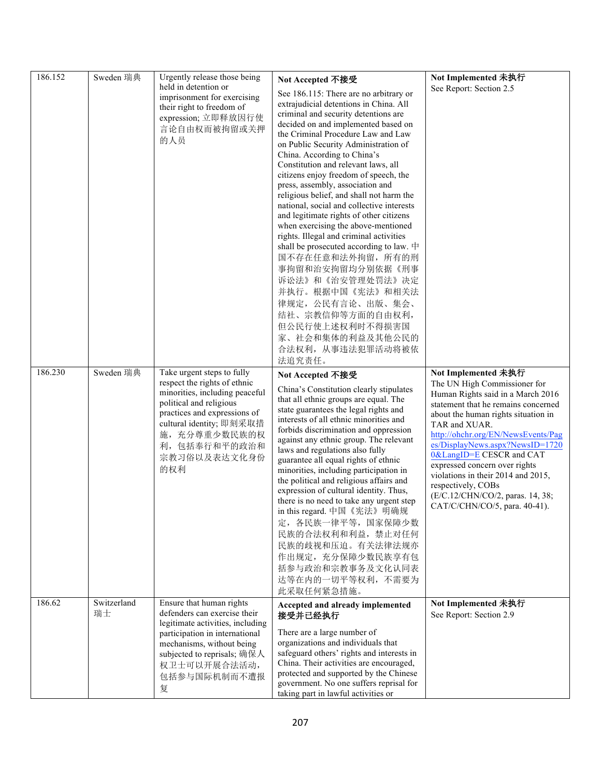| 186.152 | Sweden 瑞典         | Urgently release those being                                                                                                                                                                                                               | Not Accepted 不接受                                                                                                                                                                                                                                                                                                                                                                                                                                                                                                                                                                                                                                                                                                                                                                                                                                                     | Not Implemented 未执行                                                                                                                                                                                                                                                                                                                                                                                                                                            |
|---------|-------------------|--------------------------------------------------------------------------------------------------------------------------------------------------------------------------------------------------------------------------------------------|----------------------------------------------------------------------------------------------------------------------------------------------------------------------------------------------------------------------------------------------------------------------------------------------------------------------------------------------------------------------------------------------------------------------------------------------------------------------------------------------------------------------------------------------------------------------------------------------------------------------------------------------------------------------------------------------------------------------------------------------------------------------------------------------------------------------------------------------------------------------|----------------------------------------------------------------------------------------------------------------------------------------------------------------------------------------------------------------------------------------------------------------------------------------------------------------------------------------------------------------------------------------------------------------------------------------------------------------|
|         |                   | held in detention or<br>imprisonment for exercising<br>their right to freedom of<br>expression; 立即释放因行使<br>言论自由权而被拘留或关押<br>的人员                                                                                                             | See 186.115: There are no arbitrary or<br>extrajudicial detentions in China. All<br>criminal and security detentions are<br>decided on and implemented based on<br>the Criminal Procedure Law and Law<br>on Public Security Administration of<br>China. According to China's<br>Constitution and relevant laws, all<br>citizens enjoy freedom of speech, the<br>press, assembly, association and<br>religious belief, and shall not harm the<br>national, social and collective interests<br>and legitimate rights of other citizens<br>when exercising the above-mentioned<br>rights. Illegal and criminal activities<br>shall be prosecuted according to law. $\#$<br>国不存在任意和法外拘留, 所有的刑<br>事拘留和治安拘留均分别依据《刑事<br>诉讼法》和《治安管理处罚法》决定<br>并执行。根据中国《宪法》和相关法<br>律规定, 公民有言论、出版、集会、<br>结社、宗教信仰等方面的自由权利,<br>但公民行使上述权利时不得损害国<br>家、社会和集体的利益及其他公民的<br>合法权利, 从事违法犯罪活动将被依<br>法追究责任。 | See Report: Section 2.5                                                                                                                                                                                                                                                                                                                                                                                                                                        |
| 186.230 | Sweden 瑞典         | Take urgent steps to fully<br>respect the rights of ethnic<br>minorities, including peaceful<br>political and religious<br>practices and expressions of<br>cultural identity; 即刻采取措<br>施,充分尊重少数民族的权<br>利,包括奉行和平的政治和<br>宗教习俗以及表达文化身份<br>的权利 | Not Accepted 不接受<br>China's Constitution clearly stipulates<br>that all ethnic groups are equal. The<br>state guarantees the legal rights and<br>interests of all ethnic minorities and<br>forbids discrimination and oppression<br>against any ethnic group. The relevant<br>laws and regulations also fully<br>guarantee all equal rights of ethnic<br>minorities, including participation in<br>the political and religious affairs and<br>expression of cultural identity. Thus,<br>there is no need to take any urgent step<br>in this regard. 中国《宪法》明确规<br>定, 各民族一律平等, 国家保障少数<br>民族的合法权利和利益, 禁止对任何<br>民族的歧视和压迫。有关法律法规亦<br>作出规定, 充分保障少数民族享有包<br>括参与政治和宗教事务及文化认同表<br>达等在内的一切平等权利, 不需要为<br>此采取任何紧急措施。                                                                                                                                                             | Not Implemented 未执行<br>The UN High Commissioner for<br>Human Rights said in a March 2016<br>statement that he remains concerned<br>about the human rights situation in<br>TAR and XUAR.<br>http://ohchr.org/EN/NewsEvents/Pag<br>es/DisplayNews.aspx?NewsID=1720<br>0&LangID=E CESCR and CAT<br>expressed concern over rights<br>violations in their 2014 and 2015,<br>respectively, COBs<br>(E/C.12/CHN/CO/2, paras. 14, 38;<br>CAT/C/CHN/CO/5, para. 40-41). |
| 186.62  | Switzerland<br>瑞士 | Ensure that human rights<br>defenders can exercise their<br>legitimate activities, including<br>participation in international<br>mechanisms, without being<br>subjected to reprisals; 确保人<br>权卫士可以开展合法活动,<br>包括参与国际机制而不遭报<br>复            | Accepted and already implemented<br>接受并已经执行<br>There are a large number of<br>organizations and individuals that<br>safeguard others' rights and interests in<br>China. Their activities are encouraged,<br>protected and supported by the Chinese<br>government. No one suffers reprisal for<br>taking part in lawful activities or                                                                                                                                                                                                                                                                                                                                                                                                                                                                                                                                 | Not Implemented 未执行<br>See Report: Section 2.9                                                                                                                                                                                                                                                                                                                                                                                                                 |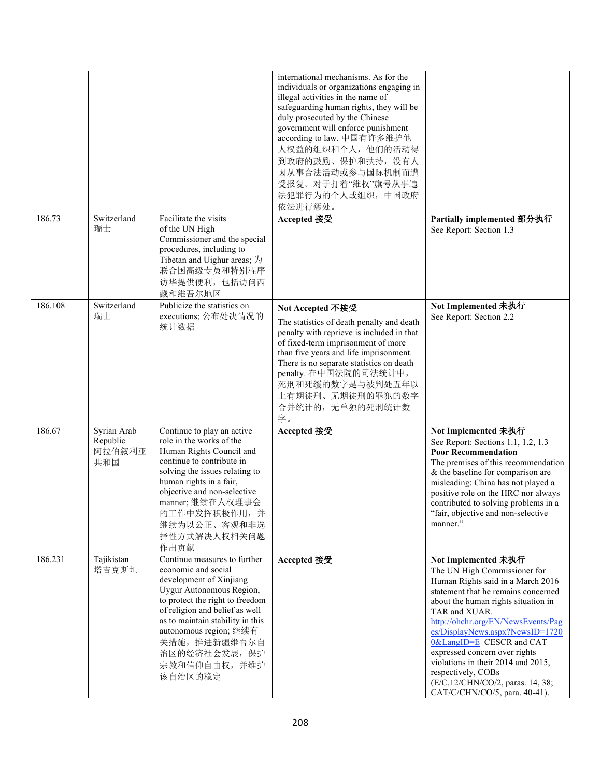|         |                                          |                                                                                                                                                                                                                                                                                                            | international mechanisms. As for the<br>individuals or organizations engaging in<br>illegal activities in the name of<br>safeguarding human rights, they will be<br>duly prosecuted by the Chinese<br>government will enforce punishment<br>according to law. 中国有许多维护他<br>人权益的组织和个人,他们的活动得<br>到政府的鼓励、保护和扶持, 没有人<br>因从事合法活动或参与国际机制而遭<br>受报复。对于打着"维权"旗号从事违<br>法犯罪行为的个人或组织, 中国政府<br>依法进行惩处。 |                                                                                                                                                                                                                                                                                                                                                                                                                                                                |
|---------|------------------------------------------|------------------------------------------------------------------------------------------------------------------------------------------------------------------------------------------------------------------------------------------------------------------------------------------------------------|------------------------------------------------------------------------------------------------------------------------------------------------------------------------------------------------------------------------------------------------------------------------------------------------------------------------------------------------------------------------------------------|----------------------------------------------------------------------------------------------------------------------------------------------------------------------------------------------------------------------------------------------------------------------------------------------------------------------------------------------------------------------------------------------------------------------------------------------------------------|
| 186.73  | Switzerland<br>瑞士                        | Facilitate the visits<br>of the UN High<br>Commissioner and the special<br>procedures, including to<br>Tibetan and Uighur areas; 为<br>联合国高级专员和特别程序<br>访华提供便利, 包括访问西<br>藏和维吾尔地区                                                                                                                             | Accepted 接受                                                                                                                                                                                                                                                                                                                                                                              | Partially implemented 部分执行<br>See Report: Section 1.3                                                                                                                                                                                                                                                                                                                                                                                                          |
| 186.108 | Switzerland<br>瑞士                        | Publicize the statistics on<br>executions; 公布处决情况的<br>统计数据                                                                                                                                                                                                                                                 | Not Accepted 不接受<br>The statistics of death penalty and death<br>penalty with reprieve is included in that<br>of fixed-term imprisonment of more<br>than five years and life imprisonment.<br>There is no separate statistics on death<br>penalty. 在中国法院的司法统计中,<br>死刑和死缓的数字是与被判处五年以<br>上有期徒刑、无期徒刑的罪犯的数字<br>合并统计的,无单独的死刑统计数<br>字。                                                         | Not Implemented 未执行<br>See Report: Section 2.2                                                                                                                                                                                                                                                                                                                                                                                                                 |
| 186.67  | Syrian Arab<br>Republic<br>阿拉伯叙利亚<br>共和国 | Continue to play an active<br>role in the works of the<br>Human Rights Council and<br>continue to contribute in<br>solving the issues relating to<br>human rights in a fair,<br>objective and non-selective<br>manner;继续在人权理事会<br>的工作中发挥积极作用,并<br>继续为以公正、客观和非选<br>择性方式解决人权相关问题<br>作出贡献                     | Accepted 接受                                                                                                                                                                                                                                                                                                                                                                              | Not Implemented 未执行<br>See Report: Sections 1.1, 1.2, 1.3<br><b>Poor Recommendation</b><br>The premises of this recommendation<br>& the baseline for comparison are<br>misleading: China has not played a<br>positive role on the HRC nor always<br>contributed to solving problems in a<br>"fair, objective and non-selective<br>manner."                                                                                                                     |
| 186.231 | Tajikistan<br>塔吉克斯坦                      | Continue measures to further<br>economic and social<br>development of Xinjiang<br>Uygur Autonomous Region,<br>to protect the right to freedom<br>of religion and belief as well<br>as to maintain stability in this<br>autonomous region; 继续有<br>关措施, 推进新疆维吾尔自<br>治区的经济社会发展, 保护<br>宗教和信仰自由权,并维护<br>该自治区的稳定 | Accepted 接受                                                                                                                                                                                                                                                                                                                                                                              | Not Implemented 未执行<br>The UN High Commissioner for<br>Human Rights said in a March 2016<br>statement that he remains concerned<br>about the human rights situation in<br>TAR and XUAR.<br>http://ohchr.org/EN/NewsEvents/Pag<br>es/DisplayNews.aspx?NewsID=1720<br>0&LangID=E CESCR and CAT<br>expressed concern over rights<br>violations in their 2014 and 2015,<br>respectively, COBs<br>(E/C.12/CHN/CO/2, paras. 14, 38;<br>CAT/C/CHN/CO/5, para. 40-41). |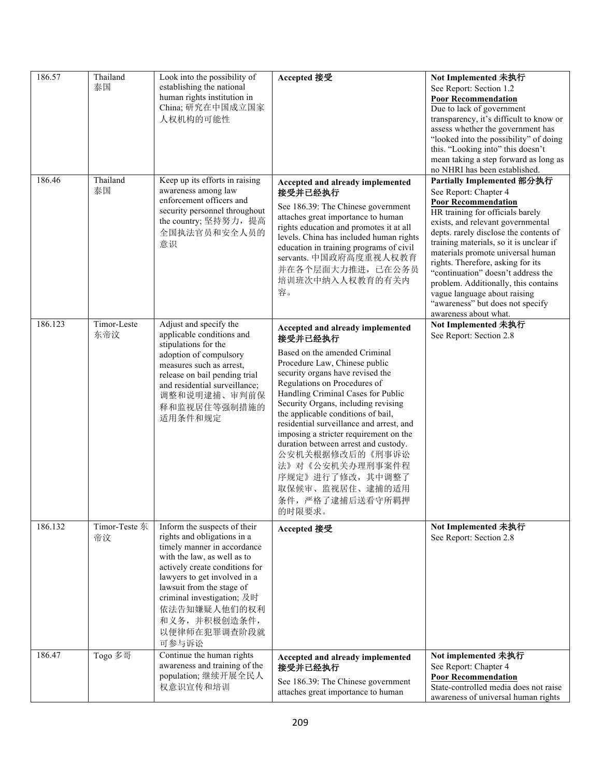| 186.57  | Thailand<br>泰国      | Look into the possibility of<br>establishing the national<br>human rights institution in<br>China; 研究在中国成立国家<br>人权机构的可能性                                                                                                                                                                                        | Accepted 接受                                                                                                                                                                                                                                                                                                                                                                                                                                                                                                                                  | Not Implemented 未执行<br>See Report: Section 1.2<br><b>Poor Recommendation</b><br>Due to lack of government<br>transparency, it's difficult to know or<br>assess whether the government has<br>"looked into the possibility" of doing<br>this. "Looking into" this doesn't<br>mean taking a step forward as long as<br>no NHRI has been established.                                                                                                                                                   |
|---------|---------------------|-----------------------------------------------------------------------------------------------------------------------------------------------------------------------------------------------------------------------------------------------------------------------------------------------------------------|----------------------------------------------------------------------------------------------------------------------------------------------------------------------------------------------------------------------------------------------------------------------------------------------------------------------------------------------------------------------------------------------------------------------------------------------------------------------------------------------------------------------------------------------|------------------------------------------------------------------------------------------------------------------------------------------------------------------------------------------------------------------------------------------------------------------------------------------------------------------------------------------------------------------------------------------------------------------------------------------------------------------------------------------------------|
| 186.46  | Thailand<br>泰国      | Keep up its efforts in raising<br>awareness among law<br>enforcement officers and<br>security personnel throughout<br>the country; 坚持努力, 提高<br>全国执法官员和安全人员的<br>意识                                                                                                                                               | Accepted and already implemented<br>接受并已经执行<br>See 186.39: The Chinese government<br>attaches great importance to human<br>rights education and promotes it at all<br>levels. China has included human rights<br>education in training programs of civil<br>servants. 中国政府高度重视人权教育<br>并在各个层面大力推进, 已在公务员<br>培训班次中纳入人权教育的有关内<br>容。                                                                                                                                                                                                             | Partially Implemented 部分执行<br>See Report: Chapter 4<br><b>Poor Recommendation</b><br>HR training for officials barely<br>exists, and relevant governmental<br>depts. rarely disclose the contents of<br>training materials, so it is unclear if<br>materials promote universal human<br>rights. Therefore, asking for its<br>"continuation" doesn't address the<br>problem. Additionally, this contains<br>vague language about raising<br>"awareness" but does not specify<br>awareness about what. |
| 186.123 | Timor-Leste<br>东帝汶  | Adjust and specify the<br>applicable conditions and<br>stipulations for the<br>adoption of compulsory<br>measures such as arrest,<br>release on bail pending trial<br>and residential surveillance;<br>调整和说明逮捕、审判前保<br>释和监视居住等强制措施的<br>适用条件和规定                                                                  | Accepted and already implemented<br>接受并已经执行<br>Based on the amended Criminal<br>Procedure Law, Chinese public<br>security organs have revised the<br>Regulations on Procedures of<br>Handling Criminal Cases for Public<br>Security Organs, including revising<br>the applicable conditions of bail,<br>residential surveillance and arrest, and<br>imposing a stricter requirement on the<br>duration between arrest and custody.<br>公安机关根据修改后的《刑事诉讼<br>法》对《公安机关办理刑事案件程<br>序规定》进行了修改,其中调整了<br>取保候审、监视居住、逮捕的适用<br>条件, 严格了逮捕后送看守所羁押<br>的时限要求。 | Not Implemented 未执行<br>See Report: Section 2.8                                                                                                                                                                                                                                                                                                                                                                                                                                                       |
| 186.132 | Timor-Teste 东<br>帝汶 | Inform the suspects of their<br>rights and obligations in a<br>timely manner in accordance<br>with the law, as well as to<br>actively create conditions for<br>lawyers to get involved in a<br>lawsuit from the stage of<br>criminal investigation; 及时<br>依法告知嫌疑人他们的权利<br>和义务,并积极创造条件,<br>以便律师在犯罪调查阶段就<br>可参与诉讼 | Accepted 接受                                                                                                                                                                                                                                                                                                                                                                                                                                                                                                                                  | Not Implemented 未执行<br>See Report: Section 2.8                                                                                                                                                                                                                                                                                                                                                                                                                                                       |
| 186.47  | Togo 多哥             | Continue the human rights<br>awareness and training of the<br>population; 继续开展全民人<br>权意识宣传和培训                                                                                                                                                                                                                   | Accepted and already implemented<br>接受并已经执行<br>See 186.39: The Chinese government<br>attaches great importance to human                                                                                                                                                                                                                                                                                                                                                                                                                      | Not implemented 未执行<br>See Report: Chapter 4<br><b>Poor Recommendation</b><br>State-controlled media does not raise<br>awareness of universal human rights                                                                                                                                                                                                                                                                                                                                           |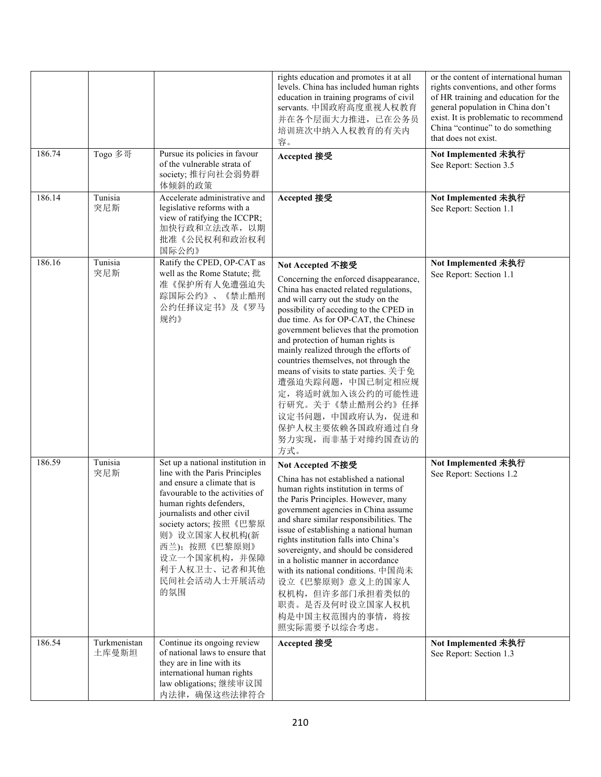|        |                       |                                                                                                                                                                                                                                                                                                                   | rights education and promotes it at all<br>levels. China has included human rights<br>education in training programs of civil<br>servants. 中国政府高度重视人权教育<br>并在各个层面大力推进, 已在公务员<br>培训班次中纳入人权教育的有关内<br>容。                                                                                                                                                                                                                                                                                                                                                                    | or the content of international human<br>rights conventions, and other forms<br>of HR training and education for the<br>general population in China don't<br>exist. It is problematic to recommend<br>China "continue" to do something<br>that does not exist. |
|--------|-----------------------|-------------------------------------------------------------------------------------------------------------------------------------------------------------------------------------------------------------------------------------------------------------------------------------------------------------------|--------------------------------------------------------------------------------------------------------------------------------------------------------------------------------------------------------------------------------------------------------------------------------------------------------------------------------------------------------------------------------------------------------------------------------------------------------------------------------------------------------------------------------------------------------------------------|----------------------------------------------------------------------------------------------------------------------------------------------------------------------------------------------------------------------------------------------------------------|
| 186.74 | Togo 多哥               | Pursue its policies in favour<br>of the vulnerable strata of<br>society; 推行向社会弱势群<br>体倾斜的政策                                                                                                                                                                                                                       | Accepted 接受                                                                                                                                                                                                                                                                                                                                                                                                                                                                                                                                                              | Not Implemented 未执行<br>See Report: Section 3.5                                                                                                                                                                                                                 |
| 186.14 | Tunisia<br>突尼斯        | Accelerate administrative and<br>legislative reforms with a<br>view of ratifying the ICCPR;<br>加快行政和立法改革, 以期<br>批准《公民权利和政治权利<br>国际公约》                                                                                                                                                                             | Accepted 接受                                                                                                                                                                                                                                                                                                                                                                                                                                                                                                                                                              | Not Implemented 未执行<br>See Report: Section 1.1                                                                                                                                                                                                                 |
| 186.16 | Tunisia<br>突尼斯        | Ratify the CPED, OP-CAT as<br>well as the Rome Statute; 批<br>准《保护所有人免遭强迫失<br>踪国际公约》、《禁止酷刑<br>公约任择议定书》及《罗马<br>规约》                                                                                                                                                                                                  | Not Accepted 不接受<br>Concerning the enforced disappearance,<br>China has enacted related regulations,<br>and will carry out the study on the<br>possibility of acceding to the CPED in<br>due time. As for OP-CAT, the Chinese<br>government believes that the promotion<br>and protection of human rights is<br>mainly realized through the efforts of<br>countries themselves, not through the<br>means of visits to state parties. 关于免<br>遭强迫失踪问题,中国已制定相应规<br>定, 将适时就加入该公约的可能性进<br>行研究。关于《禁止酷刑公约》任择<br>议定书问题,中国政府认为,促进和<br>保护人权主要依赖各国政府通过自身<br>努力实现,而非基于对缔约国查访的<br>方式。 | Not Implemented 未执行<br>See Report: Section 1.1                                                                                                                                                                                                                 |
| 186.59 | Tunisia<br>突尼斯        | Set up a national institution in<br>line with the Paris Principles<br>and ensure a climate that is<br>favourable to the activities of<br>human rights defenders.<br>journalists and other civil<br>society actors; 按照《巴黎原<br>则》设立国家人权机构(新<br>西兰); 按照《巴黎原则》<br>设立一个国家机构,并保障<br>利于人权卫士、记者和其他<br>民间社会活动人士开展活动<br>的氛围 | Not Accepted 不接受<br>China has not established a national<br>human rights institution in terms of<br>the Paris Principles. However, many<br>government agencies in China assume<br>and share similar responsibilities. The<br>issue of establishing a national human<br>rights institution falls into China's<br>sovereignty, and should be considered<br>in a holistic manner in accordance<br>with its national conditions. 中国尚未<br>设立《巴黎原则》意义上的国家人<br>权机构,但许多部门承担着类似的<br>职责。是否及何时设立国家人权机<br>构是中国主权范围内的事情, 将按<br>照实际需要予以综合考虑。                                           | Not Implemented 未执行<br>See Report: Sections 1.2                                                                                                                                                                                                                |
| 186.54 | Turkmenistan<br>土库曼斯坦 | Continue its ongoing review<br>of national laws to ensure that<br>they are in line with its<br>international human rights<br>law obligations; 继续审议国<br>内法律, 确保这些法律符合                                                                                                                                              | Accepted 接受                                                                                                                                                                                                                                                                                                                                                                                                                                                                                                                                                              | Not Implemented 未执行<br>See Report: Section 1.3                                                                                                                                                                                                                 |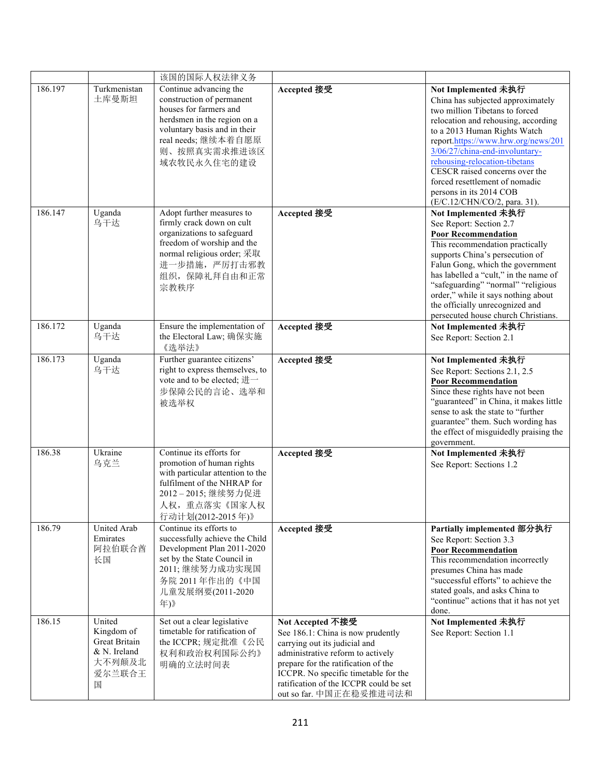|         |                                                                                | 该国的国际人权法律义务                                                                                                                                                                                        |                                                                                                                                                                                                                                                                                 |                                                                                                                                                                                                                                                                                                                                                                                                            |
|---------|--------------------------------------------------------------------------------|----------------------------------------------------------------------------------------------------------------------------------------------------------------------------------------------------|---------------------------------------------------------------------------------------------------------------------------------------------------------------------------------------------------------------------------------------------------------------------------------|------------------------------------------------------------------------------------------------------------------------------------------------------------------------------------------------------------------------------------------------------------------------------------------------------------------------------------------------------------------------------------------------------------|
| 186.197 | Turkmenistan<br>土库曼斯坦                                                          | Continue advancing the<br>construction of permanent<br>houses for farmers and<br>herdsmen in the region on a<br>voluntary basis and in their<br>real needs; 继续本着自愿原<br>则、按照真实需求推进该区<br>域农牧民永久住宅的建设 | Accepted 接受                                                                                                                                                                                                                                                                     | Not Implemented 未执行<br>China has subjected approximately<br>two million Tibetans to forced<br>relocation and rehousing, according<br>to a 2013 Human Rights Watch<br>report.https://www.hrw.org/news/201<br>3/06/27/china-end-involuntary-<br>rehousing-relocation-tibetans<br>CESCR raised concerns over the<br>forced resettlement of nomadic<br>persons in its 2014 COB<br>(E/C.12/CHN/CO/2, para. 31). |
| 186.147 | Uganda<br>乌干达                                                                  | Adopt further measures to<br>firmly crack down on cult<br>organizations to safeguard<br>freedom of worship and the<br>normal religious order; 采取<br>进一步措施, 严厉打击邪教<br>组织, 保障礼拜自由和正常<br>宗教秩序         | Accepted 接受                                                                                                                                                                                                                                                                     | Not Implemented 未执行<br>See Report: Section 2.7<br><b>Poor Recommendation</b><br>This recommendation practically<br>supports China's persecution of<br>Falun Gong, which the government<br>has labelled a "cult," in the name of<br>"safeguarding" "normal" "religious<br>order," while it says nothing about<br>the officially unrecognized and<br>persecuted house church Christians.                     |
| 186.172 | Uganda<br>乌干达                                                                  | Ensure the implementation of<br>the Electoral Law; 确保实施<br>《选举法》                                                                                                                                   | Accepted 接受                                                                                                                                                                                                                                                                     | Not Implemented 未执行<br>See Report: Section 2.1                                                                                                                                                                                                                                                                                                                                                             |
| 186.173 | Uganda<br>乌干达                                                                  | Further guarantee citizens'<br>right to express themselves, to<br>vote and to be elected; 进一<br>步保障公民的言论、选举和<br>被选举权                                                                               | Accepted 接受                                                                                                                                                                                                                                                                     | Not Implemented 未执行<br>See Report: Sections 2.1, 2.5<br>Poor Recommendation<br>Since these rights have not been<br>"guaranteed" in China, it makes little<br>sense to ask the state to "further<br>guarantee" them. Such wording has<br>the effect of misguidedly praising the<br>government.                                                                                                              |
| 186.38  | Ukraine<br>乌克兰                                                                 | Continue its efforts for<br>promotion of human rights<br>with particular attention to the<br>fulfilment of the NHRAP for<br>2012-2015;继续努力促进<br>人权, 重点落实《国家人权<br>行动计划(2012-2015年)》                 | Accepted 接受                                                                                                                                                                                                                                                                     | Not Implemented 未执行<br>See Report: Sections 1.2                                                                                                                                                                                                                                                                                                                                                            |
| 186.79  | <b>United Arab</b><br>Emirates<br>阿拉伯联合酋<br>长国                                 | Continue its efforts to<br>successfully achieve the Child<br>Development Plan 2011-2020<br>set by the State Council in<br>2011; 继续努力成功实现国<br>务院 2011年作出的《中国<br>儿童发展纲要(2011-2020<br>年)》             | Accepted 接受                                                                                                                                                                                                                                                                     | Partially implemented 部分执行<br>See Report: Section 3.3<br><b>Poor Recommendation</b><br>This recommendation incorrectly<br>presumes China has made<br>"successful efforts" to achieve the<br>stated goals, and asks China to<br>"continue" actions that it has not yet<br>done.                                                                                                                             |
| 186.15  | United<br>Kingdom of<br>Great Britain<br>& N. Ireland<br>大不列颠及北<br>爱尔兰联合王<br>国 | Set out a clear legislative<br>timetable for ratification of<br>the ICCPR; 规定批准《公民<br>权利和政治权利国际公约》<br>明确的立法时间表                                                                                     | Not Accepted 不接受<br>See 186.1: China is now prudently<br>carrying out its judicial and<br>administrative reform to actively<br>prepare for the ratification of the<br>ICCPR. No specific timetable for the<br>ratification of the ICCPR could be set<br>out so far. 中国正在稳妥推进司法和 | Not Implemented 未执行<br>See Report: Section 1.1                                                                                                                                                                                                                                                                                                                                                             |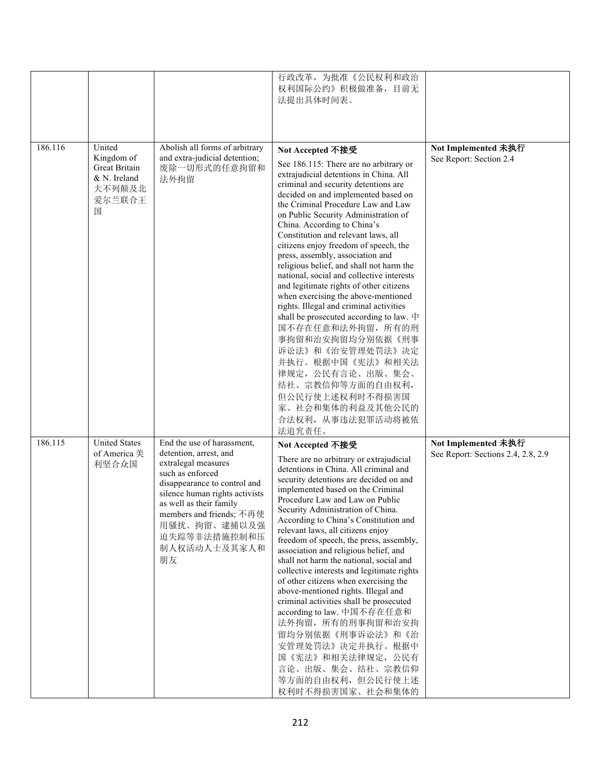|         |                                                                                 |                                                                                                                                                                                                                                                                                | 行政改革, 为批准《公民权利和政治<br>权利国际公约》积极做准备,目前无<br>法提出具体时间表。                                                                                                                                                                                                                                                                                                                                                                                                                                                                                                                                                                                                                                                                                                                                                                                                                                    |                                                           |
|---------|---------------------------------------------------------------------------------|--------------------------------------------------------------------------------------------------------------------------------------------------------------------------------------------------------------------------------------------------------------------------------|---------------------------------------------------------------------------------------------------------------------------------------------------------------------------------------------------------------------------------------------------------------------------------------------------------------------------------------------------------------------------------------------------------------------------------------------------------------------------------------------------------------------------------------------------------------------------------------------------------------------------------------------------------------------------------------------------------------------------------------------------------------------------------------------------------------------------------------------------------------------------------------|-----------------------------------------------------------|
| 186.116 | United<br>Kingdom of<br>Great Britain<br>$&N.$ Ireland<br>大不列颠及北<br>爱尔兰联合王<br>国 | Abolish all forms of arbitrary<br>and extra-judicial detention;<br>废除一切形式的任意拘留和<br>法外拘留                                                                                                                                                                                        | Not Accepted 不接受<br>See 186.115: There are no arbitrary or<br>extrajudicial detentions in China. All<br>criminal and security detentions are<br>decided on and implemented based on<br>the Criminal Procedure Law and Law<br>on Public Security Administration of<br>China. According to China's<br>Constitution and relevant laws, all<br>citizens enjoy freedom of speech, the<br>press, assembly, association and<br>religious belief, and shall not harm the<br>national, social and collective interests<br>and legitimate rights of other citizens<br>when exercising the above-mentioned<br>rights. Illegal and criminal activities<br>shall be prosecuted according to law. 中<br>国不存在任意和法外拘留, 所有的刑<br>事拘留和治安拘留均分别依据《刑事<br>诉讼法》和《治安管理处罚法》决定<br>并执行。根据中国《宪法》和相关法<br>律规定, 公民有言论、出版、集会、<br>结社、宗教信仰等方面的自由权利,<br>但公民行使上述权利时不得损害国<br>家、社会和集体的利益及其他公民的<br>合法权利, 从事违法犯罪活动将被依<br>法追究责任。 | Not Implemented 未执行<br>See Report: Section 2.4            |
| 186.115 | <b>United States</b><br>of America 美<br>利坚合众国                                   | End the use of harassment,<br>detention, arrest, and<br>extralegal measures<br>such as enforced<br>disappearance to control and<br>silence human rights activists<br>as well as their family<br>members and friends; 不再使<br>用骚扰、拘留、逮捕以及强<br>迫失踪等非法措施控制和压<br>制人权活动人士及其家人和<br>朋友 | Not Accepted 不接受<br>There are no arbitrary or extrajudicial<br>detentions in China. All criminal and<br>security detentions are decided on and<br>implemented based on the Criminal<br>Procedure Law and Law on Public<br>Security Administration of China.<br>According to China's Constitution and<br>relevant laws, all citizens enjoy<br>freedom of speech, the press, assembly,<br>association and religious belief, and<br>shall not harm the national, social and<br>collective interests and legitimate rights<br>of other citizens when exercising the<br>above-mentioned rights. Illegal and<br>criminal activities shall be prosecuted<br>according to law. 中国不存在任意和<br>法外拘留, 所有的刑事拘留和治安拘<br>留均分别依据《刑事诉讼法》和《治<br>安管理处罚法》决定并执行。根据中<br>国《宪法》和相关法律规定, 公民有<br>言论、出版、集会、结社、宗教信仰<br>等方面的自由权利,但公民行使上述<br>权利时不得损害国家、社会和集体的                                                         | Not Implemented 未执行<br>See Report: Sections 2.4, 2.8, 2.9 |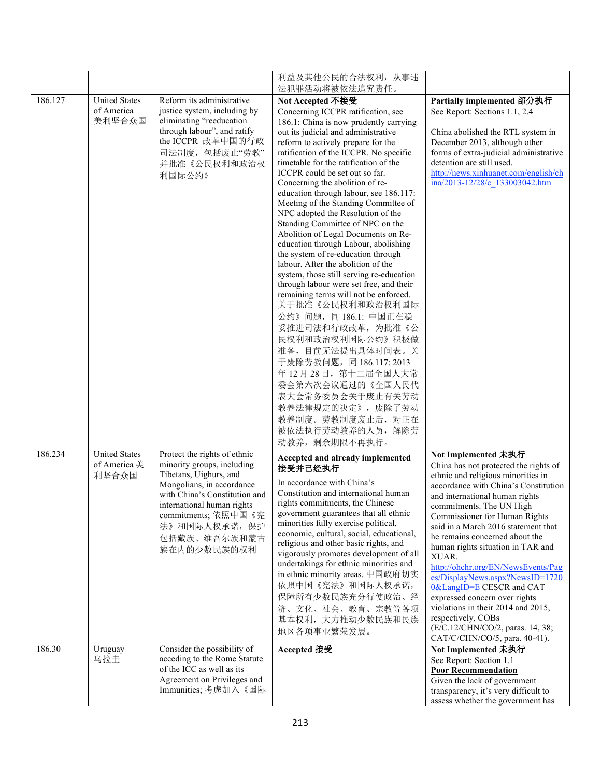|         |                                               |                                                                                                                                                                                                                                                         | 利益及其他公民的合法权利, 从事违                                                                                                                                                                                                                                                                                                                                                                                                                                                                                                                                                                                                                                                                                                                                                                                                                                                                                                                                                                                                                                                                |                                                                                                                                                                                                                                                                                                                                                                                                                                                                                                                                                                                                                                         |
|---------|-----------------------------------------------|---------------------------------------------------------------------------------------------------------------------------------------------------------------------------------------------------------------------------------------------------------|----------------------------------------------------------------------------------------------------------------------------------------------------------------------------------------------------------------------------------------------------------------------------------------------------------------------------------------------------------------------------------------------------------------------------------------------------------------------------------------------------------------------------------------------------------------------------------------------------------------------------------------------------------------------------------------------------------------------------------------------------------------------------------------------------------------------------------------------------------------------------------------------------------------------------------------------------------------------------------------------------------------------------------------------------------------------------------|-----------------------------------------------------------------------------------------------------------------------------------------------------------------------------------------------------------------------------------------------------------------------------------------------------------------------------------------------------------------------------------------------------------------------------------------------------------------------------------------------------------------------------------------------------------------------------------------------------------------------------------------|
|         |                                               |                                                                                                                                                                                                                                                         | 法犯罪活动将被依法追究责任。                                                                                                                                                                                                                                                                                                                                                                                                                                                                                                                                                                                                                                                                                                                                                                                                                                                                                                                                                                                                                                                                   |                                                                                                                                                                                                                                                                                                                                                                                                                                                                                                                                                                                                                                         |
| 186.127 | <b>United States</b><br>of America<br>美利坚合众国  | Reform its administrative<br>justice system, including by<br>eliminating "reeducation<br>through labour", and ratify<br>the ICCPR 改革中国的行政<br>司法制度,包括废止"劳教"<br>并批准《公民权利和政治权<br>利国际公约》                                                                    | Not Accepted 不接受<br>Concerning ICCPR ratification, see<br>186.1: China is now prudently carrying<br>out its judicial and administrative<br>reform to actively prepare for the<br>ratification of the ICCPR. No specific<br>timetable for the ratification of the<br>ICCPR could be set out so far.<br>Concerning the abolition of re-<br>education through labour, see 186.117:<br>Meeting of the Standing Committee of<br>NPC adopted the Resolution of the<br>Standing Committee of NPC on the<br>Abolition of Legal Documents on Re-<br>education through Labour, abolishing<br>the system of re-education through<br>labour. After the abolition of the<br>system, those still serving re-education<br>through labour were set free, and their<br>remaining terms will not be enforced.<br>关于批准《公民权利和政治权利国际<br>公约》问题, 同186.1: 中国正在稳<br>妥推进司法和行政改革, 为批准《公<br>民权利和政治权利国际公约》积极做<br>准备, 目前无法提出具体时间表。关<br>于废除劳教问题, 同 186.117: 2013<br>年12月28日, 第十二届全国人大常<br>委会第六次会议通过的《全国人民代<br>表大会常务委员会关于废止有关劳动<br>教养法律规定的决定》, 废除了劳动<br>教养制度。劳教制度废止后, 对正在<br>被依法执行劳动教养的人员, 解除劳<br>动教养, 剩余期限不再执行。 | Partially implemented 部分执行<br>See Report: Sections 1.1, 2.4<br>China abolished the RTL system in<br>December 2013, although other<br>forms of extra-judicial administrative<br>detention are still used.<br>http://news.xinhuanet.com/english/ch<br>ina/2013-12/28/c 133003042.htm                                                                                                                                                                                                                                                                                                                                                      |
| 186.234 | <b>United States</b><br>of America 美<br>利坚合众国 | Protect the rights of ethnic<br>minority groups, including<br>Tibetans, Uighurs, and<br>Mongolians, in accordance<br>with China's Constitution and<br>international human rights<br>commitments; 依照中国《宪<br>法》和国际人权承诺, 保护<br>包括藏族、维吾尔族和蒙古<br>族在内的少数民族的权利 | Accepted and already implemented<br>接受并已经执行<br>In accordance with China's<br>Constitution and international human<br>rights commitments, the Chinese<br>government guarantees that all ethnic<br>minorities fully exercise political,<br>economic, cultural, social, educational,<br>religious and other basic rights, and<br>vigorously promotes development of all<br>undertakings for ethnic minorities and<br>in ethnic minority areas. 中国政府切实<br>依照中国《宪法》和国际人权承诺,<br>保障所有少数民族充分行使政治、经<br>济、文化、社会、教育、宗教等各项<br>基本权利, 大力推动少数民族和民族<br>地区各项事业繁荣发展。                                                                                                                                                                                                                                                                                                                                                                                                                                                                                                                               | Not Implemented 未执行<br>China has not protected the rights of<br>ethnic and religious minorities in<br>accordance with China's Constitution<br>and international human rights<br>commitments. The UN High<br>Commissioner for Human Rights<br>said in a March 2016 statement that<br>he remains concerned about the<br>human rights situation in TAR and<br>XUAR.<br>http://ohchr.org/EN/NewsEvents/Pag<br>es/DisplayNews.aspx?NewsID=1720<br>0&LangID=E CESCR and CAT<br>expressed concern over rights<br>violations in their 2014 and 2015,<br>respectively, COBs<br>(E/C.12/CHN/CO/2, paras. 14, 38;<br>CAT/C/CHN/CO/5, para. 40-41). |
| 186.30  | Uruguay<br>乌拉圭                                | Consider the possibility of<br>acceding to the Rome Statute<br>of the ICC as well as its<br>Agreement on Privileges and<br>Immunities; 考虑加入《国际                                                                                                          | Accepted 接受                                                                                                                                                                                                                                                                                                                                                                                                                                                                                                                                                                                                                                                                                                                                                                                                                                                                                                                                                                                                                                                                      | Not Implemented 未执行<br>See Report: Section 1.1<br><b>Poor Recommendation</b><br>Given the lack of government<br>transparency, it's very difficult to<br>assess whether the government has                                                                                                                                                                                                                                                                                                                                                                                                                                               |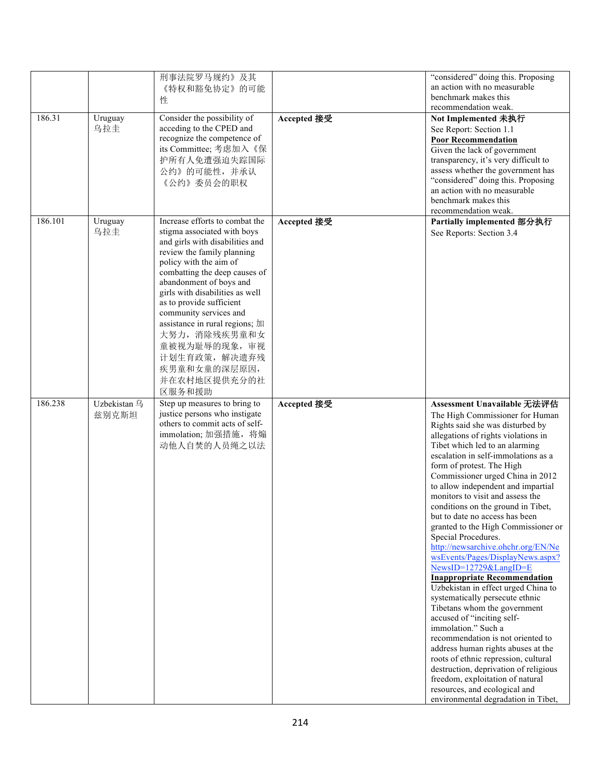| 186.31  | Uruguay               | 刑事法院罗马规约》及其<br>《特权和豁免协定》的可能<br>性<br>Consider the possibility of                                                                                                                                                                                                                                                                                                                                                                              | Accepted 接受 | "considered" doing this. Proposing<br>an action with no measurable<br>benchmark makes this<br>recommendation weak.<br>Not Implemented 未执行                                                                                                                                                                                                                                                                                                                                                                                                                                                                                                                                                                                                                                                                                                                                                                                                                                                                                                                                            |
|---------|-----------------------|----------------------------------------------------------------------------------------------------------------------------------------------------------------------------------------------------------------------------------------------------------------------------------------------------------------------------------------------------------------------------------------------------------------------------------------------|-------------|--------------------------------------------------------------------------------------------------------------------------------------------------------------------------------------------------------------------------------------------------------------------------------------------------------------------------------------------------------------------------------------------------------------------------------------------------------------------------------------------------------------------------------------------------------------------------------------------------------------------------------------------------------------------------------------------------------------------------------------------------------------------------------------------------------------------------------------------------------------------------------------------------------------------------------------------------------------------------------------------------------------------------------------------------------------------------------------|
|         | 乌拉圭                   | acceding to the CPED and<br>recognize the competence of<br>its Committee; 考虑加入《保<br>护所有人免遭强迫失踪国际<br>公约》的可能性,并承认<br>《公约》委员会的职权                                                                                                                                                                                                                                                                                                                |             | See Report: Section 1.1<br><b>Poor Recommendation</b><br>Given the lack of government<br>transparency, it's very difficult to<br>assess whether the government has<br>"considered" doing this. Proposing<br>an action with no measurable<br>benchmark makes this<br>recommendation weak.                                                                                                                                                                                                                                                                                                                                                                                                                                                                                                                                                                                                                                                                                                                                                                                             |
| 186.101 | Uruguay<br>乌拉圭        | Increase efforts to combat the<br>stigma associated with boys<br>and girls with disabilities and<br>review the family planning<br>policy with the aim of<br>combatting the deep causes of<br>abandonment of boys and<br>girls with disabilities as well<br>as to provide sufficient<br>community services and<br>assistance in rural regions; 加<br>大努力, 消除残疾男童和女<br>童被视为耻辱的现象, 审视<br>计划生育政策, 解决遗弃残<br>疾男童和女童的深层原因,<br>并在农村地区提供充分的社<br>区服务和援助 | Accepted 接受 | Partially implemented 部分执行<br>See Reports: Section 3.4                                                                                                                                                                                                                                                                                                                                                                                                                                                                                                                                                                                                                                                                                                                                                                                                                                                                                                                                                                                                                               |
| 186.238 | Uzbekistan 乌<br>兹别克斯坦 | Step up measures to bring to<br>justice persons who instigate<br>others to commit acts of self-<br>immolation; 加强措施, 将煽<br>动他人自焚的人员绳之以法                                                                                                                                                                                                                                                                                                      | Accepted 接受 | Assessment Unavailable 无法评估<br>The High Commissioner for Human<br>Rights said she was disturbed by<br>allegations of rights violations in<br>Tibet which led to an alarming<br>escalation in self-immolations as a<br>form of protest. The High<br>Commissioner urged China in 2012<br>to allow independent and impartial<br>monitors to visit and assess the<br>conditions on the ground in Tibet,<br>but to date no access has been<br>granted to the High Commissioner or<br>Special Procedures.<br>http://newsarchive.ohchr.org/EN/Ne<br>wsEvents/Pages/DisplayNews.aspx?<br>NewsID=12729&LangID=E<br><b>Inappropriate Recommendation</b><br>Uzbekistan in effect urged China to<br>systematically persecute ethnic<br>Tibetans whom the government<br>accused of "inciting self-<br>immolation." Such a<br>recommendation is not oriented to<br>address human rights abuses at the<br>roots of ethnic repression, cultural<br>destruction, deprivation of religious<br>freedom, exploitation of natural<br>resources, and ecological and<br>environmental degradation in Tibet, |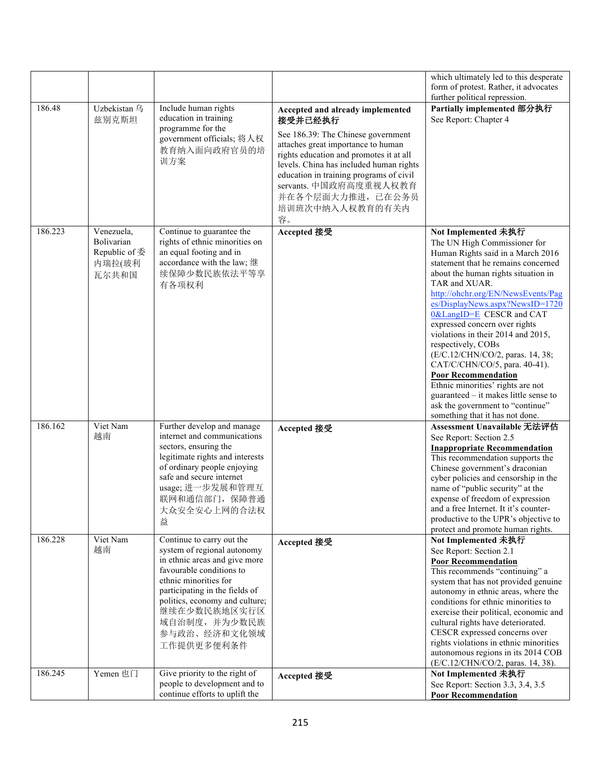|         |                                                              |                                                                                                                                                                                                                                                                                   |                                                                                                                                                                                                                                                                                                                                  | which ultimately led to this desperate<br>form of protest. Rather, it advocates<br>further political repression.                                                                                                                                                                                                                                                                                                                                                                                                                                                                                                                                    |
|---------|--------------------------------------------------------------|-----------------------------------------------------------------------------------------------------------------------------------------------------------------------------------------------------------------------------------------------------------------------------------|----------------------------------------------------------------------------------------------------------------------------------------------------------------------------------------------------------------------------------------------------------------------------------------------------------------------------------|-----------------------------------------------------------------------------------------------------------------------------------------------------------------------------------------------------------------------------------------------------------------------------------------------------------------------------------------------------------------------------------------------------------------------------------------------------------------------------------------------------------------------------------------------------------------------------------------------------------------------------------------------------|
| 186.48  | Uzbekistan 乌<br>兹别克斯坦                                        | Include human rights<br>education in training<br>programme for the<br>government officials; 将人权<br>教育纳入面向政府官员的培<br>训方案                                                                                                                                                            | Accepted and already implemented<br>接受并已经执行<br>See 186.39: The Chinese government<br>attaches great importance to human<br>rights education and promotes it at all<br>levels. China has included human rights<br>education in training programs of civil<br>servants. 中国政府高度重视人权教育<br>并在各个层面大力推进, 已在公务员<br>培训班次中纳入人权教育的有关内<br>容。 | Partially implemented 部分执行<br>See Report: Chapter 4                                                                                                                                                                                                                                                                                                                                                                                                                                                                                                                                                                                                 |
| 186.223 | Venezuela,<br>Bolivarian<br>Republic of 委<br>内瑞拉(玻利<br>瓦尔共和国 | Continue to guarantee the<br>rights of ethnic minorities on<br>an equal footing and in<br>accordance with the law; 继<br>续保障少数民族依法平等享<br>有各项权利                                                                                                                                     | Accepted 接受                                                                                                                                                                                                                                                                                                                      | Not Implemented 未执行<br>The UN High Commissioner for<br>Human Rights said in a March 2016<br>statement that he remains concerned<br>about the human rights situation in<br>TAR and XUAR.<br>http://ohchr.org/EN/NewsEvents/Pag<br>es/DisplayNews.aspx?NewsID=1720<br>0&LangID=E CESCR and CAT<br>expressed concern over rights<br>violations in their 2014 and 2015,<br>respectively, COBs<br>(E/C.12/CHN/CO/2, paras. 14, 38;<br>CAT/C/CHN/CO/5, para. 40-41).<br><b>Poor Recommendation</b><br>Ethnic minorities' rights are not<br>guaranteed $-$ it makes little sense to<br>ask the government to "continue"<br>something that it has not done. |
| 186.162 | Viet Nam<br>越南                                               | Further develop and manage<br>internet and communications<br>sectors, ensuring the<br>legitimate rights and interests<br>of ordinary people enjoying<br>safe and secure internet<br>usage; 进一步发展和管理互<br>联网和通信部门, 保障普通<br>大众安全安心上网的合法权<br>益                                        | Accepted 接受                                                                                                                                                                                                                                                                                                                      | Assessment Unavailable 无法评估<br>See Report: Section 2.5<br><b>Inappropriate Recommendation</b><br>This recommendation supports the<br>Chinese government's draconian<br>cyber policies and censorship in the<br>name of "public security" at the<br>expense of freedom of expression<br>and a free Internet. It it's counter-<br>productive to the UPR's objective to<br>protect and promote human rights.                                                                                                                                                                                                                                           |
| 186.228 | Viet Nam<br>越南                                               | Continue to carry out the<br>system of regional autonomy<br>in ethnic areas and give more<br>favourable conditions to<br>ethnic minorities for<br>participating in the fields of<br>politics, economy and culture;<br>继续在少数民族地区实行区<br>域自治制度, 并为少数民族<br>参与政治、经济和文化领域<br>工作提供更多便利条件 | Accepted 接受                                                                                                                                                                                                                                                                                                                      | Not Implemented 未执行<br>See Report: Section 2.1<br><b>Poor Recommendation</b><br>This recommends "continuing" a<br>system that has not provided genuine<br>autonomy in ethnic areas, where the<br>conditions for ethnic minorities to<br>exercise their political, economic and<br>cultural rights have deteriorated.<br>CESCR expressed concerns over<br>rights violations in ethnic minorities<br>autonomous regions in its 2014 COB<br>(E/C.12/CHN/CO/2, paras. 14, 38).                                                                                                                                                                          |
| 186.245 | Yemen 也门                                                     | Give priority to the right of<br>people to development and to<br>continue efforts to uplift the                                                                                                                                                                                   | Accepted 接受                                                                                                                                                                                                                                                                                                                      | Not Implemented 未执行<br>See Report: Section 3.3, 3.4, 3.5<br><b>Poor Recommendation</b>                                                                                                                                                                                                                                                                                                                                                                                                                                                                                                                                                              |